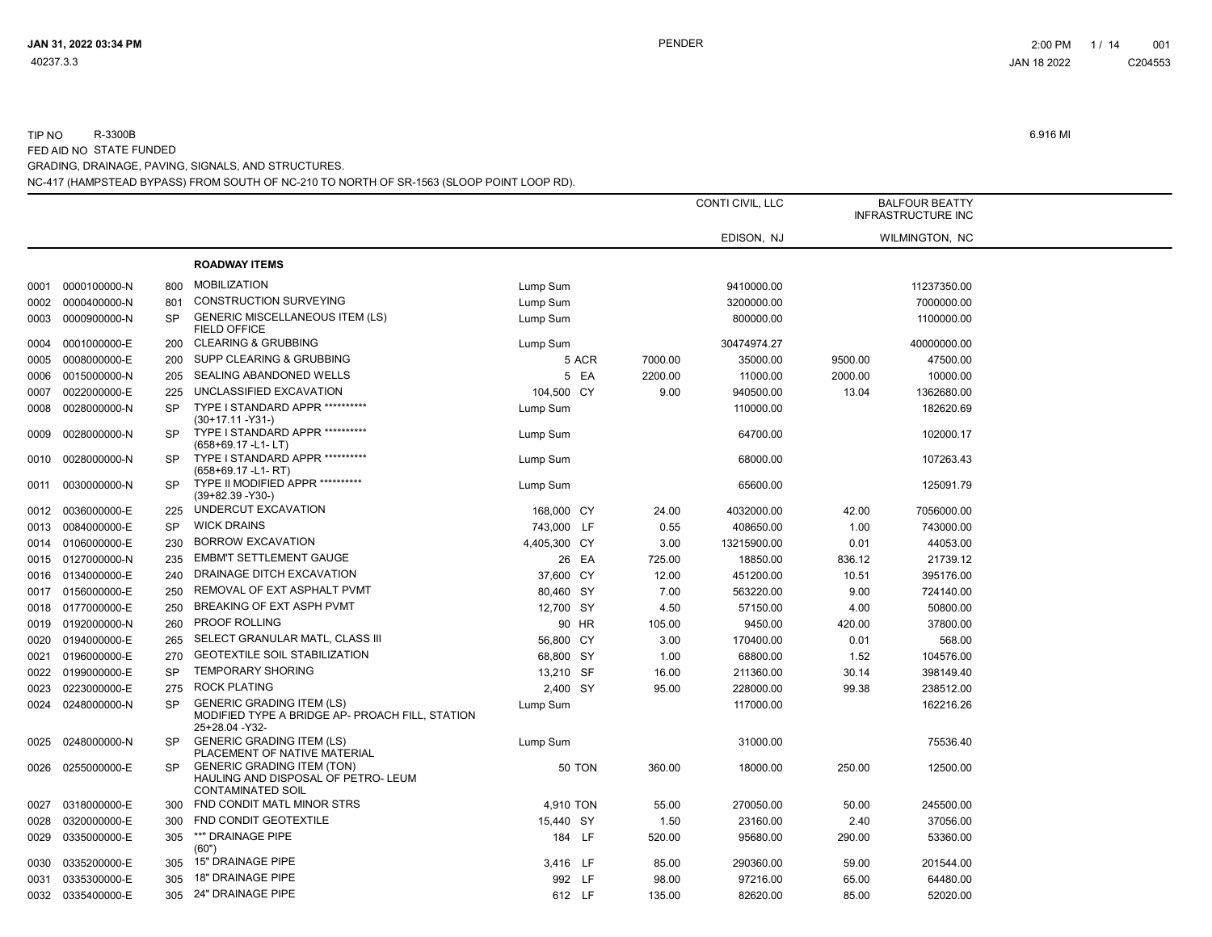|      |                   |           |                                                                                                        | CONTI CIVIL, LLC |         | <b>BALFOUR BEATTY</b><br><b>INFRASTRUCTURE INC</b> |         |                |  |
|------|-------------------|-----------|--------------------------------------------------------------------------------------------------------|------------------|---------|----------------------------------------------------|---------|----------------|--|
|      |                   |           |                                                                                                        |                  |         | EDISON, NJ                                         |         | WILMINGTON, NC |  |
|      |                   |           | <b>ROADWAY ITEMS</b>                                                                                   |                  |         |                                                    |         |                |  |
| 0001 | 0000100000-N      | 800       | <b>MOBILIZATION</b>                                                                                    | Lump Sum         |         | 9410000.00                                         |         | 11237350.00    |  |
| 0002 | 0000400000-N      | 801       | <b>CONSTRUCTION SURVEYING</b>                                                                          | Lump Sum         |         | 3200000.00                                         |         | 7000000.00     |  |
| 0003 | 0000900000-N      | <b>SP</b> | <b>GENERIC MISCELLANEOUS ITEM (LS)</b><br><b>FIELD OFFICE</b>                                          | Lump Sum         |         | 800000.00                                          |         | 1100000.00     |  |
| 0004 | 0001000000-E      | 200       | <b>CLEARING &amp; GRUBBING</b>                                                                         | Lump Sum         |         | 30474974.27                                        |         | 40000000.00    |  |
| 0005 | 0008000000-E      | 200       | SUPP CLEARING & GRUBBING                                                                               | 5 ACR            | 7000.00 | 35000.00                                           | 9500.00 | 47500.00       |  |
| 0006 | 0015000000-N      | 205       | SEALING ABANDONED WELLS                                                                                | 5 EA             | 2200.00 | 11000.00                                           | 2000.00 | 10000.00       |  |
| 0007 | 0022000000-E      | 225       | UNCLASSIFIED EXCAVATION                                                                                | 104,500 CY       | 9.00    | 940500.00                                          | 13.04   | 1362680.00     |  |
| 0008 | 0028000000-N      | <b>SP</b> | TYPE I STANDARD APPR ***********<br>$(30+17.11 - Y31)$                                                 | Lump Sum         |         | 110000.00                                          |         | 182620.69      |  |
| 0009 | 0028000000-N      | <b>SP</b> | TYPE I STANDARD APPR ***********<br>$(658+69.17 - L1 - LT)$                                            | Lump Sum         |         | 64700.00                                           |         | 102000.17      |  |
| 0010 | 0028000000-N      | <b>SP</b> | TYPE I STANDARD APPR **********<br>$(658+69.17 - L1 - RT)$                                             | Lump Sum         |         | 68000.00                                           |         | 107263.43      |  |
| 0011 | 0030000000-N      | <b>SP</b> | TYPE II MODIFIED APPR **********<br>$(39+82.39 - Y30-)$                                                | Lump Sum         |         | 65600.00                                           |         | 125091.79      |  |
|      | 0012 0036000000-E | 225       | UNDERCUT EXCAVATION                                                                                    | 168,000 CY       | 24.00   | 4032000.00                                         | 42.00   | 7056000.00     |  |
| 0013 | 0084000000-E      | <b>SP</b> | <b>WICK DRAINS</b>                                                                                     | 743,000 LF       | 0.55    | 408650.00                                          | 1.00    | 743000.00      |  |
|      | 0014 0106000000-E | 230       | <b>BORROW EXCAVATION</b>                                                                               | 4,405,300 CY     | 3.00    | 13215900.00                                        | 0.01    | 44053.00       |  |
|      | 0015 0127000000-N | 235       | <b>EMBM'T SETTLEMENT GAUGE</b>                                                                         | 26 EA            | 725.00  | 18850.00                                           | 836.12  | 21739.12       |  |
|      | 0016 0134000000-E | 240       | DRAINAGE DITCH EXCAVATION                                                                              | 37,600 CY        | 12.00   | 451200.00                                          | 10.51   | 395176.00      |  |
|      | 0017 0156000000-E | 250       | REMOVAL OF EXT ASPHALT PVMT                                                                            | 80,460 SY        | 7.00    | 563220.00                                          | 9.00    | 724140.00      |  |
|      | 0018 0177000000-E | 250       | BREAKING OF EXT ASPH PVMT                                                                              | 12,700 SY        | 4.50    | 57150.00                                           | 4.00    | 50800.00       |  |
|      | 0019 0192000000-N | 260       | PROOF ROLLING                                                                                          | 90 HR            | 105.00  | 9450.00                                            | 420.00  | 37800.00       |  |
| 0020 | 0194000000-E      | 265       | SELECT GRANULAR MATL, CLASS III                                                                        | 56,800 CY        | 3.00    | 170400.00                                          | 0.01    | 568.00         |  |
| 0021 | 0196000000-E      | 270       | <b>GEOTEXTILE SOIL STABILIZATION</b>                                                                   | 68,800 SY        | 1.00    | 68800.00                                           | 1.52    | 104576.00      |  |
| 0022 | 0199000000-E      | <b>SP</b> | <b>TEMPORARY SHORING</b>                                                                               | 13,210 SF        | 16.00   | 211360.00                                          | 30.14   | 398149.40      |  |
| 0023 | 0223000000-E      | 275       | <b>ROCK PLATING</b>                                                                                    | 2,400 SY         | 95.00   | 228000.00                                          | 99.38   | 238512.00      |  |
| 0024 | 0248000000-N      | <b>SP</b> | <b>GENERIC GRADING ITEM (LS)</b><br>MODIFIED TYPE A BRIDGE AP- PROACH FILL, STATION<br>25+28.04 - Y32- | Lump Sum         |         | 117000.00                                          |         | 162216.26      |  |
| 0025 | 0248000000-N      | <b>SP</b> | <b>GENERIC GRADING ITEM (LS)</b><br>PLACEMENT OF NATIVE MATERIAL                                       | Lump Sum         |         | 31000.00                                           |         | 75536.40       |  |
| 0026 | 0255000000-E      | <b>SP</b> | <b>GENERIC GRADING ITEM (TON)</b><br>HAULING AND DISPOSAL OF PETRO- LEUM<br><b>CONTAMINATED SOIL</b>   | <b>50 TON</b>    | 360.00  | 18000.00                                           | 250.00  | 12500.00       |  |
| 0027 | 0318000000-E      | 300       | FND CONDIT MATL MINOR STRS                                                                             | 4,910 TON        | 55.00   | 270050.00                                          | 50.00   | 245500.00      |  |
| 0028 | 0320000000-E      | 300       | FND CONDIT GEOTEXTILE                                                                                  | 15,440 SY        | 1.50    | 23160.00                                           | 2.40    | 37056.00       |  |
| 0029 | 0335000000-E      | 305       | **" DRAINAGE PIPE<br>(60")                                                                             | 184 LF           | 520.00  | 95680.00                                           | 290.00  | 53360.00       |  |
| 0030 | 0335200000-E      | 305       | <b>15" DRAINAGE PIPE</b>                                                                               | 3,416 LF         | 85.00   | 290360.00                                          | 59.00   | 201544.00      |  |
| 0031 | 0335300000-E      | 305       | <b>18" DRAINAGE PIPE</b>                                                                               | 992 LF           | 98.00   | 97216.00                                           | 65.00   | 64480.00       |  |
| 0032 | 0335400000-E      | 305       | <b>24" DRAINAGE PIPE</b>                                                                               | 612 LF           | 135.00  | 82620.00                                           | 85.00   | 52020.00       |  |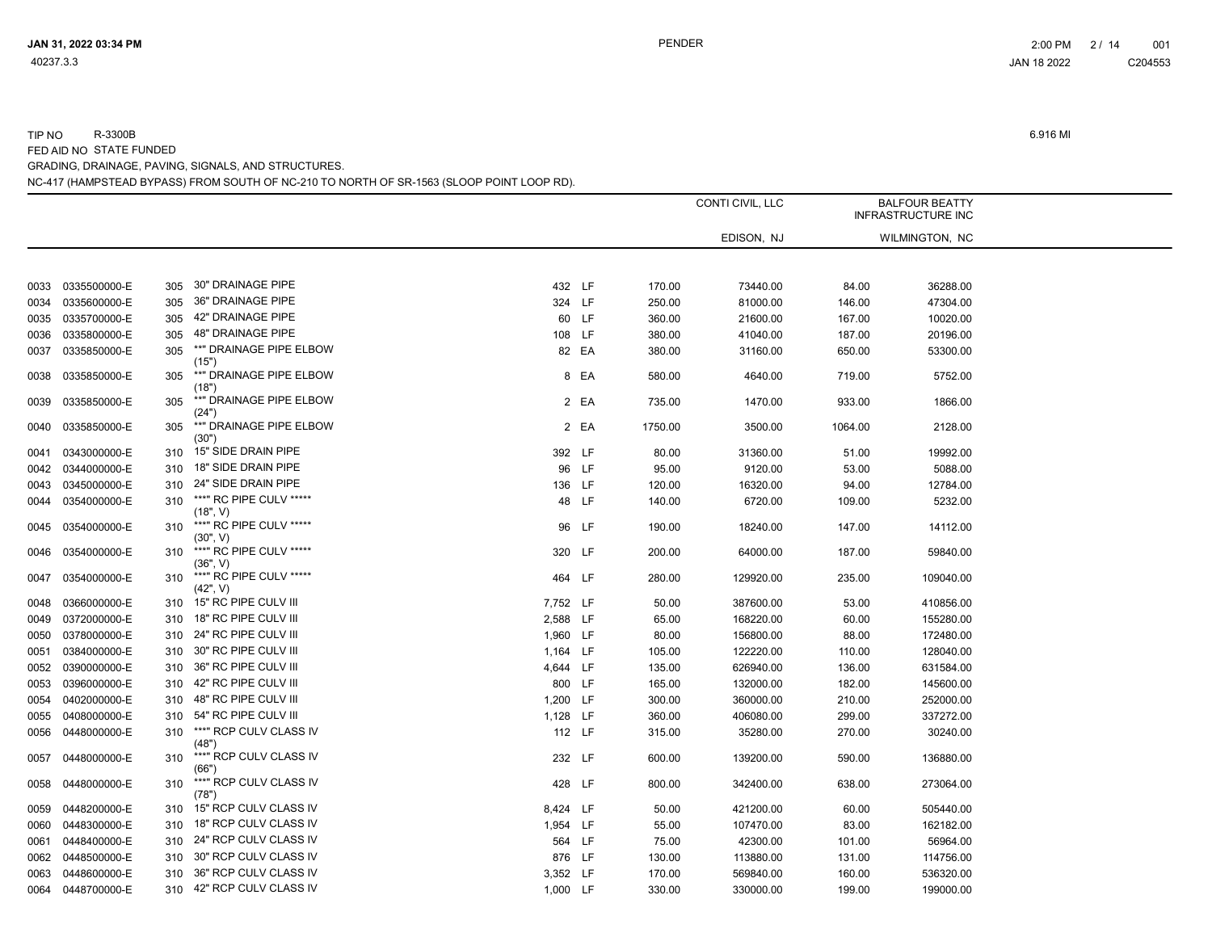|      |              |     |                                     |          |       |         | CONTI CIVIL, LLC |         | <b>BALFOUR BEATTY</b><br><b>INFRASTRUCTURE INC</b> |  |
|------|--------------|-----|-------------------------------------|----------|-------|---------|------------------|---------|----------------------------------------------------|--|
|      |              |     |                                     |          |       |         | EDISON, NJ       |         | WILMINGTON, NC                                     |  |
|      |              |     |                                     |          |       |         |                  |         |                                                    |  |
| 0033 | 0335500000-E | 305 | 30" DRAINAGE PIPE                   | 432 LF   |       | 170.00  | 73440.00         | 84.00   | 36288.00                                           |  |
| 0034 | 0335600000-E | 305 | 36" DRAINAGE PIPE                   | 324 LF   |       | 250.00  | 81000.00         | 146.00  | 47304.00                                           |  |
| 0035 | 0335700000-E | 305 | 42" DRAINAGE PIPE                   |          | 60 LF | 360.00  | 21600.00         | 167.00  | 10020.00                                           |  |
| 0036 | 0335800000-E | 305 | 48" DRAINAGE PIPE                   | 108 LF   |       | 380.00  | 41040.00         | 187.00  | 20196.00                                           |  |
| 0037 | 0335850000-E | 305 | **" DRAINAGE PIPE ELBOW<br>(15")    |          | 82 EA | 380.00  | 31160.00         | 650.00  | 53300.00                                           |  |
| 0038 | 0335850000-E | 305 | **" DRAINAGE PIPE ELBOW<br>(18")    |          | 8 EA  | 580.00  | 4640.00          | 719.00  | 5752.00                                            |  |
| 0039 | 0335850000-E | 305 | **" DRAINAGE PIPE ELBOW<br>(24")    |          | 2 EA  | 735.00  | 1470.00          | 933.00  | 1866.00                                            |  |
| 0040 | 0335850000-E | 305 | **" DRAINAGE PIPE ELBOW<br>(30")    |          | 2 EA  | 1750.00 | 3500.00          | 1064.00 | 2128.00                                            |  |
| 0041 | 0343000000-E | 310 | 15" SIDE DRAIN PIPE                 | 392 LF   |       | 80.00   | 31360.00         | 51.00   | 19992.00                                           |  |
| 0042 | 0344000000-E | 310 | 18" SIDE DRAIN PIPE                 |          | 96 LF | 95.00   | 9120.00          | 53.00   | 5088.00                                            |  |
| 0043 | 0345000000-E | 310 | 24" SIDE DRAIN PIPE                 | 136 LF   |       | 120.00  | 16320.00         | 94.00   | 12784.00                                           |  |
| 0044 | 0354000000-E | 310 | ***" RC PIPE CULV *****<br>(18", V) |          | 48 LF | 140.00  | 6720.00          | 109.00  | 5232.00                                            |  |
| 0045 | 0354000000-E | 310 | ***" RC PIPE CULV *****<br>(30", V) |          | 96 LF | 190.00  | 18240.00         | 147.00  | 14112.00                                           |  |
| 0046 | 0354000000-E | 310 | ***" RC PIPE CULV *****<br>(36", V) | 320 LF   |       | 200.00  | 64000.00         | 187.00  | 59840.00                                           |  |
| 0047 | 0354000000-E | 310 | ***" RC PIPE CULV *****<br>(42", V) | 464 LF   |       | 280.00  | 129920.00        | 235.00  | 109040.00                                          |  |
| 0048 | 0366000000-E | 310 | 15" RC PIPE CULV III                | 7,752 LF |       | 50.00   | 387600.00        | 53.00   | 410856.00                                          |  |
| 0049 | 0372000000-E | 310 | 18" RC PIPE CULV III                | 2,588 LF |       | 65.00   | 168220.00        | 60.00   | 155280.00                                          |  |
| 0050 | 0378000000-E | 310 | 24" RC PIPE CULV III                | 1,960 LF |       | 80.00   | 156800.00        | 88.00   | 172480.00                                          |  |
| 0051 | 0384000000-E | 310 | 30" RC PIPE CULV III                | 1,164 LF |       | 105.00  | 122220.00        | 110.00  | 128040.00                                          |  |
| 0052 | 0390000000-E | 310 | 36" RC PIPE CULV III                | 4,644 LF |       | 135.00  | 626940.00        | 136.00  | 631584.00                                          |  |
| 0053 | 0396000000-E | 310 | 42" RC PIPE CULV III                | 800 LF   |       | 165.00  | 132000.00        | 182.00  | 145600.00                                          |  |
| 0054 | 0402000000-E | 310 | 48" RC PIPE CULV III                | 1,200 LF |       | 300.00  | 360000.00        | 210.00  | 252000.00                                          |  |
| 0055 | 0408000000-E | 310 | 54" RC PIPE CULV III                | 1,128 LF |       | 360.00  | 406080.00        | 299.00  | 337272.00                                          |  |
| 0056 | 0448000000-E | 310 | ***" RCP CULV CLASS IV<br>(48")     | 112 LF   |       | 315.00  | 35280.00         | 270.00  | 30240.00                                           |  |
| 0057 | 0448000000-E | 310 | ***" RCP CULV CLASS IV<br>(66")     | 232 LF   |       | 600.00  | 139200.00        | 590.00  | 136880.00                                          |  |
| 0058 | 0448000000-E | 310 | ***" RCP CULV CLASS IV<br>(78")     | 428 LF   |       | 800.00  | 342400.00        | 638.00  | 273064.00                                          |  |
| 0059 | 0448200000-E | 310 | 15" RCP CULV CLASS IV               | 8,424 LF |       | 50.00   | 421200.00        | 60.00   | 505440.00                                          |  |
| 0060 | 0448300000-E | 310 | 18" RCP CULV CLASS IV               | 1,954 LF |       | 55.00   | 107470.00        | 83.00   | 162182.00                                          |  |
| 0061 | 0448400000-E | 310 | 24" RCP CULV CLASS IV               | 564 LF   |       | 75.00   | 42300.00         | 101.00  | 56964.00                                           |  |
| 0062 | 0448500000-E | 310 | 30" RCP CULV CLASS IV               | 876 LF   |       | 130.00  | 113880.00        | 131.00  | 114756.00                                          |  |
| 0063 | 0448600000-E | 310 | 36" RCP CULV CLASS IV               | 3,352 LF |       | 170.00  | 569840.00        | 160.00  | 536320.00                                          |  |
| 0064 | 0448700000-E |     | 310 42" RCP CULV CLASS IV           | 1.000 LF |       | 330.00  | 330000.00        | 199.00  | 199000.00                                          |  |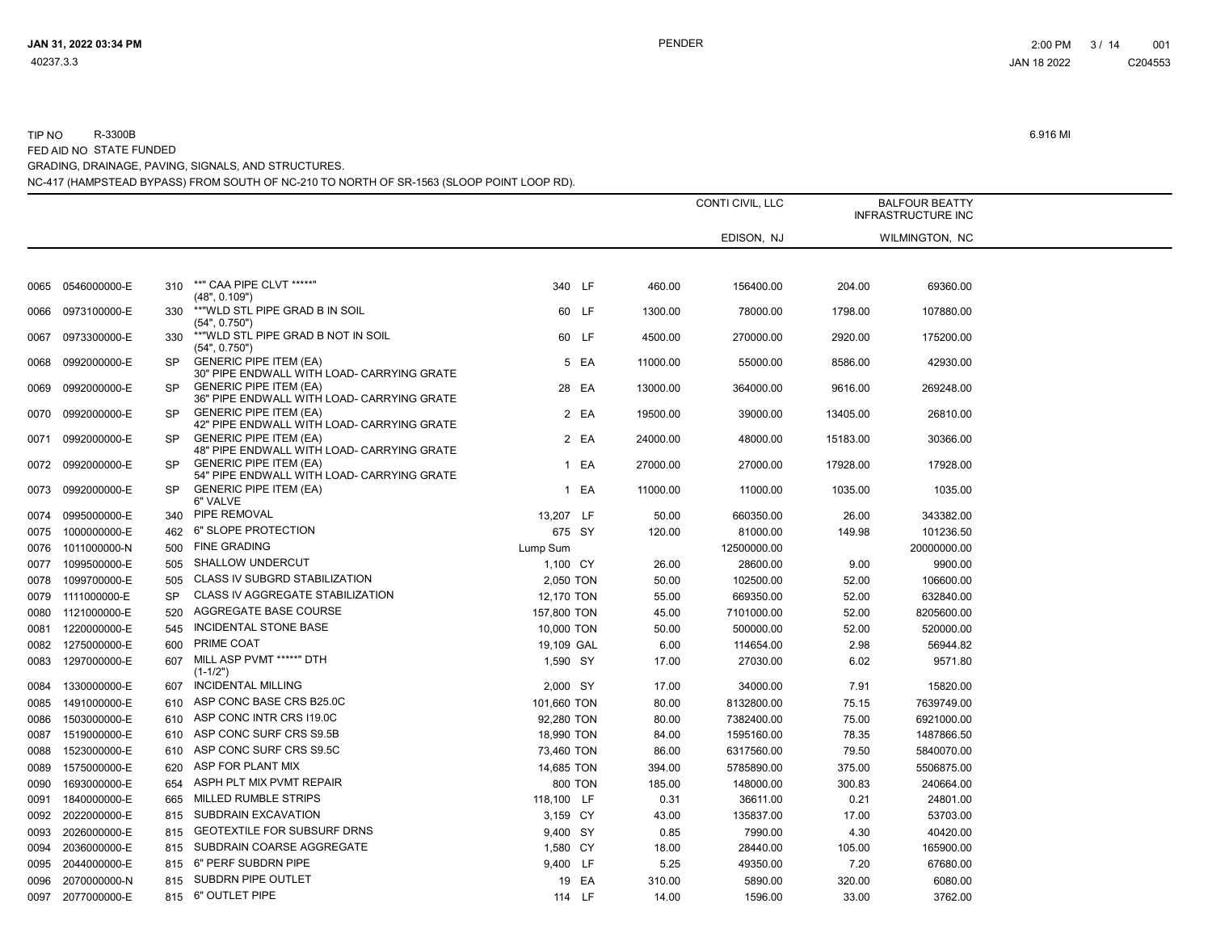TIP NO R-3300B 6.916 MI

|      |              |           |                                                                             |                |          | CONTI CIVIL, LLC |          | <b>BALFOUR BEATTY</b><br>INFRASTRUCTURE INC |
|------|--------------|-----------|-----------------------------------------------------------------------------|----------------|----------|------------------|----------|---------------------------------------------|
|      |              |           |                                                                             |                |          | EDISON, NJ       |          | WILMINGTON, NC                              |
|      |              |           |                                                                             |                |          |                  |          |                                             |
| 0065 | 0546000000-E | 310       | **" CAA PIPE CLVT *****"<br>(48", 0.109")                                   | 340 LF         | 460.00   | 156400.00        | 204.00   | 69360.00                                    |
| 0066 | 0973100000-E | 330       | **"WLD STL PIPE GRAD B IN SOIL<br>(54", 0.750")                             | 60 LF          | 1300.00  | 78000.00         | 1798.00  | 107880.00                                   |
| 0067 | 0973300000-E | 330       | **"WLD STL PIPE GRAD B NOT IN SOIL<br>(54", 0.750")                         | 60 LF          | 4500.00  | 270000.00        | 2920.00  | 175200.00                                   |
| 0068 | 0992000000-E | <b>SP</b> | <b>GENERIC PIPE ITEM (EA)</b><br>30" PIPE ENDWALL WITH LOAD- CARRYING GRATE | 5 EA           | 11000.00 | 55000.00         | 8586.00  | 42930.00                                    |
| 0069 | 0992000000-E | <b>SP</b> | <b>GENERIC PIPE ITEM (EA)</b><br>36" PIPE ENDWALL WITH LOAD- CARRYING GRATE | 28 EA          | 13000.00 | 364000.00        | 9616.00  | 269248.00                                   |
| 0070 | 0992000000-E | <b>SP</b> | <b>GENERIC PIPE ITEM (EA)</b><br>42" PIPE ENDWALL WITH LOAD- CARRYING GRATE | 2 EA           | 19500.00 | 39000.00         | 13405.00 | 26810.00                                    |
| 0071 | 0992000000-E | SP.       | <b>GENERIC PIPE ITEM (EA)</b><br>48" PIPE ENDWALL WITH LOAD- CARRYING GRATE | 2 EA           | 24000.00 | 48000.00         | 15183.00 | 30366.00                                    |
| 0072 | 0992000000-E | <b>SP</b> | <b>GENERIC PIPE ITEM (EA)</b><br>54" PIPE ENDWALL WITH LOAD- CARRYING GRATE | 1 EA           | 27000.00 | 27000.00         | 17928.00 | 17928.00                                    |
| 0073 | 0992000000-E | <b>SP</b> | <b>GENERIC PIPE ITEM (EA)</b><br>6" VALVE                                   | 1 EA           | 11000.00 | 11000.00         | 1035.00  | 1035.00                                     |
| 0074 | 0995000000-E |           | 340 PIPE REMOVAL                                                            | 13,207 LF      | 50.00    | 660350.00        | 26.00    | 343382.00                                   |
| 0075 | 1000000000-E |           | 462 6" SLOPE PROTECTION                                                     | 675 SY         | 120.00   | 81000.00         | 149.98   | 101236.50                                   |
| 0076 | 1011000000-N |           | 500 FINE GRADING                                                            | Lump Sum       |          | 12500000.00      |          | 20000000.00                                 |
| 0077 | 1099500000-E | 505       | SHALLOW UNDERCUT                                                            | 1,100 CY       | 26.00    | 28600.00         | 9.00     | 9900.00                                     |
| 0078 | 1099700000-E | 505       | CLASS IV SUBGRD STABILIZATION                                               | 2,050 TON      | 50.00    | 102500.00        | 52.00    | 106600.00                                   |
| 0079 | 1111000000-E | <b>SP</b> | CLASS IV AGGREGATE STABILIZATION                                            | 12,170 TON     | 55.00    | 669350.00        | 52.00    | 632840.00                                   |
| 0080 | 1121000000-E | 520       | AGGREGATE BASE COURSE                                                       | 157,800 TON    | 45.00    | 7101000.00       | 52.00    | 8205600.00                                  |
| 0081 | 1220000000-E |           | 545 INCIDENTAL STONE BASE                                                   | 10,000 TON     | 50.00    | 500000.00        | 52.00    | 520000.00                                   |
| 0082 | 1275000000-E | 600       | PRIME COAT                                                                  | 19,109 GAL     | 6.00     | 114654.00        | 2.98     | 56944.82                                    |
| 0083 | 1297000000-E |           | 607 MILL ASP PVMT *****" DTH<br>$(1-1/2")$                                  | 1,590 SY       | 17.00    | 27030.00         | 6.02     | 9571.80                                     |
| 0084 | 1330000000-E | 607       | <b>INCIDENTAL MILLING</b>                                                   | 2,000 SY       | 17.00    | 34000.00         | 7.91     | 15820.00                                    |
| 0085 | 1491000000-E |           | 610 ASP CONC BASE CRS B25.0C                                                | 101,660 TON    | 80.00    | 8132800.00       | 75.15    | 7639749.00                                  |
| 0086 | 1503000000-E |           | 610 ASP CONC INTR CRS I19.0C                                                | 92,280 TON     | 80.00    | 7382400.00       | 75.00    | 6921000.00                                  |
| 0087 | 1519000000-E |           | 610 ASP CONC SURF CRS S9.5B                                                 | 18,990 TON     | 84.00    | 1595160.00       | 78.35    | 1487866.50                                  |
| 0088 | 1523000000-E |           | 610 ASP CONC SURF CRS S9.5C                                                 | 73,460 TON     | 86.00    | 6317560.00       | 79.50    | 5840070.00                                  |
| 0089 | 1575000000-E | 620       | ASP FOR PLANT MIX                                                           | 14,685 TON     | 394.00   | 5785890.00       | 375.00   | 5506875.00                                  |
| 0090 | 1693000000-E |           | 654 ASPH PLT MIX PVMT REPAIR                                                | <b>800 TON</b> | 185.00   | 148000.00        | 300.83   | 240664.00                                   |
| 0091 | 1840000000-E |           | 665 MILLED RUMBLE STRIPS                                                    | 118,100 LF     | 0.31     | 36611.00         | 0.21     | 24801.00                                    |
| 0092 | 2022000000-E |           | 815 SUBDRAIN EXCAVATION                                                     | 3,159 CY       | 43.00    | 135837.00        | 17.00    | 53703.00                                    |
| 0093 | 2026000000-E |           | 815 GEOTEXTILE FOR SUBSURF DRNS                                             | 9,400 SY       | 0.85     | 7990.00          | 4.30     | 40420.00                                    |
| 0094 | 2036000000-E |           | 815 SUBDRAIN COARSE AGGREGATE                                               | 1,580 CY       | 18.00    | 28440.00         | 105.00   | 165900.00                                   |
| 0095 | 2044000000-E |           | 815 6" PERF SUBDRN PIPE                                                     | 9,400 LF       | 5.25     | 49350.00         | 7.20     | 67680.00                                    |
| 0096 | 2070000000-N |           | 815 SUBDRN PIPE OUTLET                                                      | 19 EA          | 310.00   | 5890.00          | 320.00   | 6080.00                                     |
| 0097 | 2077000000-E |           | 815 6" OUTLET PIPE                                                          | 114 LF         | 14.00    | 1596.00          | 33.00    | 3762.00                                     |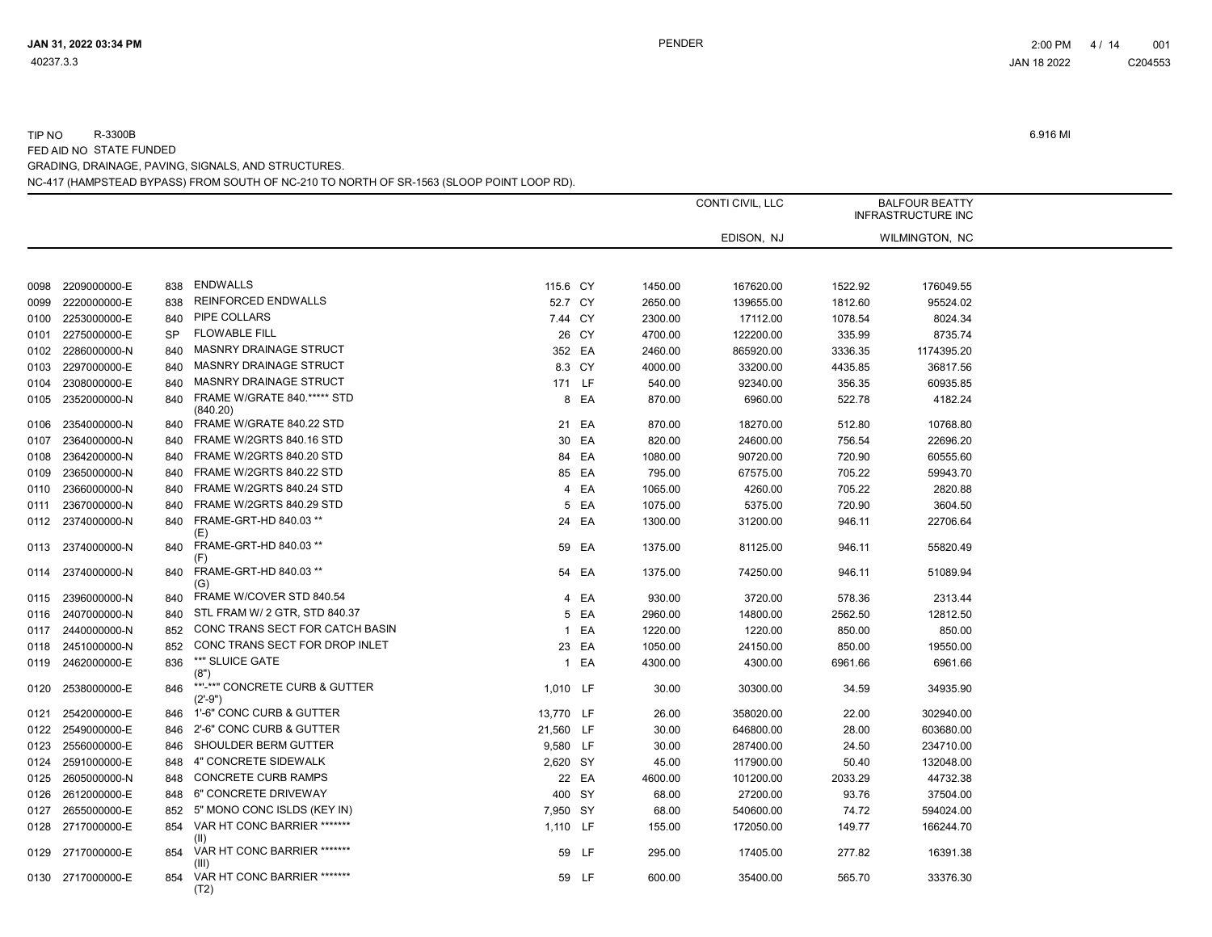|      |                   |           |                                             |           |        |         | CONTI CIVIL, LLC |         | <b>BALFOUR BEATTY</b><br><b>INFRASTRUCTURE INC</b> |  |
|------|-------------------|-----------|---------------------------------------------|-----------|--------|---------|------------------|---------|----------------------------------------------------|--|
|      |                   |           |                                             |           |        |         | EDISON, NJ       |         | WILMINGTON, NC                                     |  |
|      |                   |           |                                             |           |        |         |                  |         |                                                    |  |
| 0098 | 2209000000-E      | 838       | <b>ENDWALLS</b>                             | 115.6 CY  |        | 1450.00 | 167620.00        | 1522.92 | 176049.55                                          |  |
| 0099 | 2220000000-E      | 838       | <b>REINFORCED ENDWALLS</b>                  | 52.7 CY   |        | 2650.00 | 139655.00        | 1812.60 | 95524.02                                           |  |
| 0100 | 2253000000-E      | 840       | PIPE COLLARS                                | 7.44 CY   |        | 2300.00 | 17112.00         | 1078.54 | 8024.34                                            |  |
| 0101 | 2275000000-E      | <b>SP</b> | <b>FLOWABLE FILL</b>                        |           | 26 CY  | 4700.00 | 122200.00        | 335.99  | 8735.74                                            |  |
| 0102 | 2286000000-N      | 840       | MASNRY DRAINAGE STRUCT                      | 352 EA    |        | 2460.00 | 865920.00        | 3336.35 | 1174395.20                                         |  |
| 0103 | 2297000000-E      | 840       | MASNRY DRAINAGE STRUCT                      |           | 8.3 CY | 4000.00 | 33200.00         | 4435.85 | 36817.56                                           |  |
| 0104 | 2308000000-E      | 840       | MASNRY DRAINAGE STRUCT                      | 171 LF    |        | 540.00  | 92340.00         | 356.35  | 60935.85                                           |  |
| 0105 | 2352000000-N      | 840       | FRAME W/GRATE 840.***** STD<br>(840.20)     |           | 8 EA   | 870.00  | 6960.00          | 522.78  | 4182.24                                            |  |
| 0106 | 2354000000-N      | 840       | FRAME W/GRATE 840.22 STD                    |           | 21 EA  | 870.00  | 18270.00         | 512.80  | 10768.80                                           |  |
| 0107 | 2364000000-N      | 840       | FRAME W/2GRTS 840.16 STD                    |           | 30 EA  | 820.00  | 24600.00         | 756.54  | 22696.20                                           |  |
| 0108 | 2364200000-N      | 840       | FRAME W/2GRTS 840.20 STD                    |           | 84 EA  | 1080.00 | 90720.00         | 720.90  | 60555.60                                           |  |
| 0109 | 2365000000-N      | 840       | FRAME W/2GRTS 840.22 STD                    |           | 85 EA  | 795.00  | 67575.00         | 705.22  | 59943.70                                           |  |
| 0110 | 2366000000-N      | 840       | FRAME W/2GRTS 840.24 STD                    |           | 4 EA   | 1065.00 | 4260.00          | 705.22  | 2820.88                                            |  |
| 0111 | 2367000000-N      | 840       | FRAME W/2GRTS 840.29 STD                    |           | 5 EA   | 1075.00 | 5375.00          | 720.90  | 3604.50                                            |  |
| 0112 | 2374000000-N      | 840       | FRAME-GRT-HD 840.03 **<br>(E)               |           | 24 EA  | 1300.00 | 31200.00         | 946.11  | 22706.64                                           |  |
| 0113 | 2374000000-N      | 840       | FRAME-GRT-HD 840.03 **<br>(F)               |           | 59 EA  | 1375.00 | 81125.00         | 946.11  | 55820.49                                           |  |
| 0114 | 2374000000-N      | 840       | FRAME-GRT-HD 840.03 **<br>(G)               |           | 54 EA  | 1375.00 | 74250.00         | 946.11  | 51089.94                                           |  |
| 0115 | 2396000000-N      | 840       | FRAME W/COVER STD 840.54                    |           | 4 EA   | 930.00  | 3720.00          | 578.36  | 2313.44                                            |  |
| 0116 | 2407000000-N      | 840       | STL FRAM W/ 2 GTR, STD 840.37               |           | 5 EA   | 2960.00 | 14800.00         | 2562.50 | 12812.50                                           |  |
| 0117 | 2440000000-N      | 852       | CONC TRANS SECT FOR CATCH BASIN             |           | 1 EA   | 1220.00 | 1220.00          | 850.00  | 850.00                                             |  |
| 0118 | 2451000000-N      | 852       | CONC TRANS SECT FOR DROP INLET              |           | 23 EA  | 1050.00 | 24150.00         | 850.00  | 19550.00                                           |  |
| 0119 | 2462000000-E      | 836       | **" SLUICE GATE<br>(8")                     |           | 1 EA   | 4300.00 | 4300.00          | 6961.66 | 6961.66                                            |  |
| 0120 | 2538000000-E      | 846       | **'-**" CONCRETE CURB & GUTTER<br>$(2'-9")$ | 1,010 LF  |        | 30.00   | 30300.00         | 34.59   | 34935.90                                           |  |
| 0121 | 2542000000-E      | 846       | 1'-6" CONC CURB & GUTTER                    | 13,770 LF |        | 26.00   | 358020.00        | 22.00   | 302940.00                                          |  |
| 0122 | 2549000000-E      | 846       | 2'-6" CONC CURB & GUTTER                    | 21,560 LF |        | 30.00   | 646800.00        | 28.00   | 603680.00                                          |  |
| 0123 | 2556000000-E      | 846       | SHOULDER BERM GUTTER                        | 9,580 LF  |        | 30.00   | 287400.00        | 24.50   | 234710.00                                          |  |
| 0124 | 2591000000-E      | 848       | 4" CONCRETE SIDEWALK                        | 2,620 SY  |        | 45.00   | 117900.00        | 50.40   | 132048.00                                          |  |
| 0125 | 2605000000-N      | 848       | <b>CONCRETE CURB RAMPS</b>                  |           | 22 EA  | 4600.00 | 101200.00        | 2033.29 | 44732.38                                           |  |
| 0126 | 2612000000-E      | 848       | 6" CONCRETE DRIVEWAY                        | 400 SY    |        | 68.00   | 27200.00         | 93.76   | 37504.00                                           |  |
| 0127 | 2655000000-E      | 852       | 5" MONO CONC ISLDS (KEY IN)                 | 7,950 SY  |        | 68.00   | 540600.00        | 74.72   | 594024.00                                          |  |
|      | 0128 2717000000-E | 854       | VAR HT CONC BARRIER *******<br>(II)         | 1,110 LF  |        | 155.00  | 172050.00        | 149.77  | 166244.70                                          |  |
|      | 0129 2717000000-E | 854       | VAR HT CONC BARRIER *******<br>(III)        |           | 59 LF  | 295.00  | 17405.00         | 277.82  | 16391.38                                           |  |
|      | 0130 2717000000-E | 854       | VAR HT CONC BARRIER *******<br>(T2)         |           | 59 LF  | 600.00  | 35400.00         | 565.70  | 33376.30                                           |  |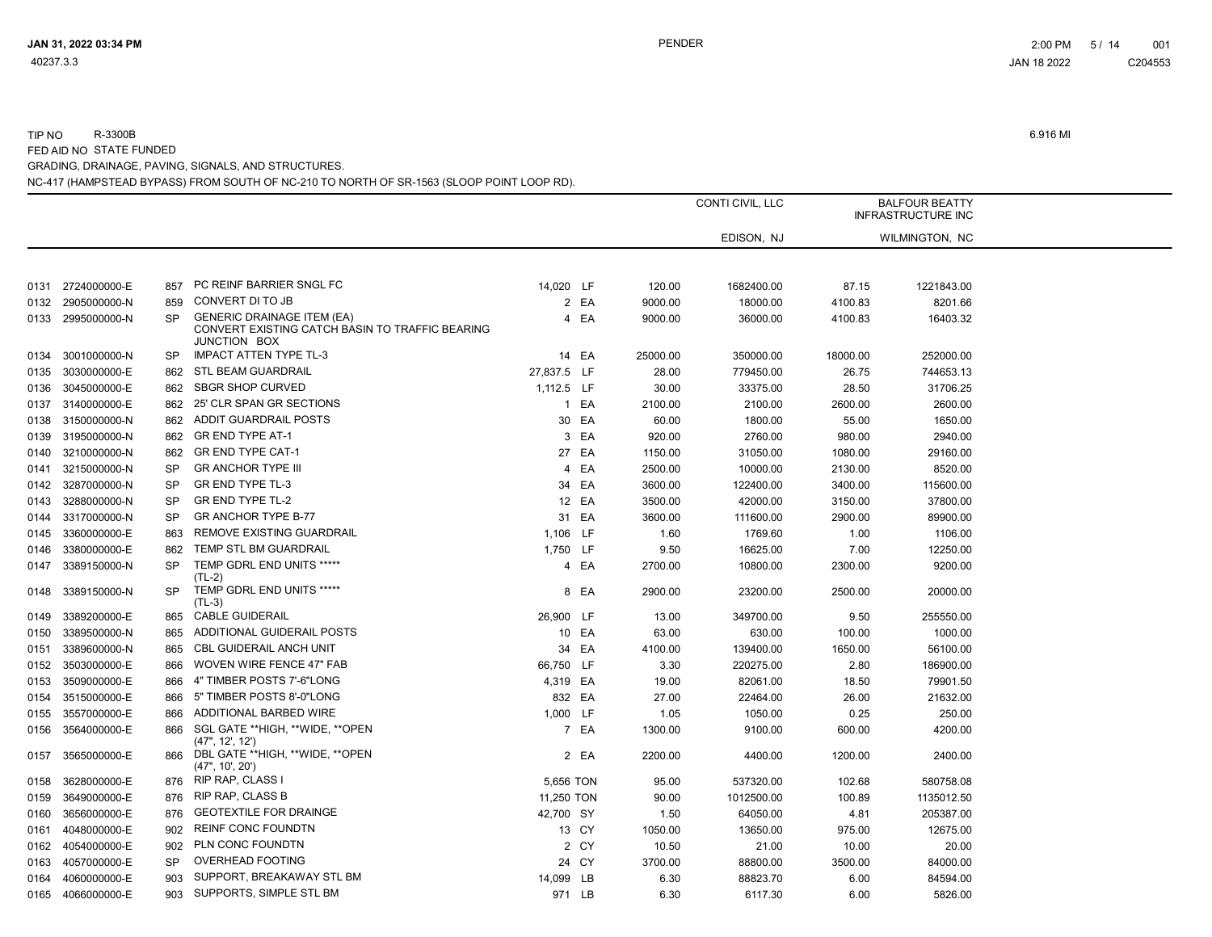|      |                   |           |                                                                                                             |             |       |          | CONTI CIVIL, LLC |          | <b>BALFOUR BEATTY</b><br><b>INFRASTRUCTURE INC</b> |  |
|------|-------------------|-----------|-------------------------------------------------------------------------------------------------------------|-------------|-------|----------|------------------|----------|----------------------------------------------------|--|
|      |                   |           |                                                                                                             |             |       |          | EDISON, NJ       |          | WILMINGTON, NC                                     |  |
|      |                   |           |                                                                                                             |             |       |          |                  |          |                                                    |  |
| 0131 | 2724000000-E      | 857       | PC REINF BARRIER SNGL FC                                                                                    | 14,020 LF   |       | 120.00   | 1682400.00       | 87.15    | 1221843.00                                         |  |
| 0132 | 2905000000-N      | 859       | CONVERT DI TO JB                                                                                            |             | 2 EA  | 9000.00  | 18000.00         | 4100.83  | 8201.66                                            |  |
| 0133 | 2995000000-N      | <b>SP</b> | <b>GENERIC DRAINAGE ITEM (EA)</b><br>CONVERT EXISTING CATCH BASIN TO TRAFFIC BEARING<br><b>JUNCTION BOX</b> |             | 4 EA  | 9000.00  | 36000.00         | 4100.83  | 16403.32                                           |  |
| 0134 | 3001000000-N      | <b>SP</b> | <b>IMPACT ATTEN TYPE TL-3</b>                                                                               |             | 14 EA | 25000.00 | 350000.00        | 18000.00 | 252000.00                                          |  |
| 0135 | 3030000000-E      | 862       | STL BEAM GUARDRAIL                                                                                          | 27,837.5 LF |       | 28.00    | 779450.00        | 26.75    | 744653.13                                          |  |
| 0136 | 3045000000-E      | 862       | <b>SBGR SHOP CURVED</b>                                                                                     | 1,112.5 LF  |       | 30.00    | 33375.00         | 28.50    | 31706.25                                           |  |
| 0137 | 3140000000-E      | 862       | 25' CLR SPAN GR SECTIONS                                                                                    |             | 1 EA  | 2100.00  | 2100.00          | 2600.00  | 2600.00                                            |  |
| 0138 | 3150000000-N      | 862       | ADDIT GUARDRAIL POSTS                                                                                       |             | 30 EA | 60.00    | 1800.00          | 55.00    | 1650.00                                            |  |
| 0139 | 3195000000-N      | 862       | <b>GR END TYPE AT-1</b>                                                                                     |             | 3 EA  | 920.00   | 2760.00          | 980.00   | 2940.00                                            |  |
| 0140 | 3210000000-N      | 862       | <b>GR END TYPE CAT-1</b>                                                                                    |             | 27 EA | 1150.00  | 31050.00         | 1080.00  | 29160.00                                           |  |
| 0141 | 3215000000-N      | <b>SP</b> | <b>GR ANCHOR TYPE III</b>                                                                                   |             | 4 EA  | 2500.00  | 10000.00         | 2130.00  | 8520.00                                            |  |
| 0142 | 3287000000-N      | <b>SP</b> | GR END TYPE TL-3                                                                                            |             | 34 EA | 3600.00  | 122400.00        | 3400.00  | 115600.00                                          |  |
| 0143 | 3288000000-N      | <b>SP</b> | <b>GR END TYPE TL-2</b>                                                                                     |             | 12 EA | 3500.00  | 42000.00         | 3150.00  | 37800.00                                           |  |
| 0144 | 3317000000-N      | <b>SP</b> | <b>GRANCHOR TYPE B-77</b>                                                                                   |             | 31 EA | 3600.00  | 111600.00        | 2900.00  | 89900.00                                           |  |
| 0145 | 3360000000-E      | 863       | REMOVE EXISTING GUARDRAIL                                                                                   | 1,106 LF    |       | 1.60     | 1769.60          | 1.00     | 1106.00                                            |  |
| 0146 | 3380000000-E      | 862       | TEMP STL BM GUARDRAIL                                                                                       | 1,750 LF    |       | 9.50     | 16625.00         | 7.00     | 12250.00                                           |  |
| 0147 | 3389150000-N      | <b>SP</b> | TEMP GDRL END UNITS *****<br>$(TL-2)$                                                                       |             | 4 EA  | 2700.00  | 10800.00         | 2300.00  | 9200.00                                            |  |
| 0148 | 3389150000-N      | <b>SP</b> | TEMP GDRL END UNITS *****<br>$(TL-3)$                                                                       |             | 8 EA  | 2900.00  | 23200.00         | 2500.00  | 20000.00                                           |  |
| 0149 | 3389200000-E      | 865       | <b>CABLE GUIDERAIL</b>                                                                                      | 26,900 LF   |       | 13.00    | 349700.00        | 9.50     | 255550.00                                          |  |
| 0150 | 3389500000-N      | 865       | ADDITIONAL GUIDERAIL POSTS                                                                                  |             | 10 EA | 63.00    | 630.00           | 100.00   | 1000.00                                            |  |
| 0151 | 3389600000-N      | 865       | <b>CBL GUIDERAIL ANCH UNIT</b>                                                                              |             | 34 EA | 4100.00  | 139400.00        | 1650.00  | 56100.00                                           |  |
| 0152 | 3503000000-E      | 866       | <b>WOVEN WIRE FENCE 47" FAB</b>                                                                             | 66,750 LF   |       | 3.30     | 220275.00        | 2.80     | 186900.00                                          |  |
| 0153 | 3509000000-E      | 866       | 4" TIMBER POSTS 7'-6"LONG                                                                                   | 4,319 EA    |       | 19.00    | 82061.00         | 18.50    | 79901.50                                           |  |
| 0154 | 3515000000-E      | 866       | 5" TIMBER POSTS 8'-0"LONG                                                                                   | 832 EA      |       | 27.00    | 22464.00         | 26.00    | 21632.00                                           |  |
| 0155 | 3557000000-E      | 866       | ADDITIONAL BARBED WIRE                                                                                      | 1,000 LF    |       | 1.05     | 1050.00          | 0.25     | 250.00                                             |  |
| 0156 | 3564000000-E      | 866       | SGL GATE **HIGH, **WIDE, **OPEN<br>(47", 12', 12')                                                          |             | 7 EA  | 1300.00  | 9100.00          | 600.00   | 4200.00                                            |  |
| 0157 | 3565000000-E      | 866       | DBL GATE **HIGH, **WIDE, **OPEN<br>(47", 10', 20')                                                          |             | 2 EA  | 2200.00  | 4400.00          | 1200.00  | 2400.00                                            |  |
| 0158 | 3628000000-E      | 876       | RIP RAP, CLASS I                                                                                            | 5,656 TON   |       | 95.00    | 537320.00        | 102.68   | 580758.08                                          |  |
| 0159 | 3649000000-E      | 876       | <b>RIP RAP, CLASS B</b>                                                                                     | 11,250 TON  |       | 90.00    | 1012500.00       | 100.89   | 1135012.50                                         |  |
| 0160 | 3656000000-E      | 876       | <b>GEOTEXTILE FOR DRAINGE</b>                                                                               | 42,700 SY   |       | 1.50     | 64050.00         | 4.81     | 205387.00                                          |  |
| 0161 | 4048000000-E      | 902       | <b>REINF CONC FOUNDTN</b>                                                                                   |             | 13 CY | 1050.00  | 13650.00         | 975.00   | 12675.00                                           |  |
| 0162 | 4054000000-E      | 902       | PLN CONC FOUNDTN                                                                                            |             | 2 CY  | 10.50    | 21.00            | 10.00    | 20.00                                              |  |
| 0163 | 4057000000-E      | <b>SP</b> | <b>OVERHEAD FOOTING</b>                                                                                     |             | 24 CY | 3700.00  | 88800.00         | 3500.00  | 84000.00                                           |  |
| 0164 | 4060000000-E      | 903       | SUPPORT, BREAKAWAY STL BM                                                                                   | 14,099 LB   |       | 6.30     | 88823.70         | 6.00     | 84594.00                                           |  |
|      | 0165 4066000000-E | 903       | SUPPORTS, SIMPLE STL BM                                                                                     | 971 LB      |       | 6.30     | 6117.30          | 6.00     | 5826.00                                            |  |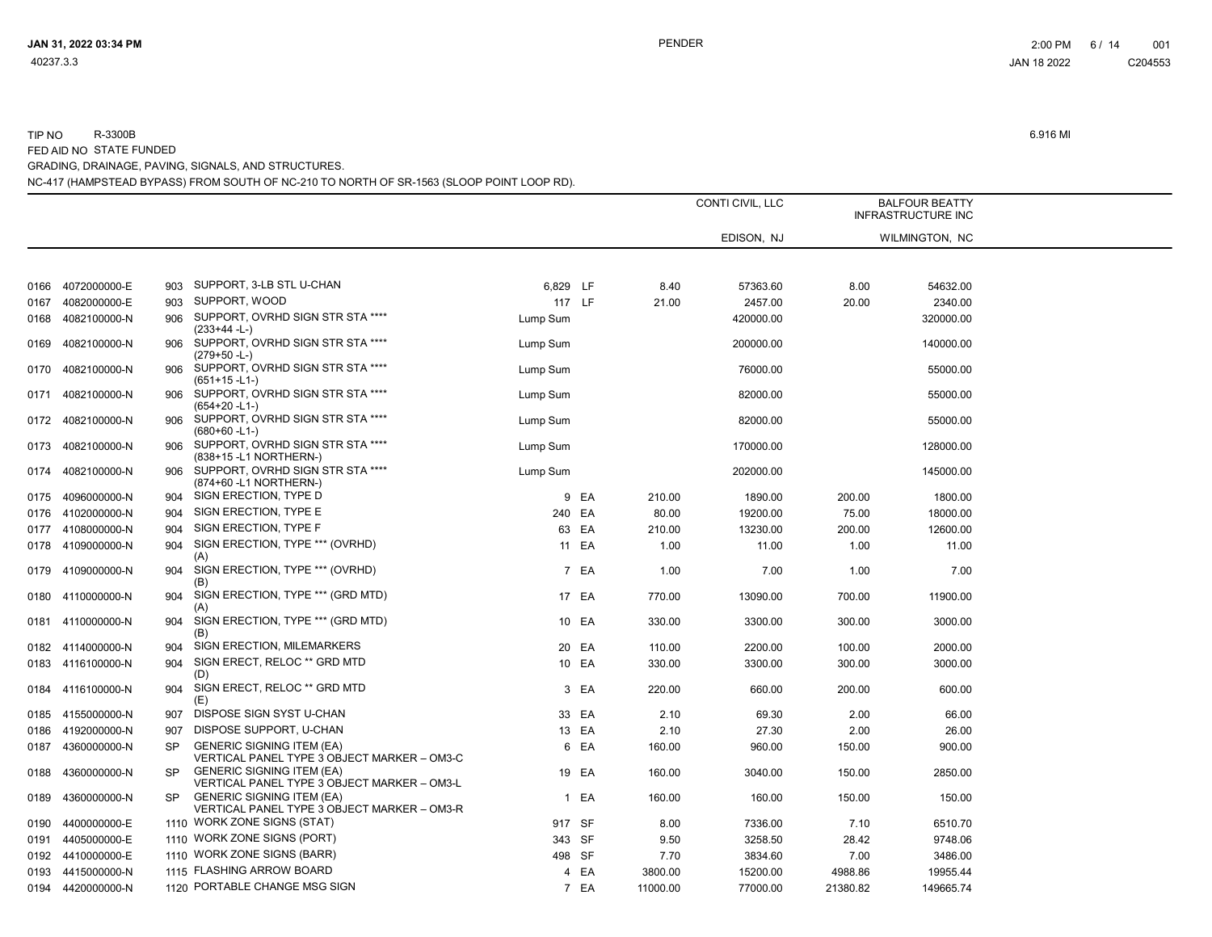|      |                   |           |                                                                                 |          |       |          | CONTI CIVIL, LLC |          | <b>BALFOUR BEATTY</b><br><b>INFRASTRUCTURE INC</b> |  |
|------|-------------------|-----------|---------------------------------------------------------------------------------|----------|-------|----------|------------------|----------|----------------------------------------------------|--|
|      |                   |           |                                                                                 |          |       |          | EDISON, NJ       |          | WILMINGTON, NC                                     |  |
|      |                   |           |                                                                                 |          |       |          |                  |          |                                                    |  |
| 0166 | 4072000000-E      | 903       | SUPPORT, 3-LB STL U-CHAN                                                        | 6,829 LF |       | 8.40     | 57363.60         | 8.00     | 54632.00                                           |  |
| 0167 | 4082000000-E      | 903       | SUPPORT, WOOD                                                                   | 117 LF   |       | 21.00    | 2457.00          | 20.00    | 2340.00                                            |  |
| 0168 | 4082100000-N      | 906       | SUPPORT, OVRHD SIGN STR STA ****<br>$(233+44 - L)$                              | Lump Sum |       |          | 420000.00        |          | 320000.00                                          |  |
| 0169 | 4082100000-N      | 906       | SUPPORT, OVRHD SIGN STR STA ****<br>$(279+50 - L)$                              | Lump Sum |       |          | 200000.00        |          | 140000.00                                          |  |
| 0170 | 4082100000-N      | 906       | SUPPORT, OVRHD SIGN STR STA ****<br>$(651+15 - L1)$                             | Lump Sum |       |          | 76000.00         |          | 55000.00                                           |  |
| 0171 | 4082100000-N      | 906       | SUPPORT, OVRHD SIGN STR STA ****<br>$(654+20 - L1)$                             | Lump Sum |       |          | 82000.00         |          | 55000.00                                           |  |
|      | 0172 4082100000-N | 906       | SUPPORT, OVRHD SIGN STR STA ****<br>$(680+60 - L1)$                             | Lump Sum |       |          | 82000.00         |          | 55000.00                                           |  |
| 0173 | 4082100000-N      | 906       | SUPPORT, OVRHD SIGN STR STA ****<br>(838+15 -L1 NORTHERN-)                      | Lump Sum |       |          | 170000.00        |          | 128000.00                                          |  |
| 0174 | 4082100000-N      | 906       | SUPPORT, OVRHD SIGN STR STA ****<br>(874+60 -L1 NORTHERN-)                      | Lump Sum |       |          | 202000.00        |          | 145000.00                                          |  |
| 0175 | 4096000000-N      | 904       | SIGN ERECTION, TYPE D                                                           |          | 9 EA  | 210.00   | 1890.00          | 200.00   | 1800.00                                            |  |
| 0176 | 4102000000-N      | 904       | SIGN ERECTION, TYPE E                                                           | 240 EA   |       | 80.00    | 19200.00         | 75.00    | 18000.00                                           |  |
|      | 0177 4108000000-N | 904       | SIGN ERECTION, TYPE F                                                           |          | 63 EA | 210.00   | 13230.00         | 200.00   | 12600.00                                           |  |
|      | 0178 4109000000-N | 904       | SIGN ERECTION, TYPE *** (OVRHD)                                                 |          | 11 EA | 1.00     | 11.00            | 1.00     | 11.00                                              |  |
|      | 0179 4109000000-N | 904       | (A)<br>SIGN ERECTION, TYPE *** (OVRHD)                                          |          | 7 EA  | 1.00     | 7.00             | 1.00     | 7.00                                               |  |
|      | 0180 4110000000-N | 904       | (B)<br>SIGN ERECTION, TYPE *** (GRD MTD)<br>(A)                                 |          | 17 EA | 770.00   | 13090.00         | 700.00   | 11900.00                                           |  |
| 0181 | 4110000000-N      | 904       | SIGN ERECTION, TYPE *** (GRD MTD)<br>(B)                                        |          | 10 EA | 330.00   | 3300.00          | 300.00   | 3000.00                                            |  |
|      | 0182 4114000000-N | 904       | SIGN ERECTION, MILEMARKERS                                                      |          | 20 EA | 110.00   | 2200.00          | 100.00   | 2000.00                                            |  |
|      | 0183 4116100000-N | 904       | SIGN ERECT, RELOC ** GRD MTD                                                    |          | 10 EA | 330.00   | 3300.00          | 300.00   | 3000.00                                            |  |
|      |                   |           | (D)                                                                             |          |       |          |                  |          |                                                    |  |
| 0184 | 4116100000-N      | 904       | SIGN ERECT, RELOC ** GRD MTD<br>(E)                                             |          | 3 EA  | 220.00   | 660.00           | 200.00   | 600.00                                             |  |
|      | 0185 4155000000-N | 907       | DISPOSE SIGN SYST U-CHAN                                                        |          | 33 EA | 2.10     | 69.30            | 2.00     | 66.00                                              |  |
| 0186 | 4192000000-N      | 907       | DISPOSE SUPPORT, U-CHAN                                                         |          | 13 EA | 2.10     | 27.30            | 2.00     | 26.00                                              |  |
| 0187 | 4360000000-N      | <b>SP</b> | <b>GENERIC SIGNING ITEM (EA)</b><br>VERTICAL PANEL TYPE 3 OBJECT MARKER - OM3-C |          | 6 EA  | 160.00   | 960.00           | 150.00   | 900.00                                             |  |
| 0188 | 4360000000-N      | <b>SP</b> | <b>GENERIC SIGNING ITEM (EA)</b><br>VERTICAL PANEL TYPE 3 OBJECT MARKER - OM3-L |          | 19 EA | 160.00   | 3040.00          | 150.00   | 2850.00                                            |  |
| 0189 | 4360000000-N      | <b>SP</b> | <b>GENERIC SIGNING ITEM (EA)</b><br>VERTICAL PANEL TYPE 3 OBJECT MARKER - OM3-R |          | 1 EA  | 160.00   | 160.00           | 150.00   | 150.00                                             |  |
| 0190 | 4400000000-E      |           | 1110 WORK ZONE SIGNS (STAT)                                                     | 917 SF   |       | 8.00     | 7336.00          | 7.10     | 6510.70                                            |  |
| 0191 | 4405000000-E      |           | 1110 WORK ZONE SIGNS (PORT)                                                     | 343 SF   |       | 9.50     | 3258.50          | 28.42    | 9748.06                                            |  |
|      | 0192 4410000000-E |           | 1110 WORK ZONE SIGNS (BARR)                                                     | 498 SF   |       | 7.70     | 3834.60          | 7.00     | 3486.00                                            |  |
|      | 0193 4415000000-N |           | 1115 FLASHING ARROW BOARD                                                       |          | 4 EA  | 3800.00  | 15200.00         | 4988.86  | 19955.44                                           |  |
|      | 0194 4420000000-N |           | 1120 PORTABLE CHANGE MSG SIGN                                                   |          | 7 EA  | 11000.00 | 77000.00         | 21380.82 | 149665.74                                          |  |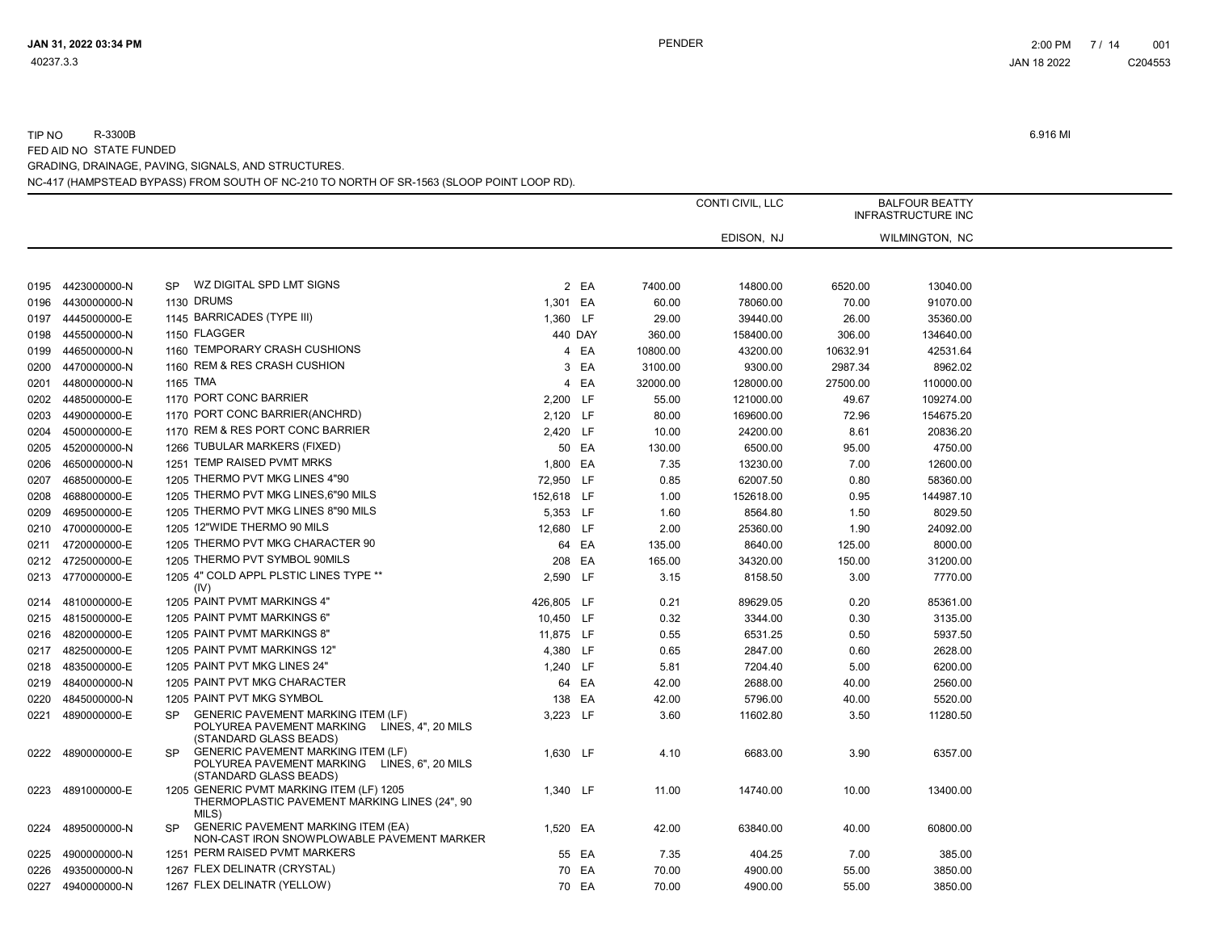|      |                   |           |                                                                                                                     |            |         |          | CONTI CIVIL, LLC |          | <b>BALFOUR BEATTY</b><br><b>INFRASTRUCTURE INC</b> |  |
|------|-------------------|-----------|---------------------------------------------------------------------------------------------------------------------|------------|---------|----------|------------------|----------|----------------------------------------------------|--|
|      |                   |           |                                                                                                                     |            |         |          | EDISON, NJ       |          | WILMINGTON, NC                                     |  |
|      |                   |           |                                                                                                                     |            |         |          |                  |          |                                                    |  |
| 0195 | 4423000000-N      | <b>SP</b> | WZ DIGITAL SPD LMT SIGNS                                                                                            |            | 2 EA    | 7400.00  | 14800.00         | 6520.00  | 13040.00                                           |  |
| 0196 | 4430000000-N      |           | <b>1130 DRUMS</b>                                                                                                   | 1,301 EA   |         | 60.00    | 78060.00         | 70.00    | 91070.00                                           |  |
| 0197 | 4445000000-E      |           | 1145 BARRICADES (TYPE III)                                                                                          | 1,360 LF   |         | 29.00    | 39440.00         | 26.00    | 35360.00                                           |  |
| 0198 | 4455000000-N      |           | 1150 FLAGGER                                                                                                        |            | 440 DAY | 360.00   | 158400.00        | 306.00   | 134640.00                                          |  |
| 0199 | 4465000000-N      |           | 1160 TEMPORARY CRASH CUSHIONS                                                                                       |            | 4 EA    | 10800.00 | 43200.00         | 10632.91 | 42531.64                                           |  |
| 0200 | 4470000000-N      |           | 1160 REM & RES CRASH CUSHION                                                                                        |            | 3 EA    | 3100.00  | 9300.00          | 2987.34  | 8962.02                                            |  |
| 0201 | 4480000000-N      |           | 1165 TMA                                                                                                            |            | 4 EA    | 32000.00 | 128000.00        | 27500.00 | 110000.00                                          |  |
| 0202 | 4485000000-E      |           | 1170 PORT CONC BARRIER                                                                                              | 2,200 LF   |         | 55.00    | 121000.00        | 49.67    | 109274.00                                          |  |
| 0203 | 4490000000-E      |           | 1170 PORT CONC BARRIER (ANCHRD)                                                                                     | 2,120 LF   |         | 80.00    | 169600.00        | 72.96    | 154675.20                                          |  |
| 0204 | 4500000000-E      |           | 1170 REM & RES PORT CONC BARRIER                                                                                    | 2,420 LF   |         | 10.00    | 24200.00         | 8.61     | 20836.20                                           |  |
| 0205 | 4520000000-N      |           | 1266 TUBULAR MARKERS (FIXED)                                                                                        |            | 50 EA   | 130.00   | 6500.00          | 95.00    | 4750.00                                            |  |
| 0206 | 4650000000-N      |           | 1251 TEMP RAISED PVMT MRKS                                                                                          | 1,800 EA   |         | 7.35     | 13230.00         | 7.00     | 12600.00                                           |  |
| 0207 | 4685000000-E      |           | 1205 THERMO PVT MKG LINES 4"90                                                                                      | 72,950 LF  |         | 0.85     | 62007.50         | 0.80     | 58360.00                                           |  |
| 0208 | 4688000000-E      |           | 1205 THERMO PVT MKG LINES, 6"90 MILS                                                                                | 152,618 LF |         | 1.00     | 152618.00        | 0.95     | 144987.10                                          |  |
| 0209 | 4695000000-E      |           | 1205 THERMO PVT MKG LINES 8"90 MILS                                                                                 | 5,353 LF   |         | 1.60     | 8564.80          | 1.50     | 8029.50                                            |  |
| 0210 | 4700000000-E      |           | 1205 12"WIDE THERMO 90 MILS                                                                                         | 12,680 LF  |         | 2.00     | 25360.00         | 1.90     | 24092.00                                           |  |
| 0211 | 4720000000-E      |           | 1205 THERMO PVT MKG CHARACTER 90                                                                                    |            | 64 EA   | 135.00   | 8640.00          | 125.00   | 8000.00                                            |  |
| 0212 | 4725000000-E      |           | 1205 THERMO PVT SYMBOL 90MILS                                                                                       | 208 EA     |         | 165.00   | 34320.00         | 150.00   | 31200.00                                           |  |
|      | 0213 4770000000-E |           | 1205 4" COLD APPL PLSTIC LINES TYPE **<br>(IV)                                                                      | 2.590 LF   |         | 3.15     | 8158.50          | 3.00     | 7770.00                                            |  |
| 0214 | 4810000000-E      |           | 1205 PAINT PVMT MARKINGS 4"                                                                                         | 426,805 LF |         | 0.21     | 89629.05         | 0.20     | 85361.00                                           |  |
|      | 0215 4815000000-E |           | 1205 PAINT PVMT MARKINGS 6"                                                                                         | 10,450 LF  |         | 0.32     | 3344.00          | 0.30     | 3135.00                                            |  |
| 0216 | 4820000000-E      |           | 1205 PAINT PVMT MARKINGS 8"                                                                                         | 11,875 LF  |         | 0.55     | 6531.25          | 0.50     | 5937.50                                            |  |
| 0217 | 4825000000-E      |           | 1205 PAINT PVMT MARKINGS 12"                                                                                        | 4,380 LF   |         | 0.65     | 2847.00          | 0.60     | 2628.00                                            |  |
| 0218 | 4835000000-E      |           | 1205 PAINT PVT MKG LINES 24"                                                                                        | 1,240 LF   |         | 5.81     | 7204.40          | 5.00     | 6200.00                                            |  |
| 0219 | 4840000000-N      |           | 1205 PAINT PVT MKG CHARACTER                                                                                        |            | 64 EA   | 42.00    | 2688.00          | 40.00    | 2560.00                                            |  |
| 0220 | 4845000000-N      |           | 1205 PAINT PVT MKG SYMBOL                                                                                           | 138 EA     |         | 42.00    | 5796.00          | 40.00    | 5520.00                                            |  |
| 0221 | 4890000000-E      | <b>SP</b> | <b>GENERIC PAVEMENT MARKING ITEM (LF)</b><br>POLYUREA PAVEMENT MARKING LINES, 4", 20 MILS<br>(STANDARD GLASS BEADS) | 3,223 LF   |         | 3.60     | 11602.80         | 3.50     | 11280.50                                           |  |
| 0222 | 4890000000-E      | <b>SP</b> | <b>GENERIC PAVEMENT MARKING ITEM (LF)</b><br>POLYUREA PAVEMENT MARKING LINES, 6", 20 MILS<br>(STANDARD GLASS BEADS) | 1,630 LF   |         | 4.10     | 6683.00          | 3.90     | 6357.00                                            |  |
| 0223 | 4891000000-E      |           | 1205 GENERIC PVMT MARKING ITEM (LF) 1205<br>THERMOPLASTIC PAVEMENT MARKING LINES (24", 90<br>MILS)                  | 1,340 LF   |         | 11.00    | 14740.00         | 10.00    | 13400.00                                           |  |
| 0224 | 4895000000-N      | SP        | <b>GENERIC PAVEMENT MARKING ITEM (EA)</b><br>NON-CAST IRON SNOWPLOWABLE PAVEMENT MARKER                             | 1,520 EA   |         | 42.00    | 63840.00         | 40.00    | 60800.00                                           |  |
| 0225 | 4900000000-N      |           | 1251 PERM RAISED PVMT MARKERS                                                                                       |            | 55 EA   | 7.35     | 404.25           | 7.00     | 385.00                                             |  |
| 0226 | 4935000000-N      |           | 1267 FLEX DELINATR (CRYSTAL)                                                                                        |            | 70 EA   | 70.00    | 4900.00          | 55.00    | 3850.00                                            |  |
| 0227 | 4940000000-N      |           | 1267 FLEX DELINATR (YELLOW)                                                                                         |            | 70 EA   | 70.00    | 4900.00          | 55.00    | 3850.00                                            |  |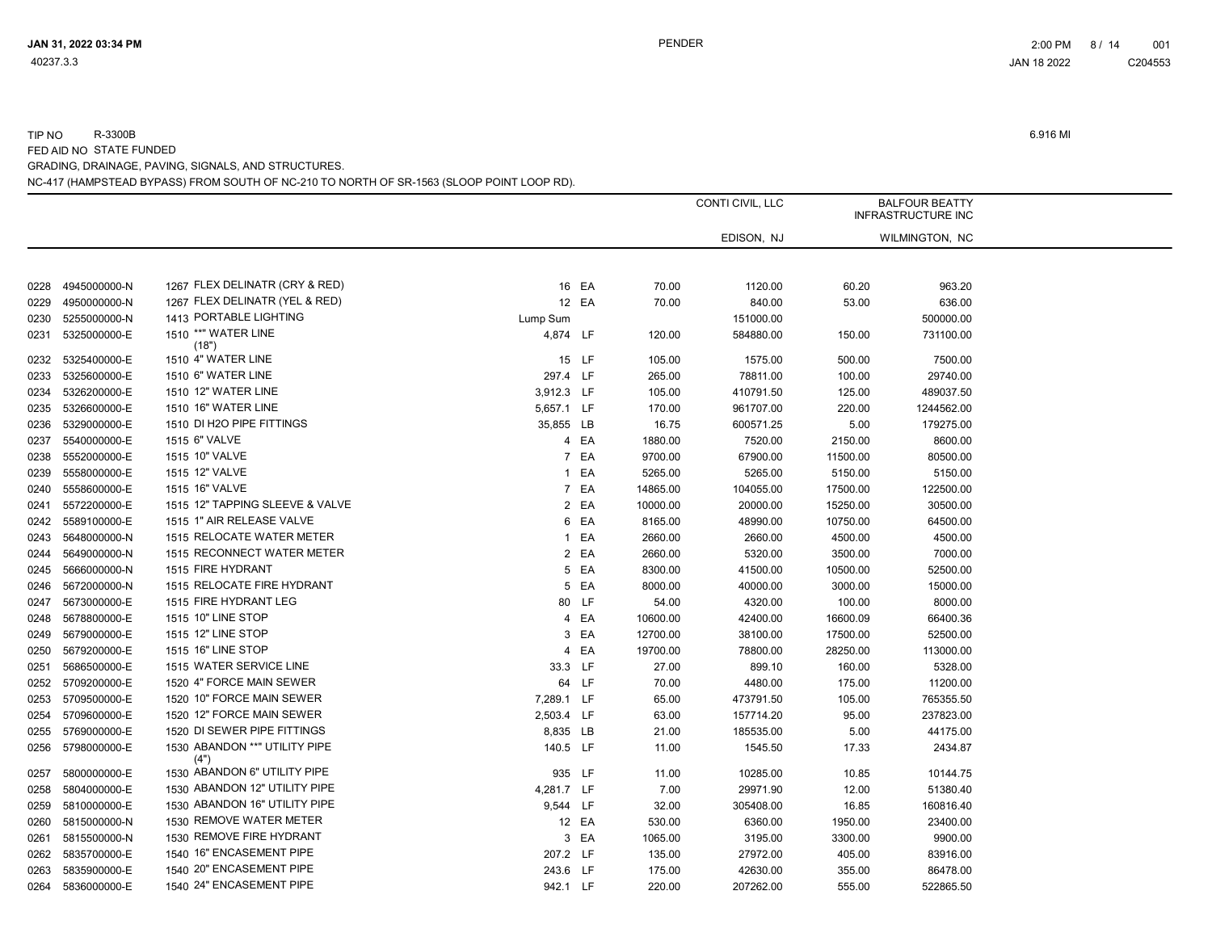|      |              |                                       |            |       |          | CONTI CIVIL, LLC |          | <b>BALFOUR BEATTY</b><br><b>INFRASTRUCTURE INC</b> |
|------|--------------|---------------------------------------|------------|-------|----------|------------------|----------|----------------------------------------------------|
|      |              |                                       |            |       |          | EDISON, NJ       |          | WILMINGTON, NC                                     |
|      |              |                                       |            |       |          |                  |          |                                                    |
| 0228 | 4945000000-N | 1267 FLEX DELINATR (CRY & RED)        |            | 16 EA | 70.00    | 1120.00          | 60.20    | 963.20                                             |
| 0229 | 4950000000-N | 1267 FLEX DELINATR (YEL & RED)        |            | 12 EA | 70.00    | 840.00           | 53.00    | 636.00                                             |
| 0230 | 5255000000-N | 1413 PORTABLE LIGHTING                | Lump Sum   |       |          | 151000.00        |          | 500000.00                                          |
| 0231 | 5325000000-E | 1510 ** "WATER LINE<br>(18")          | 4,874 LF   |       | 120.00   | 584880.00        | 150.00   | 731100.00                                          |
| 0232 | 5325400000-E | 1510 4" WATER LINE                    |            | 15 LF | 105.00   | 1575.00          | 500.00   | 7500.00                                            |
| 0233 | 5325600000-E | 1510 6" WATER LINE                    | 297.4 LF   |       | 265.00   | 78811.00         | 100.00   | 29740.00                                           |
| 0234 | 5326200000-E | 1510 12" WATER LINE                   | 3,912.3 LF |       | 105.00   | 410791.50        | 125.00   | 489037.50                                          |
| 0235 | 5326600000-E | 1510 16" WATER LINE                   | 5,657.1 LF |       | 170.00   | 961707.00        | 220.00   | 1244562.00                                         |
| 0236 | 5329000000-E | 1510 DI H2O PIPE FITTINGS             | 35,855 LB  |       | 16.75    | 600571.25        | 5.00     | 179275.00                                          |
| 0237 | 5540000000-E | 1515 6" VALVE                         |            | 4 EA  | 1880.00  | 7520.00          | 2150.00  | 8600.00                                            |
| 0238 | 5552000000-E | 1515 10" VALVE                        |            | 7 EA  | 9700.00  | 67900.00         | 11500.00 | 80500.00                                           |
| 0239 | 5558000000-E | 1515 12" VALVE                        |            | 1 EA  | 5265.00  | 5265.00          | 5150.00  | 5150.00                                            |
| 0240 | 5558600000-E | 1515 16" VALVE                        |            | 7 EA  | 14865.00 | 104055.00        | 17500.00 | 122500.00                                          |
| 0241 | 5572200000-E | 1515 12" TAPPING SLEEVE & VALVE       |            | 2 EA  | 10000.00 | 20000.00         | 15250.00 | 30500.00                                           |
| 0242 | 5589100000-E | 1515 1" AIR RELEASE VALVE             |            | 6 EA  | 8165.00  | 48990.00         | 10750.00 | 64500.00                                           |
| 0243 | 5648000000-N | 1515 RELOCATE WATER METER             |            | 1 EA  | 2660.00  | 2660.00          | 4500.00  | 4500.00                                            |
| 0244 | 5649000000-N | 1515 RECONNECT WATER METER            |            | 2 EA  | 2660.00  | 5320.00          | 3500.00  | 7000.00                                            |
| 0245 | 5666000000-N | 1515 FIRE HYDRANT                     |            | 5 EA  | 8300.00  | 41500.00         | 10500.00 | 52500.00                                           |
| 0246 | 5672000000-N | 1515 RELOCATE FIRE HYDRANT            |            | 5 EA  | 8000.00  | 40000.00         | 3000.00  | 15000.00                                           |
| 0247 | 5673000000-E | 1515 FIRE HYDRANT LEG                 |            | 80 LF | 54.00    | 4320.00          | 100.00   | 8000.00                                            |
| 0248 | 5678800000-E | 1515 10" LINE STOP                    |            | 4 EA  | 10600.00 | 42400.00         | 16600.09 | 66400.36                                           |
| 0249 | 5679000000-E | 1515 12" LINE STOP                    |            | 3 EA  | 12700.00 | 38100.00         | 17500.00 | 52500.00                                           |
| 0250 | 5679200000-E | 1515 16" LINE STOP                    |            | 4 EA  | 19700.00 | 78800.00         | 28250.00 | 113000.00                                          |
| 0251 | 5686500000-E | 1515 WATER SERVICE LINE               | 33.3 LF    |       | 27.00    | 899.10           | 160.00   | 5328.00                                            |
| 0252 | 5709200000-E | 1520 4" FORCE MAIN SEWER              |            | 64 LF | 70.00    | 4480.00          | 175.00   | 11200.00                                           |
| 0253 | 5709500000-E | 1520 10" FORCE MAIN SEWER             | 7,289.1 LF |       | 65.00    | 473791.50        | 105.00   | 765355.50                                          |
| 0254 | 5709600000-E | 1520 12" FORCE MAIN SEWER             | 2,503.4 LF |       | 63.00    | 157714.20        | 95.00    | 237823.00                                          |
| 0255 | 5769000000-E | 1520 DI SEWER PIPE FITTINGS           | 8,835 LB   |       | 21.00    | 185535.00        | 5.00     | 44175.00                                           |
| 0256 | 5798000000-E | 1530 ABANDON **" UTILITY PIPE<br>(4") | 140.5 LF   |       | 11.00    | 1545.50          | 17.33    | 2434.87                                            |
| 0257 | 5800000000-E | 1530 ABANDON 6" UTILITY PIPE          | 935 LF     |       | 11.00    | 10285.00         | 10.85    | 10144.75                                           |
| 0258 | 5804000000-E | 1530 ABANDON 12" UTILITY PIPE         | 4,281.7 LF |       | 7.00     | 29971.90         | 12.00    | 51380.40                                           |
| 0259 | 5810000000-E | 1530 ABANDON 16" UTILITY PIPE         | 9,544 LF   |       | 32.00    | 305408.00        | 16.85    | 160816.40                                          |
| 0260 | 5815000000-N | 1530 REMOVE WATER METER               |            | 12 EA | 530.00   | 6360.00          | 1950.00  | 23400.00                                           |
| 0261 | 5815500000-N | 1530 REMOVE FIRE HYDRANT              |            | 3 EA  | 1065.00  | 3195.00          | 3300.00  | 9900.00                                            |
| 0262 | 5835700000-E | 1540 16" ENCASEMENT PIPE              | 207.2 LF   |       | 135.00   | 27972.00         | 405.00   | 83916.00                                           |
| 0263 | 5835900000-E | 1540 20" ENCASEMENT PIPE              | 243.6 LF   |       | 175.00   | 42630.00         | 355.00   | 86478.00                                           |
| 0264 | 5836000000-E | 1540 24" ENCASEMENT PIPE              | 942.1 LF   |       | 220.00   | 207262.00        | 555.00   | 522865.50                                          |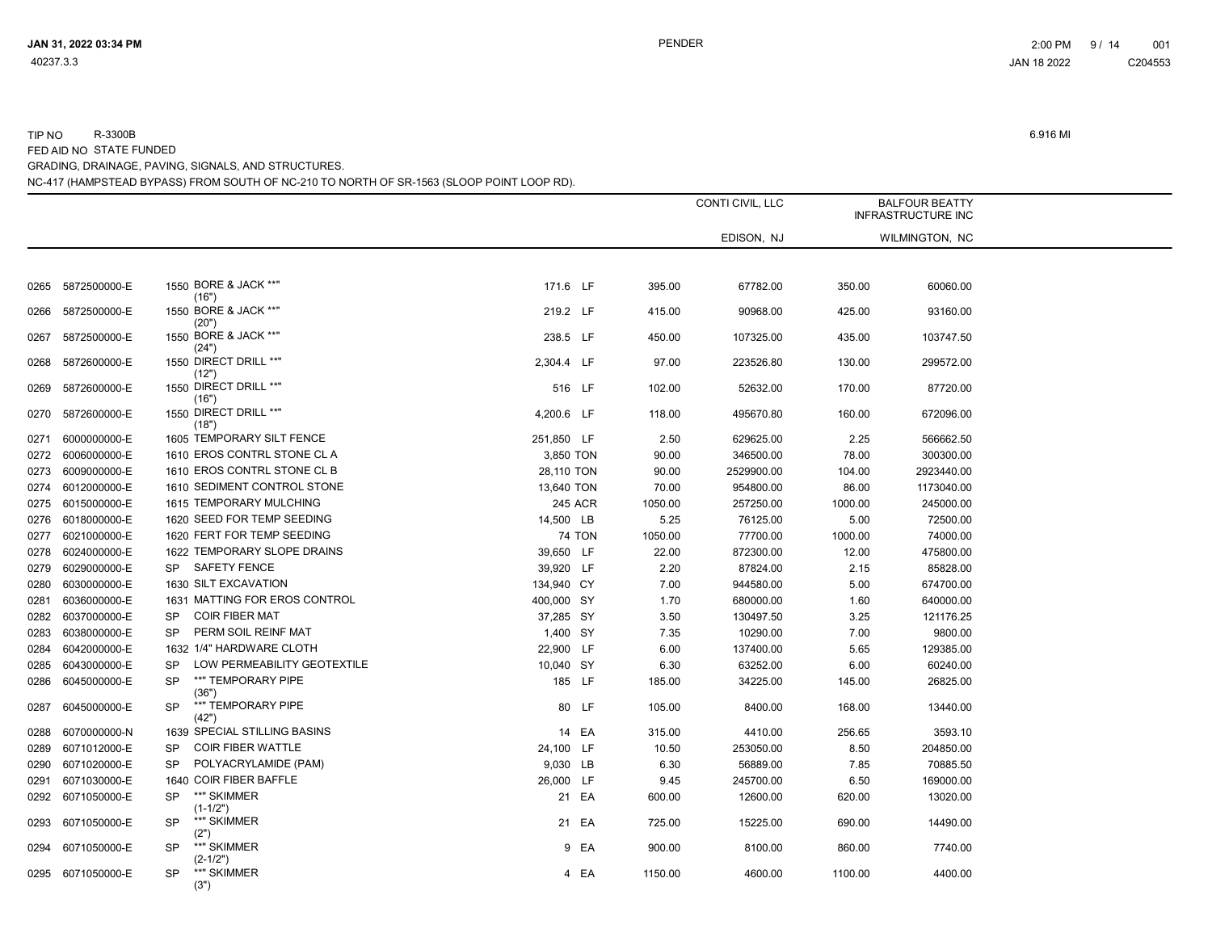# TIP NO R-3300B 6.916 MI FED AID NO STATE FUNDED GRADING, DRAINAGE, PAVING, SIGNALS, AND STRUCTURES.

| NC-417 (HAMPSTEAD BYPASS) FROM SOUTH OF NC-210 TO NORTH OF SR-1563 (SLOOP POINT LOOP RD). |  |
|-------------------------------------------------------------------------------------------|--|
|                                                                                           |  |

|      |              |                                          |            |         |         | CONTI CIVIL, LLC |         | <b>BALFOUR BEATTY</b><br><b>INFRASTRUCTURE INC</b> |
|------|--------------|------------------------------------------|------------|---------|---------|------------------|---------|----------------------------------------------------|
|      |              |                                          |            |         |         | EDISON, NJ       |         | WILMINGTON, NC                                     |
|      |              |                                          |            |         |         |                  |         |                                                    |
| 0265 | 5872500000-E | 1550 BORE & JACK **"<br>(16")            | 171.6 LF   |         | 395.00  | 67782.00         | 350.00  | 60060.00                                           |
| 0266 | 5872500000-E | 1550 BORE & JACK **"<br>(20")            | 219.2 LF   |         | 415.00  | 90968.00         | 425.00  | 93160.00                                           |
| 0267 | 5872500000-E | 1550 BORE & JACK **"<br>(24")            | 238.5 LF   |         | 450.00  | 107325.00        | 435.00  | 103747.50                                          |
| 0268 | 5872600000-E | 1550 DIRECT DRILL **"<br>(12")           | 2,304.4 LF |         | 97.00   | 223526.80        | 130.00  | 299572.00                                          |
| 0269 | 5872600000-E | 1550 DIRECT DRILL **"<br>(16")           | 516 LF     |         | 102.00  | 52632.00         | 170.00  | 87720.00                                           |
| 0270 | 5872600000-E | 1550 DIRECT DRILL **"<br>(18")           | 4,200.6 LF |         | 118.00  | 495670.80        | 160.00  | 672096.00                                          |
| 0271 | 6000000000-E | 1605 TEMPORARY SILT FENCE                | 251,850 LF |         | 2.50    | 629625.00        | 2.25    | 566662.50                                          |
| 0272 | 6006000000-E | 1610 EROS CONTRL STONE CL A              | 3,850 TON  |         | 90.00   | 346500.00        | 78.00   | 300300.00                                          |
| 0273 | 6009000000-E | 1610 EROS CONTRL STONE CL B              | 28,110 TON |         | 90.00   | 2529900.00       | 104.00  | 2923440.00                                         |
| 0274 | 6012000000-E | 1610 SEDIMENT CONTROL STONE              | 13,640 TON |         | 70.00   | 954800.00        | 86.00   | 1173040.00                                         |
| 0275 | 6015000000-E | 1615 TEMPORARY MULCHING                  |            | 245 ACR | 1050.00 | 257250.00        | 1000.00 | 245000.00                                          |
| 0276 | 6018000000-E | 1620 SEED FOR TEMP SEEDING               | 14,500 LB  |         | 5.25    | 76125.00         | 5.00    | 72500.00                                           |
| 0277 | 6021000000-E | 1620 FERT FOR TEMP SEEDING               |            | 74 TON  | 1050.00 | 77700.00         | 1000.00 | 74000.00                                           |
| 0278 | 6024000000-E | 1622 TEMPORARY SLOPE DRAINS              | 39,650 LF  |         | 22.00   | 872300.00        | 12.00   | 475800.00                                          |
| 0279 | 6029000000-E | <b>SAFETY FENCE</b><br><b>SP</b>         | 39,920 LF  |         | 2.20    | 87824.00         | 2.15    | 85828.00                                           |
| 0280 | 6030000000-E | 1630 SILT EXCAVATION                     | 134,940 CY |         | 7.00    | 944580.00        | 5.00    | 674700.00                                          |
| 0281 | 6036000000-E | 1631 MATTING FOR EROS CONTROL            | 400,000 SY |         | 1.70    | 680000.00        | 1.60    | 640000.00                                          |
| 0282 | 6037000000-E | <b>COIR FIBER MAT</b><br><b>SP</b>       | 37,285 SY  |         | 3.50    | 130497.50        | 3.25    | 121176.25                                          |
| 0283 | 6038000000-E | PERM SOIL REINF MAT<br><b>SP</b>         | 1,400 SY   |         | 7.35    | 10290.00         | 7.00    | 9800.00                                            |
| 0284 | 6042000000-E | 1632 1/4" HARDWARE CLOTH                 | 22,900 LF  |         | 6.00    | 137400.00        | 5.65    | 129385.00                                          |
| 0285 | 6043000000-E | LOW PERMEABILITY GEOTEXTILE<br>SP        | 10,040 SY  |         | 6.30    | 63252.00         | 6.00    | 60240.00                                           |
| 0286 | 6045000000-E | **" TEMPORARY PIPE<br><b>SP</b><br>(36") | 185 LF     |         | 185.00  | 34225.00         | 145.00  | 26825.00                                           |
| 0287 | 6045000000-E | **" TEMPORARY PIPE<br><b>SP</b><br>(42") |            | 80 LF   | 105.00  | 8400.00          | 168.00  | 13440.00                                           |
| 0288 | 6070000000-N | 1639 SPECIAL STILLING BASINS             |            | 14 EA   | 315.00  | 4410.00          | 256.65  | 3593.10                                            |
| 0289 | 6071012000-E | <b>COIR FIBER WATTLE</b><br><b>SP</b>    | 24,100 LF  |         | 10.50   | 253050.00        | 8.50    | 204850.00                                          |
| 0290 | 6071020000-E | POLYACRYLAMIDE (PAM)<br><b>SP</b>        | 9,030 LB   |         | 6.30    | 56889.00         | 7.85    | 70885.50                                           |
| 0291 | 6071030000-E | 1640 COIR FIBER BAFFLE                   | 26,000 LF  |         | 9.45    | 245700.00        | 6.50    | 169000.00                                          |
| 0292 | 6071050000-E | **" SKIMMER<br><b>SP</b><br>$(1-1/2")$   |            | 21 EA   | 600.00  | 12600.00         | 620.00  | 13020.00                                           |
| 0293 | 6071050000-E | **" SKIMMER<br><b>SP</b><br>(2")         |            | 21 EA   | 725.00  | 15225.00         | 690.00  | 14490.00                                           |
| 0294 | 6071050000-E | **" SKIMMER<br>SP<br>$(2-1/2")$          |            | 9 EA    | 900.00  | 8100.00          | 860.00  | 7740.00                                            |
| 0295 | 6071050000-E | **" SKIMMER<br>SP<br>(3")                |            | 4 EA    | 1150.00 | 4600.00          | 1100.00 | 4400.00                                            |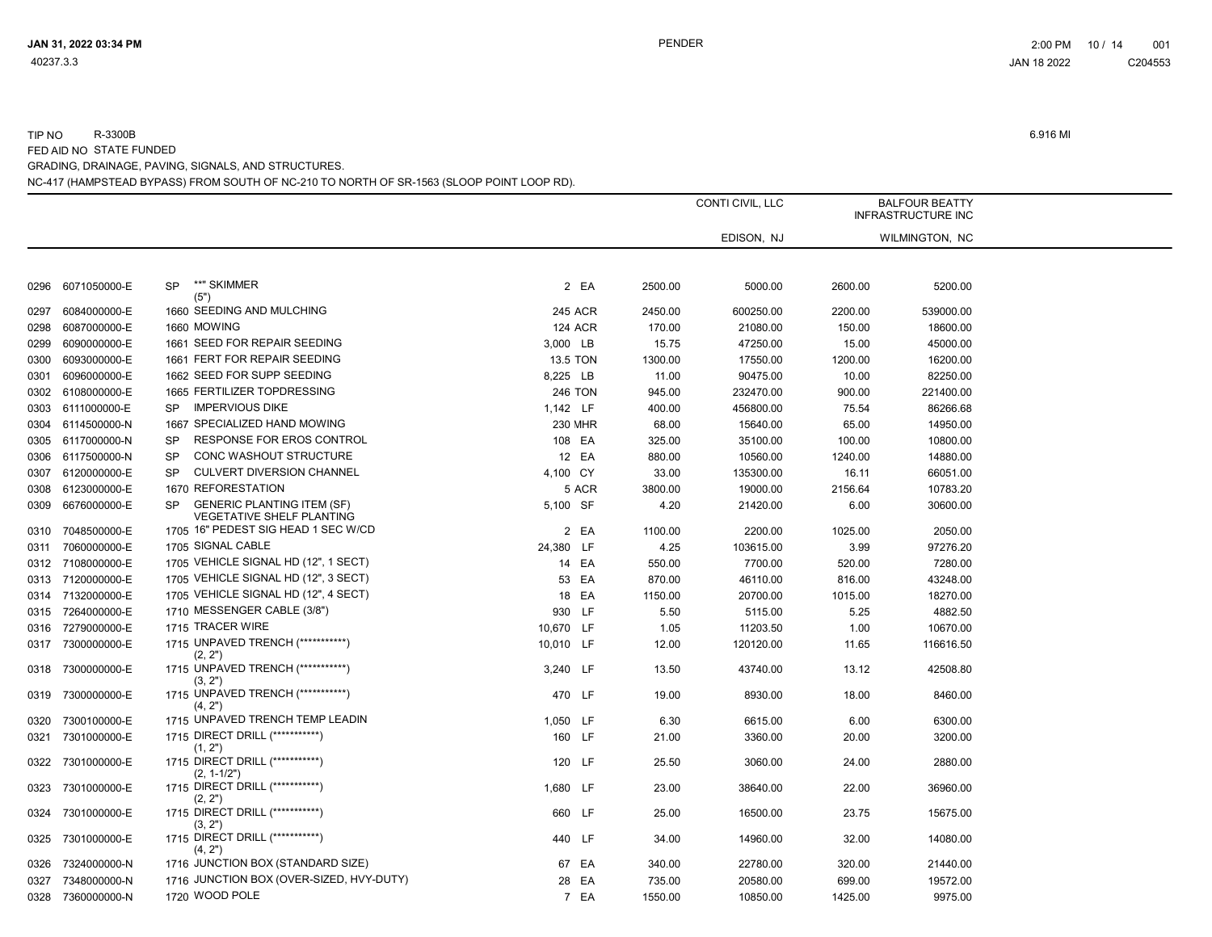|      |                   |                                                                             |                |         | CONTI CIVIL, LLC  |         | <b>BALFOUR BEATTY</b><br><b>INFRASTRUCTURE INC</b> |  |
|------|-------------------|-----------------------------------------------------------------------------|----------------|---------|-------------------|---------|----------------------------------------------------|--|
|      |                   |                                                                             |                |         | EDISON, NJ        |         | WILMINGTON, NC                                     |  |
|      |                   |                                                                             |                |         |                   |         |                                                    |  |
| 0296 | 6071050000-E      | **" SKIMMER<br>SP<br>(5")                                                   | 2 EA           | 2500.00 | 5000.00           | 2600.00 | 5200.00                                            |  |
| 0297 | 6084000000-E      | 1660 SEEDING AND MULCHING                                                   | 245 ACR        | 2450.00 | 600250.00         | 2200.00 | 539000.00                                          |  |
| 0298 | 6087000000-E      | 1660 MOWING                                                                 | <b>124 ACR</b> | 170.00  | 21080.00          | 150.00  | 18600.00                                           |  |
| 0299 | 6090000000-E      | 1661 SEED FOR REPAIR SEEDING                                                | 3,000 LB       | 15.75   | 47250.00          | 15.00   | 45000.00                                           |  |
| 0300 | 6093000000-E      | 1661 FERT FOR REPAIR SEEDING                                                | 13.5 TON       | 1300.00 | 17550.00          | 1200.00 | 16200.00                                           |  |
| 0301 | 6096000000-E      | 1662 SEED FOR SUPP SEEDING                                                  | 8,225 LB       | 11.00   | 90475.00          | 10.00   | 82250.00                                           |  |
| 0302 | 6108000000-E      | 1665 FERTILIZER TOPDRESSING                                                 | <b>246 TON</b> | 945.00  | 232470.00         | 900.00  | 221400.00                                          |  |
| 0303 | 6111000000-E      | <b>IMPERVIOUS DIKE</b><br><b>SP</b>                                         | 1,142 LF       | 400.00  | 456800.00         | 75.54   | 86266.68                                           |  |
| 0304 | 6114500000-N      | 1667 SPECIALIZED HAND MOWING                                                | 230 MHR        | 68.00   | 15640.00          | 65.00   | 14950.00                                           |  |
| 0305 | 6117000000-N      | RESPONSE FOR EROS CONTROL<br>SP                                             | 108 EA         | 325.00  | 35100.00          | 100.00  | 10800.00                                           |  |
| 0306 | 6117500000-N      | <b>CONC WASHOUT STRUCTURE</b><br><b>SP</b>                                  | 12 EA          | 880.00  | 10560.00          | 1240.00 | 14880.00                                           |  |
| 0307 | 6120000000-E      | <b>CULVERT DIVERSION CHANNEL</b><br>SP                                      | 4,100 CY       | 33.00   | 135300.00         | 16.11   | 66051.00                                           |  |
| 0308 | 6123000000-E      | 1670 REFORESTATION                                                          | 5 ACR          | 3800.00 | 19000.00          | 2156.64 | 10783.20                                           |  |
| 0309 | 6676000000-E      | <b>GENERIC PLANTING ITEM (SF)</b><br>SP<br><b>VEGETATIVE SHELF PLANTING</b> | 5,100 SF       | 4.20    | 21420.00          | 6.00    | 30600.00                                           |  |
| 0310 | 7048500000-E      | 1705 16" PEDEST SIG HEAD 1 SEC W/CD                                         | 2 EA           | 1100.00 | 2200.00           | 1025.00 | 2050.00                                            |  |
| 0311 | 7060000000-E      | 1705 SIGNAL CABLE                                                           | 24,380 LF      |         | 4.25<br>103615.00 | 3.99    | 97276.20                                           |  |
|      | 0312 7108000000-E | 1705 VEHICLE SIGNAL HD (12", 1 SECT)                                        | 14 EA          | 550.00  | 7700.00           | 520.00  | 7280.00                                            |  |
|      | 0313 7120000000-E | 1705 VEHICLE SIGNAL HD (12", 3 SECT)                                        | 53 EA          | 870.00  | 46110.00          | 816.00  | 43248.00                                           |  |
|      | 0314 7132000000-E | 1705 VEHICLE SIGNAL HD (12", 4 SECT)                                        | 18 EA          | 1150.00 | 20700.00          | 1015.00 | 18270.00                                           |  |
|      | 0315 7264000000-E | 1710 MESSENGER CABLE (3/8")                                                 | 930 LF         | 5.50    | 5115.00           | 5.25    | 4882.50                                            |  |
| 0316 | 7279000000-E      | 1715 TRACER WIRE                                                            | 10,670 LF      | 1.05    | 11203.50          | 1.00    | 10670.00                                           |  |
|      | 0317 7300000000-E | 1715 UNPAVED TRENCH (************)<br>(2, 2")                               | 10,010 LF      | 12.00   | 120120.00         | 11.65   | 116616.50                                          |  |
| 0318 | 7300000000-E      | 1715 UNPAVED TRENCH (************)<br>(3, 2")                               | 3,240 LF       | 13.50   | 43740.00          | 13.12   | 42508.80                                           |  |
| 0319 | 7300000000-E      | 1715 UNPAVED TRENCH (***********)<br>(4, 2")                                | 470 LF         | 19.00   | 8930.00           | 18.00   | 8460.00                                            |  |
| 0320 | 7300100000-E      | 1715 UNPAVED TRENCH TEMP LEADIN                                             | 1,050 LF       | 6.30    | 6615.00           | 6.00    | 6300.00                                            |  |
| 0321 | 7301000000-E      | 1715 DIRECT DRILL (***********)<br>(1, 2")                                  | 160 LF         | 21.00   | 3360.00           | 20.00   | 3200.00                                            |  |
| 0322 | 7301000000-E      | 1715 DIRECT DRILL (************)<br>$(2, 1-1/2")$                           | 120 LF         | 25.50   | 3060.00           | 24.00   | 2880.00                                            |  |
| 0323 | 7301000000-E      | 1715 DIRECT DRILL (************)<br>(2, 2")                                 | 1,680 LF       | 23.00   | 38640.00          | 22.00   | 36960.00                                           |  |
| 0324 | 7301000000-E      | 1715 DIRECT DRILL (***********)<br>(3, 2")                                  | 660 LF         | 25.00   | 16500.00          | 23.75   | 15675.00                                           |  |
| 0325 | 7301000000-E      | 1715 DIRECT DRILL (************)<br>(4, 2")                                 | 440 LF         | 34.00   | 14960.00          | 32.00   | 14080.00                                           |  |
| 0326 | 7324000000-N      | 1716 JUNCTION BOX (STANDARD SIZE)                                           | 67 EA          | 340.00  | 22780.00          | 320.00  | 21440.00                                           |  |
| 0327 | 7348000000-N      | 1716 JUNCTION BOX (OVER-SIZED, HVY-DUTY)                                    | 28 EA          | 735.00  | 20580.00          | 699.00  | 19572.00                                           |  |
|      | 0328 7360000000-N | 1720 WOOD POLE                                                              | 7 EA           | 1550.00 | 10850.00          | 1425.00 | 9975.00                                            |  |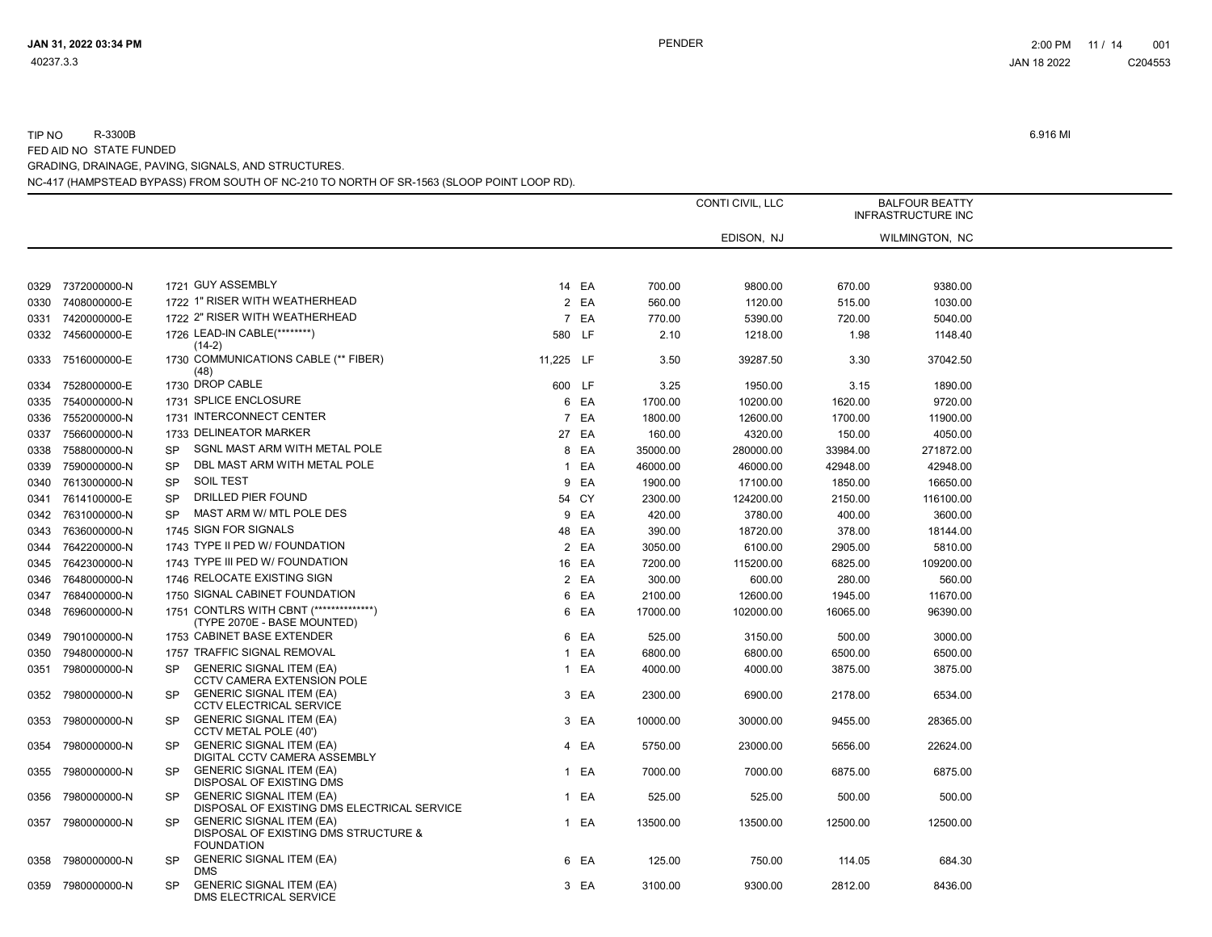|      |                   |           |                                                                                              |           |       |          | CONTI CIVIL, LLC |          | <b>BALFOUR BEATTY</b><br><b>INFRASTRUCTURE INC</b> |  |
|------|-------------------|-----------|----------------------------------------------------------------------------------------------|-----------|-------|----------|------------------|----------|----------------------------------------------------|--|
|      |                   |           |                                                                                              |           |       |          | EDISON, NJ       |          | WILMINGTON, NC                                     |  |
|      |                   |           |                                                                                              |           |       |          |                  |          |                                                    |  |
| 0329 | 7372000000-N      |           | 1721 GUY ASSEMBLY                                                                            |           | 14 EA | 700.00   | 9800.00          | 670.00   | 9380.00                                            |  |
| 0330 | 7408000000-E      |           | 1722 1" RISER WITH WEATHERHEAD                                                               |           | 2 EA  | 560.00   | 1120.00          | 515.00   | 1030.00                                            |  |
| 0331 | 7420000000-E      |           | 1722 2" RISER WITH WEATHERHEAD                                                               |           | 7 EA  | 770.00   | 5390.00          | 720.00   | 5040.00                                            |  |
|      | 0332 7456000000-E |           | 1726 LEAD-IN CABLE(********)<br>$(14-2)$                                                     | 580 LF    |       | 2.10     | 1218.00          | 1.98     | 1148.40                                            |  |
| 0333 | 7516000000-E      |           | 1730 COMMUNICATIONS CABLE (** FIBER)<br>(48)                                                 | 11,225 LF |       | 3.50     | 39287.50         | 3.30     | 37042.50                                           |  |
| 0334 | 7528000000-E      |           | 1730 DROP CABLE                                                                              | 600 LF    |       | 3.25     | 1950.00          | 3.15     | 1890.00                                            |  |
| 0335 | 7540000000-N      |           | 1731 SPLICE ENCLOSURE                                                                        |           | 6 EA  | 1700.00  | 10200.00         | 1620.00  | 9720.00                                            |  |
| 0336 | 7552000000-N      |           | 1731 INTERCONNECT CENTER                                                                     |           | 7 EA  | 1800.00  | 12600.00         | 1700.00  | 11900.00                                           |  |
| 0337 | 7566000000-N      |           | 1733 DELINEATOR MARKER                                                                       |           | 27 EA | 160.00   | 4320.00          | 150.00   | 4050.00                                            |  |
| 0338 | 7588000000-N      | <b>SP</b> | SGNL MAST ARM WITH METAL POLE                                                                |           | 8 EA  | 35000.00 | 280000.00        | 33984.00 | 271872.00                                          |  |
| 0339 | 7590000000-N      | <b>SP</b> | DBL MAST ARM WITH METAL POLE                                                                 |           | 1 EA  | 46000.00 | 46000.00         | 42948.00 | 42948.00                                           |  |
| 0340 | 7613000000-N      | <b>SP</b> | <b>SOIL TEST</b>                                                                             |           | 9 EA  | 1900.00  | 17100.00         | 1850.00  | 16650.00                                           |  |
| 0341 | 7614100000-E      | <b>SP</b> | DRILLED PIER FOUND                                                                           |           | 54 CY | 2300.00  | 124200.00        | 2150.00  | 116100.00                                          |  |
| 0342 | 7631000000-N      | <b>SP</b> | MAST ARM W/ MTL POLE DES                                                                     |           | 9 EA  | 420.00   | 3780.00          | 400.00   | 3600.00                                            |  |
| 0343 | 7636000000-N      |           | 1745 SIGN FOR SIGNALS                                                                        |           | 48 EA | 390.00   | 18720.00         | 378.00   | 18144.00                                           |  |
| 0344 | 7642200000-N      |           | 1743 TYPE II PED W/ FOUNDATION                                                               |           | 2 EA  | 3050.00  | 6100.00          | 2905.00  | 5810.00                                            |  |
| 0345 | 7642300000-N      |           | 1743 TYPE III PED W/ FOUNDATION                                                              |           | 16 EA | 7200.00  | 115200.00        | 6825.00  | 109200.00                                          |  |
| 0346 | 7648000000-N      |           | 1746 RELOCATE EXISTING SIGN                                                                  |           | 2 EA  | 300.00   | 600.00           | 280.00   | 560.00                                             |  |
| 0347 | 7684000000-N      |           | 1750 SIGNAL CABINET FOUNDATION                                                               |           | 6 EA  | 2100.00  | 12600.00         | 1945.00  | 11670.00                                           |  |
| 0348 | 7696000000-N      |           | 1751 CONTLRS WITH CBNT (***************)<br>(TYPE 2070E - BASE MOUNTED)                      |           | 6 EA  | 17000.00 | 102000.00        | 16065.00 | 96390.00                                           |  |
| 0349 | 7901000000-N      |           | 1753 CABINET BASE EXTENDER                                                                   |           | 6 EA  | 525.00   | 3150.00          | 500.00   | 3000.00                                            |  |
| 0350 | 7948000000-N      |           | 1757 TRAFFIC SIGNAL REMOVAL                                                                  |           | 1 EA  | 6800.00  | 6800.00          | 6500.00  | 6500.00                                            |  |
| 0351 | 7980000000-N      | <b>SP</b> | <b>GENERIC SIGNAL ITEM (EA)</b><br><b>CCTV CAMERA EXTENSION POLE</b>                         |           | 1 EA  | 4000.00  | 4000.00          | 3875.00  | 3875.00                                            |  |
| 0352 | 7980000000-N      | <b>SP</b> | <b>GENERIC SIGNAL ITEM (EA)</b><br><b>CCTV ELECTRICAL SERVICE</b>                            |           | 3 EA  | 2300.00  | 6900.00          | 2178.00  | 6534.00                                            |  |
| 0353 | 7980000000-N      | <b>SP</b> | <b>GENERIC SIGNAL ITEM (EA)</b><br>CCTV METAL POLE (40')                                     |           | 3 EA  | 10000.00 | 30000.00         | 9455.00  | 28365.00                                           |  |
| 0354 | 7980000000-N      | <b>SP</b> | <b>GENERIC SIGNAL ITEM (EA)</b><br>DIGITAL CCTV CAMERA ASSEMBLY                              |           | 4 EA  | 5750.00  | 23000.00         | 5656.00  | 22624.00                                           |  |
| 0355 | 7980000000-N      | <b>SP</b> | <b>GENERIC SIGNAL ITEM (EA)</b><br>DISPOSAL OF EXISTING DMS                                  |           | 1 EA  | 7000.00  | 7000.00          | 6875.00  | 6875.00                                            |  |
| 0356 | 7980000000-N      | <b>SP</b> | <b>GENERIC SIGNAL ITEM (EA)</b><br>DISPOSAL OF EXISTING DMS ELECTRICAL SERVICE               |           | 1 EA  | 525.00   | 525.00           | 500.00   | 500.00                                             |  |
| 0357 | 7980000000-N      | <b>SP</b> | <b>GENERIC SIGNAL ITEM (EA)</b><br>DISPOSAL OF EXISTING DMS STRUCTURE &<br><b>FOUNDATION</b> |           | 1 EA  | 13500.00 | 13500.00         | 12500.00 | 12500.00                                           |  |
| 0358 | 7980000000-N      | <b>SP</b> | <b>GENERIC SIGNAL ITEM (EA)</b><br><b>DMS</b>                                                |           | 6 EA  | 125.00   | 750.00           | 114.05   | 684.30                                             |  |
| 0359 | 7980000000-N      | <b>SP</b> | <b>GENERIC SIGNAL ITEM (EA)</b><br><b>DMS ELECTRICAL SERVICE</b>                             |           | 3 EA  | 3100.00  | 9300.00          | 2812.00  | 8436.00                                            |  |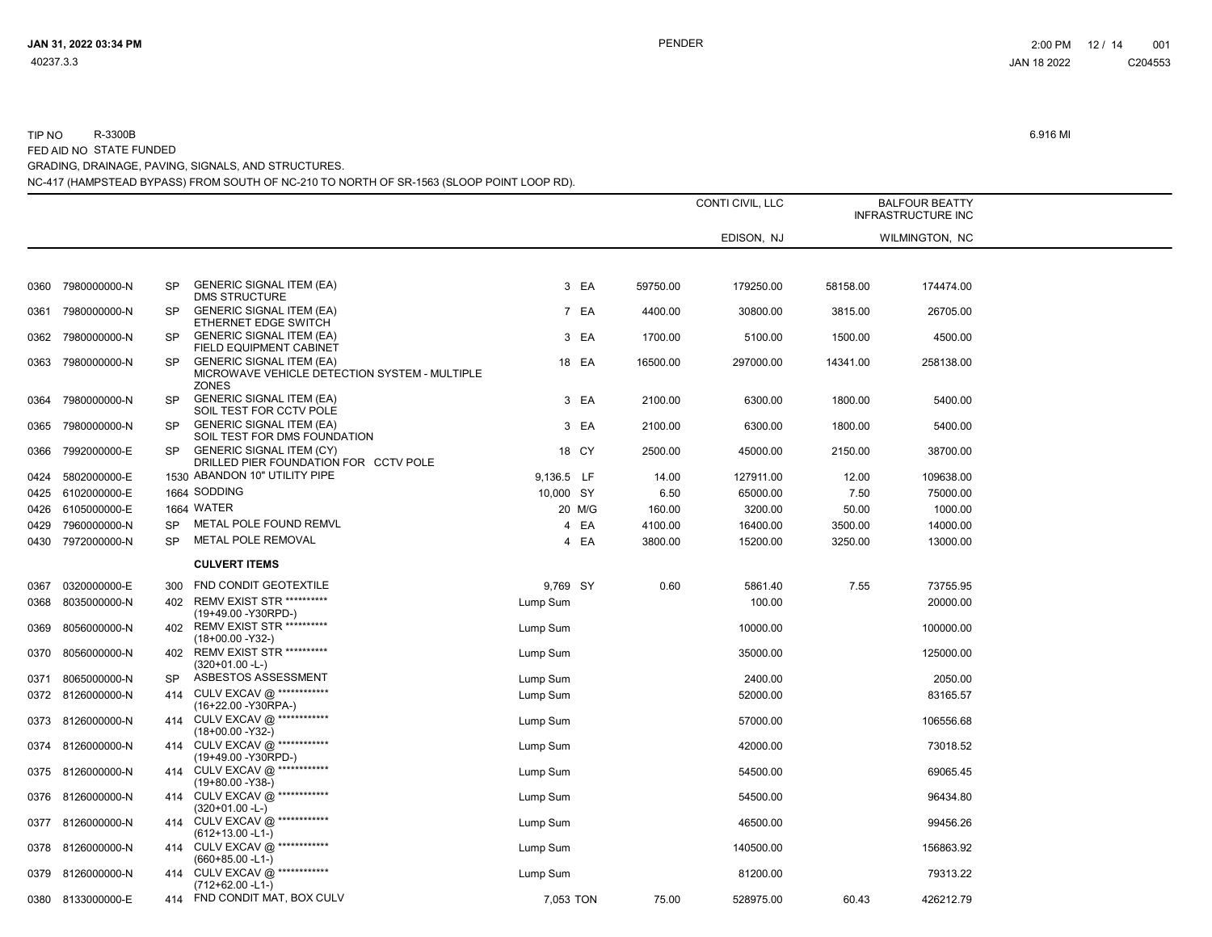|      |                   |           |                                                                                                  |            |          | CONTI CIVIL, LLC | <b>BALFOUR BEATTY</b><br><b>INFRASTRUCTURE INC</b> |                |  |
|------|-------------------|-----------|--------------------------------------------------------------------------------------------------|------------|----------|------------------|----------------------------------------------------|----------------|--|
|      |                   |           |                                                                                                  |            |          | EDISON, NJ       |                                                    | WILMINGTON, NC |  |
|      |                   |           |                                                                                                  |            |          |                  |                                                    |                |  |
| 0360 | 7980000000-N      | <b>SP</b> | <b>GENERIC SIGNAL ITEM (EA)</b><br><b>DMS STRUCTURE</b>                                          | 3 EA       | 59750.00 | 179250.00        | 58158.00                                           | 174474.00      |  |
| 0361 | 7980000000-N      | <b>SP</b> | <b>GENERIC SIGNAL ITEM (EA)</b><br>ETHERNET EDGE SWITCH                                          | 7 EA       | 4400.00  | 30800.00         | 3815.00                                            | 26705.00       |  |
| 0362 | 7980000000-N      | SP        | <b>GENERIC SIGNAL ITEM (EA)</b><br>FIELD EQUIPMENT CABINET                                       | 3 EA       | 1700.00  | 5100.00          | 1500.00                                            | 4500.00        |  |
| 0363 | 7980000000-N      | SP        | <b>GENERIC SIGNAL ITEM (EA)</b><br>MICROWAVE VEHICLE DETECTION SYSTEM - MULTIPLE<br><b>ZONES</b> | 18 EA      | 16500.00 | 297000.00        | 14341.00                                           | 258138.00      |  |
| 0364 | 7980000000-N      | SP        | <b>GENERIC SIGNAL ITEM (EA)</b><br>SOIL TEST FOR CCTV POLE                                       | 3 EA       | 2100.00  | 6300.00          | 1800.00                                            | 5400.00        |  |
| 0365 | 7980000000-N      | <b>SP</b> | <b>GENERIC SIGNAL ITEM (EA)</b><br>SOIL TEST FOR DMS FOUNDATION                                  | 3 EA       | 2100.00  | 6300.00          | 1800.00                                            | 5400.00        |  |
| 0366 | 7992000000-E      | SP        | <b>GENERIC SIGNAL ITEM (CY)</b><br>DRILLED PIER FOUNDATION FOR CCTV POLE                         | 18 CY      | 2500.00  | 45000.00         | 2150.00                                            | 38700.00       |  |
| 0424 | 5802000000-E      |           | 1530 ABANDON 10" UTILITY PIPE                                                                    | 9,136.5 LF | 14.00    | 127911.00        | 12.00                                              | 109638.00      |  |
| 0425 | 6102000000-E      |           | 1664 SODDING                                                                                     | 10,000 SY  | 6.50     | 65000.00         | 7.50                                               | 75000.00       |  |
| 0426 | 6105000000-E      |           | 1664 WATER                                                                                       | 20 M/G     | 160.00   | 3200.00          | 50.00                                              | 1000.00        |  |
| 0429 | 7960000000-N      | <b>SP</b> | METAL POLE FOUND REMVL                                                                           | 4 EA       | 4100.00  | 16400.00         | 3500.00                                            | 14000.00       |  |
|      | 0430 7972000000-N | <b>SP</b> | <b>METAL POLE REMOVAL</b>                                                                        | 4 EA       | 3800.00  | 15200.00         | 3250.00                                            | 13000.00       |  |
|      |                   |           | <b>CULVERT ITEMS</b>                                                                             |            |          |                  |                                                    |                |  |
| 0367 | 0320000000-E      | 300       | FND CONDIT GEOTEXTILE                                                                            | 9.769 SY   | 0.60     | 5861.40          | 7.55                                               | 73755.95       |  |
| 0368 | 8035000000-N      | 402       | <b>REMV EXIST STR **********</b><br>(19+49.00 - Y30RPD-)                                         | Lump Sum   |          | 100.00           |                                                    | 20000.00       |  |
| 0369 | 8056000000-N      | 402       | <b>REMV EXIST STR **********</b><br>$(18+00.00 - Y32)$                                           | Lump Sum   |          | 10000.00         |                                                    | 100000.00      |  |
| 0370 | 8056000000-N      | 402       | <b>REMV EXIST STR **********</b><br>$(320+01.00 - L)$                                            | Lump Sum   |          | 35000.00         |                                                    | 125000.00      |  |
| 0371 | 8065000000-N      | SP        | ASBESTOS ASSESSMENT                                                                              | Lump Sum   |          | 2400.00          |                                                    | 2050.00        |  |
|      | 0372 8126000000-N | 414       | CULV EXCAV @ ************<br>(16+22.00 - Y30RPA-)                                                | Lump Sum   |          | 52000.00         |                                                    | 83165.57       |  |
|      | 0373 8126000000-N | 414       | CULV EXCAV @ ************<br>$(18+00.00 - Y32)$                                                  | Lump Sum   |          | 57000.00         |                                                    | 106556.68      |  |
| 0374 | 8126000000-N      | 414       | CULV EXCAV @ ************<br>(19+49.00 - Y30RPD-)                                                | Lump Sum   |          | 42000.00         |                                                    | 73018.52       |  |
|      | 0375 8126000000-N | 414       | CULV EXCAV @ ************<br>$(19+80.00 - Y38)$                                                  | Lump Sum   |          | 54500.00         |                                                    | 69065.45       |  |
|      | 0376 8126000000-N | 414       | CULV EXCAV @ ************<br>$(320+01.00 - L)$                                                   | Lump Sum   |          | 54500.00         |                                                    | 96434.80       |  |
|      | 0377 8126000000-N | 414       | CULV EXCAV @ ************<br>$(612+13.00 - L1)$                                                  | Lump Sum   |          | 46500.00         |                                                    | 99456.26       |  |
|      | 0378 8126000000-N | 414       | CULV EXCAV @ ************<br>$(660+85.00 - L1)$                                                  | Lump Sum   |          | 140500.00        |                                                    | 156863.92      |  |
|      | 0379 8126000000-N |           | 414 CULV EXCAV @ ************<br>$(712+62.00 - L1)$                                              | Lump Sum   |          | 81200.00         |                                                    | 79313.22       |  |
|      | 0380 8133000000-E |           | 414 FND CONDIT MAT, BOX CULV                                                                     | 7,053 TON  | 75.00    | 528975.00        | 60.43                                              | 426212.79      |  |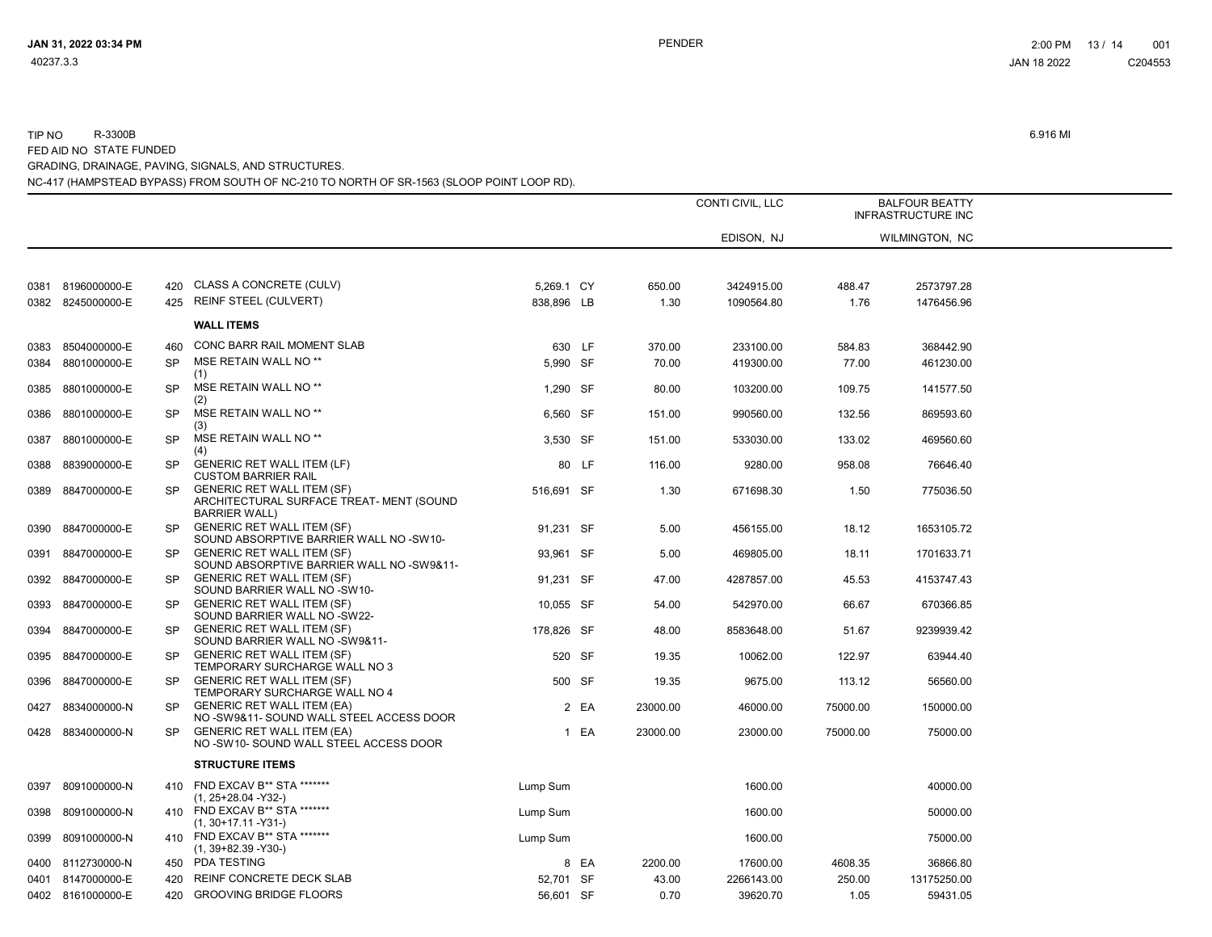|      |                   |           |                                                                                                       |            |       |          | CONTI CIVIL, LLC | <b>BALFOUR BEATTY</b><br><b>INFRASTRUCTURE INC</b> |                |  |
|------|-------------------|-----------|-------------------------------------------------------------------------------------------------------|------------|-------|----------|------------------|----------------------------------------------------|----------------|--|
|      |                   |           |                                                                                                       |            |       |          | EDISON, NJ       |                                                    | WILMINGTON, NC |  |
|      |                   |           |                                                                                                       |            |       |          |                  |                                                    |                |  |
| 0381 | 8196000000-E      | 420       | CLASS A CONCRETE (CULV)                                                                               | 5,269.1 CY |       | 650.00   | 3424915.00       | 488.47                                             | 2573797.28     |  |
|      | 0382 8245000000-E |           | 425 REINF STEEL (CULVERT)                                                                             | 838.896 LB |       | 1.30     | 1090564.80       | 1.76                                               | 1476456.96     |  |
|      |                   |           | <b>WALL ITEMS</b>                                                                                     |            |       |          |                  |                                                    |                |  |
| 0383 | 8504000000-E      | 460       | CONC BARR RAIL MOMENT SLAB                                                                            | 630 LF     |       | 370.00   | 233100.00        | 584.83                                             | 368442.90      |  |
| 0384 | 8801000000-E      | <b>SP</b> | MSE RETAIN WALL NO **<br>(1)                                                                          | 5,990 SF   |       | 70.00    | 419300.00        | 77.00                                              | 461230.00      |  |
| 0385 | 8801000000-E      | SP        | MSE RETAIN WALL NO **<br>(2)                                                                          | 1,290 SF   |       | 80.00    | 103200.00        | 109.75                                             | 141577.50      |  |
| 0386 | 8801000000-E      | <b>SP</b> | MSE RETAIN WALL NO <sup>**</sup><br>(3)                                                               | 6.560 SF   |       | 151.00   | 990560.00        | 132.56                                             | 869593.60      |  |
| 0387 | 8801000000-E      | <b>SP</b> | MSE RETAIN WALL NO **<br>(4)                                                                          | 3,530 SF   |       | 151.00   | 533030.00        | 133.02                                             | 469560.60      |  |
| 0388 | 8839000000-E      | <b>SP</b> | <b>GENERIC RET WALL ITEM (LF)</b><br><b>CUSTOM BARRIER RAIL</b>                                       |            | 80 LF | 116.00   | 9280.00          | 958.08                                             | 76646.40       |  |
|      | 0389 8847000000-E | <b>SP</b> | <b>GENERIC RET WALL ITEM (SF)</b><br>ARCHITECTURAL SURFACE TREAT- MENT (SOUND<br><b>BARRIER WALL)</b> | 516,691 SF |       | 1.30     | 671698.30        | 1.50                                               | 775036.50      |  |
|      | 0390 8847000000-E | SP.       | <b>GENERIC RET WALL ITEM (SF)</b><br>SOUND ABSORPTIVE BARRIER WALL NO -SW10-                          | 91,231 SF  |       | 5.00     | 456155.00        | 18.12                                              | 1653105.72     |  |
| 0391 | 8847000000-E      | <b>SP</b> | <b>GENERIC RET WALL ITEM (SF)</b><br>SOUND ABSORPTIVE BARRIER WALL NO -SW9&11-                        | 93,961 SF  |       | 5.00     | 469805.00        | 18.11                                              | 1701633.71     |  |
| 0392 | 8847000000-E      | <b>SP</b> | <b>GENERIC RET WALL ITEM (SF)</b><br>SOUND BARRIER WALL NO -SW10-                                     | 91,231 SF  |       | 47.00    | 4287857.00       | 45.53                                              | 4153747.43     |  |
|      | 0393 8847000000-E | <b>SP</b> | <b>GENERIC RET WALL ITEM (SF)</b><br>SOUND BARRIER WALL NO -SW22-                                     | 10,055 SF  |       | 54.00    | 542970.00        | 66.67                                              | 670366.85      |  |
| 0394 | 8847000000-E      | <b>SP</b> | <b>GENERIC RET WALL ITEM (SF)</b><br>SOUND BARRIER WALL NO -SW9&11-                                   | 178,826 SF |       | 48.00    | 8583648.00       | 51.67                                              | 9239939.42     |  |
| 0395 | 8847000000-E      | <b>SP</b> | <b>GENERIC RET WALL ITEM (SF)</b><br>TEMPORARY SURCHARGE WALL NO 3                                    | 520 SF     |       | 19.35    | 10062.00         | 122.97                                             | 63944.40       |  |
| 0396 | 8847000000-E      | <b>SP</b> | <b>GENERIC RET WALL ITEM (SF)</b><br>TEMPORARY SURCHARGE WALL NO 4                                    | 500 SF     |       | 19.35    | 9675.00          | 113.12                                             | 56560.00       |  |
| 0427 | 8834000000-N      | <b>SP</b> | <b>GENERIC RET WALL ITEM (EA)</b><br>NO-SW9&11- SOUND WALL STEEL ACCESS DOOR                          |            | 2 EA  | 23000.00 | 46000.00         | 75000.00                                           | 150000.00      |  |
|      | 0428 8834000000-N | <b>SP</b> | <b>GENERIC RET WALL ITEM (EA)</b><br>NO-SW10-SOUND WALL STEEL ACCESS DOOR                             |            | 1 EA  | 23000.00 | 23000.00         | 75000.00                                           | 75000.00       |  |
|      |                   |           | <b>STRUCTURE ITEMS</b>                                                                                |            |       |          |                  |                                                    |                |  |
| 0397 | 8091000000-N      |           | 410 FND EXCAV B** STA ********<br>$(1, 25+28.04 - Y32)$                                               | Lump Sum   |       |          | 1600.00          |                                                    | 40000.00       |  |
| 0398 | 8091000000-N      |           | 410 FND EXCAV B** STA ********<br>$(1, 30+17.11 - Y31)$                                               | Lump Sum   |       |          | 1600.00          |                                                    | 50000.00       |  |
| 0399 | 8091000000-N      | 410       | FND EXCAV B** STA *******<br>$(1, 39+82.39 - Y30)$                                                    | Lump Sum   |       |          | 1600.00          |                                                    | 75000.00       |  |
|      | 0400 8112730000-N |           | 450 PDA TESTING                                                                                       |            | 8 EA  | 2200.00  | 17600.00         | 4608.35                                            | 36866.80       |  |
| 0401 | 8147000000-E      | 420       | REINF CONCRETE DECK SLAB                                                                              | 52.701 SF  |       | 43.00    | 2266143.00       | 250.00                                             | 13175250.00    |  |
|      | 0402 8161000000-E | 420       | <b>GROOVING BRIDGE FLOORS</b>                                                                         | 56,601 SF  |       | 0.70     | 39620.70         | 1.05                                               | 59431.05       |  |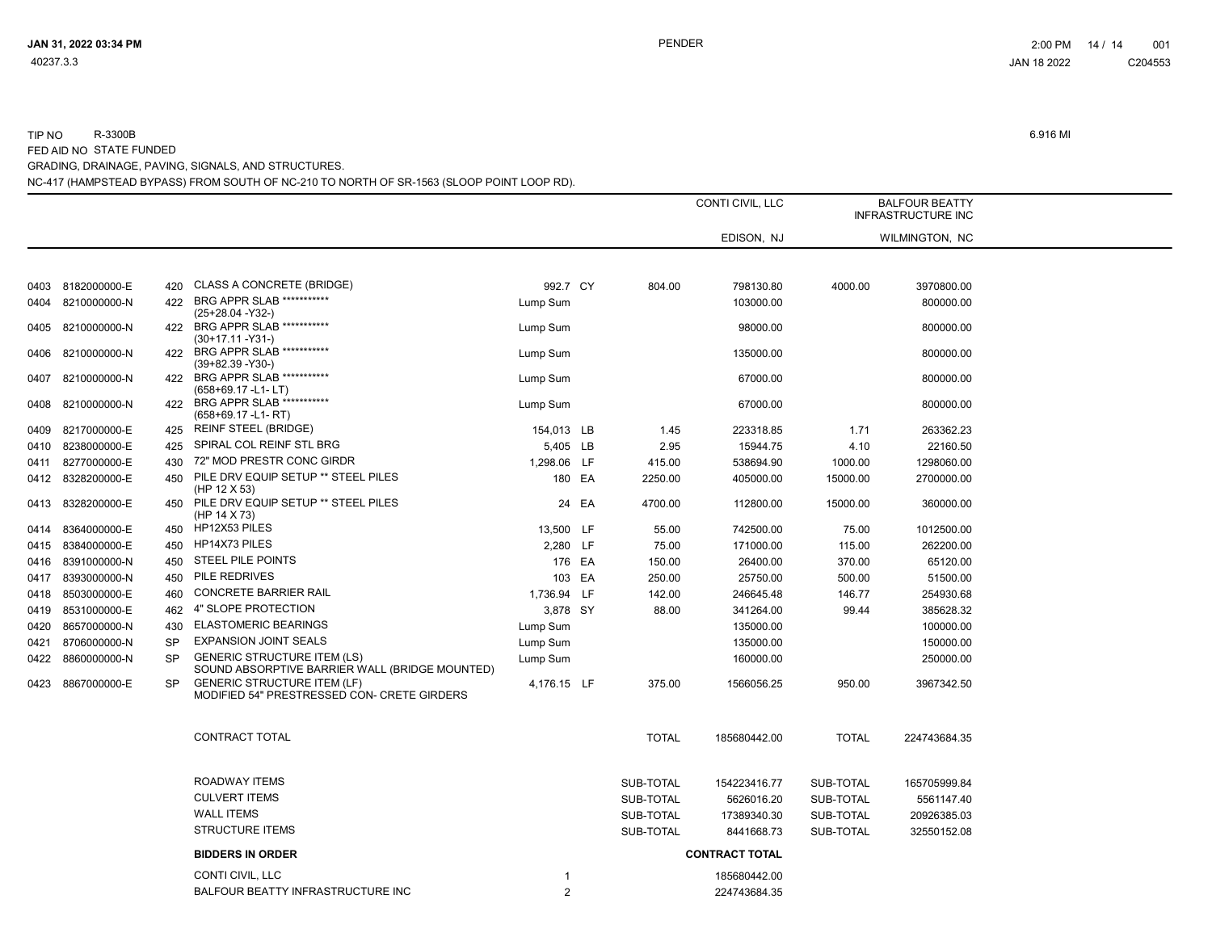|      |                   |           |                                                                                      |                |        |              | CONTI CIVIL, LLC      |              | <b>BALFOUR BEATTY</b><br><b>INFRASTRUCTURE INC</b> |  |
|------|-------------------|-----------|--------------------------------------------------------------------------------------|----------------|--------|--------------|-----------------------|--------------|----------------------------------------------------|--|
|      |                   |           |                                                                                      |                |        |              | EDISON, NJ            |              | WILMINGTON, NC                                     |  |
|      |                   |           |                                                                                      |                |        |              |                       |              |                                                    |  |
|      | 0403 8182000000-E | 420       | <b>CLASS A CONCRETE (BRIDGE)</b>                                                     | 992.7 CY       |        | 804.00       | 798130.80             | 4000.00      | 3970800.00                                         |  |
| 0404 | 8210000000-N      | 422       | BRG APPR SLAB ***********<br>(25+28.04 - Y32-)                                       | Lump Sum       |        |              | 103000.00             |              | 800000.00                                          |  |
| 0405 | 8210000000-N      |           | 422 BRG APPR SLAB ***********<br>$(30+17.11 - Y31)$                                  | Lump Sum       |        |              | 98000.00              |              | 800000.00                                          |  |
| 0406 | 8210000000-N      | 422       | BRG APPR SLAB ***********<br>$(39+82.39 - Y30-)$                                     | Lump Sum       |        |              | 135000.00             |              | 800000.00                                          |  |
| 0407 | 8210000000-N      | 422       | BRG APPR SLAB ***********<br>(658+69.17 -L1-LT)                                      | Lump Sum       |        |              | 67000.00              |              | 800000.00                                          |  |
| 0408 | 8210000000-N      | 422       | BRG APPR SLAB ***********<br>$(658+69.17 - L1 - RT)$                                 | Lump Sum       |        |              | 67000.00              |              | 800000.00                                          |  |
| 0409 | 8217000000-E      |           | 425 REINF STEEL (BRIDGE)                                                             | 154,013 LB     |        | 1.45         | 223318.85             | 1.71         | 263362.23                                          |  |
| 0410 | 8238000000-E      | 425       | SPIRAL COL REINF STL BRG                                                             | 5,405 LB       |        | 2.95         | 15944.75              | 4.10         | 22160.50                                           |  |
| 0411 | 8277000000-E      | 430       | 72" MOD PRESTR CONC GIRDR                                                            | 1,298.06 LF    |        | 415.00       | 538694.90             | 1000.00      | 1298060.00                                         |  |
|      | 0412 8328200000-E | 450       | PILE DRV EQUIP SETUP ** STEEL PILES<br>(HP 12 X 53)                                  |                | 180 EA | 2250.00      | 405000.00             | 15000.00     | 2700000.00                                         |  |
|      | 0413 8328200000-E |           | 450 PILE DRV EQUIP SETUP ** STEEL PILES<br>(HP 14 X 73)                              |                | 24 EA  | 4700.00      | 112800.00             | 15000.00     | 360000.00                                          |  |
| 0414 | 8364000000-E      | 450       | HP12X53 PILES                                                                        | 13,500 LF      |        | 55.00        | 742500.00             | 75.00        | 1012500.00                                         |  |
| 0415 | 8384000000-E      | 450       | HP14X73 PILES                                                                        | 2,280 LF       |        | 75.00        | 171000.00             | 115.00       | 262200.00                                          |  |
| 0416 | 8391000000-N      | 450       | STEEL PILE POINTS                                                                    | 176 EA         |        | 150.00       | 26400.00              | 370.00       | 65120.00                                           |  |
| 0417 | 8393000000-N      | 450       | PILE REDRIVES                                                                        | 103 EA         |        | 250.00       | 25750.00              | 500.00       | 51500.00                                           |  |
| 0418 | 8503000000-E      | 460       | <b>CONCRETE BARRIER RAIL</b>                                                         | 1,736.94 LF    |        | 142.00       | 246645.48             | 146.77       | 254930.68                                          |  |
| 0419 | 8531000000-E      | 462       | 4" SLOPE PROTECTION                                                                  | 3,878 SY       |        | 88.00        | 341264.00             | 99.44        | 385628.32                                          |  |
| 0420 | 8657000000-N      | 430       | <b>ELASTOMERIC BEARINGS</b>                                                          | Lump Sum       |        |              | 135000.00             |              | 100000.00                                          |  |
| 0421 | 8706000000-N      | <b>SP</b> | <b>EXPANSION JOINT SEALS</b>                                                         | Lump Sum       |        |              | 135000.00             |              | 150000.00                                          |  |
| 0422 | 8860000000-N      | <b>SP</b> | <b>GENERIC STRUCTURE ITEM (LS)</b><br>SOUND ABSORPTIVE BARRIER WALL (BRIDGE MOUNTED) | Lump Sum       |        |              | 160000.00             |              | 250000.00                                          |  |
| 0423 | 8867000000-E      | <b>SP</b> | <b>GENERIC STRUCTURE ITEM (LF)</b><br>MODIFIED 54" PRESTRESSED CON- CRETE GIRDERS    | 4.176.15 LF    |        | 375.00       | 1566056.25            | 950.00       | 3967342.50                                         |  |
|      |                   |           | CONTRACT TOTAL                                                                       |                |        | <b>TOTAL</b> | 185680442.00          | <b>TOTAL</b> | 224743684.35                                       |  |
|      |                   |           | ROADWAY ITEMS                                                                        |                |        | SUB-TOTAL    | 154223416.77          | SUB-TOTAL    | 165705999.84                                       |  |
|      |                   |           | <b>CULVERT ITEMS</b>                                                                 |                |        | SUB-TOTAL    | 5626016.20            | SUB-TOTAL    | 5561147.40                                         |  |
|      |                   |           | <b>WALL ITEMS</b>                                                                    |                |        | SUB-TOTAL    | 17389340.30           | SUB-TOTAL    | 20926385.03                                        |  |
|      |                   |           | <b>STRUCTURE ITEMS</b>                                                               |                |        | SUB-TOTAL    | 8441668.73            | SUB-TOTAL    | 32550152.08                                        |  |
|      |                   |           | <b>BIDDERS IN ORDER</b>                                                              |                |        |              | <b>CONTRACT TOTAL</b> |              |                                                    |  |
|      |                   |           | CONTI CIVIL, LLC                                                                     | -1             |        |              | 185680442.00          |              |                                                    |  |
|      |                   |           | BALFOUR BEATTY INFRASTRUCTURE INC                                                    | $\overline{2}$ |        |              | 224743684.35          |              |                                                    |  |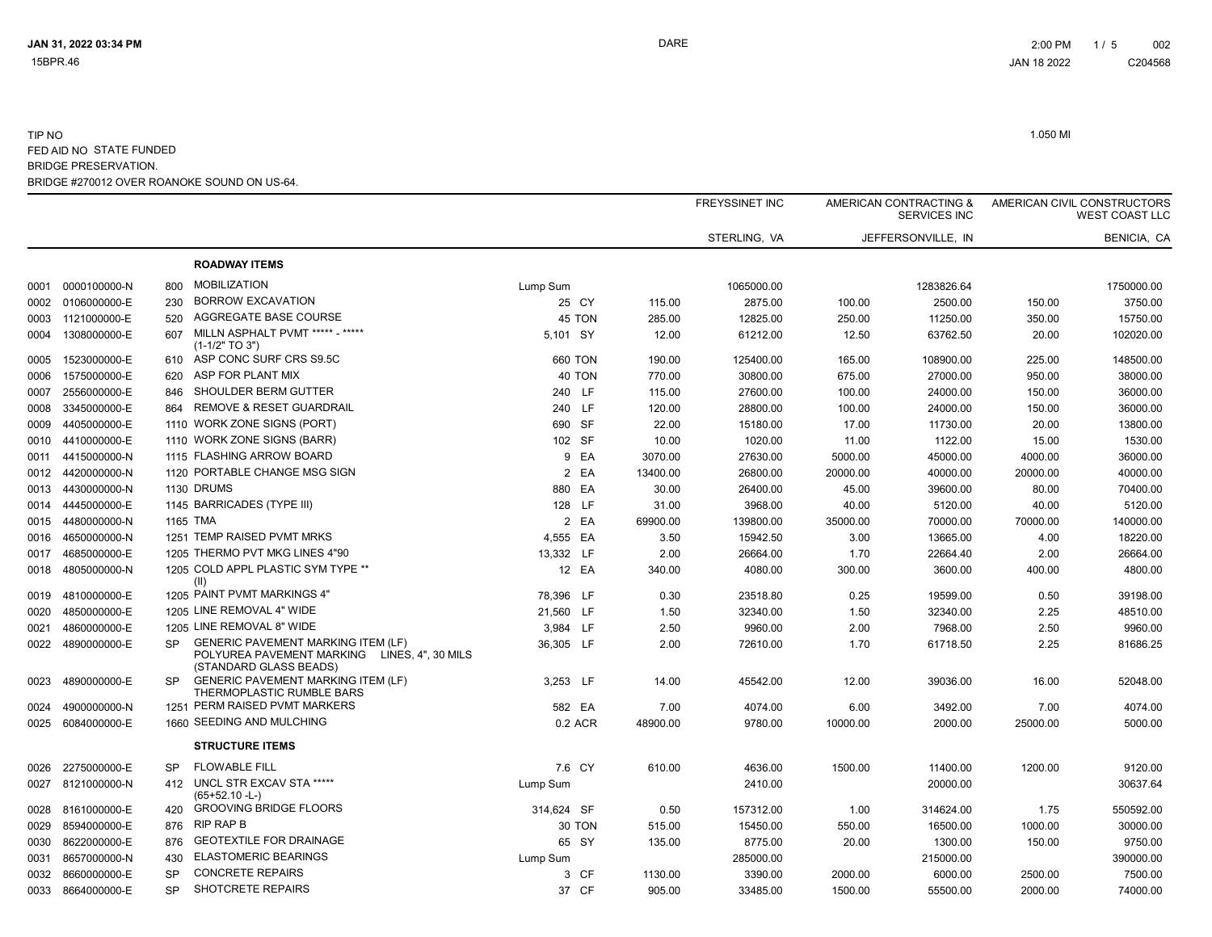|      |              |           |                                                                                                                     |            |          | <b>FREYSSINET INC</b> | AMERICAN CONTRACTING &<br><b>SERVICES INC</b> |                    |          | AMERICAN CIVIL CONSTRUCTORS<br><b>WEST COAST LLC</b> |
|------|--------------|-----------|---------------------------------------------------------------------------------------------------------------------|------------|----------|-----------------------|-----------------------------------------------|--------------------|----------|------------------------------------------------------|
|      |              |           |                                                                                                                     |            |          | STERLING, VA          |                                               | JEFFERSONVILLE. IN |          | <b>BENICIA, CA</b>                                   |
|      |              |           | <b>ROADWAY ITEMS</b>                                                                                                |            |          |                       |                                               |                    |          |                                                      |
| 0001 | 0000100000-N | 800       | <b>MOBILIZATION</b>                                                                                                 | Lump Sum   |          | 1065000.00            |                                               | 1283826.64         |          | 1750000.00                                           |
| 0002 | 0106000000-E | 230       | <b>BORROW EXCAVATION</b>                                                                                            | 25 CY      | 115.00   | 2875.00               | 100.00                                        | 2500.00            | 150.00   | 3750.00                                              |
| 0003 | 1121000000-E | 520       | AGGREGATE BASE COURSE                                                                                               | 45 TON     | 285.00   | 12825.00              | 250.00                                        | 11250.00           | 350.00   | 15750.00                                             |
| 0004 | 1308000000-E | 607       | MILLN ASPHALT PVMT ***** - *****<br>$(1-1/2" TO 3")$                                                                | 5.101 SY   | 12.00    | 61212.00              | 12.50                                         | 63762.50           | 20.00    | 102020.00                                            |
| 0005 | 1523000000-E | 610       | ASP CONC SURF CRS S9.5C                                                                                             | 660 TON    | 190.00   | 125400.00             | 165.00                                        | 108900.00          | 225.00   | 148500.00                                            |
| 0006 | 1575000000-E | 620       | ASP FOR PLANT MIX                                                                                                   | 40 TON     | 770.00   | 30800.00              | 675.00                                        | 27000.00           | 950.00   | 38000.00                                             |
| 0007 | 2556000000-E | 846       | SHOULDER BERM GUTTER                                                                                                | 240 LF     | 115.00   | 27600.00              | 100.00                                        | 24000.00           | 150.00   | 36000.00                                             |
| 0008 | 3345000000-E | 864       | <b>REMOVE &amp; RESET GUARDRAIL</b>                                                                                 | 240 LF     | 120.00   | 28800.00              | 100.00                                        | 24000.00           | 150.00   | 36000.00                                             |
| 0009 | 4405000000-E |           | 1110 WORK ZONE SIGNS (PORT)                                                                                         | 690 SF     | 22.00    | 15180.00              | 17.00                                         | 11730.00           | 20.00    | 13800.00                                             |
| 0010 | 4410000000-E |           | 1110 WORK ZONE SIGNS (BARR)                                                                                         | 102 SF     | 10.00    | 1020.00               | 11.00                                         | 1122.00            | 15.00    | 1530.00                                              |
| 0011 | 4415000000-N |           | 1115 FLASHING ARROW BOARD                                                                                           | EA<br>9    | 3070.00  | 27630.00              | 5000.00                                       | 45000.00           | 4000.00  | 36000.00                                             |
| 0012 | 4420000000-N |           | 1120 PORTABLE CHANGE MSG SIGN                                                                                       | 2 EA       | 13400.00 | 26800.00              | 20000.00                                      | 40000.00           | 20000.00 | 40000.00                                             |
| 0013 | 4430000000-N |           | 1130 DRUMS                                                                                                          | 880 EA     | 30.00    | 26400.00              | 45.00                                         | 39600.00           | 80.00    | 70400.00                                             |
| 0014 | 4445000000-E |           | 1145 BARRICADES (TYPE III)                                                                                          | 128 LF     | 31.00    | 3968.00               | 40.00                                         | 5120.00            | 40.00    | 5120.00                                              |
| 0015 | 4480000000-N |           | 1165 TMA                                                                                                            | 2 EA       | 69900.00 | 139800.00             | 35000.00                                      | 70000.00           | 70000.00 | 140000.00                                            |
| 0016 | 4650000000-N |           | 1251 TEMP RAISED PVMT MRKS                                                                                          | 4,555 EA   | 3.50     | 15942.50              | 3.00                                          | 13665.00           | 4.00     | 18220.00                                             |
| 0017 | 4685000000-E |           | 1205 THERMO PVT MKG LINES 4"90                                                                                      | 13,332 LF  | 2.00     | 26664.00              | 1.70                                          | 22664.40           | 2.00     | 26664.00                                             |
| 0018 | 4805000000-N |           | 1205 COLD APPL PLASTIC SYM TYPE **<br>(II)                                                                          | 12 EA      | 340.00   | 4080.00               | 300.00                                        | 3600.00            | 400.00   | 4800.00                                              |
| 0019 | 4810000000-E |           | 1205 PAINT PVMT MARKINGS 4"                                                                                         | 78,396 LF  | 0.30     | 23518.80              | 0.25                                          | 19599.00           | 0.50     | 39198.00                                             |
| 0020 | 4850000000-E |           | 1205 LINE REMOVAL 4" WIDE                                                                                           | 21,560 LF  | 1.50     | 32340.00              | 1.50                                          | 32340.00           | 2.25     | 48510.00                                             |
| 0021 | 4860000000-E |           | 1205 LINE REMOVAL 8" WIDE                                                                                           | 3,984 LF   | 2.50     | 9960.00               | 2.00                                          | 7968.00            | 2.50     | 9960.00                                              |
| 0022 | 4890000000-E | <b>SP</b> | <b>GENERIC PAVEMENT MARKING ITEM (LF)</b><br>POLYUREA PAVEMENT MARKING LINES, 4", 30 MILS<br>(STANDARD GLASS BEADS) | 36,305 LF  | 2.00     | 72610.00              | 1.70                                          | 61718.50           | 2.25     | 81686.25                                             |
| 0023 | 4890000000-E | <b>SP</b> | <b>GENERIC PAVEMENT MARKING ITEM (LF)</b><br>THERMOPLASTIC RUMBLE BARS                                              | 3,253 LF   | 14.00    | 45542.00              | 12.00                                         | 39036.00           | 16.00    | 52048.00                                             |
| 0024 | 4900000000-N |           | 1251 PERM RAISED PVMT MARKERS                                                                                       | 582 EA     | 7.00     | 4074.00               | 6.00                                          | 3492.00            | 7.00     | 4074.00                                              |
| 0025 | 6084000000-E |           | 1660 SEEDING AND MULCHING                                                                                           | 0.2 ACR    | 48900.00 | 9780.00               | 10000.00                                      | 2000.00            | 25000.00 | 5000.00                                              |
|      |              |           | <b>STRUCTURE ITEMS</b>                                                                                              |            |          |                       |                                               |                    |          |                                                      |
| 0026 | 2275000000-E | <b>SP</b> | <b>FLOWABLE FILL</b>                                                                                                | 7.6 CY     | 610.00   | 4636.00               | 1500.00                                       | 11400.00           | 1200.00  | 9120.00                                              |
| 0027 | 8121000000-N | 412       | UNCL STR EXCAV STA *****<br>$(65+52.10 - L)$                                                                        | Lump Sum   |          | 2410.00               |                                               | 20000.00           |          | 30637.64                                             |
| 0028 | 8161000000-E | 420       | <b>GROOVING BRIDGE FLOORS</b>                                                                                       | 314.624 SF | 0.50     | 157312.00             | 1.00                                          | 314624.00          | 1.75     | 550592.00                                            |
| 0029 | 8594000000-E | 876       | <b>RIP RAP B</b>                                                                                                    | 30 TON     | 515.00   | 15450.00              | 550.00                                        | 16500.00           | 1000.00  | 30000.00                                             |
| 0030 | 8622000000-E | 876       | <b>GEOTEXTILE FOR DRAINAGE</b>                                                                                      | 65 SY      | 135.00   | 8775.00               | 20.00                                         | 1300.00            | 150.00   | 9750.00                                              |
| 0031 | 8657000000-N | 430       | <b>ELASTOMERIC BEARINGS</b>                                                                                         | Lump Sum   |          | 285000.00             |                                               | 215000.00          |          | 390000.00                                            |
| 0032 | 8660000000-E | <b>SP</b> | <b>CONCRETE REPAIRS</b>                                                                                             | 3 CF       | 1130.00  | 3390.00               | 2000.00                                       | 6000.00            | 2500.00  | 7500.00                                              |
| 0033 | 8664000000-E | <b>SP</b> | SHOTCRETE REPAIRS                                                                                                   | 37 CF      | 905.00   | 33485.00              | 1500.00                                       | 55500.00           | 2000.00  | 74000.00                                             |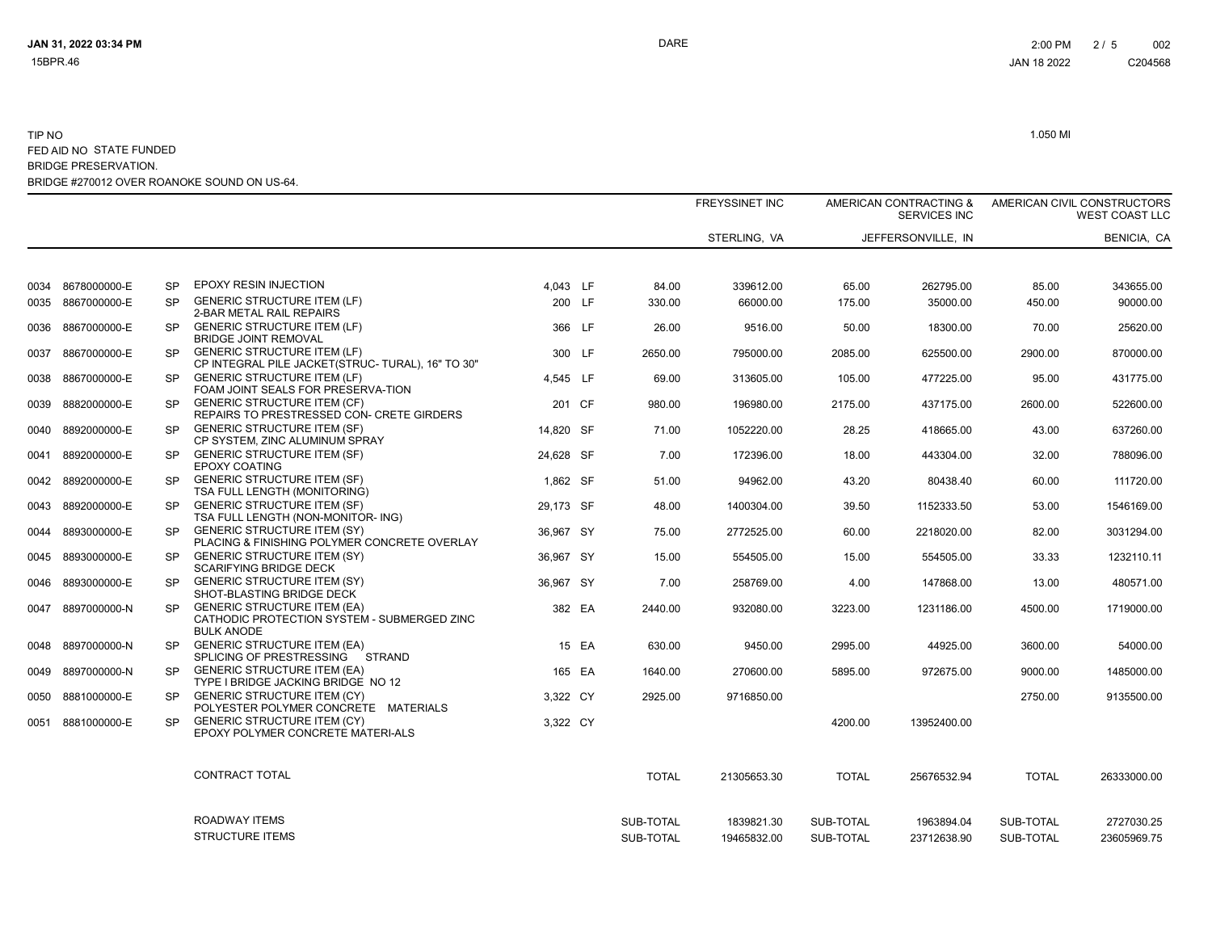|                   |           |                                                                                                        |           |       |              | <b>FREYSSINET INC</b> | AMERICAN CONTRACTING &<br><b>SERVICES INC</b> |                    | AMERICAN CIVIL CONSTRUCTORS | <b>WEST COAST LLC</b> |  |
|-------------------|-----------|--------------------------------------------------------------------------------------------------------|-----------|-------|--------------|-----------------------|-----------------------------------------------|--------------------|-----------------------------|-----------------------|--|
|                   |           |                                                                                                        |           |       |              | STERLING, VA          |                                               | JEFFERSONVILLE, IN |                             | BENICIA, CA           |  |
|                   |           |                                                                                                        |           |       |              |                       |                                               |                    |                             |                       |  |
| 0034 8678000000-E | SP        | <b>EPOXY RESIN INJECTION</b>                                                                           | 4,043 LF  |       | 84.00        | 339612.00             | 65.00                                         | 262795.00          | 85.00                       | 343655.00             |  |
| 0035 8867000000-E | SP        | <b>GENERIC STRUCTURE ITEM (LF)</b><br>2-BAR METAL RAIL REPAIRS                                         | 200 LF    |       | 330.00       | 66000.00              | 175.00                                        | 35000.00           | 450.00                      | 90000.00              |  |
| 0036 8867000000-E | SP.       | <b>GENERIC STRUCTURE ITEM (LF)</b><br><b>BRIDGE JOINT REMOVAL</b>                                      | 366 LF    |       | 26.00        | 9516.00               | 50.00                                         | 18300.00           | 70.00                       | 25620.00              |  |
| 0037 8867000000-E | <b>SP</b> | <b>GENERIC STRUCTURE ITEM (LF)</b><br>CP INTEGRAL PILE JACKET (STRUC- TURAL), 16" TO 30"               | 300 LF    |       | 2650.00      | 795000.00             | 2085.00                                       | 625500.00          | 2900.00                     | 870000.00             |  |
| 0038 8867000000-E | SP.       | <b>GENERIC STRUCTURE ITEM (LF)</b><br>FOAM JOINT SEALS FOR PRESERVA-TION                               | 4,545 LF  |       | 69.00        | 313605.00             | 105.00                                        | 477225.00          | 95.00                       | 431775.00             |  |
| 0039 8882000000-E | SP.       | <b>GENERIC STRUCTURE ITEM (CF)</b><br>REPAIRS TO PRESTRESSED CON- CRETE GIRDERS                        | 201 CF    |       | 980.00       | 196980.00             | 2175.00                                       | 437175.00          | 2600.00                     | 522600.00             |  |
| 0040 8892000000-E | SP.       | <b>GENERIC STRUCTURE ITEM (SF)</b><br>CP SYSTEM, ZINC ALUMINUM SPRAY                                   | 14,820 SF |       | 71.00        | 1052220.00            | 28.25                                         | 418665.00          | 43.00                       | 637260.00             |  |
| 0041 8892000000-E | SP.       | <b>GENERIC STRUCTURE ITEM (SF)</b><br><b>EPOXY COATING</b>                                             | 24,628 SF |       | 7.00         | 172396.00             | 18.00                                         | 443304.00          | 32.00                       | 788096.00             |  |
| 0042 8892000000-E | <b>SP</b> | <b>GENERIC STRUCTURE ITEM (SF)</b><br>TSA FULL LENGTH (MONITORING)                                     | 1,862 SF  |       | 51.00        | 94962.00              | 43.20                                         | 80438.40           | 60.00                       | 111720.00             |  |
| 0043 8892000000-E | SP.       | <b>GENERIC STRUCTURE ITEM (SF)</b><br>TSA FULL LENGTH (NON-MONITOR- ING)                               | 29.173 SF |       | 48.00        | 1400304.00            | 39.50                                         | 1152333.50         | 53.00                       | 1546169.00            |  |
| 0044 8893000000-E | <b>SP</b> | <b>GENERIC STRUCTURE ITEM (SY)</b><br>PLACING & FINISHING POLYMER CONCRETE OVERLAY                     | 36,967 SY |       | 75.00        | 2772525.00            | 60.00                                         | 2218020.00         | 82.00                       | 3031294.00            |  |
| 0045 8893000000-E | SP.       | <b>GENERIC STRUCTURE ITEM (SY)</b><br><b>SCARIFYING BRIDGE DECK</b>                                    | 36,967 SY |       | 15.00        | 554505.00             | 15.00                                         | 554505.00          | 33.33                       | 1232110.11            |  |
| 0046 8893000000-E | <b>SP</b> | <b>GENERIC STRUCTURE ITEM (SY)</b><br>SHOT-BLASTING BRIDGE DECK                                        | 36,967 SY |       | 7.00         | 258769.00             | 4.00                                          | 147868.00          | 13.00                       | 480571.00             |  |
| 0047 8897000000-N | <b>SP</b> | <b>GENERIC STRUCTURE ITEM (EA)</b><br>CATHODIC PROTECTION SYSTEM - SUBMERGED ZINC<br><b>BULK ANODE</b> | 382 EA    |       | 2440.00      | 932080.00             | 3223.00                                       | 1231186.00         | 4500.00                     | 1719000.00            |  |
| 0048 8897000000-N | <b>SP</b> | <b>GENERIC STRUCTURE ITEM (EA)</b><br>SPLICING OF PRESTRESSING STRAND                                  |           | 15 EA | 630.00       | 9450.00               | 2995.00                                       | 44925.00           | 3600.00                     | 54000.00              |  |
| 0049 8897000000-N | SP.       | <b>GENERIC STRUCTURE ITEM (EA)</b><br>TYPE I BRIDGE JACKING BRIDGE NO 12                               | 165 EA    |       | 1640.00      | 270600.00             | 5895.00                                       | 972675.00          | 9000.00                     | 1485000.00            |  |
| 0050 8881000000-E | <b>SP</b> | <b>GENERIC STRUCTURE ITEM (CY)</b><br>POLYESTER POLYMER CONCRETE MATERIALS                             | 3,322 CY  |       | 2925.00      | 9716850.00            |                                               |                    | 2750.00                     | 9135500.00            |  |
| 0051 8881000000-E | SP.       | <b>GENERIC STRUCTURE ITEM (CY)</b><br>EPOXY POLYMER CONCRETE MATERI-ALS                                | 3,322 CY  |       |              |                       | 4200.00                                       | 13952400.00        |                             |                       |  |
|                   |           | CONTRACT TOTAL                                                                                         |           |       | <b>TOTAL</b> | 21305653.30           | <b>TOTAL</b>                                  | 25676532.94        | <b>TOTAL</b>                | 26333000.00           |  |
|                   |           | ROADWAY ITEMS                                                                                          |           |       | SUB-TOTAL    | 1839821.30            | SUB-TOTAL                                     | 1963894.04         | SUB-TOTAL                   | 2727030.25            |  |
|                   |           | <b>STRUCTURE ITEMS</b>                                                                                 |           |       | SUB-TOTAL    | 19465832.00           | SUB-TOTAL                                     | 23712638.90        | SUB-TOTAL                   | 23605969.75           |  |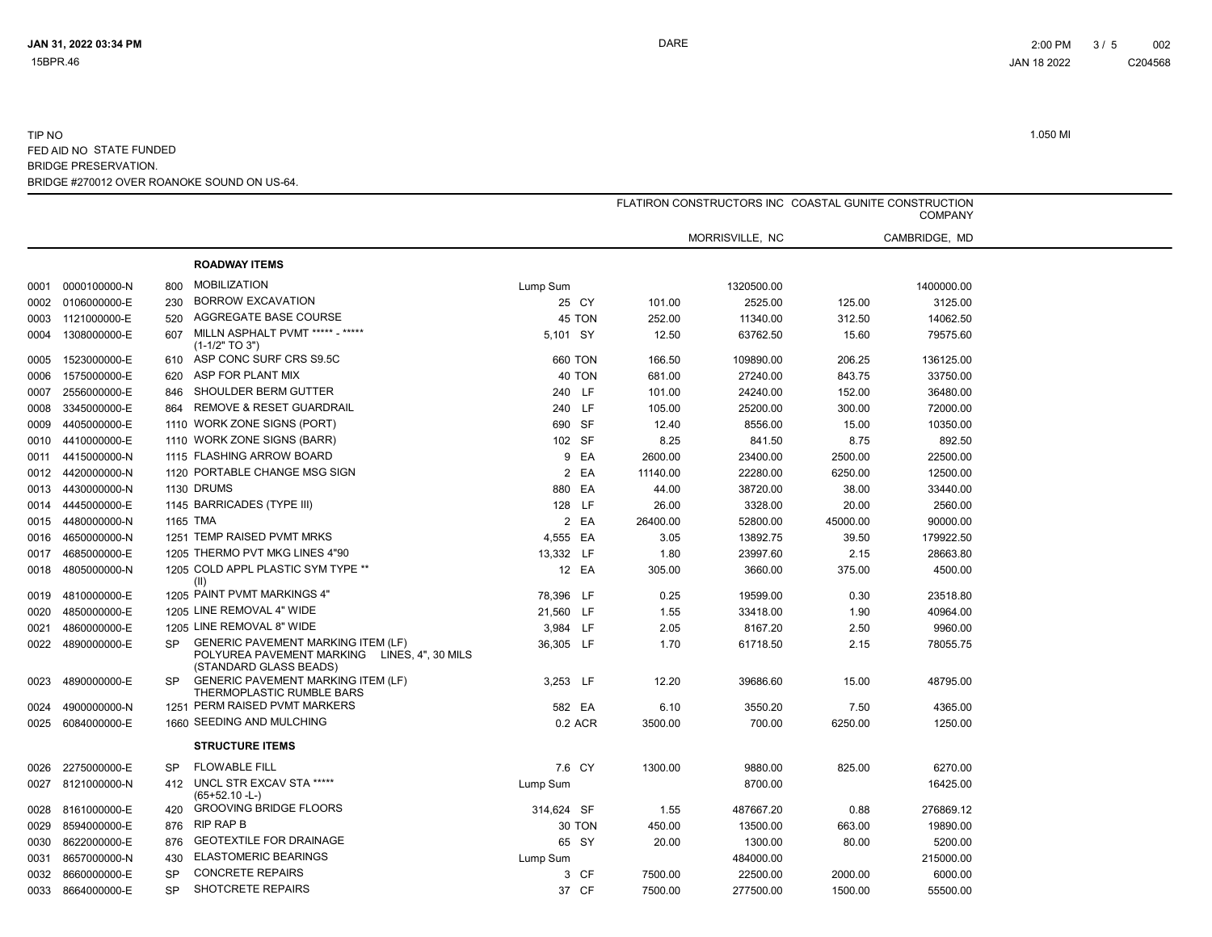|      |                   |           |                                                                                                                     | FLATIRON CONSTRUCTORS INC COASTAL GUNITE CONSTRUCTION<br><b>COMPANY</b> |          |                 |          |               |  |  |
|------|-------------------|-----------|---------------------------------------------------------------------------------------------------------------------|-------------------------------------------------------------------------|----------|-----------------|----------|---------------|--|--|
|      |                   |           |                                                                                                                     |                                                                         |          | MORRISVILLE, NC |          | CAMBRIDGE, MD |  |  |
|      |                   |           | <b>ROADWAY ITEMS</b>                                                                                                |                                                                         |          |                 |          |               |  |  |
|      | 0001 0000100000-N | 800       | <b>MOBILIZATION</b>                                                                                                 | Lump Sum                                                                |          | 1320500.00      |          | 1400000.00    |  |  |
| 0002 | 0106000000-E      | 230       | <b>BORROW EXCAVATION</b>                                                                                            | 25 CY                                                                   | 101.00   | 2525.00         | 125.00   | 3125.00       |  |  |
|      | 0003 1121000000-E | 520       | AGGREGATE BASE COURSE                                                                                               | 45 TON                                                                  | 252.00   | 11340.00        | 312.50   | 14062.50      |  |  |
| 0004 | 1308000000-E      | 607       | MILLN ASPHALT PVMT ***** - *****<br>(1-1/2" TO 3")                                                                  | 5,101 SY                                                                | 12.50    | 63762.50        | 15.60    | 79575.60      |  |  |
| 0005 | 1523000000-E      | 610       | ASP CONC SURF CRS S9.5C                                                                                             | 660 TON                                                                 | 166.50   | 109890.00       | 206.25   | 136125.00     |  |  |
| 0006 | 1575000000-E      | 620       | ASP FOR PLANT MIX                                                                                                   | 40 TON                                                                  | 681.00   | 27240.00        | 843.75   | 33750.00      |  |  |
| 0007 | 2556000000-E      | 846       | SHOULDER BERM GUTTER                                                                                                | 240 LF                                                                  | 101.00   | 24240.00        | 152.00   | 36480.00      |  |  |
| 0008 | 3345000000-E      | 864       | <b>REMOVE &amp; RESET GUARDRAIL</b>                                                                                 | 240 LF                                                                  | 105.00   | 25200.00        | 300.00   | 72000.00      |  |  |
| 0009 | 4405000000-E      |           | 1110 WORK ZONE SIGNS (PORT)                                                                                         | 690 SF                                                                  | 12.40    | 8556.00         | 15.00    | 10350.00      |  |  |
| 0010 | 4410000000-E      |           | 1110 WORK ZONE SIGNS (BARR)                                                                                         | 102 SF                                                                  | 8.25     | 841.50          | 8.75     | 892.50        |  |  |
| 0011 | 4415000000-N      |           | 1115 FLASHING ARROW BOARD                                                                                           | 9 EA                                                                    | 2600.00  | 23400.00        | 2500.00  | 22500.00      |  |  |
| 0012 | 4420000000-N      |           | 1120 PORTABLE CHANGE MSG SIGN                                                                                       | 2 EA                                                                    | 11140.00 | 22280.00        | 6250.00  | 12500.00      |  |  |
| 0013 | 4430000000-N      |           | 1130 DRUMS                                                                                                          | 880 EA                                                                  | 44.00    | 38720.00        | 38.00    | 33440.00      |  |  |
| 0014 | 4445000000-E      |           | 1145 BARRICADES (TYPE III)                                                                                          | 128 LF                                                                  | 26.00    | 3328.00         | 20.00    | 2560.00       |  |  |
| 0015 | 4480000000-N      |           | 1165 TMA                                                                                                            | 2 EA                                                                    | 26400.00 | 52800.00        | 45000.00 | 90000.00      |  |  |
| 0016 | 4650000000-N      |           | 1251 TEMP RAISED PVMT MRKS                                                                                          | 4,555 EA                                                                | 3.05     | 13892.75        | 39.50    | 179922.50     |  |  |
| 0017 | 4685000000-E      |           | 1205 THERMO PVT MKG LINES 4"90                                                                                      | 13,332 LF                                                               | 1.80     | 23997.60        | 2.15     | 28663.80      |  |  |
| 0018 | 4805000000-N      |           | 1205 COLD APPL PLASTIC SYM TYPE **<br>(II)                                                                          | 12 EA                                                                   | 305.00   | 3660.00         | 375.00   | 4500.00       |  |  |
| 0019 | 4810000000-E      |           | 1205 PAINT PVMT MARKINGS 4"                                                                                         | 78,396 LF                                                               | 0.25     | 19599.00        | 0.30     | 23518.80      |  |  |
| 0020 | 4850000000-E      |           | 1205 LINE REMOVAL 4" WIDE                                                                                           | 21,560 LF                                                               | 1.55     | 33418.00        | 1.90     | 40964.00      |  |  |
| 0021 | 4860000000-E      |           | 1205 LINE REMOVAL 8" WIDE                                                                                           | 3,984 LF                                                                | 2.05     | 8167.20         | 2.50     | 9960.00       |  |  |
| 0022 | 4890000000-E      | <b>SP</b> | <b>GENERIC PAVEMENT MARKING ITEM (LF)</b><br>POLYUREA PAVEMENT MARKING LINES, 4", 30 MILS<br>(STANDARD GLASS BEADS) | 36,305 LF                                                               | 1.70     | 61718.50        | 2.15     | 78055.75      |  |  |
| 0023 | 4890000000-E      | <b>SP</b> | <b>GENERIC PAVEMENT MARKING ITEM (LF)</b><br>THERMOPLASTIC RUMBLE BARS                                              | 3,253 LF                                                                | 12.20    | 39686.60        | 15.00    | 48795.00      |  |  |
| 0024 | 4900000000-N      |           | 1251 PERM RAISED PVMT MARKERS                                                                                       | 582 EA                                                                  | 6.10     | 3550.20         | 7.50     | 4365.00       |  |  |
| 0025 | 6084000000-E      |           | 1660 SEEDING AND MULCHING                                                                                           | 0.2 ACR                                                                 | 3500.00  | 700.00          | 6250.00  | 1250.00       |  |  |
|      |                   |           | <b>STRUCTURE ITEMS</b>                                                                                              |                                                                         |          |                 |          |               |  |  |
| 0026 | 2275000000-E      | <b>SP</b> | <b>FLOWABLE FILL</b>                                                                                                | 7.6 CY                                                                  | 1300.00  | 9880.00         | 825.00   | 6270.00       |  |  |
| 0027 | 8121000000-N      | 412       | UNCL STR EXCAV STA *****<br>$(65+52.10 - L)$                                                                        | Lump Sum                                                                |          | 8700.00         |          | 16425.00      |  |  |
|      | 0028 8161000000-E | 420       | <b>GROOVING BRIDGE FLOORS</b>                                                                                       | 314.624 SF                                                              | 1.55     | 487667.20       | 0.88     | 276869.12     |  |  |
| 0029 | 8594000000-E      | 876       | RIP RAP B                                                                                                           | 30 TON                                                                  | 450.00   | 13500.00        | 663.00   | 19890.00      |  |  |
| 0030 | 8622000000-E      | 876       | <b>GEOTEXTILE FOR DRAINAGE</b>                                                                                      | 65 SY                                                                   | 20.00    | 1300.00         | 80.00    | 5200.00       |  |  |
| 0031 | 8657000000-N      | 430       | <b>ELASTOMERIC BEARINGS</b>                                                                                         | Lump Sum                                                                |          | 484000.00       |          | 215000.00     |  |  |
| 0032 | 8660000000-E      | <b>SP</b> | <b>CONCRETE REPAIRS</b>                                                                                             | 3 CF                                                                    | 7500.00  | 22500.00        | 2000.00  | 6000.00       |  |  |
| 0033 | 8664000000-E      | <b>SP</b> | <b>SHOTCRETE REPAIRS</b>                                                                                            | 37 CF                                                                   | 7500.00  | 277500.00       | 1500.00  | 55500.00      |  |  |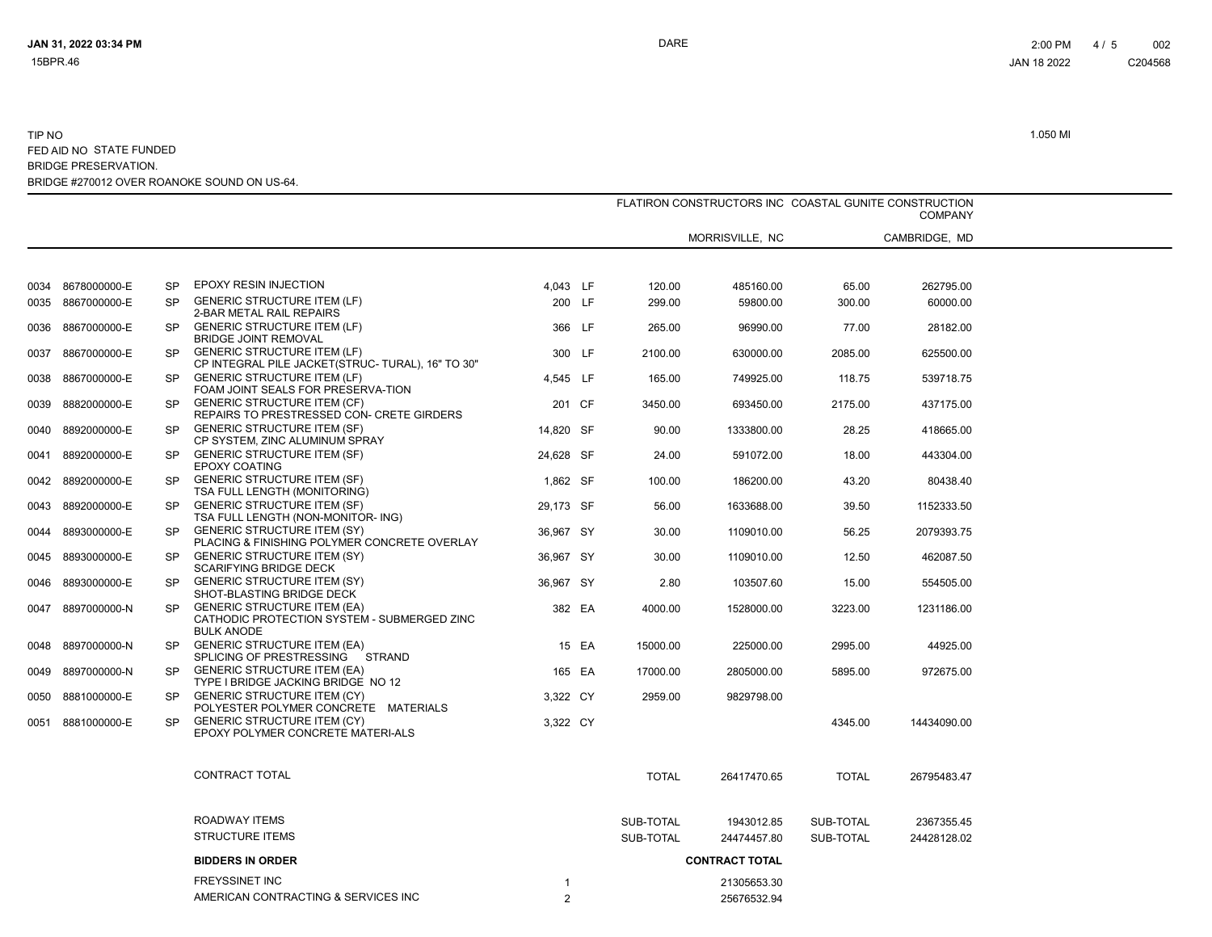|      |                   |           |                                                                                                        | FLATIRON CONSTRUCTORS INC COASTAL GUNITE CONSTRUCTION<br><b>COMPANY</b> |       |              |                 |              |               |  |
|------|-------------------|-----------|--------------------------------------------------------------------------------------------------------|-------------------------------------------------------------------------|-------|--------------|-----------------|--------------|---------------|--|
|      |                   |           |                                                                                                        |                                                                         |       |              | MORRISVILLE, NC |              | CAMBRIDGE, MD |  |
|      |                   |           |                                                                                                        |                                                                         |       |              |                 |              |               |  |
|      | 0034 8678000000-E | SP        | EPOXY RESIN INJECTION                                                                                  | 4,043 LF                                                                |       | 120.00       | 485160.00       | 65.00        | 262795.00     |  |
|      | 0035 8867000000-E | <b>SP</b> | <b>GENERIC STRUCTURE ITEM (LF)</b><br>2-BAR METAL RAIL REPAIRS                                         | 200 LF                                                                  |       | 299.00       | 59800.00        | 300.00       | 60000.00      |  |
|      | 0036 8867000000-E | <b>SP</b> | <b>GENERIC STRUCTURE ITEM (LF)</b><br><b>BRIDGE JOINT REMOVAL</b>                                      | 366 LF                                                                  |       | 265.00       | 96990.00        | 77.00        | 28182.00      |  |
| 0037 | 8867000000-E      | <b>SP</b> | <b>GENERIC STRUCTURE ITEM (LF)</b><br>CP INTEGRAL PILE JACKET (STRUC-TURAL), 16" TO 30"                | 300 LF                                                                  |       | 2100.00      | 630000.00       | 2085.00      | 625500.00     |  |
|      | 0038 8867000000-E | <b>SP</b> | <b>GENERIC STRUCTURE ITEM (LF)</b><br>FOAM JOINT SEALS FOR PRESERVA-TION                               | 4,545 LF                                                                |       | 165.00       | 749925.00       | 118.75       | 539718.75     |  |
| 0039 | 8882000000-E      | <b>SP</b> | <b>GENERIC STRUCTURE ITEM (CF)</b><br>REPAIRS TO PRESTRESSED CON- CRETE GIRDERS                        | 201 CF                                                                  |       | 3450.00      | 693450.00       | 2175.00      | 437175.00     |  |
| 0040 | 8892000000-E      | <b>SP</b> | <b>GENERIC STRUCTURE ITEM (SF)</b><br>CP SYSTEM, ZINC ALUMINUM SPRAY                                   | 14.820 SF                                                               |       | 90.00        | 1333800.00      | 28.25        | 418665.00     |  |
| 0041 | 8892000000-E      | <b>SP</b> | <b>GENERIC STRUCTURE ITEM (SF)</b><br><b>EPOXY COATING</b>                                             | 24,628 SF                                                               |       | 24.00        | 591072.00       | 18.00        | 443304.00     |  |
|      | 0042 8892000000-E | <b>SP</b> | <b>GENERIC STRUCTURE ITEM (SF)</b><br>TSA FULL LENGTH (MONITORING)                                     | 1,862 SF                                                                |       | 100.00       | 186200.00       | 43.20        | 80438.40      |  |
| 0043 | 8892000000-E      | <b>SP</b> | <b>GENERIC STRUCTURE ITEM (SF)</b><br>TSA FULL LENGTH (NON-MONITOR- ING)                               | 29,173 SF                                                               |       | 56.00        | 1633688.00      | 39.50        | 1152333.50    |  |
| 0044 | 8893000000-E      | <b>SP</b> | <b>GENERIC STRUCTURE ITEM (SY)</b><br>PLACING & FINISHING POLYMER CONCRETE OVERLAY                     | 36,967 SY                                                               |       | 30.00        | 1109010.00      | 56.25        | 2079393.75    |  |
| 0045 | 8893000000-E      | <b>SP</b> | <b>GENERIC STRUCTURE ITEM (SY)</b><br><b>SCARIFYING BRIDGE DECK</b>                                    | 36,967 SY                                                               |       | 30.00        | 1109010.00      | 12.50        | 462087.50     |  |
| 0046 | 8893000000-E      | <b>SP</b> | <b>GENERIC STRUCTURE ITEM (SY)</b><br>SHOT-BLASTING BRIDGE DECK                                        | 36.967 SY                                                               |       | 2.80         | 103507.60       | 15.00        | 554505.00     |  |
|      | 0047 8897000000-N | <b>SP</b> | <b>GENERIC STRUCTURE ITEM (EA)</b><br>CATHODIC PROTECTION SYSTEM - SUBMERGED ZINC<br><b>BULK ANODE</b> | 382 EA                                                                  |       | 4000.00      | 1528000.00      | 3223.00      | 1231186.00    |  |
|      | 0048 8897000000-N | <b>SP</b> | <b>GENERIC STRUCTURE ITEM (EA)</b><br>SPLICING OF PRESTRESSING STRAND                                  |                                                                         | 15 EA | 15000.00     | 225000.00       | 2995.00      | 44925.00      |  |
|      | 0049 8897000000-N | <b>SP</b> | <b>GENERIC STRUCTURE ITEM (EA)</b><br>TYPE I BRIDGE JACKING BRIDGE NO 12                               | 165 EA                                                                  |       | 17000.00     | 2805000.00      | 5895.00      | 972675.00     |  |
| 0050 | 8881000000-E      | <b>SP</b> | <b>GENERIC STRUCTURE ITEM (CY)</b><br>POLYESTER POLYMER CONCRETE MATERIALS                             | 3,322 CY                                                                |       | 2959.00      | 9829798.00      |              |               |  |
| 0051 | 8881000000-E      | <b>SP</b> | <b>GENERIC STRUCTURE ITEM (CY)</b><br>EPOXY POLYMER CONCRETE MATERI-ALS                                | 3,322 CY                                                                |       |              |                 | 4345.00      | 14434090.00   |  |
|      |                   |           | CONTRACT TOTAL                                                                                         |                                                                         |       | <b>TOTAL</b> | 26417470.65     | <b>TOTAL</b> | 26795483.47   |  |
|      |                   |           | ROADWAY ITEMS                                                                                          |                                                                         |       | SUB-TOTAL    | 1943012.85      | SUB-TOTAL    | 2367355.45    |  |
|      |                   |           | <b>STRUCTURE ITEMS</b>                                                                                 |                                                                         |       | SUB-TOTAL    | 24474457.80     | SUB-TOTAL    | 24428128.02   |  |
|      |                   |           | <b>BIDDERS IN ORDER</b>                                                                                | <b>CONTRACT TOTAL</b>                                                   |       |              |                 |              |               |  |
|      |                   |           | <b>FREYSSINET INC</b>                                                                                  |                                                                         |       |              | 21305653.30     |              |               |  |
|      |                   |           | AMERICAN CONTRACTING & SERVICES INC                                                                    | 2                                                                       |       |              | 25676532.94     |              |               |  |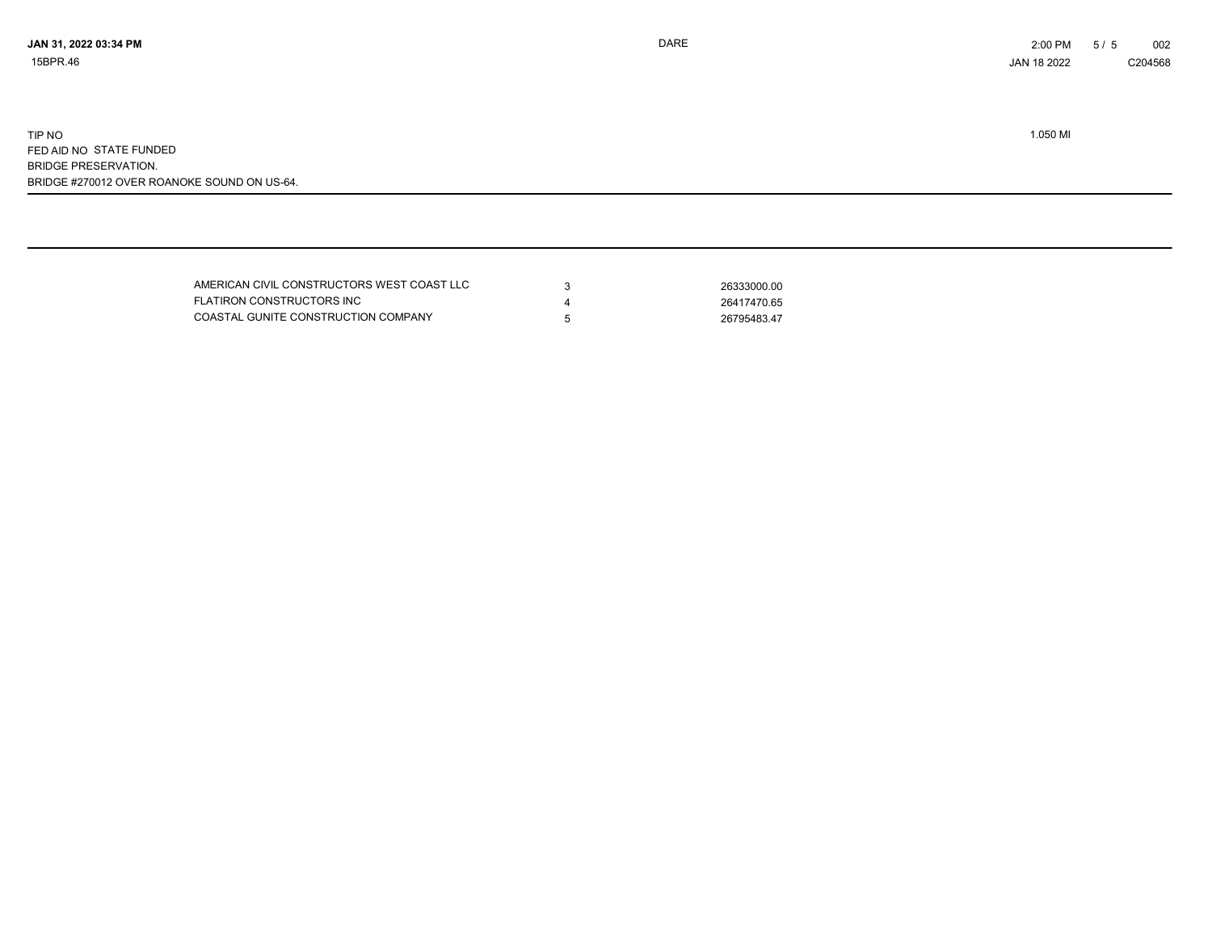| AMERICAN CIVIL CONSTRUCTORS WEST COAST LLC | 26333000.00 |
|--------------------------------------------|-------------|
| FLATIRON CONSTRUCTORS INC                  | 26417470.65 |
| COASTAL GUNITE CONSTRUCTION COMPANY        | 26795483.47 |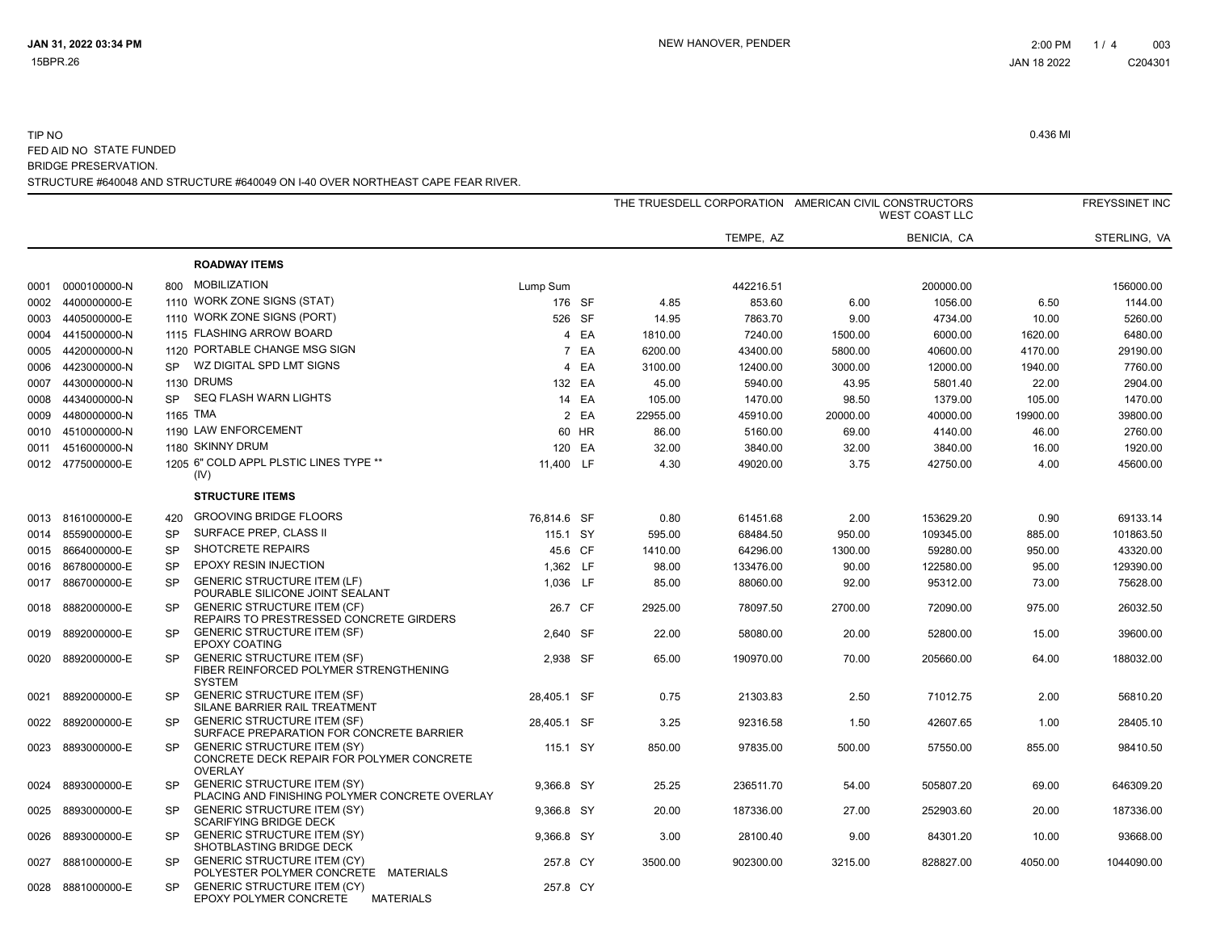|      |                   |           |                                                                                                   |             |        |          |           | THE TRUESDELL CORPORATION AMERICAN CIVIL CONSTRUCTORS<br><b>WEST COAST LLC</b> |             |          | <b>FREYSSINET INC</b> |
|------|-------------------|-----------|---------------------------------------------------------------------------------------------------|-------------|--------|----------|-----------|--------------------------------------------------------------------------------|-------------|----------|-----------------------|
|      |                   |           |                                                                                                   |             |        |          | TEMPE, AZ |                                                                                | BENICIA, CA |          | STERLING, VA          |
|      |                   |           | <b>ROADWAY ITEMS</b>                                                                              |             |        |          |           |                                                                                |             |          |                       |
| 0001 | 0000100000-N      | 800       | <b>MOBILIZATION</b>                                                                               | Lump Sum    |        |          | 442216.51 |                                                                                | 200000.00   |          | 156000.00             |
| 0002 | 4400000000-E      |           | 1110 WORK ZONE SIGNS (STAT)                                                                       | 176 SF      |        | 4.85     | 853.60    | 6.00                                                                           | 1056.00     | 6.50     | 1144.00               |
| 0003 | 4405000000-E      |           | 1110 WORK ZONE SIGNS (PORT)                                                                       | 526 SF      |        | 14.95    | 7863.70   | 9.00                                                                           | 4734.00     | 10.00    | 5260.00               |
| 0004 | 4415000000-N      |           | 1115 FLASHING ARROW BOARD                                                                         |             | 4 EA   | 1810.00  | 7240.00   | 1500.00                                                                        | 6000.00     | 1620.00  | 6480.00               |
| 0005 | 4420000000-N      |           | 1120 PORTABLE CHANGE MSG SIGN                                                                     |             | 7 EA   | 6200.00  | 43400.00  | 5800.00                                                                        | 40600.00    | 4170.00  | 29190.00              |
| 0006 | 4423000000-N      | <b>SP</b> | WZ DIGITAL SPD LMT SIGNS                                                                          |             | 4 EA   | 3100.00  | 12400.00  | 3000.00                                                                        | 12000.00    | 1940.00  | 7760.00               |
| 0007 | 4430000000-N      |           | 1130 DRUMS                                                                                        |             | 132 EA | 45.00    | 5940.00   | 43.95                                                                          | 5801.40     | 22.00    | 2904.00               |
| 0008 | 4434000000-N      | <b>SP</b> | SEQ FLASH WARN LIGHTS                                                                             |             | 14 EA  | 105.00   | 1470.00   | 98.50                                                                          | 1379.00     | 105.00   | 1470.00               |
| 0009 | 4480000000-N      |           | 1165 TMA                                                                                          |             | 2 EA   | 22955.00 | 45910.00  | 20000.00                                                                       | 40000.00    | 19900.00 | 39800.00              |
| 0010 | 4510000000-N      |           | 1190 LAW ENFORCEMENT                                                                              |             | 60 HR  | 86.00    | 5160.00   | 69.00                                                                          | 4140.00     | 46.00    | 2760.00               |
| 0011 | 4516000000-N      |           | 1180 SKINNY DRUM                                                                                  |             | 120 EA | 32.00    | 3840.00   | 32.00                                                                          | 3840.00     | 16.00    | 1920.00               |
|      | 0012 4775000000-E |           | 1205 6" COLD APPL PLSTIC LINES TYPE **<br>(IV)                                                    | 11,400 LF   |        | 4.30     | 49020.00  | 3.75                                                                           | 42750.00    | 4.00     | 45600.00              |
|      |                   |           | <b>STRUCTURE ITEMS</b>                                                                            |             |        |          |           |                                                                                |             |          |                       |
|      | 0013 8161000000-E | 420       | <b>GROOVING BRIDGE FLOORS</b>                                                                     | 76,814.6 SF |        | 0.80     | 61451.68  | 2.00                                                                           | 153629.20   | 0.90     | 69133.14              |
|      | 0014 8559000000-E | <b>SP</b> | SURFACE PREP, CLASS II                                                                            | 115.1 SY    |        | 595.00   | 68484.50  | 950.00                                                                         | 109345.00   | 885.00   | 101863.50             |
| 0015 | 8664000000-E      | <b>SP</b> | SHOTCRETE REPAIRS                                                                                 | 45.6 CF     |        | 1410.00  | 64296.00  | 1300.00                                                                        | 59280.00    | 950.00   | 43320.00              |
| 0016 | 8678000000-E      | <b>SP</b> | EPOXY RESIN INJECTION                                                                             | 1,362 LF    |        | 98.00    | 133476.00 | 90.00                                                                          | 122580.00   | 95.00    | 129390.00             |
| 0017 | 8867000000-E      | <b>SP</b> | <b>GENERIC STRUCTURE ITEM (LF)</b><br>POURABLE SILICONE JOINT SEALANT                             | 1,036 LF    |        | 85.00    | 88060.00  | 92.00                                                                          | 95312.00    | 73.00    | 75628.00              |
| 0018 | 8882000000-E      | <b>SP</b> | <b>GENERIC STRUCTURE ITEM (CF)</b><br>REPAIRS TO PRESTRESSED CONCRETE GIRDERS                     | 26.7 CF     |        | 2925.00  | 78097.50  | 2700.00                                                                        | 72090.00    | 975.00   | 26032.50              |
| 0019 | 8892000000-E      | <b>SP</b> | <b>GENERIC STRUCTURE ITEM (SF)</b><br><b>EPOXY COATING</b>                                        | 2.640 SF    |        | 22.00    | 58080.00  | 20.00                                                                          | 52800.00    | 15.00    | 39600.00              |
| 0020 | 8892000000-E      | <b>SP</b> | <b>GENERIC STRUCTURE ITEM (SF)</b><br>FIBER REINFORCED POLYMER STRENGTHENING<br><b>SYSTEM</b>     | 2,938 SF    |        | 65.00    | 190970.00 | 70.00                                                                          | 205660.00   | 64.00    | 188032.00             |
| 0021 | 8892000000-E      | <b>SP</b> | <b>GENERIC STRUCTURE ITEM (SF)</b><br>SILANE BARRIER RAIL TREATMENT                               | 28.405.1 SF |        | 0.75     | 21303.83  | 2.50                                                                           | 71012.75    | 2.00     | 56810.20              |
| 0022 | 8892000000-E      | <b>SP</b> | <b>GENERIC STRUCTURE ITEM (SF)</b><br>SURFACE PREPARATION FOR CONCRETE BARRIER                    | 28,405.1 SF |        | 3.25     | 92316.58  | 1.50                                                                           | 42607.65    | 1.00     | 28405.10              |
| 0023 | 8893000000-E      | <b>SP</b> | <b>GENERIC STRUCTURE ITEM (SY)</b><br>CONCRETE DECK REPAIR FOR POLYMER CONCRETE<br><b>OVERLAY</b> | 115.1 SY    |        | 850.00   | 97835.00  | 500.00                                                                         | 57550.00    | 855.00   | 98410.50              |
| 0024 | 8893000000-E      | <b>SP</b> | <b>GENERIC STRUCTURE ITEM (SY)</b><br>PLACING AND FINISHING POLYMER CONCRETE OVERLAY              | 9.366.8 SY  |        | 25.25    | 236511.70 | 54.00                                                                          | 505807.20   | 69.00    | 646309.20             |
| 0025 | 8893000000-E      | <b>SP</b> | <b>GENERIC STRUCTURE ITEM (SY)</b><br><b>SCARIFYING BRIDGE DECK</b>                               | 9,366.8 SY  |        | 20.00    | 187336.00 | 27.00                                                                          | 252903.60   | 20.00    | 187336.00             |
| 0026 | 8893000000-E      | <b>SP</b> | <b>GENERIC STRUCTURE ITEM (SY)</b><br>SHOTBLASTING BRIDGE DECK                                    | 9.366.8 SY  |        | 3.00     | 28100.40  | 9.00                                                                           | 84301.20    | 10.00    | 93668.00              |
| 0027 | 8881000000-E      | <b>SP</b> | <b>GENERIC STRUCTURE ITEM (CY)</b><br>POLYESTER POLYMER CONCRETE MATERIALS                        | 257.8 CY    |        | 3500.00  | 902300.00 | 3215.00                                                                        | 828827.00   | 4050.00  | 1044090.00            |
|      | 0028 8881000000-E | <b>SP</b> | <b>GENERIC STRUCTURE ITEM (CY)</b><br>EPOXY POLYMER CONCRETE<br><b>MATERIALS</b>                  | 257.8 CY    |        |          |           |                                                                                |             |          |                       |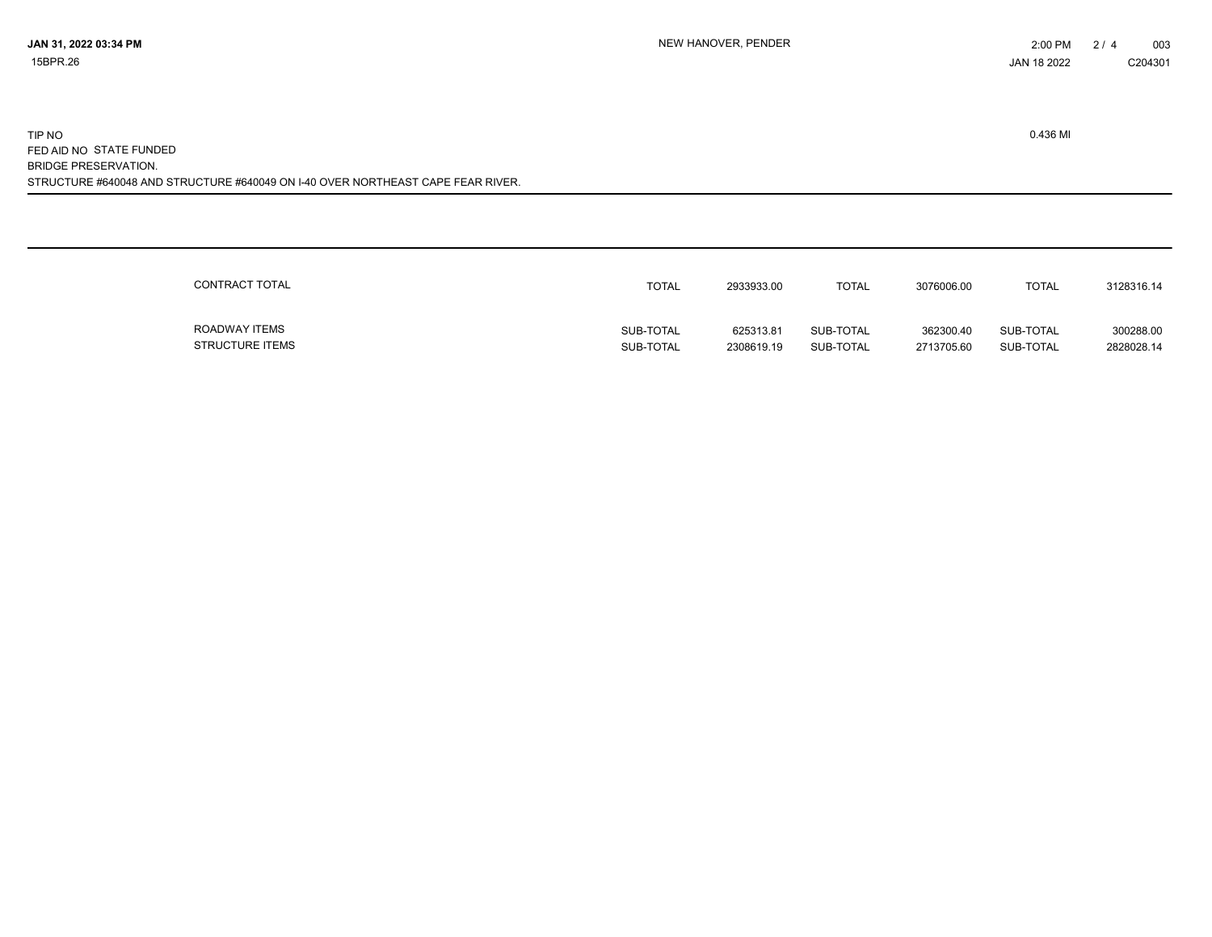| CONTRACT TOTAL         | TOTAL     | 2933933.00 | <b>TOTAL</b> | 3076006.00 | <b>TOTAL</b> | 3128316.14 |
|------------------------|-----------|------------|--------------|------------|--------------|------------|
| ROADWAY ITEMS          | SUB-TOTAL | 625313.81  | SUB-TOTAL    | 362300.40  | SUB-TOTAL    | 300288.00  |
| <b>STRUCTURE ITEMS</b> | SUB-TOTAL | 2308619.19 | SUB-TOTAL    | 2713705.60 | SUB-TOTAL    | 2828028.14 |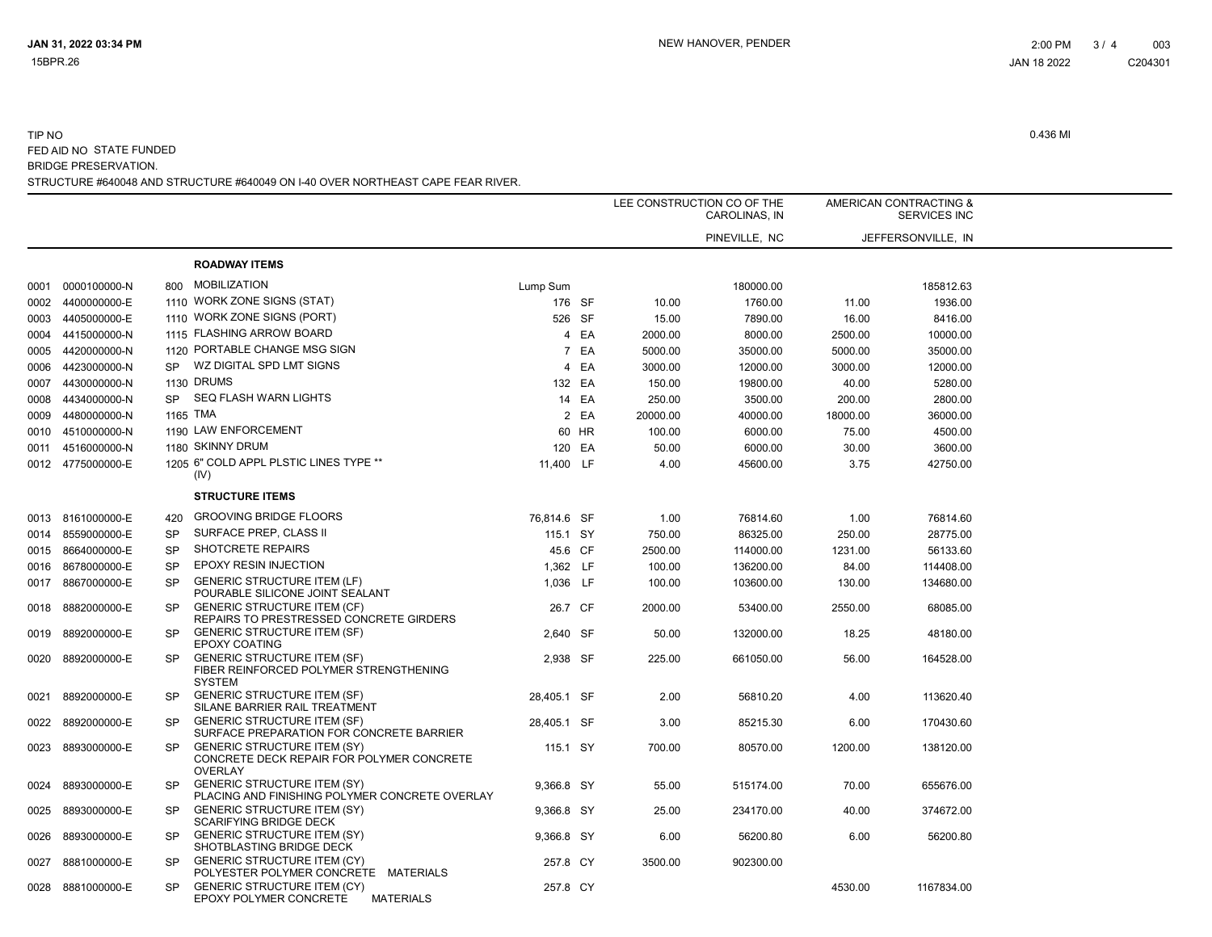|      |                   |           |                                                                                                   |             |       |          | LEE CONSTRUCTION CO OF THE<br>CAROLINAS, IN |          | AMERICAN CONTRACTING &<br><b>SERVICES INC</b> |  |
|------|-------------------|-----------|---------------------------------------------------------------------------------------------------|-------------|-------|----------|---------------------------------------------|----------|-----------------------------------------------|--|
|      |                   |           |                                                                                                   |             |       |          | PINEVILLE, NC                               |          | JEFFERSONVILLE. IN                            |  |
|      |                   |           | <b>ROADWAY ITEMS</b>                                                                              |             |       |          |                                             |          |                                               |  |
|      | 0001 0000100000-N | 800       | <b>MOBILIZATION</b>                                                                               | Lump Sum    |       |          | 180000.00                                   |          | 185812.63                                     |  |
| 0002 | 4400000000-E      |           | 1110 WORK ZONE SIGNS (STAT)                                                                       | 176 SF      |       | 10.00    | 1760.00                                     | 11.00    | 1936.00                                       |  |
| 0003 | 4405000000-E      |           | 1110 WORK ZONE SIGNS (PORT)                                                                       | 526 SF      |       | 15.00    | 7890.00                                     | 16.00    | 8416.00                                       |  |
|      | 0004 4415000000-N |           | 1115 FLASHING ARROW BOARD                                                                         |             | 4 EA  | 2000.00  | 8000.00                                     | 2500.00  | 10000.00                                      |  |
| 0005 | 4420000000-N      |           | 1120 PORTABLE CHANGE MSG SIGN                                                                     |             | 7 EA  | 5000.00  | 35000.00                                    | 5000.00  | 35000.00                                      |  |
| 0006 | 4423000000-N      | <b>SP</b> | WZ DIGITAL SPD LMT SIGNS                                                                          |             | 4 EA  | 3000.00  | 12000.00                                    | 3000.00  | 12000.00                                      |  |
| 0007 | 4430000000-N      |           | <b>1130 DRUMS</b>                                                                                 | 132 EA      |       | 150.00   | 19800.00                                    | 40.00    | 5280.00                                       |  |
| 0008 | 4434000000-N      | <b>SP</b> | <b>SEQ FLASH WARN LIGHTS</b>                                                                      |             | 14 EA | 250.00   | 3500.00                                     | 200.00   | 2800.00                                       |  |
| 0009 | 4480000000-N      |           | 1165 TMA                                                                                          |             | 2 EA  | 20000.00 | 40000.00                                    | 18000.00 | 36000.00                                      |  |
| 0010 | 4510000000-N      |           | 1190 LAW ENFORCEMENT                                                                              |             | 60 HR | 100.00   | 6000.00                                     | 75.00    | 4500.00                                       |  |
| 0011 | 4516000000-N      |           | 1180 SKINNY DRUM                                                                                  | 120 EA      |       | 50.00    | 6000.00                                     | 30.00    | 3600.00                                       |  |
|      | 0012 4775000000-E |           | 1205 6" COLD APPL PLSTIC LINES TYPE **                                                            | 11,400 LF   |       | 4.00     | 45600.00                                    | 3.75     | 42750.00                                      |  |
|      |                   |           | (IV)                                                                                              |             |       |          |                                             |          |                                               |  |
|      |                   |           | <b>STRUCTURE ITEMS</b>                                                                            |             |       |          |                                             |          |                                               |  |
|      | 0013 8161000000-E | 420       | <b>GROOVING BRIDGE FLOORS</b>                                                                     | 76,814.6 SF |       | 1.00     | 76814.60                                    | 1.00     | 76814.60                                      |  |
| 0014 | 8559000000-E      | <b>SP</b> | SURFACE PREP, CLASS II                                                                            | 115.1 SY    |       | 750.00   | 86325.00                                    | 250.00   | 28775.00                                      |  |
|      | 0015 8664000000-E | SP        | <b>SHOTCRETE REPAIRS</b>                                                                          | 45.6 CF     |       | 2500.00  | 114000.00                                   | 1231.00  | 56133.60                                      |  |
|      | 0016 8678000000-E | <b>SP</b> | EPOXY RESIN INJECTION                                                                             | 1,362 LF    |       | 100.00   | 136200.00                                   | 84.00    | 114408.00                                     |  |
| 0017 | 8867000000-E      | <b>SP</b> | <b>GENERIC STRUCTURE ITEM (LF)</b><br>POURABLE SILICONE JOINT SEALANT                             | 1,036 LF    |       | 100.00   | 103600.00                                   | 130.00   | 134680.00                                     |  |
|      | 0018 8882000000-E | <b>SP</b> | <b>GENERIC STRUCTURE ITEM (CF)</b><br>REPAIRS TO PRESTRESSED CONCRETE GIRDERS                     | 26.7 CF     |       | 2000.00  | 53400.00                                    | 2550.00  | 68085.00                                      |  |
| 0019 | 8892000000-E      | <b>SP</b> | <b>GENERIC STRUCTURE ITEM (SF)</b><br>EPOXY COATING                                               | 2,640 SF    |       | 50.00    | 132000.00                                   | 18.25    | 48180.00                                      |  |
|      | 0020 8892000000-E | <b>SP</b> | <b>GENERIC STRUCTURE ITEM (SF)</b><br>FIBER REINFORCED POLYMER STRENGTHENING<br><b>SYSTEM</b>     | 2,938 SF    |       | 225.00   | 661050.00                                   | 56.00    | 164528.00                                     |  |
| 0021 | 8892000000-E      | <b>SP</b> | <b>GENERIC STRUCTURE ITEM (SF)</b><br>SILANE BARRIER RAIL TREATMENT                               | 28.405.1 SF |       | 2.00     | 56810.20                                    | 4.00     | 113620.40                                     |  |
|      | 0022 8892000000-E | <b>SP</b> | <b>GENERIC STRUCTURE ITEM (SF)</b><br>SURFACE PREPARATION FOR CONCRETE BARRIER                    | 28,405.1 SF |       | 3.00     | 85215.30                                    | 6.00     | 170430.60                                     |  |
| 0023 | 8893000000-E      | <b>SP</b> | <b>GENERIC STRUCTURE ITEM (SY)</b><br>CONCRETE DECK REPAIR FOR POLYMER CONCRETE<br><b>OVERLAY</b> | 115.1 SY    |       | 700.00   | 80570.00                                    | 1200.00  | 138120.00                                     |  |
| 0024 | 8893000000-E      | <b>SP</b> | <b>GENERIC STRUCTURE ITEM (SY)</b><br>PLACING AND FINISHING POLYMER CONCRETE OVERLAY              | 9,366.8 SY  |       | 55.00    | 515174.00                                   | 70.00    | 655676.00                                     |  |
|      | 0025 8893000000-E | <b>SP</b> | <b>GENERIC STRUCTURE ITEM (SY)</b><br><b>SCARIFYING BRIDGE DECK</b>                               | 9,366.8 SY  |       | 25.00    | 234170.00                                   | 40.00    | 374672.00                                     |  |
| 0026 | 8893000000-E      | <b>SP</b> | <b>GENERIC STRUCTURE ITEM (SY)</b><br>SHOTBLASTING BRIDGE DECK                                    | 9,366.8 SY  |       | 6.00     | 56200.80                                    | 6.00     | 56200.80                                      |  |
| 0027 | 8881000000-E      | <b>SP</b> | <b>GENERIC STRUCTURE ITEM (CY)</b><br>POLYESTER POLYMER CONCRETE MATERIALS                        | 257.8 CY    |       | 3500.00  | 902300.00                                   |          |                                               |  |
|      | 0028 8881000000-E | <b>SP</b> | <b>GENERIC STRUCTURE ITEM (CY)</b><br>EPOXY POLYMER CONCRETE<br><b>MATERIALS</b>                  | 257.8 CY    |       |          |                                             | 4530.00  | 1167834.00                                    |  |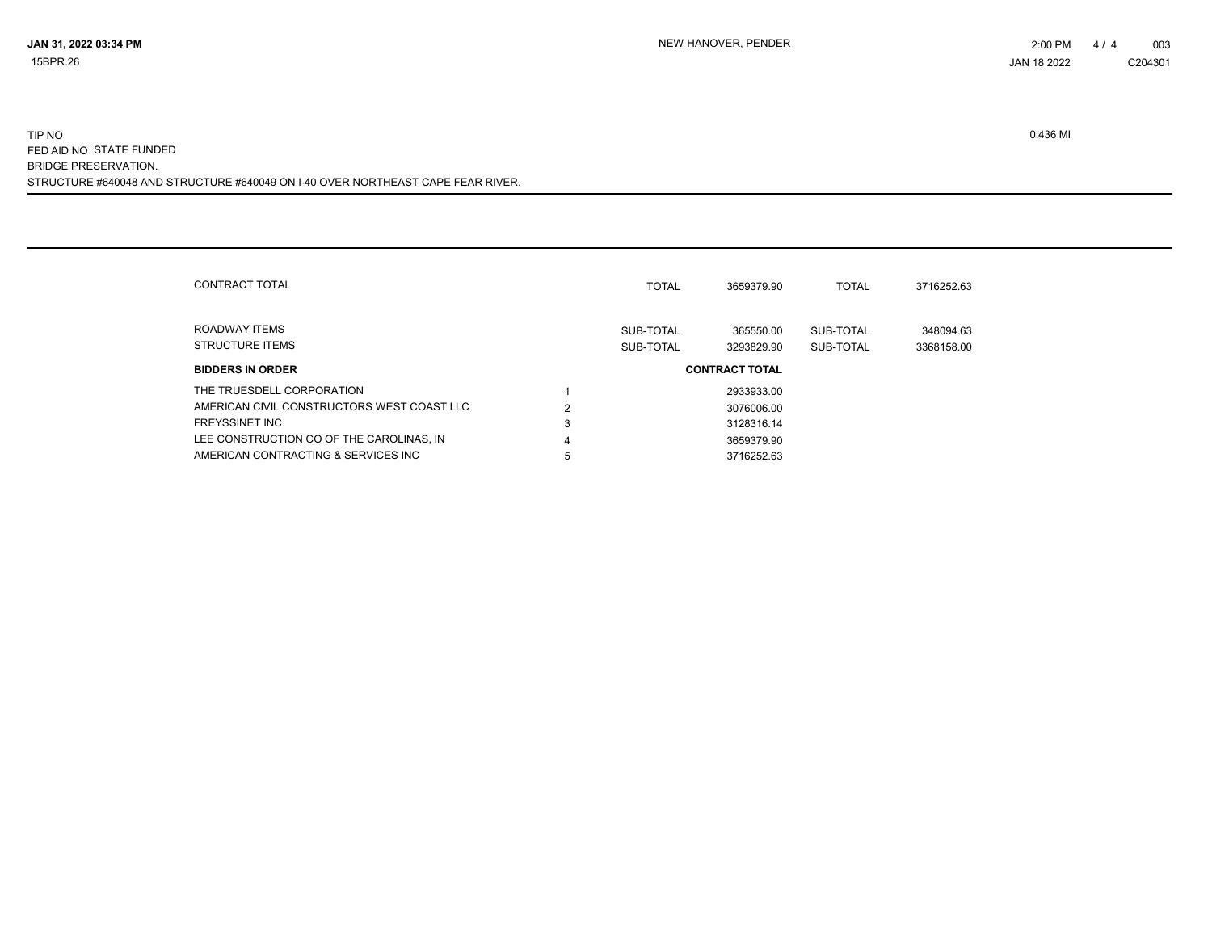| CONTRACT TOTAL                             |   | <b>TOTAL</b>           | 3659379.90              | <b>TOTAL</b>           | 3716252.63              |
|--------------------------------------------|---|------------------------|-------------------------|------------------------|-------------------------|
| ROADWAY ITEMS<br><b>STRUCTURE ITEMS</b>    |   | SUB-TOTAL<br>SUB-TOTAL | 365550.00<br>3293829.90 | SUB-TOTAL<br>SUB-TOTAL | 348094.63<br>3368158.00 |
| <b>BIDDERS IN ORDER</b>                    |   |                        | <b>CONTRACT TOTAL</b>   |                        |                         |
| THE TRUESDELL CORPORATION                  |   |                        | 2933933.00              |                        |                         |
| AMERICAN CIVIL CONSTRUCTORS WEST COAST LLC | 2 |                        | 3076006.00              |                        |                         |
| <b>FREYSSINET INC</b>                      | 3 |                        | 3128316.14              |                        |                         |
| LEE CONSTRUCTION CO OF THE CAROLINAS, IN   | 4 |                        | 3659379.90              |                        |                         |
| AMERICAN CONTRACTING & SERVICES INC        | 5 |                        | 3716252.63              |                        |                         |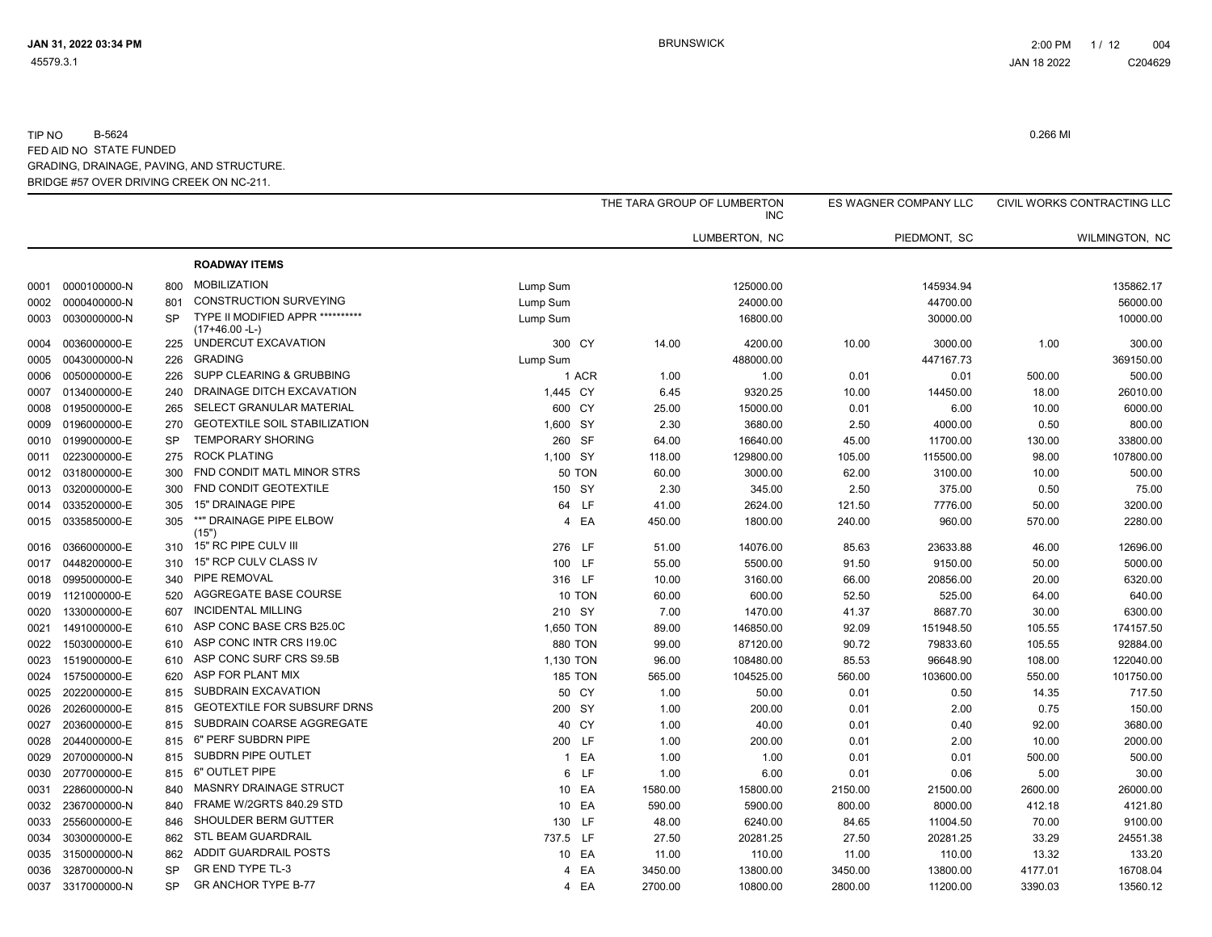|      |                   |           |                                                    |                |         | THE TARA GROUP OF LUMBERTON<br><b>INC</b> |         | ES WAGNER COMPANY LLC |         | CIVIL WORKS CONTRACTING LLC |
|------|-------------------|-----------|----------------------------------------------------|----------------|---------|-------------------------------------------|---------|-----------------------|---------|-----------------------------|
|      |                   |           |                                                    |                |         | LUMBERTON, NC                             |         | PIEDMONT, SC          |         | WILMINGTON, NC              |
|      |                   |           | <b>ROADWAY ITEMS</b>                               |                |         |                                           |         |                       |         |                             |
| 0001 | 0000100000-N      | 800       | <b>MOBILIZATION</b>                                | Lump Sum       |         | 125000.00                                 |         | 145934.94             |         | 135862.17                   |
| 0002 | 0000400000-N      | 801       | <b>CONSTRUCTION SURVEYING</b>                      | Lump Sum       |         | 24000.00                                  |         | 44700.00              |         | 56000.00                    |
| 0003 | 0030000000-N      | <b>SP</b> | TYPE II MODIFIED APPR **********<br>(17+46.00 -L-) | Lump Sum       |         | 16800.00                                  |         | 30000.00              |         | 10000.00                    |
| 0004 | 0036000000-E      | 225       | UNDERCUT EXCAVATION                                | 300 CY         | 14.00   | 4200.00                                   | 10.00   | 3000.00               | 1.00    | 300.00                      |
| 0005 | 0043000000-N      | 226       | <b>GRADING</b>                                     | Lump Sum       |         | 488000.00                                 |         | 447167.73             |         | 369150.00                   |
| 0006 | 0050000000-E      | 226       | SUPP CLEARING & GRUBBING                           | 1 ACR          | 1.00    | 1.00                                      | 0.01    | 0.01                  | 500.00  | 500.00                      |
| 0007 | 0134000000-E      | 240       | DRAINAGE DITCH EXCAVATION                          | 1,445 CY       | 6.45    | 9320.25                                   | 10.00   | 14450.00              | 18.00   | 26010.00                    |
| 0008 | 0195000000-E      | 265       | <b>SELECT GRANULAR MATERIAL</b>                    | 600 CY         | 25.00   | 15000.00                                  | 0.01    | 6.00                  | 10.00   | 6000.00                     |
| 0009 | 0196000000-E      | 270       | <b>GEOTEXTILE SOIL STABILIZATION</b>               | 1,600 SY       | 2.30    | 3680.00                                   | 2.50    | 4000.00               | 0.50    | 800.00                      |
| 0010 | 0199000000-E      | <b>SP</b> | <b>TEMPORARY SHORING</b>                           | 260 SF         | 64.00   | 16640.00                                  | 45.00   | 11700.00              | 130.00  | 33800.00                    |
| 0011 | 0223000000-E      | 275       | <b>ROCK PLATING</b>                                | 1,100 SY       | 118.00  | 129800.00                                 | 105.00  | 115500.00             | 98.00   | 107800.00                   |
| 0012 | 0318000000-E      | 300       | FND CONDIT MATL MINOR STRS                         | <b>50 TON</b>  | 60.00   | 3000.00                                   | 62.00   | 3100.00               | 10.00   | 500.00                      |
| 0013 | 0320000000-E      | 300       | FND CONDIT GEOTEXTILE                              | 150 SY         | 2.30    | 345.00                                    | 2.50    | 375.00                | 0.50    | 75.00                       |
| 0014 | 0335200000-E      | 305       | 15" DRAINAGE PIPE                                  | 64 LF          | 41.00   | 2624.00                                   | 121.50  | 7776.00               | 50.00   | 3200.00                     |
| 0015 | 0335850000-E      | 305       | **" DRAINAGE PIPE ELBOW<br>(15")                   | 4 EA           | 450.00  | 1800.00                                   | 240.00  | 960.00                | 570.00  | 2280.00                     |
| 0016 | 0366000000-E      | 310       | 15" RC PIPE CULV III                               | 276 LF         | 51.00   | 14076.00                                  | 85.63   | 23633.88              | 46.00   | 12696.00                    |
| 0017 | 0448200000-E      | 310       | 15" RCP CULV CLASS IV                              | 100 LF         | 55.00   | 5500.00                                   | 91.50   | 9150.00               | 50.00   | 5000.00                     |
| 0018 | 0995000000-E      | 340       | PIPE REMOVAL                                       | 316 LF         | 10.00   | 3160.00                                   | 66.00   | 20856.00              | 20.00   | 6320.00                     |
| 0019 | 1121000000-E      | 520       | AGGREGATE BASE COURSE                              | 10 TON         | 60.00   | 600.00                                    | 52.50   | 525.00                | 64.00   | 640.00                      |
| 0020 | 1330000000-E      | 607       | <b>INCIDENTAL MILLING</b>                          | 210 SY         | 7.00    | 1470.00                                   | 41.37   | 8687.70               | 30.00   | 6300.00                     |
| 0021 | 1491000000-E      | 610       | ASP CONC BASE CRS B25.0C                           | 1,650 TON      | 89.00   | 146850.00                                 | 92.09   | 151948.50             | 105.55  | 174157.50                   |
| 0022 | 1503000000-E      | 610       | ASP CONC INTR CRS I19.0C                           | <b>880 TON</b> | 99.00   | 87120.00                                  | 90.72   | 79833.60              | 105.55  | 92884.00                    |
| 0023 | 1519000000-E      | 610       | ASP CONC SURF CRS S9.5B                            | 1,130 TON      | 96.00   | 108480.00                                 | 85.53   | 96648.90              | 108.00  | 122040.00                   |
| 0024 | 1575000000-E      | 620       | ASP FOR PLANT MIX                                  | <b>185 TON</b> | 565.00  | 104525.00                                 | 560.00  | 103600.00             | 550.00  | 101750.00                   |
| 0025 | 2022000000-E      | 815       | SUBDRAIN EXCAVATION                                | 50 CY          | 1.00    | 50.00                                     | 0.01    | 0.50                  | 14.35   | 717.50                      |
| 0026 | 2026000000-E      | 815       | <b>GEOTEXTILE FOR SUBSURF DRNS</b>                 | 200 SY         | 1.00    | 200.00                                    | 0.01    | 2.00                  | 0.75    | 150.00                      |
| 0027 | 2036000000-E      | 815       | SUBDRAIN COARSE AGGREGATE                          | 40 CY          | 1.00    | 40.00                                     | 0.01    | 0.40                  | 92.00   | 3680.00                     |
| 0028 | 2044000000-E      | 815       | 6" PERF SUBDRN PIPE                                | 200 LF         | 1.00    | 200.00                                    | 0.01    | 2.00                  | 10.00   | 2000.00                     |
| 0029 | 2070000000-N      | 815       | SUBDRN PIPE OUTLET                                 | 1 EA           | 1.00    | 1.00                                      | 0.01    | 0.01                  | 500.00  | 500.00                      |
| 0030 | 2077000000-E      | 815       | 6" OUTLET PIPE                                     | 6 LF           | 1.00    | 6.00                                      | 0.01    | 0.06                  | 5.00    | 30.00                       |
| 0031 | 2286000000-N      | 840       | <b>MASNRY DRAINAGE STRUCT</b>                      | 10 EA          | 1580.00 | 15800.00                                  | 2150.00 | 21500.00              | 2600.00 | 26000.00                    |
| 0032 | 2367000000-N      | 840       | FRAME W/2GRTS 840.29 STD                           | 10 EA          | 590.00  | 5900.00                                   | 800.00  | 8000.00               | 412.18  | 4121.80                     |
| 0033 | 2556000000-E      | 846       | SHOULDER BERM GUTTER                               | 130 LF         | 48.00   | 6240.00                                   | 84.65   | 11004.50              | 70.00   | 9100.00                     |
| 0034 | 3030000000-E      | 862       | STL BEAM GUARDRAIL                                 | 737.5 LF       | 27.50   | 20281.25                                  | 27.50   | 20281.25              | 33.29   | 24551.38                    |
| 0035 | 3150000000-N      | 862       | ADDIT GUARDRAIL POSTS                              | 10 EA          | 11.00   | 110.00                                    | 11.00   | 110.00                | 13.32   | 133.20                      |
| 0036 | 3287000000-N      | SP        | <b>GR END TYPE TL-3</b>                            | 4 EA           | 3450.00 | 13800.00                                  | 3450.00 | 13800.00              | 4177.01 | 16708.04                    |
|      | 0037 3317000000-N | <b>SP</b> | GR ANCHOR TYPE B-77                                | 4 EA           | 2700.00 | 10800.00                                  | 2800.00 | 11200.00              | 3390.03 | 13560.12                    |
|      |                   |           |                                                    |                |         |                                           |         |                       |         |                             |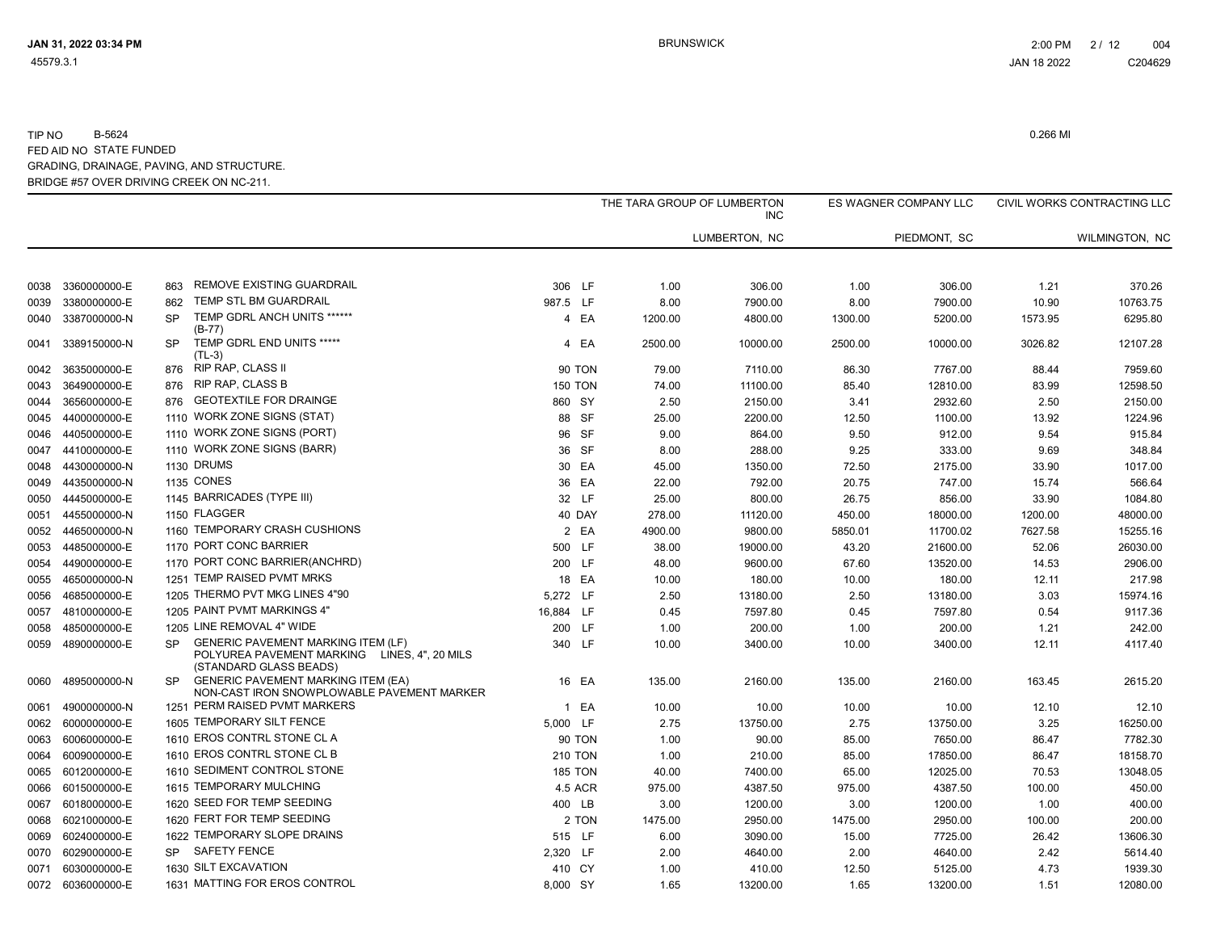|      |                   |           |                                                                                                                     |           |                | THE TARA GROUP OF LUMBERTON | <b>INC</b>    |         | ES WAGNER COMPANY LLC |         | CIVIL WORKS CONTRACTING LLC |
|------|-------------------|-----------|---------------------------------------------------------------------------------------------------------------------|-----------|----------------|-----------------------------|---------------|---------|-----------------------|---------|-----------------------------|
|      |                   |           |                                                                                                                     |           |                |                             | LUMBERTON, NC |         | PIEDMONT, SC          |         | WILMINGTON, NC              |
| 0038 | 3360000000-E      | 863       | REMOVE EXISTING GUARDRAIL                                                                                           | 306 LF    |                | 1.00                        | 306.00        | 1.00    | 306.00                | 1.21    | 370.26                      |
| 0039 | 3380000000-E      | 862       | TEMP STL BM GUARDRAIL                                                                                               | 987.5 LF  |                | 8.00                        | 7900.00       | 8.00    | 7900.00               | 10.90   | 10763.75                    |
| 0040 | 3387000000-N      | <b>SP</b> | TEMP GDRL ANCH UNITS ******<br>$(B-77)$                                                                             |           | 4 EA           | 1200.00                     | 4800.00       | 1300.00 | 5200.00               | 1573.95 | 6295.80                     |
| 0041 | 3389150000-N      | SP.       | TEMP GDRL END UNITS *****<br>$(TL-3)$                                                                               |           | 4 EA           | 2500.00                     | 10000.00      | 2500.00 | 10000.00              | 3026.82 | 12107.28                    |
| 0042 | 3635000000-E      | 876       | RIP RAP, CLASS II                                                                                                   |           | <b>90 TON</b>  | 79.00                       | 7110.00       | 86.30   | 7767.00               | 88.44   | 7959.60                     |
| 0043 | 3649000000-E      | 876       | <b>RIP RAP, CLASS B</b>                                                                                             |           | <b>150 TON</b> | 74.00                       | 11100.00      | 85.40   | 12810.00              | 83.99   | 12598.50                    |
| 0044 | 3656000000-E      | 876       | <b>GEOTEXTILE FOR DRAINGE</b>                                                                                       | 860 SY    |                | 2.50                        | 2150.00       | 3.41    | 2932.60               | 2.50    | 2150.00                     |
| 0045 | 4400000000-E      |           | 1110 WORK ZONE SIGNS (STAT)                                                                                         |           | 88 SF          | 25.00                       | 2200.00       | 12.50   | 1100.00               | 13.92   | 1224.96                     |
| 0046 | 4405000000-E      |           | 1110 WORK ZONE SIGNS (PORT)                                                                                         |           | 96 SF          | 9.00                        | 864.00        | 9.50    | 912.00                | 9.54    | 915.84                      |
| 0047 | 4410000000-E      |           | 1110 WORK ZONE SIGNS (BARR)                                                                                         |           | 36 SF          | 8.00                        | 288.00        | 9.25    | 333.00                | 9.69    | 348.84                      |
| 0048 | 4430000000-N      |           | 1130 DRUMS                                                                                                          |           | 30 EA          | 45.00                       | 1350.00       | 72.50   | 2175.00               | 33.90   | 1017.00                     |
| 0049 | 4435000000-N      |           | <b>1135 CONES</b>                                                                                                   |           | 36 EA          | 22.00                       | 792.00        | 20.75   | 747.00                | 15.74   | 566.64                      |
| 0050 | 4445000000-E      |           | 1145 BARRICADES (TYPE III)                                                                                          |           | 32 LF          | 25.00                       | 800.00        | 26.75   | 856.00                | 33.90   | 1084.80                     |
| 0051 | 4455000000-N      |           | 1150 FLAGGER                                                                                                        |           | 40 DAY         | 278.00                      | 11120.00      | 450.00  | 18000.00              | 1200.00 | 48000.00                    |
|      | 0052 4465000000-N |           | 1160 TEMPORARY CRASH CUSHIONS                                                                                       |           | 2 EA           | 4900.00                     | 9800.00       | 5850.01 | 11700.02              | 7627.58 | 15255.16                    |
| 0053 | 4485000000-E      |           | 1170 PORT CONC BARRIER                                                                                              | 500 LF    |                | 38.00                       | 19000.00      | 43.20   | 21600.00              | 52.06   | 26030.00                    |
| 0054 | 4490000000-E      |           | 1170 PORT CONC BARRIER(ANCHRD)                                                                                      | 200 LF    |                | 48.00                       | 9600.00       | 67.60   | 13520.00              | 14.53   | 2906.00                     |
| 0055 | 4650000000-N      |           | 1251 TEMP RAISED PVMT MRKS                                                                                          |           | 18 EA          | 10.00                       | 180.00        | 10.00   | 180.00                | 12.11   | 217.98                      |
| 0056 | 4685000000-E      |           | 1205 THERMO PVT MKG LINES 4"90                                                                                      | 5,272 LF  |                | 2.50                        | 13180.00      | 2.50    | 13180.00              | 3.03    | 15974.16                    |
| 0057 | 4810000000-E      |           | 1205 PAINT PVMT MARKINGS 4"                                                                                         | 16,884 LF |                | 0.45                        | 7597.80       | 0.45    | 7597.80               | 0.54    | 9117.36                     |
| 0058 | 4850000000-E      |           | 1205 LINE REMOVAL 4" WIDE                                                                                           | 200 LF    |                | 1.00                        | 200.00        | 1.00    | 200.00                | 1.21    | 242.00                      |
| 0059 | 4890000000-E      | <b>SP</b> | <b>GENERIC PAVEMENT MARKING ITEM (LF)</b><br>POLYUREA PAVEMENT MARKING LINES, 4", 20 MILS<br>(STANDARD GLASS BEADS) | 340 LF    |                | 10.00                       | 3400.00       | 10.00   | 3400.00               | 12.11   | 4117.40                     |
| 0060 | 4895000000-N      | <b>SP</b> | <b>GENERIC PAVEMENT MARKING ITEM (EA)</b><br>NON-CAST IRON SNOWPLOWABLE PAVEMENT MARKER                             |           | 16 EA          | 135.00                      | 2160.00       | 135.00  | 2160.00               | 163.45  | 2615.20                     |
| 0061 | 4900000000-N      |           | 1251 PERM RAISED PVMT MARKERS                                                                                       |           | 1 EA           | 10.00                       | 10.00         | 10.00   | 10.00                 | 12.10   | 12.10                       |
| 0062 | 6000000000-E      |           | 1605 TEMPORARY SILT FENCE                                                                                           | 5,000 LF  |                | 2.75                        | 13750.00      | 2.75    | 13750.00              | 3.25    | 16250.00                    |
| 0063 | 6006000000-E      |           | 1610 EROS CONTRL STONE CL A                                                                                         |           | 90 TON         | 1.00                        | 90.00         | 85.00   | 7650.00               | 86.47   | 7782.30                     |
| 0064 | 6009000000-E      |           | 1610 EROS CONTRL STONE CL B                                                                                         |           | <b>210 TON</b> | 1.00                        | 210.00        | 85.00   | 17850.00              | 86.47   | 18158.70                    |
| 0065 | 6012000000-E      |           | 1610 SEDIMENT CONTROL STONE                                                                                         |           | <b>185 TON</b> | 40.00                       | 7400.00       | 65.00   | 12025.00              | 70.53   | 13048.05                    |
| 0066 | 6015000000-E      |           | 1615 TEMPORARY MULCHING                                                                                             |           | 4.5 ACR        | 975.00                      | 4387.50       | 975.00  | 4387.50               | 100.00  | 450.00                      |
| 0067 | 6018000000-E      |           | 1620 SEED FOR TEMP SEEDING                                                                                          | 400 LB    |                | 3.00                        | 1200.00       | 3.00    | 1200.00               | 1.00    | 400.00                      |
| 0068 | 6021000000-E      |           | 1620 FERT FOR TEMP SEEDING                                                                                          |           | 2 TON          | 1475.00                     | 2950.00       | 1475.00 | 2950.00               | 100.00  | 200.00                      |
| 0069 | 6024000000-E      |           | 1622 TEMPORARY SLOPE DRAINS                                                                                         | 515 LF    |                | 6.00                        | 3090.00       | 15.00   | 7725.00               | 26.42   | 13606.30                    |
| 0070 | 6029000000-E      |           | SP SAFETY FENCE                                                                                                     | 2,320 LF  |                | 2.00                        | 4640.00       | 2.00    | 4640.00               | 2.42    | 5614.40                     |
| 0071 | 6030000000-E      |           | 1630 SILT EXCAVATION                                                                                                | 410 CY    |                | 1.00                        | 410.00        | 12.50   | 5125.00               | 4.73    | 1939.30                     |
|      | 0072 6036000000-E |           | 1631 MATTING FOR EROS CONTROL                                                                                       | 8,000 SY  |                | 1.65                        | 13200.00      | 1.65    | 13200.00              | 1.51    | 12080.00                    |
|      |                   |           |                                                                                                                     |           |                |                             |               |         |                       |         |                             |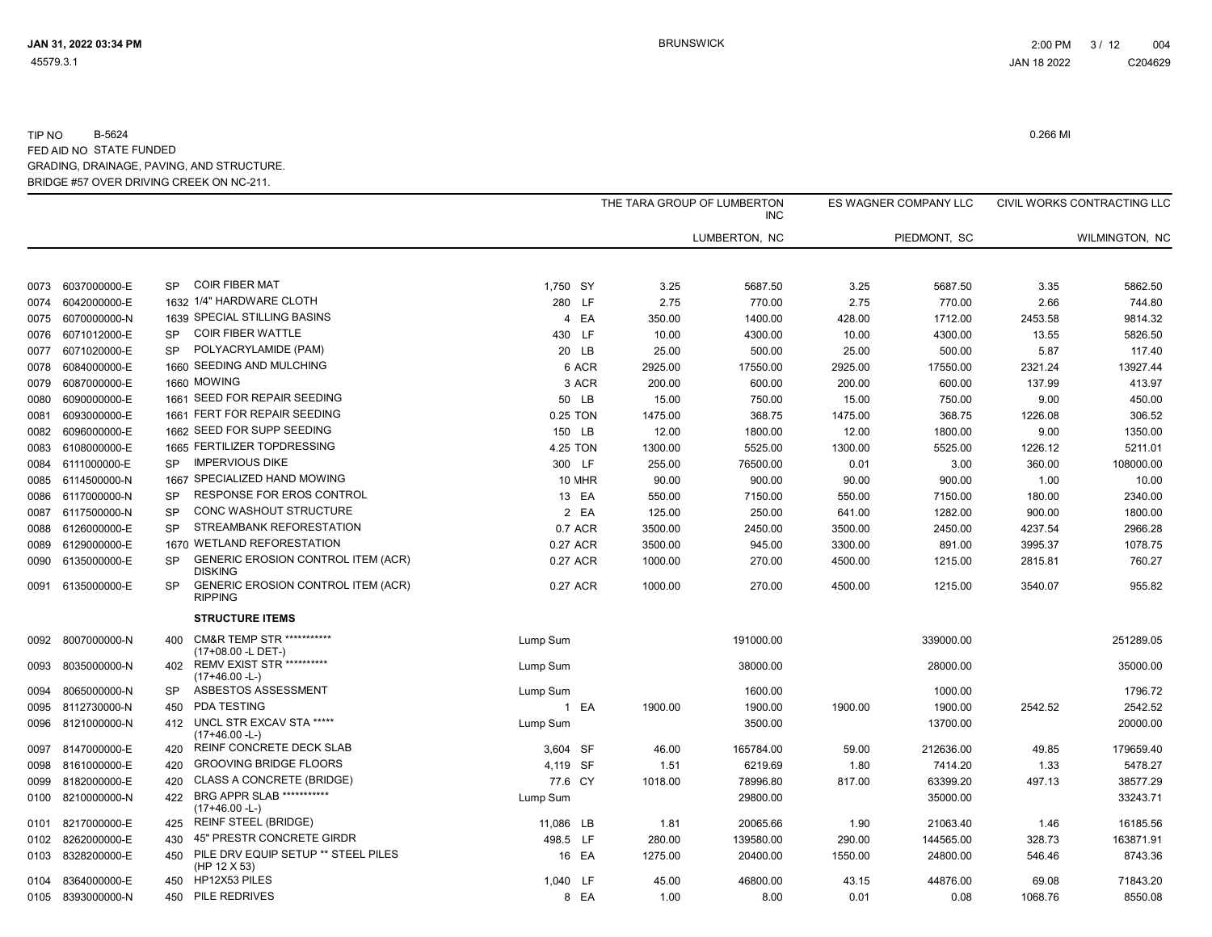|      |                   |           |                                                             |           |               | THE TARA GROUP OF LUMBERTON | <b>INC</b>    |         | ES WAGNER COMPANY LLC |         | CIVIL WORKS CONTRACTING LLC |
|------|-------------------|-----------|-------------------------------------------------------------|-----------|---------------|-----------------------------|---------------|---------|-----------------------|---------|-----------------------------|
|      |                   |           |                                                             |           |               |                             | LUMBERTON, NC |         | PIEDMONT, SC          |         | WILMINGTON, NC              |
| 0073 | 6037000000-E      | <b>SP</b> | <b>COIR FIBER MAT</b>                                       | 1.750 SY  |               | 3.25                        | 5687.50       | 3.25    | 5687.50               | 3.35    | 5862.50                     |
| 0074 | 6042000000-E      |           | 1632 1/4" HARDWARE CLOTH                                    |           | 280 LF        | 2.75                        | 770.00        | 2.75    | 770.00                | 2.66    | 744.80                      |
| 0075 | 6070000000-N      |           | 1639 SPECIAL STILLING BASINS                                |           | 4 EA          | 350.00                      | 1400.00       | 428.00  | 1712.00               | 2453.58 | 9814.32                     |
| 0076 | 6071012000-E      | <b>SP</b> | <b>COIR FIBER WATTLE</b>                                    | 430 LF    |               | 10.00                       | 4300.00       | 10.00   | 4300.00               | 13.55   | 5826.50                     |
| 0077 | 6071020000-E      | <b>SP</b> | POLYACRYLAMIDE (PAM)                                        |           | 20 LB         | 25.00                       | 500.00        | 25.00   | 500.00                | 5.87    | 117.40                      |
| 0078 | 6084000000-E      |           | 1660 SEEDING AND MULCHING                                   |           | 6 ACR         | 2925.00                     | 17550.00      | 2925.00 | 17550.00              | 2321.24 | 13927.44                    |
| 0079 | 6087000000-E      |           | 1660 MOWING                                                 |           | 3 ACR         | 200.00                      | 600.00        | 200.00  | 600.00                | 137.99  | 413.97                      |
| 0080 | 6090000000-E      |           | 1661 SEED FOR REPAIR SEEDING                                |           | 50 LB         | 15.00                       | 750.00        | 15.00   | 750.00                | 9.00    | 450.00                      |
| 0081 | 6093000000-E      |           | 1661 FERT FOR REPAIR SEEDING                                |           | 0.25 TON      | 1475.00                     | 368.75        | 1475.00 | 368.75                | 1226.08 | 306.52                      |
| 0082 | 6096000000-E      |           | 1662 SEED FOR SUPP SEEDING                                  |           | 150 LB        | 12.00                       | 1800.00       | 12.00   | 1800.00               | 9.00    | 1350.00                     |
| 0083 | 6108000000-E      |           | 1665 FERTILIZER TOPDRESSING                                 |           | 4.25 TON      | 1300.00                     | 5525.00       | 1300.00 | 5525.00               | 1226.12 | 5211.01                     |
| 0084 | 6111000000-E      | <b>SP</b> | <b>IMPERVIOUS DIKE</b>                                      |           | 300 LF        | 255.00                      | 76500.00      | 0.01    | 3.00                  | 360.00  | 108000.00                   |
| 0085 | 6114500000-N      |           | 1667 SPECIALIZED HAND MOWING                                |           | <b>10 MHR</b> | 90.00                       | 900.00        | 90.00   | 900.00                | 1.00    | 10.00                       |
| 0086 | 6117000000-N      | <b>SP</b> | RESPONSE FOR EROS CONTROL                                   |           | 13 EA         | 550.00                      | 7150.00       | 550.00  | 7150.00               | 180.00  | 2340.00                     |
| 0087 | 6117500000-N      | <b>SP</b> | CONC WASHOUT STRUCTURE                                      |           | 2 EA          | 125.00                      | 250.00        | 641.00  | 1282.00               | 900.00  | 1800.00                     |
| 0088 | 6126000000-E      | <b>SP</b> | STREAMBANK REFORESTATION                                    |           | 0.7 ACR       | 3500.00                     | 2450.00       | 3500.00 | 2450.00               | 4237.54 | 2966.28                     |
| 0089 | 6129000000-E      |           | 1670 WETLAND REFORESTATION                                  |           | 0.27 ACR      | 3500.00                     | 945.00        | 3300.00 | 891.00                | 3995.37 | 1078.75                     |
| 0090 | 6135000000-E      | <b>SP</b> | <b>GENERIC EROSION CONTROL ITEM (ACR)</b><br><b>DISKING</b> |           | 0.27 ACR      | 1000.00                     | 270.00        | 4500.00 | 1215.00               | 2815.81 | 760.27                      |
|      | 0091 6135000000-E | <b>SP</b> | GENERIC EROSION CONTROL ITEM (ACR)<br><b>RIPPING</b>        |           | 0.27 ACR      | 1000.00                     | 270.00        | 4500.00 | 1215.00               | 3540.07 | 955.82                      |
|      |                   |           | <b>STRUCTURE ITEMS</b>                                      |           |               |                             |               |         |                       |         |                             |
| 0092 | 8007000000-N      | 400       | <b>CM&amp;R TEMP STR ***********</b><br>(17+08.00 -L DET-)  | Lump Sum  |               |                             | 191000.00     |         | 339000.00             |         | 251289.05                   |
| 0093 | 8035000000-N      | 402       | <b>REMV EXIST STR **********</b><br>$(17+46.00 - L)$        | Lump Sum  |               |                             | 38000.00      |         | 28000.00              |         | 35000.00                    |
| 0094 | 8065000000-N      | <b>SP</b> | ASBESTOS ASSESSMENT                                         | Lump Sum  |               |                             | 1600.00       |         | 1000.00               |         | 1796.72                     |
| 0095 | 8112730000-N      | 450       | PDA TESTING                                                 |           | 1 EA          | 1900.00                     | 1900.00       | 1900.00 | 1900.00               | 2542.52 | 2542.52                     |
| 0096 | 8121000000-N      | 412       | UNCL STR EXCAV STA *****<br>$(17+46.00 - L)$                | Lump Sum  |               |                             | 3500.00       |         | 13700.00              |         | 20000.00                    |
| 0097 | 8147000000-E      | 420       | REINF CONCRETE DECK SLAB                                    | 3,604 SF  |               | 46.00                       | 165784.00     | 59.00   | 212636.00             | 49.85   | 179659.40                   |
| 0098 | 8161000000-E      | 420       | <b>GROOVING BRIDGE FLOORS</b>                               | 4,119 SF  |               | 1.51                        | 6219.69       | 1.80    | 7414.20               | 1.33    | 5478.27                     |
|      | 0099 8182000000-E | 420       | <b>CLASS A CONCRETE (BRIDGE)</b>                            | 77.6 CY   |               | 1018.00                     | 78996.80      | 817.00  | 63399.20              | 497.13  | 38577.29                    |
| 0100 | 8210000000-N      | 422       | <b>BRG APPR SLAB ***********</b><br>$(17+46.00 - L)$        | Lump Sum  |               |                             | 29800.00      |         | 35000.00              |         | 33243.71                    |
| 0101 | 8217000000-E      | 425       | <b>REINF STEEL (BRIDGE)</b>                                 | 11,086 LB |               | 1.81                        | 20065.66      | 1.90    | 21063.40              | 1.46    | 16185.56                    |
| 0102 | 8262000000-E      | 430       | 45" PRESTR CONCRETE GIRDR                                   | 498.5 LF  |               | 280.00                      | 139580.00     | 290.00  | 144565.00             | 328.73  | 163871.91                   |
| 0103 | 8328200000-E      | 450       | PILE DRV EQUIP SETUP ** STEEL PILES<br>(HP 12 X 53)         |           | 16 EA         | 1275.00                     | 20400.00      | 1550.00 | 24800.00              | 546.46  | 8743.36                     |
| 0104 | 8364000000-E      | 450       | HP12X53 PILES                                               | 1,040 LF  |               | 45.00                       | 46800.00      | 43.15   | 44876.00              | 69.08   | 71843.20                    |
|      | 0105 8393000000-N | 450       | PILE REDRIVES                                               |           | 8 EA          | 1.00                        | 8.00          | 0.01    | 0.08                  | 1068.76 | 8550.08                     |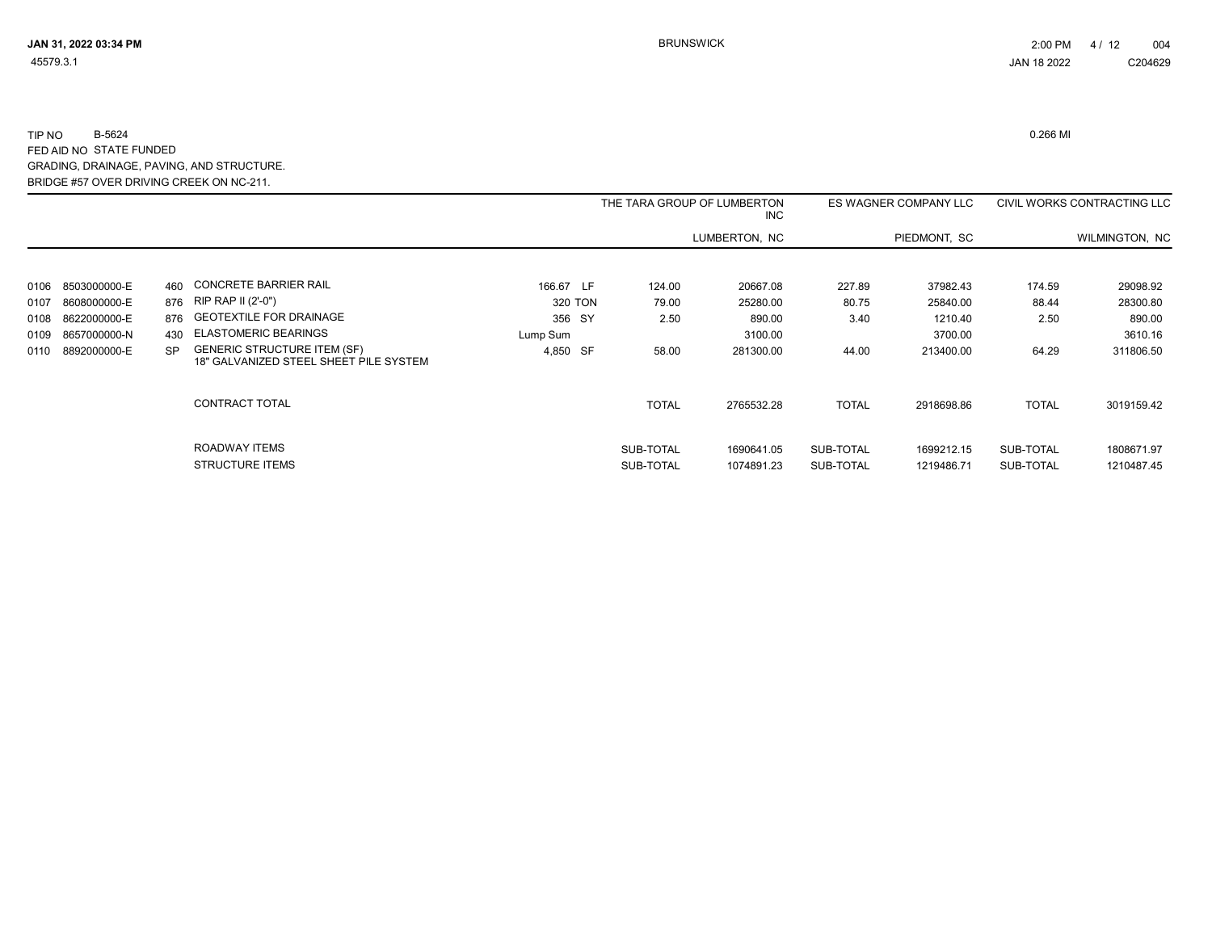|      |              |     |                                                                              |           |              | THE TARA GROUP OF LUMBERTON<br><b>INC</b> |              | ES WAGNER COMPANY LLC |              | CIVIL WORKS CONTRACTING LLC |
|------|--------------|-----|------------------------------------------------------------------------------|-----------|--------------|-------------------------------------------|--------------|-----------------------|--------------|-----------------------------|
|      |              |     |                                                                              |           |              | LUMBERTON, NC                             |              | PIEDMONT, SC          |              | WILMINGTON, NC              |
|      |              |     |                                                                              |           |              |                                           |              |                       |              |                             |
| 0106 | 8503000000-E | 460 | CONCRETE BARRIER RAIL                                                        | 166.67 LF | 124.00       | 20667.08                                  | 227.89       | 37982.43              | 174.59       | 29098.92                    |
| 0107 | 8608000000-E |     | 876 RIP RAP II (2'-0")                                                       | 320 TON   | 79.00        | 25280.00                                  | 80.75        | 25840.00              | 88.44        | 28300.80                    |
| 0108 | 8622000000-E |     | 876 GEOTEXTILE FOR DRAINAGE                                                  | 356 SY    | 2.50         | 890.00                                    | 3.40         | 1210.40               | 2.50         | 890.00                      |
| 0109 | 8657000000-N | 430 | <b>ELASTOMERIC BEARINGS</b>                                                  | Lump Sum  |              | 3100.00                                   |              | 3700.00               |              | 3610.16                     |
| 0110 | 8892000000-E | SP. | <b>GENERIC STRUCTURE ITEM (SF)</b><br>18" GALVANIZED STEEL SHEET PILE SYSTEM | 4,850 SF  | 58.00        | 281300.00                                 | 44.00        | 213400.00             | 64.29        | 311806.50                   |
|      |              |     | CONTRACT TOTAL                                                               |           | <b>TOTAL</b> | 2765532.28                                | <b>TOTAL</b> | 2918698.86            | <b>TOTAL</b> | 3019159.42                  |
|      |              |     | ROADWAY ITEMS                                                                |           | SUB-TOTAL    | 1690641.05                                | SUB-TOTAL    | 1699212.15            | SUB-TOTAL    | 1808671.97                  |
|      |              |     | <b>STRUCTURE ITEMS</b>                                                       |           | SUB-TOTAL    | 1074891.23                                | SUB-TOTAL    | 1219486.71            | SUB-TOTAL    | 1210487.45                  |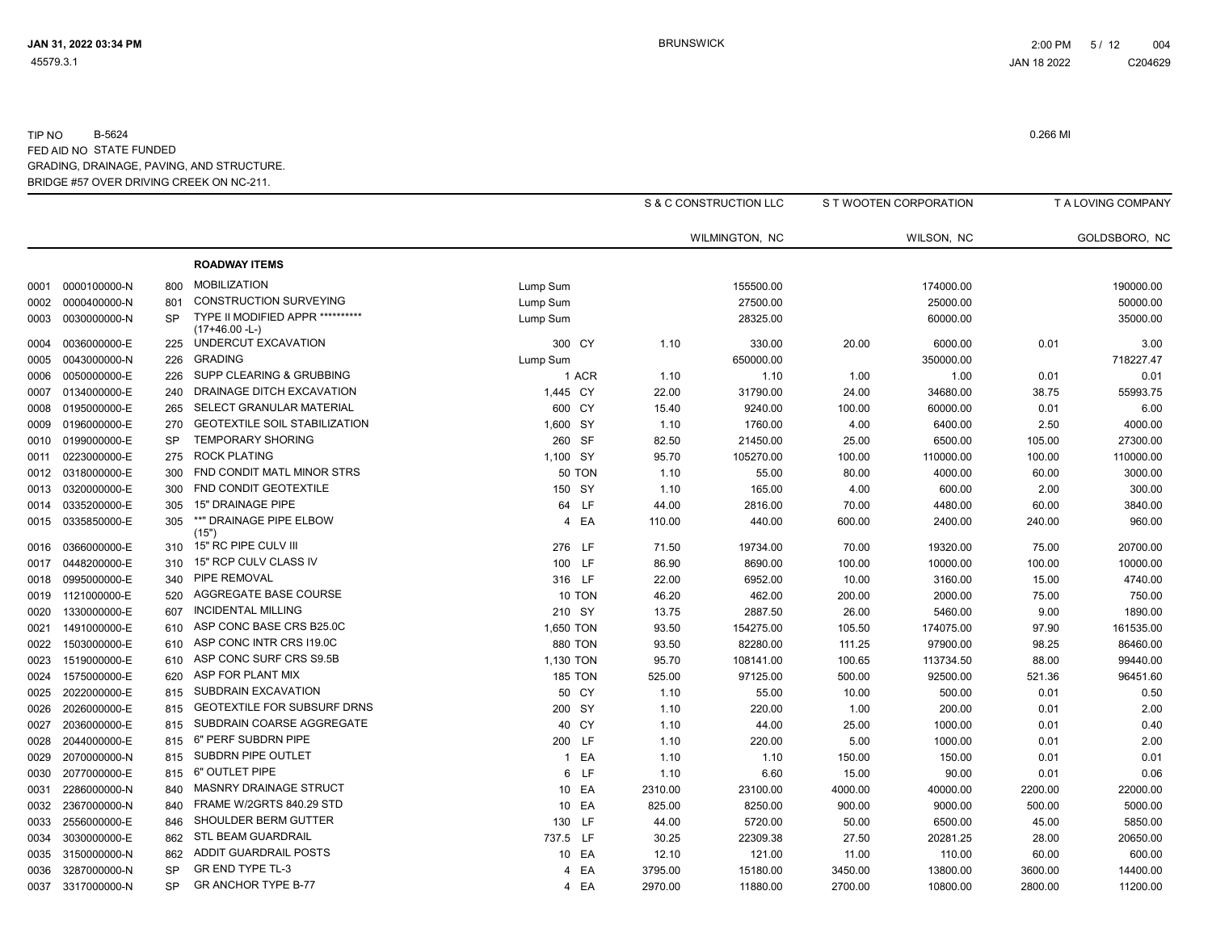|      |              |           |                                                      |                |         | S & C CONSTRUCTION LLC |         | S T WOOTEN CORPORATION |         | T A LOVING COMPANY |
|------|--------------|-----------|------------------------------------------------------|----------------|---------|------------------------|---------|------------------------|---------|--------------------|
|      |              |           |                                                      |                |         | WILMINGTON, NC         |         | WILSON, NC             |         | GOLDSBORO, NC      |
|      |              |           | <b>ROADWAY ITEMS</b>                                 |                |         |                        |         |                        |         |                    |
| 0001 | 0000100000-N | 800       | <b>MOBILIZATION</b>                                  | Lump Sum       |         | 155500.00              |         | 174000.00              |         | 190000.00          |
| 0002 | 0000400000-N | 801       | <b>CONSTRUCTION SURVEYING</b>                        | Lump Sum       |         | 27500.00               |         | 25000.00               |         | 50000.00           |
| 0003 | 0030000000-N | SP        | TYPE II MODIFIED APPR **********<br>$(17+46.00 - L)$ | Lump Sum       |         | 28325.00               |         | 60000.00               |         | 35000.00           |
| 0004 | 0036000000-E | 225       | UNDERCUT EXCAVATION                                  | 300 CY         | 1.10    | 330.00                 | 20.00   | 6000.00                | 0.01    | 3.00               |
| 0005 | 0043000000-N | 226       | <b>GRADING</b>                                       | Lump Sum       |         | 650000.00              |         | 350000.00              |         | 718227.47          |
| 0006 | 0050000000-E | 226       | SUPP CLEARING & GRUBBING                             | 1 ACR          | 1.10    | 1.10                   | 1.00    | 1.00                   | 0.01    | 0.01               |
| 0007 | 0134000000-E | 240       | DRAINAGE DITCH EXCAVATION                            | 1,445 CY       | 22.00   | 31790.00               | 24.00   | 34680.00               | 38.75   | 55993.75           |
| 0008 | 0195000000-E | 265       | SELECT GRANULAR MATERIAL                             | 600 CY         | 15.40   | 9240.00                | 100.00  | 60000.00               | 0.01    | 6.00               |
| 0009 | 0196000000-E | 270       | <b>GEOTEXTILE SOIL STABILIZATION</b>                 | 1,600 SY       | 1.10    | 1760.00                | 4.00    | 6400.00                | 2.50    | 4000.00            |
| 0010 | 0199000000-E | SP        | <b>TEMPORARY SHORING</b>                             | 260 SF         | 82.50   | 21450.00               | 25.00   | 6500.00                | 105.00  | 27300.00           |
| 0011 | 0223000000-E | 275       | <b>ROCK PLATING</b>                                  | 1,100 SY       | 95.70   | 105270.00              | 100.00  | 110000.00              | 100.00  | 110000.00          |
| 0012 | 0318000000-E | 300       | FND CONDIT MATL MINOR STRS                           | <b>50 TON</b>  | 1.10    | 55.00                  | 80.00   | 4000.00                | 60.00   | 3000.00            |
| 0013 | 0320000000-E | 300       | FND CONDIT GEOTEXTILE                                | 150 SY         | 1.10    | 165.00                 | 4.00    | 600.00                 | 2.00    | 300.00             |
| 0014 | 0335200000-E | 305       | 15" DRAINAGE PIPE                                    | 64 LF          | 44.00   | 2816.00                | 70.00   | 4480.00                | 60.00   | 3840.00            |
| 0015 | 0335850000-E | 305       | **" DRAINAGE PIPE ELBOW<br>(15")                     | 4 EA           | 110.00  | 440.00                 | 600.00  | 2400.00                | 240.00  | 960.00             |
| 0016 | 0366000000-E | 310       | 15" RC PIPE CULV III                                 | 276 LF         | 71.50   | 19734.00               | 70.00   | 19320.00               | 75.00   | 20700.00           |
| 0017 | 0448200000-E | 310       | 15" RCP CULV CLASS IV                                | 100 LF         | 86.90   | 8690.00                | 100.00  | 10000.00               | 100.00  | 10000.00           |
| 0018 | 0995000000-E | 340       | PIPE REMOVAL                                         | 316 LF         | 22.00   | 6952.00                | 10.00   | 3160.00                | 15.00   | 4740.00            |
| 0019 | 1121000000-E | 520       | AGGREGATE BASE COURSE                                | 10 TON         | 46.20   | 462.00                 | 200.00  | 2000.00                | 75.00   | 750.00             |
| 0020 | 1330000000-E | 607       | <b>INCIDENTAL MILLING</b>                            | 210 SY         | 13.75   | 2887.50                | 26.00   | 5460.00                | 9.00    | 1890.00            |
| 0021 | 1491000000-E | 610       | ASP CONC BASE CRS B25.0C                             | 1,650 TON      | 93.50   | 154275.00              | 105.50  | 174075.00              | 97.90   | 161535.00          |
| 0022 | 1503000000-E | 610       | ASP CONC INTR CRS I19.0C                             | <b>880 TON</b> | 93.50   | 82280.00               | 111.25  | 97900.00               | 98.25   | 86460.00           |
| 0023 | 1519000000-E | 610       | ASP CONC SURF CRS S9.5B                              | 1,130 TON      | 95.70   | 108141.00              | 100.65  | 113734.50              | 88.00   | 99440.00           |
| 0024 | 1575000000-E | 620       | ASP FOR PLANT MIX                                    | <b>185 TON</b> | 525.00  | 97125.00               | 500.00  | 92500.00               | 521.36  | 96451.60           |
| 0025 | 2022000000-E | 815       | SUBDRAIN EXCAVATION                                  | 50 CY          | 1.10    | 55.00                  | 10.00   | 500.00                 | 0.01    | 0.50               |
| 0026 | 2026000000-E | 815       | <b>GEOTEXTILE FOR SUBSURF DRNS</b>                   | 200 SY         | 1.10    | 220.00                 | 1.00    | 200.00                 | 0.01    | 2.00               |
| 0027 | 2036000000-E | 815       | SUBDRAIN COARSE AGGREGATE                            | 40 CY          | 1.10    | 44.00                  | 25.00   | 1000.00                | 0.01    | 0.40               |
| 0028 | 2044000000-E | 815       | 6" PERF SUBDRN PIPE                                  | 200 LF         | 1.10    | 220.00                 | 5.00    | 1000.00                | 0.01    | 2.00               |
| 0029 | 2070000000-N | 815       | SUBDRN PIPE OUTLET                                   | 1 EA           | 1.10    | 1.10                   | 150.00  | 150.00                 | 0.01    | 0.01               |
| 0030 | 2077000000-E | 815       | 6" OUTLET PIPE                                       | 6 LF           | 1.10    | 6.60                   | 15.00   | 90.00                  | 0.01    | 0.06               |
| 0031 | 2286000000-N | 840       | MASNRY DRAINAGE STRUCT                               | 10 EA          | 2310.00 | 23100.00               | 4000.00 | 40000.00               | 2200.00 | 22000.00           |
| 0032 | 2367000000-N | 840       | FRAME W/2GRTS 840.29 STD                             | 10 EA          | 825.00  | 8250.00                | 900.00  | 9000.00                | 500.00  | 5000.00            |
| 0033 | 2556000000-E | 846       | SHOULDER BERM GUTTER                                 | 130 LF         | 44.00   | 5720.00                | 50.00   | 6500.00                | 45.00   | 5850.00            |
| 0034 | 3030000000-E | 862       | <b>STL BEAM GUARDRAIL</b>                            | 737.5 LF       | 30.25   | 22309.38               | 27.50   | 20281.25               | 28.00   | 20650.00           |
| 0035 | 3150000000-N | 862       | ADDIT GUARDRAIL POSTS                                | 10 EA          | 12.10   | 121.00                 | 11.00   | 110.00                 | 60.00   | 600.00             |
| 0036 | 3287000000-N | SP        | <b>GR END TYPE TL-3</b>                              | EA<br>4        | 3795.00 | 15180.00               | 3450.00 | 13800.00               | 3600.00 | 14400.00           |
| 0037 | 3317000000-N | <b>SP</b> | <b>GR ANCHOR TYPE B-77</b>                           | 4 EA           | 2970.00 | 11880.00               | 2700.00 | 10800.00               | 2800.00 | 11200.00           |
|      |              |           |                                                      |                |         |                        |         |                        |         |                    |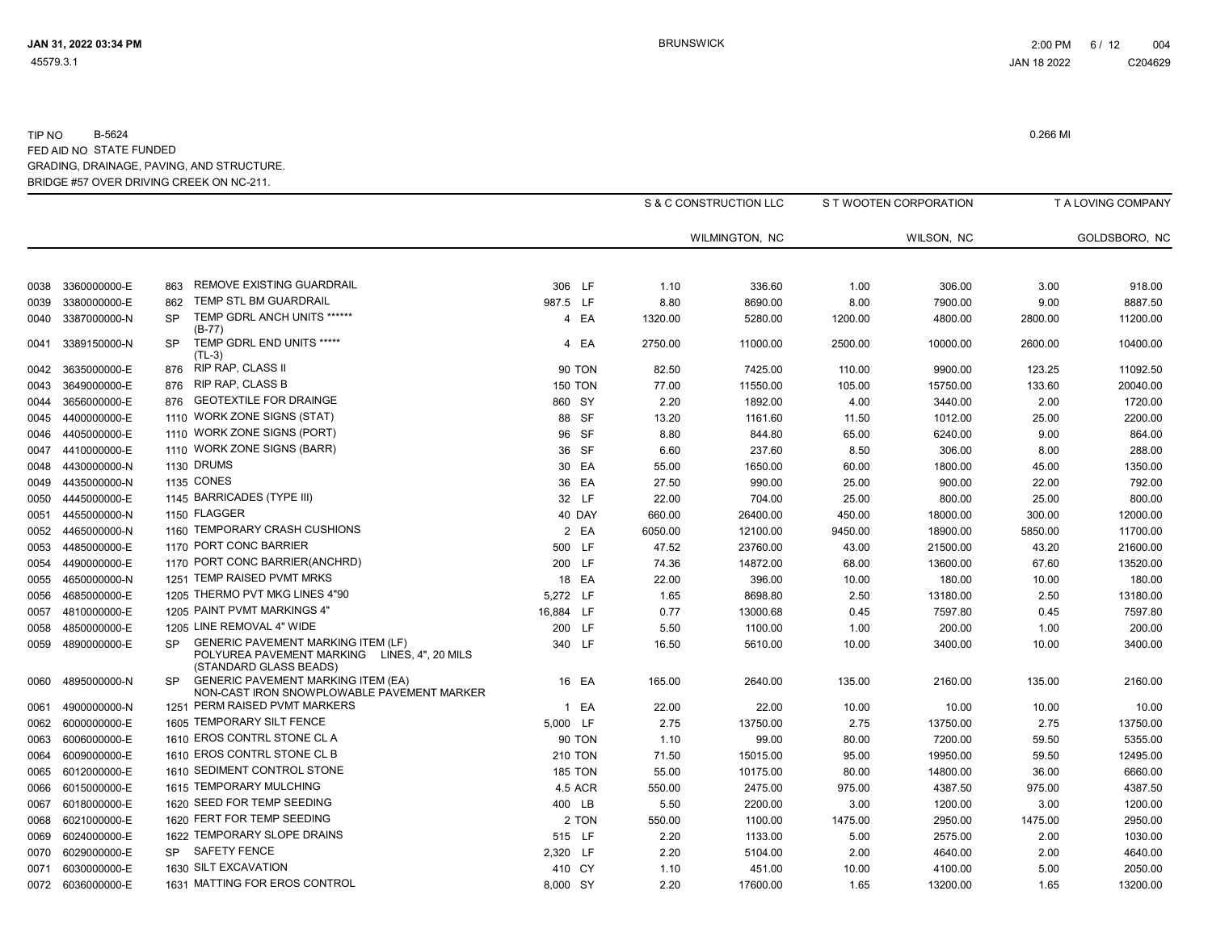|      |                   |           |                                                                                                                     |                |         | S & C CONSTRUCTION LLC |         | S T WOOTEN CORPORATION |         | T A LOVING COMPANY |
|------|-------------------|-----------|---------------------------------------------------------------------------------------------------------------------|----------------|---------|------------------------|---------|------------------------|---------|--------------------|
|      |                   |           |                                                                                                                     |                |         | WILMINGTON, NC         |         | WILSON, NC             |         | GOLDSBORO, NC      |
|      |                   |           |                                                                                                                     |                |         |                        |         |                        |         |                    |
| 0038 | 3360000000-E      | 863       | REMOVE EXISTING GUARDRAIL                                                                                           | 306 LF         | 1.10    | 336.60                 | 1.00    | 306.00                 | 3.00    | 918.00             |
| 0039 | 3380000000-E      | 862       | TEMP STL BM GUARDRAIL                                                                                               | 987.5 LF       | 8.80    | 8690.00                | 8.00    | 7900.00                | 9.00    | 8887.50            |
| 0040 | 3387000000-N      | <b>SP</b> | TEMP GDRL ANCH UNITS ******<br>$(B-77)$                                                                             | 4 EA           | 1320.00 | 5280.00                | 1200.00 | 4800.00                | 2800.00 | 11200.00           |
| 0041 | 3389150000-N      | SP        | TEMP GDRL END UNITS *****<br>$(TL-3)$                                                                               | 4 EA           | 2750.00 | 11000.00               | 2500.00 | 10000.00               | 2600.00 | 10400.00           |
| 0042 | 3635000000-E      | 876       | RIP RAP, CLASS II                                                                                                   | <b>90 TON</b>  | 82.50   | 7425.00                | 110.00  | 9900.00                | 123.25  | 11092.50           |
| 0043 | 3649000000-E      | 876       | RIP RAP, CLASS B                                                                                                    | <b>150 TON</b> | 77.00   | 11550.00               | 105.00  | 15750.00               | 133.60  | 20040.00           |
| 0044 | 3656000000-E      | 876       | <b>GEOTEXTILE FOR DRAINGE</b>                                                                                       | 860 SY         | 2.20    | 1892.00                | 4.00    | 3440.00                | 2.00    | 1720.00            |
| 0045 | 4400000000-E      |           | 1110 WORK ZONE SIGNS (STAT)                                                                                         | 88 SF          | 13.20   | 1161.60                | 11.50   | 1012.00                | 25.00   | 2200.00            |
| 0046 | 4405000000-E      |           | 1110 WORK ZONE SIGNS (PORT)                                                                                         | 96 SF          | 8.80    | 844.80                 | 65.00   | 6240.00                | 9.00    | 864.00             |
| 0047 | 4410000000-E      |           | 1110 WORK ZONE SIGNS (BARR)                                                                                         | 36 SF          | 6.60    | 237.60                 | 8.50    | 306.00                 | 8.00    | 288.00             |
| 0048 | 4430000000-N      |           | 1130 DRUMS                                                                                                          | 30 EA          | 55.00   | 1650.00                | 60.00   | 1800.00                | 45.00   | 1350.00            |
| 0049 | 4435000000-N      |           | <b>1135 CONES</b>                                                                                                   | 36 EA          | 27.50   | 990.00                 | 25.00   | 900.00                 | 22.00   | 792.00             |
| 0050 | 4445000000-E      |           | 1145 BARRICADES (TYPE III)                                                                                          | 32 LF          | 22.00   | 704.00                 | 25.00   | 800.00                 | 25.00   | 800.00             |
| 0051 | 4455000000-N      |           | 1150 FLAGGER                                                                                                        | 40 DAY         | 660.00  | 26400.00               | 450.00  | 18000.00               | 300.00  | 12000.00           |
| 0052 | 4465000000-N      |           | 1160 TEMPORARY CRASH CUSHIONS                                                                                       | 2 EA           | 6050.00 | 12100.00               | 9450.00 | 18900.00               | 5850.00 | 11700.00           |
| 0053 | 4485000000-E      |           | 1170 PORT CONC BARRIER                                                                                              | 500 LF         | 47.52   | 23760.00               | 43.00   | 21500.00               | 43.20   | 21600.00           |
| 0054 | 4490000000-E      |           | 1170 PORT CONC BARRIER(ANCHRD)                                                                                      | 200 LF         | 74.36   | 14872.00               | 68.00   | 13600.00               | 67.60   | 13520.00           |
| 0055 | 4650000000-N      |           | 1251 TEMP RAISED PVMT MRKS                                                                                          | 18 EA          | 22.00   | 396.00                 | 10.00   | 180.00                 | 10.00   | 180.00             |
| 0056 | 4685000000-E      |           | 1205 THERMO PVT MKG LINES 4"90                                                                                      | 5,272 LF       | 1.65    | 8698.80                | 2.50    | 13180.00               | 2.50    | 13180.00           |
| 0057 | 4810000000-E      |           | 1205 PAINT PVMT MARKINGS 4"                                                                                         | 16,884 LF      | 0.77    | 13000.68               | 0.45    | 7597.80                | 0.45    | 7597.80            |
| 0058 | 4850000000-E      |           | 1205 LINE REMOVAL 4" WIDE                                                                                           | 200 LF         | 5.50    | 1100.00                | 1.00    | 200.00                 | 1.00    | 200.00             |
| 0059 | 4890000000-E      | SP.       | <b>GENERIC PAVEMENT MARKING ITEM (LF)</b><br>POLYUREA PAVEMENT MARKING LINES, 4", 20 MILS<br>(STANDARD GLASS BEADS) | 340 LF         | 16.50   | 5610.00                | 10.00   | 3400.00                | 10.00   | 3400.00            |
| 0060 | 4895000000-N      | <b>SP</b> | <b>GENERIC PAVEMENT MARKING ITEM (EA)</b><br>NON-CAST IRON SNOWPLOWABLE PAVEMENT MARKER                             | 16 EA          | 165.00  | 2640.00                | 135.00  | 2160.00                | 135.00  | 2160.00            |
| 0061 | 4900000000-N      |           | 1251 PERM RAISED PVMT MARKERS                                                                                       | 1 EA           | 22.00   | 22.00                  | 10.00   | 10.00                  | 10.00   | 10.00              |
| 0062 | 6000000000-E      |           | 1605 TEMPORARY SILT FENCE                                                                                           | 5,000 LF       | 2.75    | 13750.00               | 2.75    | 13750.00               | 2.75    | 13750.00           |
| 0063 | 6006000000-E      |           | 1610 EROS CONTRL STONE CL A                                                                                         | <b>90 TON</b>  | 1.10    | 99.00                  | 80.00   | 7200.00                | 59.50   | 5355.00            |
| 0064 | 6009000000-E      |           | 1610 EROS CONTRL STONE CL B                                                                                         | <b>210 TON</b> | 71.50   | 15015.00               | 95.00   | 19950.00               | 59.50   | 12495.00           |
| 0065 | 6012000000-E      |           | 1610 SEDIMENT CONTROL STONE                                                                                         | <b>185 TON</b> | 55.00   | 10175.00               | 80.00   | 14800.00               | 36.00   | 6660.00            |
| 0066 | 6015000000-E      |           | 1615 TEMPORARY MULCHING                                                                                             | 4.5 ACR        | 550.00  | 2475.00                | 975.00  | 4387.50                | 975.00  | 4387.50            |
| 0067 | 6018000000-E      |           | 1620 SEED FOR TEMP SEEDING                                                                                          | 400 LB         | 5.50    | 2200.00                | 3.00    | 1200.00                | 3.00    | 1200.00            |
| 0068 | 6021000000-E      |           | 1620 FERT FOR TEMP SEEDING                                                                                          | 2 TON          | 550.00  | 1100.00                | 1475.00 | 2950.00                | 1475.00 | 2950.00            |
| 0069 | 6024000000-E      |           | 1622 TEMPORARY SLOPE DRAINS                                                                                         | 515 LF         | 2.20    | 1133.00                | 5.00    | 2575.00                | 2.00    | 1030.00            |
| 0070 | 6029000000-E      | SP        | <b>SAFETY FENCE</b>                                                                                                 | 2,320 LF       | 2.20    | 5104.00                | 2.00    | 4640.00                | 2.00    | 4640.00            |
| 0071 | 6030000000-E      |           | 1630 SILT EXCAVATION                                                                                                | 410 CY         | 1.10    | 451.00                 | 10.00   | 4100.00                | 5.00    | 2050.00            |
|      | 0072 6036000000-E |           | 1631 MATTING FOR EROS CONTROL                                                                                       | 8,000 SY       | 2.20    | 17600.00               | 1.65    | 13200.00               | 1.65    | 13200.00           |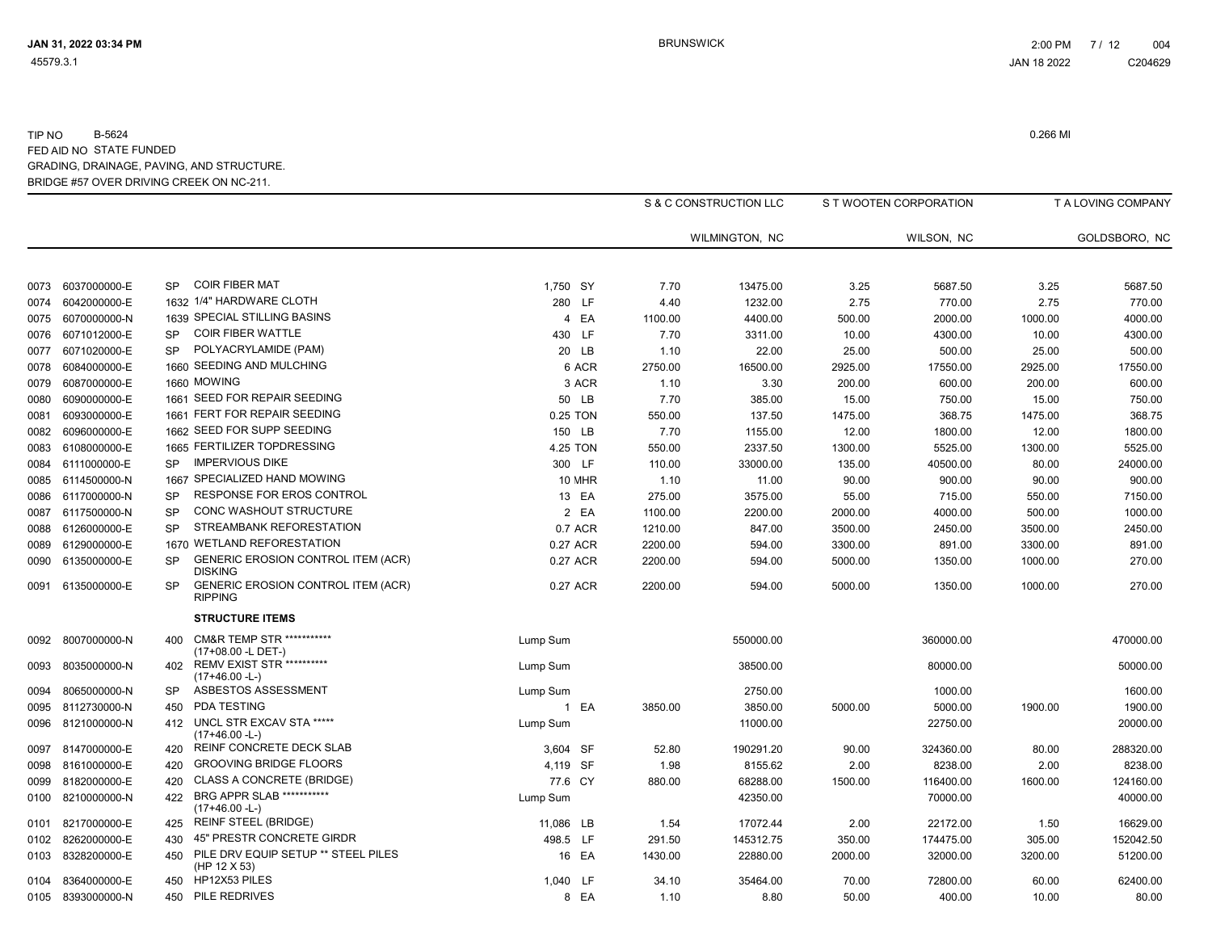|      |                   |           |                                                             |           |          |         | S & C CONSTRUCTION LLC |         | S T WOOTEN CORPORATION |         | T A LOVING COMPANY |
|------|-------------------|-----------|-------------------------------------------------------------|-----------|----------|---------|------------------------|---------|------------------------|---------|--------------------|
|      |                   |           |                                                             |           |          |         | WILMINGTON, NC         |         | WILSON, NC             |         | GOLDSBORO, NC      |
|      |                   |           |                                                             |           |          |         |                        |         |                        |         |                    |
| 0073 | 6037000000-E      | SP        | <b>COIR FIBER MAT</b>                                       | 1,750 SY  |          | 7.70    | 13475.00               | 3.25    | 5687.50                | 3.25    | 5687.50            |
| 0074 | 6042000000-E      |           | 1632 1/4" HARDWARE CLOTH                                    | 280 LF    |          | 4.40    | 1232.00                | 2.75    | 770.00                 | 2.75    | 770.00             |
| 0075 | 6070000000-N      |           | 1639 SPECIAL STILLING BASINS                                |           | 4 EA     | 1100.00 | 4400.00                | 500.00  | 2000.00                | 1000.00 | 4000.00            |
| 0076 | 6071012000-E      | <b>SP</b> | <b>COIR FIBER WATTLE</b>                                    | 430 LF    |          | 7.70    | 3311.00                | 10.00   | 4300.00                | 10.00   | 4300.00            |
| 0077 | 6071020000-E      | <b>SP</b> | POLYACRYLAMIDE (PAM)                                        |           | 20 LB    | 1.10    | 22.00                  | 25.00   | 500.00                 | 25.00   | 500.00             |
| 0078 | 6084000000-E      |           | 1660 SEEDING AND MULCHING                                   |           | 6 ACR    | 2750.00 | 16500.00               | 2925.00 | 17550.00               | 2925.00 | 17550.00           |
| 0079 | 6087000000-E      |           | 1660 MOWING                                                 |           | 3 ACR    | 1.10    | 3.30                   | 200.00  | 600.00                 | 200.00  | 600.00             |
| 0080 | 6090000000-E      |           | 1661 SEED FOR REPAIR SEEDING                                |           | 50 LB    | 7.70    | 385.00                 | 15.00   | 750.00                 | 15.00   | 750.00             |
| 0081 | 6093000000-E      |           | 1661 FERT FOR REPAIR SEEDING                                |           | 0.25 TON | 550.00  | 137.50                 | 1475.00 | 368.75                 | 1475.00 | 368.75             |
| 0082 | 6096000000-E      |           | 1662 SEED FOR SUPP SEEDING                                  | 150 LB    |          | 7.70    | 1155.00                | 12.00   | 1800.00                | 12.00   | 1800.00            |
| 0083 | 6108000000-E      |           | 1665 FERTILIZER TOPDRESSING                                 |           | 4.25 TON | 550.00  | 2337.50                | 1300.00 | 5525.00                | 1300.00 | 5525.00            |
| 0084 | 6111000000-E      | <b>SP</b> | <b>IMPERVIOUS DIKE</b>                                      |           | 300 LF   | 110.00  | 33000.00               | 135.00  | 40500.00               | 80.00   | 24000.00           |
| 0085 | 6114500000-N      | 1667      | SPECIALIZED HAND MOWING                                     |           | 10 MHR   | 1.10    | 11.00                  | 90.00   | 900.00                 | 90.00   | 900.00             |
| 0086 | 6117000000-N      | <b>SP</b> | RESPONSE FOR EROS CONTROL                                   |           | 13 EA    | 275.00  | 3575.00                | 55.00   | 715.00                 | 550.00  | 7150.00            |
| 0087 | 6117500000-N      | <b>SP</b> | CONC WASHOUT STRUCTURE                                      |           | 2 EA     | 1100.00 | 2200.00                | 2000.00 | 4000.00                | 500.00  | 1000.00            |
| 0088 | 6126000000-E      | <b>SP</b> | STREAMBANK REFORESTATION                                    |           | 0.7 ACR  | 1210.00 | 847.00                 | 3500.00 | 2450.00                | 3500.00 | 2450.00            |
| 0089 | 6129000000-E      |           | 1670 WETLAND REFORESTATION                                  | 0.27 ACR  |          | 2200.00 | 594.00                 | 3300.00 | 891.00                 | 3300.00 | 891.00             |
| 0090 | 6135000000-E      | SP        | <b>GENERIC EROSION CONTROL ITEM (ACR)</b><br><b>DISKING</b> | 0.27 ACR  |          | 2200.00 | 594.00                 | 5000.00 | 1350.00                | 1000.00 | 270.00             |
|      | 0091 6135000000-E | <b>SP</b> | GENERIC EROSION CONTROL ITEM (ACR)<br><b>RIPPING</b>        |           | 0.27 ACR | 2200.00 | 594.00                 | 5000.00 | 1350.00                | 1000.00 | 270.00             |
|      |                   |           | <b>STRUCTURE ITEMS</b>                                      |           |          |         |                        |         |                        |         |                    |
| 0092 | 8007000000-N      | 400       | <b>CM&amp;R TEMP STR ***********</b><br>(17+08.00 -L DET-)  | Lump Sum  |          |         | 550000.00              |         | 360000.00              |         | 470000.00          |
| 0093 | 8035000000-N      | 402       | <b>REMV EXIST STR **********</b><br>$(17+46.00 - L)$        | Lump Sum  |          |         | 38500.00               |         | 80000.00               |         | 50000.00           |
| 0094 | 8065000000-N      | SP        | ASBESTOS ASSESSMENT                                         | Lump Sum  |          |         | 2750.00                |         | 1000.00                |         | 1600.00            |
| 0095 | 8112730000-N      | 450       | PDA TESTING                                                 |           | 1 EA     | 3850.00 | 3850.00                | 5000.00 | 5000.00                | 1900.00 | 1900.00            |
| 0096 | 8121000000-N      | 412       | UNCL STR EXCAV STA *****<br>$(17+46.00 - L)$                | Lump Sum  |          |         | 11000.00               |         | 22750.00               |         | 20000.00           |
| 0097 | 8147000000-E      | 420       | REINF CONCRETE DECK SLAB                                    | 3,604 SF  |          | 52.80   | 190291.20              | 90.00   | 324360.00              | 80.00   | 288320.00          |
| 0098 | 8161000000-E      | 420       | <b>GROOVING BRIDGE FLOORS</b>                               | 4,119 SF  |          | 1.98    | 8155.62                | 2.00    | 8238.00                | 2.00    | 8238.00            |
| 0099 | 8182000000-E      | 420       | <b>CLASS A CONCRETE (BRIDGE)</b>                            | 77.6 CY   |          | 880.00  | 68288.00               | 1500.00 | 116400.00              | 1600.00 | 124160.00          |
| 0100 | 8210000000-N      | 422       | BRG APPR SLAB ***********<br>$(17+46.00 - L)$               | Lump Sum  |          |         | 42350.00               |         | 70000.00               |         | 40000.00           |
| 0101 | 8217000000-E      | 425       | <b>REINF STEEL (BRIDGE)</b>                                 | 11,086 LB |          | 1.54    | 17072.44               | 2.00    | 22172.00               | 1.50    | 16629.00           |
| 0102 | 8262000000-E      | 430       | 45" PRESTR CONCRETE GIRDR                                   | 498.5 LF  |          | 291.50  | 145312.75              | 350.00  | 174475.00              | 305.00  | 152042.50          |
| 0103 | 8328200000-E      | 450       | PILE DRV EQUIP SETUP ** STEEL PILES<br>(HP 12 X 53)         |           | 16 EA    | 1430.00 | 22880.00               | 2000.00 | 32000.00               | 3200.00 | 51200.00           |
| 0104 | 8364000000-E      | 450       | HP12X53 PILES                                               | 1.040 LF  |          | 34.10   | 35464.00               | 70.00   | 72800.00               | 60.00   | 62400.00           |
|      | 0105 8393000000-N | 450       | PILE REDRIVES                                               |           | 8 EA     | 1.10    | 8.80                   | 50.00   | 400.00                 | 10.00   | 80.00              |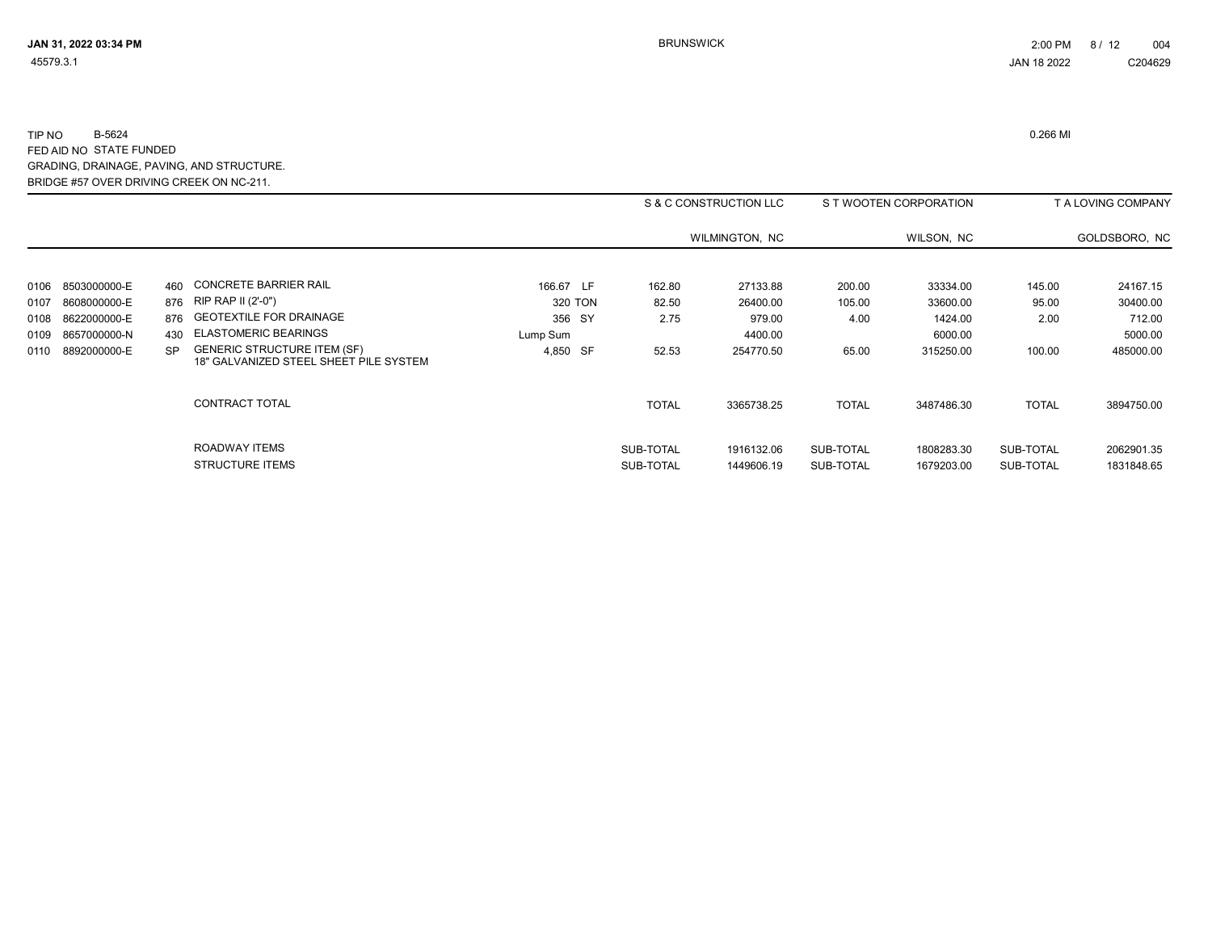|      |                   |     |                                                                              |           |                        | S & C CONSTRUCTION LLC   |                        | S T WOOTEN CORPORATION   |                        | T A LOVING COMPANY       |
|------|-------------------|-----|------------------------------------------------------------------------------|-----------|------------------------|--------------------------|------------------------|--------------------------|------------------------|--------------------------|
|      |                   |     |                                                                              |           |                        | WILMINGTON, NC           |                        | WILSON, NC               |                        | GOLDSBORO, NC            |
| 0106 | 8503000000-E      | 460 | <b>CONCRETE BARRIER RAIL</b>                                                 | 166.67 LF | 162.80                 | 27133.88                 | 200.00                 | 33334.00                 | 145.00                 | 24167.15                 |
| 0107 | 8608000000-E      |     | 876 RIP RAP II (2'-0")                                                       | 320 TON   | 82.50                  | 26400.00                 | 105.00                 | 33600.00                 | 95.00                  | 30400.00                 |
| 0108 | 8622000000-E      |     | 876 GEOTEXTILE FOR DRAINAGE                                                  | 356 SY    | 2.75                   | 979.00                   | 4.00                   | 1424.00                  | 2.00                   | 712.00                   |
| 0109 | 8657000000-N      | 430 | <b>ELASTOMERIC BEARINGS</b>                                                  | Lump Sum  |                        | 4400.00                  |                        | 6000.00                  |                        | 5000.00                  |
|      | 0110 8892000000-E | SP. | <b>GENERIC STRUCTURE ITEM (SF)</b><br>18" GALVANIZED STEEL SHEET PILE SYSTEM | 4,850 SF  | 52.53                  | 254770.50                | 65.00                  | 315250.00                | 100.00                 | 485000.00                |
|      |                   |     | <b>CONTRACT TOTAL</b>                                                        |           | <b>TOTAL</b>           | 3365738.25               | <b>TOTAL</b>           | 3487486.30               | <b>TOTAL</b>           | 3894750.00               |
|      |                   |     | ROADWAY ITEMS<br><b>STRUCTURE ITEMS</b>                                      |           | SUB-TOTAL<br>SUB-TOTAL | 1916132.06<br>1449606.19 | SUB-TOTAL<br>SUB-TOTAL | 1808283.30<br>1679203.00 | SUB-TOTAL<br>SUB-TOTAL | 2062901.35<br>1831848.65 |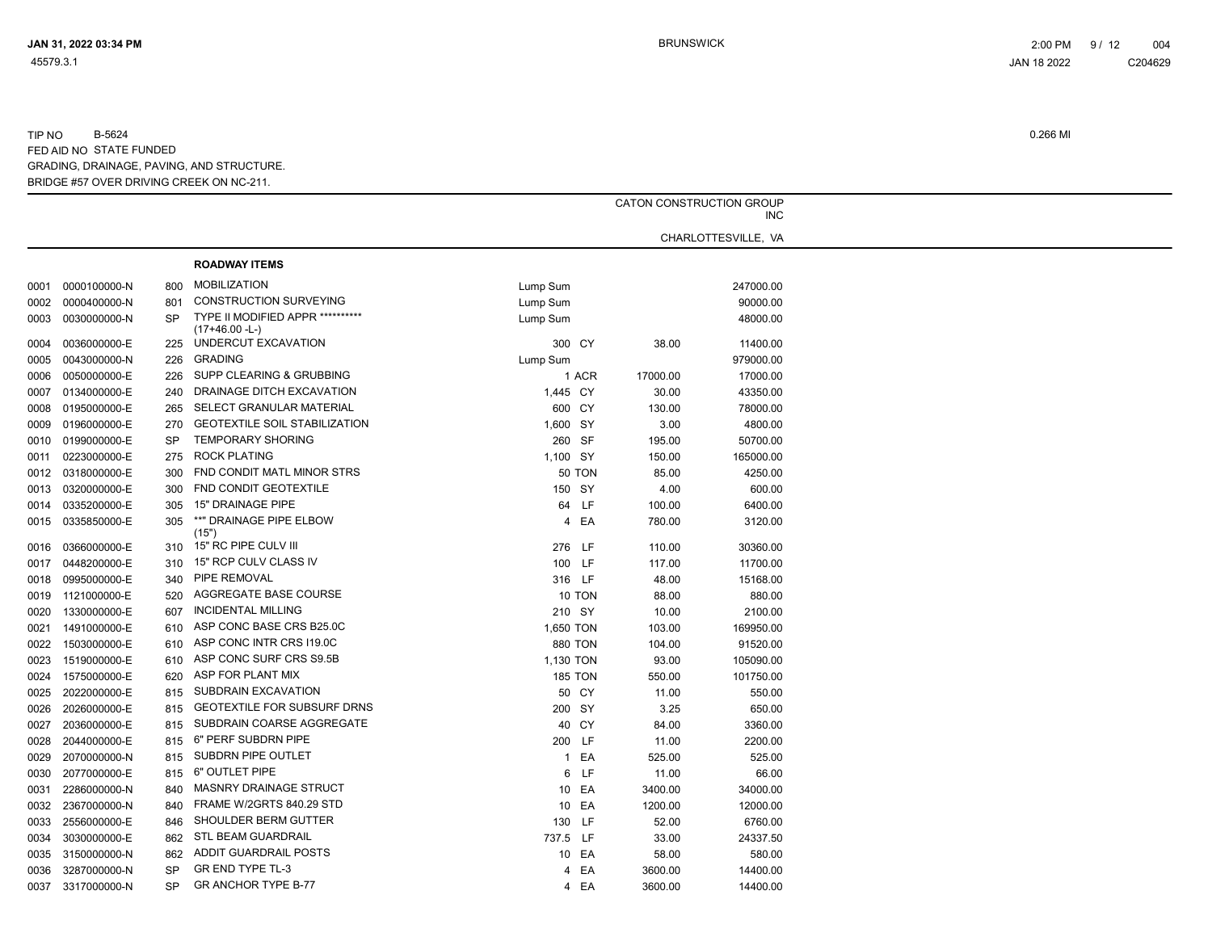|      |                   |           |                                      |                | CATON CONSTRUCTION GROUP<br><b>INC</b> |          |                     |  |  |
|------|-------------------|-----------|--------------------------------------|----------------|----------------------------------------|----------|---------------------|--|--|
|      |                   |           |                                      |                |                                        |          | CHARLOTTESVILLE, VA |  |  |
|      |                   |           | <b>ROADWAY ITEMS</b>                 |                |                                        |          |                     |  |  |
| 0001 | 0000100000-N      | 800       | <b>MOBILIZATION</b>                  | Lump Sum       |                                        |          | 247000.00           |  |  |
| 0002 | 0000400000-N      | 801       | <b>CONSTRUCTION SURVEYING</b>        | Lump Sum       |                                        |          | 90000.00            |  |  |
| 0003 | 0030000000-N      | <b>SP</b> | TYPE II MODIFIED APPR **********     | Lump Sum       |                                        |          | 48000.00            |  |  |
|      |                   |           | (17+46.00 -L-)                       |                |                                        |          |                     |  |  |
| 0004 | 0036000000-E      | 225       | UNDERCUT EXCAVATION                  | 300 CY         |                                        | 38.00    | 11400.00            |  |  |
| 0005 | 0043000000-N      | 226       | <b>GRADING</b>                       | Lump Sum       |                                        |          | 979000.00           |  |  |
| 0006 | 0050000000-E      | 226       | SUPP CLEARING & GRUBBING             | 1 ACR          |                                        | 17000.00 | 17000.00            |  |  |
| 0007 | 0134000000-E      | 240       | DRAINAGE DITCH EXCAVATION            | 1,445 CY       |                                        | 30.00    | 43350.00            |  |  |
| 0008 | 0195000000-E      | 265       | SELECT GRANULAR MATERIAL             | 600 CY         |                                        | 130.00   | 78000.00            |  |  |
| 0009 | 0196000000-E      | 270       | <b>GEOTEXTILE SOIL STABILIZATION</b> | 1,600 SY       |                                        | 3.00     | 4800.00             |  |  |
| 0010 | 0199000000-E      | SP        | <b>TEMPORARY SHORING</b>             | 260 SF         |                                        | 195.00   | 50700.00            |  |  |
| 0011 | 0223000000-E      | 275       | <b>ROCK PLATING</b>                  | 1,100 SY       |                                        | 150.00   | 165000.00           |  |  |
|      | 0012 0318000000-E | 300       | FND CONDIT MATL MINOR STRS           | <b>50 TON</b>  |                                        | 85.00    | 4250.00             |  |  |
| 0013 | 0320000000-E      | 300       | FND CONDIT GEOTEXTILE                | 150 SY         |                                        | 4.00     | 600.00              |  |  |
|      | 0014 0335200000-E | 305       | 15" DRAINAGE PIPE                    | 64 LF          |                                        | 100.00   | 6400.00             |  |  |
| 0015 | 0335850000-E      | 305       | **" DRAINAGE PIPE ELBOW              | 4 EA           |                                        | 780.00   | 3120.00             |  |  |
|      |                   |           | (15")                                |                |                                        |          |                     |  |  |
| 0016 | 0366000000-E      | 310       | 15" RC PIPE CULV III                 | 276 LF         |                                        | 110.00   | 30360.00            |  |  |
| 0017 | 0448200000-E      |           | 310 15" RCP CULV CLASS IV            | 100 LF         |                                        | 117.00   | 11700.00            |  |  |
| 0018 | 0995000000-E      | 340       | PIPE REMOVAL                         | 316 LF         |                                        | 48.00    | 15168.00            |  |  |
| 0019 | 1121000000-E      | 520       | AGGREGATE BASE COURSE                | 10 TON         |                                        | 88.00    | 880.00              |  |  |
| 0020 | 1330000000-E      | 607       | <b>INCIDENTAL MILLING</b>            | 210 SY         |                                        | 10.00    | 2100.00             |  |  |
| 0021 | 1491000000-E      | 610       | ASP CONC BASE CRS B25.0C             | 1,650 TON      |                                        | 103.00   | 169950.00           |  |  |
| 0022 | 1503000000-E      | 610       | ASP CONC INTR CRS I19.0C             | <b>880 TON</b> |                                        | 104.00   | 91520.00            |  |  |
| 0023 | 1519000000-E      | 610       | ASP CONC SURF CRS S9.5B              | 1,130 TON      |                                        | 93.00    | 105090.00           |  |  |
| 0024 | 1575000000-E      | 620       | ASP FOR PLANT MIX                    | <b>185 TON</b> |                                        | 550.00   | 101750.00           |  |  |
| 0025 | 2022000000-E      | 815       | SUBDRAIN EXCAVATION                  | 50 CY          |                                        | 11.00    | 550.00              |  |  |
| 0026 | 2026000000-E      | 815       | <b>GEOTEXTILE FOR SUBSURF DRNS</b>   | 200 SY         |                                        | 3.25     | 650.00              |  |  |
| 0027 | 2036000000-E      | 815       | SUBDRAIN COARSE AGGREGATE            | 40 CY          |                                        | 84.00    | 3360.00             |  |  |
| 0028 | 2044000000-E      | 815       | 6" PERF SUBDRN PIPE                  | 200 LF         |                                        | 11.00    | 2200.00             |  |  |
|      |                   | 815       | SUBDRN PIPE OUTLET                   | 1 EA           |                                        |          | 525.00              |  |  |
| 0029 | 2070000000-N      |           | 6" OUTLET PIPE                       |                |                                        | 525.00   |                     |  |  |
| 0030 | 2077000000-E      | 815       |                                      | 6 LF           |                                        | 11.00    | 66.00               |  |  |
| 0031 | 2286000000-N      | 840       | <b>MASNRY DRAINAGE STRUCT</b>        | 10 EA          |                                        | 3400.00  | 34000.00            |  |  |
| 0032 | 2367000000-N      | 840       | FRAME W/2GRTS 840.29 STD             | 10 EA          |                                        | 1200.00  | 12000.00            |  |  |
| 0033 | 2556000000-E      | 846       | SHOULDER BERM GUTTER                 | 130 LF         |                                        | 52.00    | 6760.00             |  |  |
| 0034 | 3030000000-E      | 862       | STL BEAM GUARDRAIL                   | 737.5 LF       |                                        | 33.00    | 24337.50            |  |  |
| 0035 | 3150000000-N      | 862       | <b>ADDIT GUARDRAIL POSTS</b>         | 10 EA          |                                        | 58.00    | 580.00              |  |  |
| 0036 | 3287000000-N      | <b>SP</b> | <b>GR END TYPE TL-3</b>              | 4 EA           |                                        | 3600.00  | 14400.00            |  |  |
|      | 0037 3317000000-N | <b>SP</b> | <b>GR ANCHOR TYPE B-77</b>           | 4 EA           |                                        | 3600.00  | 14400.00            |  |  |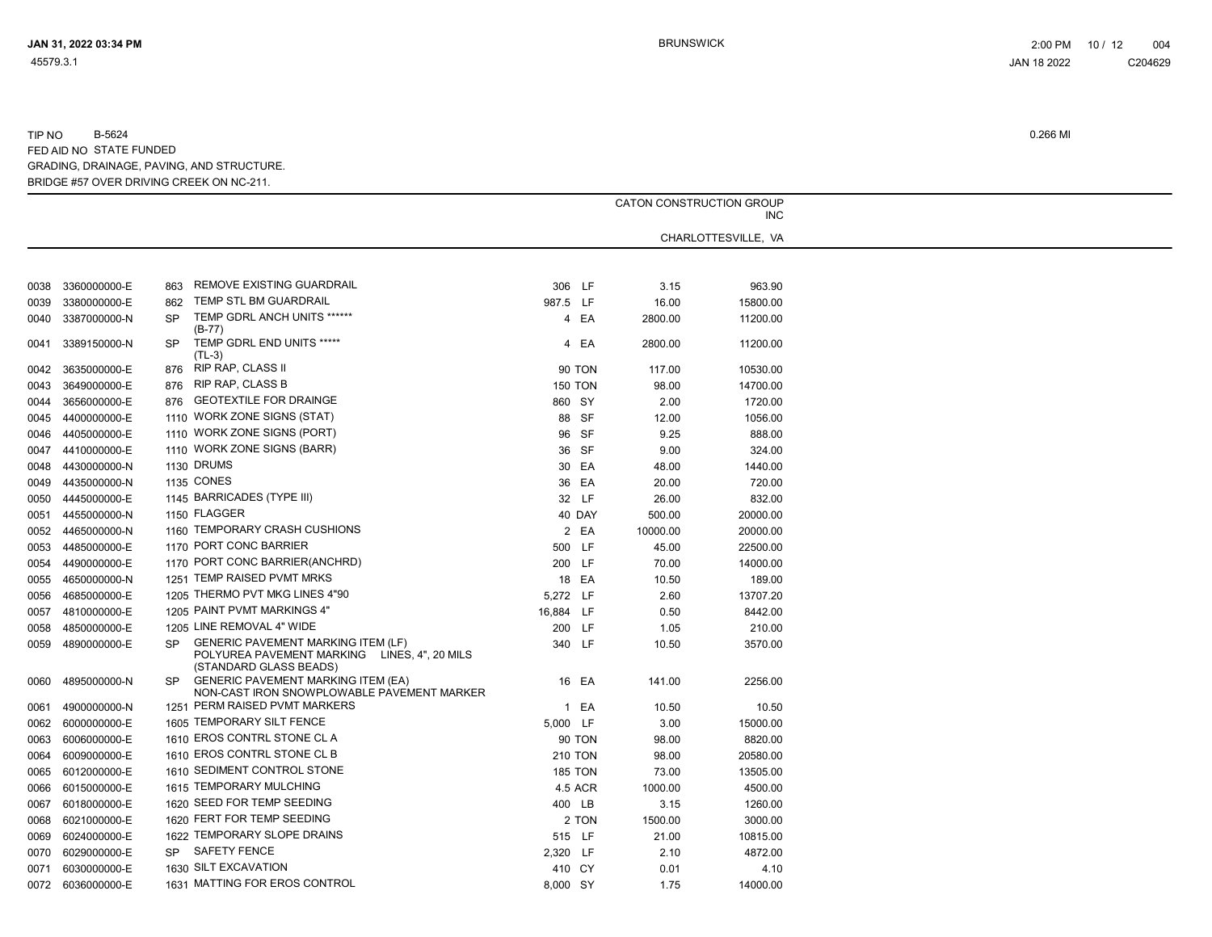|      |                   | CATON CONSTRUCTION GROUP |                                                                                                                     |                |          |                                   |  |
|------|-------------------|--------------------------|---------------------------------------------------------------------------------------------------------------------|----------------|----------|-----------------------------------|--|
|      |                   |                          |                                                                                                                     |                |          | <b>INC</b><br>CHARLOTTESVILLE, VA |  |
|      |                   |                          |                                                                                                                     |                |          |                                   |  |
|      |                   |                          |                                                                                                                     |                |          |                                   |  |
| 0038 | 3360000000-E      | 863                      | REMOVE EXISTING GUARDRAIL                                                                                           | 306 LF         | 3.15     | 963.90                            |  |
| 0039 | 3380000000-E      | 862                      | TEMP STL BM GUARDRAIL                                                                                               | 987.5 LF       | 16.00    | 15800.00                          |  |
| 0040 | 3387000000-N      | <b>SP</b>                | TEMP GDRL ANCH UNITS ******<br>(B-77)                                                                               | 4 EA           | 2800.00  | 11200.00                          |  |
| 0041 | 3389150000-N      | SP                       | TEMP GDRL END UNITS *****<br>(TL-3)                                                                                 | 4 EA           | 2800.00  | 11200.00                          |  |
| 0042 | 3635000000-E      | 876                      | RIP RAP, CLASS II                                                                                                   | <b>90 TON</b>  | 117.00   | 10530.00                          |  |
| 0043 | 3649000000-E      | 876                      | <b>RIP RAP, CLASS B</b>                                                                                             | <b>150 TON</b> | 98.00    | 14700.00                          |  |
| 0044 | 3656000000-E      | 876                      | <b>GEOTEXTILE FOR DRAINGE</b>                                                                                       | 860 SY         | 2.00     | 1720.00                           |  |
| 0045 | 4400000000-E      |                          | 1110 WORK ZONE SIGNS (STAT)                                                                                         | 88 SF          | 12.00    | 1056.00                           |  |
| 0046 | 4405000000-E      |                          | 1110 WORK ZONE SIGNS (PORT)                                                                                         | 96 SF          | 9.25     | 888.00                            |  |
| 0047 | 4410000000-E      |                          | 1110 WORK ZONE SIGNS (BARR)                                                                                         | 36 SF          | 9.00     | 324.00                            |  |
| 0048 | 4430000000-N      |                          | 1130 DRUMS                                                                                                          | 30 EA          | 48.00    | 1440.00                           |  |
| 0049 | 4435000000-N      |                          | <b>1135 CONES</b>                                                                                                   | 36 EA          | 20.00    | 720.00                            |  |
| 0050 | 4445000000-E      |                          | 1145 BARRICADES (TYPE III)                                                                                          | 32 LF          | 26.00    | 832.00                            |  |
| 0051 | 4455000000-N      |                          | 1150 FLAGGER                                                                                                        | 40 DAY         | 500.00   | 20000.00                          |  |
| 0052 | 4465000000-N      |                          | 1160 TEMPORARY CRASH CUSHIONS                                                                                       | 2 EA           | 10000.00 | 20000.00                          |  |
| 0053 | 4485000000-E      |                          | 1170 PORT CONC BARRIER                                                                                              | 500 LF         | 45.00    | 22500.00                          |  |
| 0054 | 4490000000-E      |                          | 1170 PORT CONC BARRIER(ANCHRD)                                                                                      | 200 LF         | 70.00    | 14000.00                          |  |
| 0055 | 4650000000-N      |                          | 1251 TEMP RAISED PVMT MRKS                                                                                          | 18 EA          | 10.50    | 189.00                            |  |
| 0056 | 4685000000-E      |                          | 1205 THERMO PVT MKG LINES 4"90                                                                                      | 5,272 LF       | 2.60     | 13707.20                          |  |
| 0057 | 4810000000-E      |                          | 1205 PAINT PVMT MARKINGS 4"                                                                                         | 16,884 LF      | 0.50     | 8442.00                           |  |
| 0058 | 4850000000-E      |                          | 1205 LINE REMOVAL 4" WIDE                                                                                           | 200 LF         | 1.05     | 210.00                            |  |
| 0059 | 4890000000-E      | SP.                      | <b>GENERIC PAVEMENT MARKING ITEM (LF)</b><br>POLYUREA PAVEMENT MARKING LINES, 4", 20 MILS<br>(STANDARD GLASS BEADS) | 340 LF         | 10.50    | 3570.00                           |  |
| 0060 | 4895000000-N      | SP                       | <b>GENERIC PAVEMENT MARKING ITEM (EA)</b><br>NON-CAST IRON SNOWPLOWABLE PAVEMENT MARKER                             | 16 EA          | 141.00   | 2256.00                           |  |
| 0061 | 4900000000-N      |                          | 1251 PERM RAISED PVMT MARKERS                                                                                       | 1 EA           | 10.50    | 10.50                             |  |
| 0062 | 6000000000-E      |                          | 1605 TEMPORARY SILT FENCE                                                                                           | 5,000 LF       | 3.00     | 15000.00                          |  |
| 0063 | 6006000000-E      |                          | 1610 EROS CONTRL STONE CL A                                                                                         | <b>90 TON</b>  | 98.00    | 8820.00                           |  |
| 0064 | 6009000000-E      |                          | 1610 EROS CONTRL STONE CL B                                                                                         | <b>210 TON</b> | 98.00    | 20580.00                          |  |
| 0065 | 6012000000-E      |                          | 1610 SEDIMENT CONTROL STONE                                                                                         | <b>185 TON</b> | 73.00    | 13505.00                          |  |
| 0066 | 6015000000-E      |                          | 1615 TEMPORARY MULCHING                                                                                             | 4.5 ACR        | 1000.00  | 4500.00                           |  |
| 0067 | 6018000000-E      |                          | 1620 SEED FOR TEMP SEEDING                                                                                          | 400 LB         | 3.15     | 1260.00                           |  |
| 0068 | 6021000000-E      |                          | 1620 FERT FOR TEMP SEEDING                                                                                          | 2 TON          | 1500.00  | 3000.00                           |  |
| 0069 | 6024000000-E      |                          | 1622 TEMPORARY SLOPE DRAINS                                                                                         | 515 LF         | 21.00    | 10815.00                          |  |
| 0070 | 6029000000-E      |                          | SP SAFETY FENCE                                                                                                     | 2,320 LF       | 2.10     | 4872.00                           |  |
| 0071 | 6030000000-E      |                          | 1630 SILT EXCAVATION                                                                                                | 410 CY         | 0.01     | 4.10                              |  |
|      | 0072 6036000000-E |                          | 1631 MATTING FOR EROS CONTROL                                                                                       | 8,000 SY       | 1.75     | 14000.00                          |  |
|      |                   |                          |                                                                                                                     |                |          |                                   |  |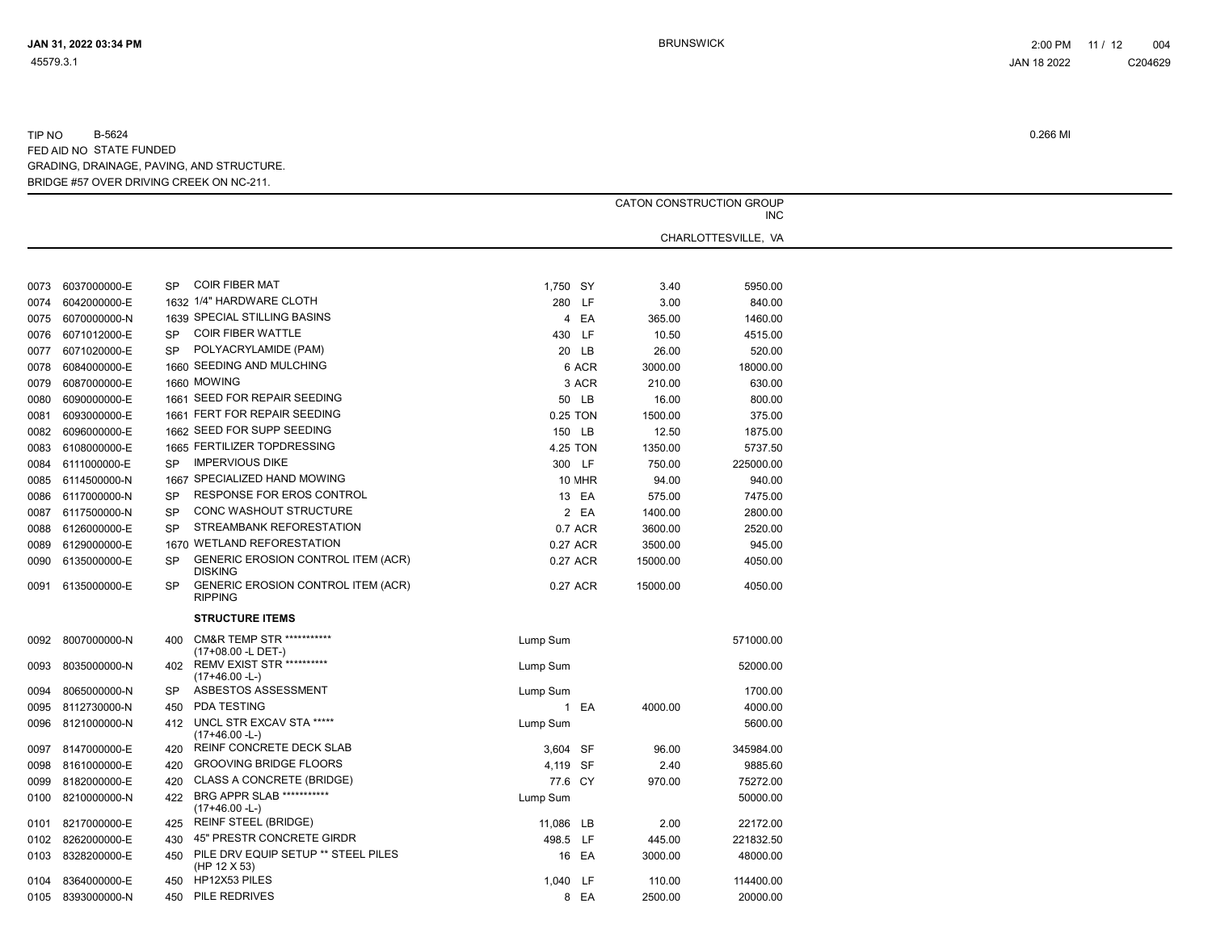TIP NO B-5624 0.266 MI FED AID NO STATE FUNDED GRADING, DRAINAGE, PAVING, AND STRUCTURE.

BRIDGE #57 OVER DRIVING CREEK ON NC-211.

|      |                   |           |                                                            |           | CATON CONSTRUCTION GROUP<br><b>INC</b> |          |                     |  |  |
|------|-------------------|-----------|------------------------------------------------------------|-----------|----------------------------------------|----------|---------------------|--|--|
|      |                   |           |                                                            |           |                                        |          | CHARLOTTESVILLE, VA |  |  |
|      |                   |           |                                                            |           |                                        |          |                     |  |  |
|      | 0073 6037000000-E | <b>SP</b> | <b>COIR FIBER MAT</b>                                      | 1,750 SY  |                                        | 3.40     | 5950.00             |  |  |
| 0074 | 6042000000-E      |           | 1632 1/4" HARDWARE CLOTH                                   |           | 280 LF                                 | 3.00     | 840.00              |  |  |
| 0075 | 6070000000-N      |           | 1639 SPECIAL STILLING BASINS                               |           | 4 EA                                   | 365.00   | 1460.00             |  |  |
| 0076 | 6071012000-E      | SP.       | <b>COIR FIBER WATTLE</b>                                   |           | 430 LF                                 | 10.50    | 4515.00             |  |  |
| 0077 | 6071020000-E      | <b>SP</b> | POLYACRYLAMIDE (PAM)                                       |           | 20 LB                                  | 26.00    | 520.00              |  |  |
| 0078 | 6084000000-E      |           | 1660 SEEDING AND MULCHING                                  |           | 6 ACR                                  | 3000.00  | 18000.00            |  |  |
|      | 6087000000-E      |           | 1660 MOWING                                                |           | 3 ACR                                  | 210.00   | 630.00              |  |  |
| 0079 |                   |           | 1661 SEED FOR REPAIR SEEDING                               |           |                                        |          |                     |  |  |
| 0080 | 6090000000-E      |           | 1661 FERT FOR REPAIR SEEDING                               |           | 50 LB                                  | 16.00    | 800.00              |  |  |
| 0081 | 6093000000-E      |           |                                                            |           | 0.25 TON                               | 1500.00  | 375.00              |  |  |
| 0082 | 6096000000-E      |           | 1662 SEED FOR SUPP SEEDING                                 |           | 150 LB                                 | 12.50    | 1875.00             |  |  |
| 0083 | 6108000000-E      |           | 1665 FERTILIZER TOPDRESSING                                |           | 4.25 TON                               | 1350.00  | 5737.50             |  |  |
| 0084 | 6111000000-E      | <b>SP</b> | <b>IMPERVIOUS DIKE</b>                                     |           | 300 LF                                 | 750.00   | 225000.00           |  |  |
|      | 0085 6114500000-N |           | 1667 SPECIALIZED HAND MOWING                               |           | 10 MHR                                 | 94.00    | 940.00              |  |  |
| 0086 | 6117000000-N      | <b>SP</b> | RESPONSE FOR EROS CONTROL                                  |           | 13 EA                                  | 575.00   | 7475.00             |  |  |
| 0087 | 6117500000-N      | <b>SP</b> | <b>CONC WASHOUT STRUCTURE</b>                              |           | 2 EA                                   | 1400.00  | 2800.00             |  |  |
|      | 0088 6126000000-E | <b>SP</b> | STREAMBANK REFORESTATION                                   |           | 0.7 ACR                                | 3600.00  | 2520.00             |  |  |
| 0089 | 6129000000-E      |           | 1670 WETLAND REFORESTATION                                 |           | 0.27 ACR                               | 3500.00  | 945.00              |  |  |
|      | 0090 6135000000-E | <b>SP</b> | GENERIC EROSION CONTROL ITEM (ACR)<br><b>DISKING</b>       |           | 0.27 ACR                               | 15000.00 | 4050.00             |  |  |
| 0091 | 6135000000-E      | <b>SP</b> | GENERIC EROSION CONTROL ITEM (ACR)<br><b>RIPPING</b>       |           | 0.27 ACR                               | 15000.00 | 4050.00             |  |  |
|      |                   |           | <b>STRUCTURE ITEMS</b>                                     |           |                                        |          |                     |  |  |
| 0092 | 8007000000-N      | 400       | <b>CM&amp;R TEMP STR ***********</b><br>(17+08.00 -L DET-) | Lump Sum  |                                        |          | 571000.00           |  |  |
| 0093 | 8035000000-N      | 402       | <b>REMV EXIST STR **********</b><br>$(17+46.00 - L)$       | Lump Sum  |                                        |          | 52000.00            |  |  |
| 0094 | 8065000000-N      | <b>SP</b> | ASBESTOS ASSESSMENT                                        | Lump Sum  |                                        |          | 1700.00             |  |  |
|      | 0095 8112730000-N | 450       | PDA TESTING                                                |           | 1 EA                                   | 4000.00  | 4000.00             |  |  |
| 0096 | 8121000000-N      |           | 412 UNCL STR EXCAV STA *****<br>$(17+46.00 - L)$           | Lump Sum  |                                        |          | 5600.00             |  |  |
| 0097 | 8147000000-E      | 420       | REINF CONCRETE DECK SLAB                                   | 3,604 SF  |                                        | 96.00    | 345984.00           |  |  |
|      | 0098 8161000000-E | 420       | <b>GROOVING BRIDGE FLOORS</b>                              | 4,119 SF  |                                        | 2.40     | 9885.60             |  |  |
| 0099 | 8182000000-E      | 420       | <b>CLASS A CONCRETE (BRIDGE)</b>                           | 77.6 CY   |                                        | 970.00   | 75272.00            |  |  |
| 0100 | 8210000000-N      | 422       | <b>BRG APPR SLAB ***********</b><br>$(17+46.00 - L)$       | Lump Sum  |                                        |          | 50000.00            |  |  |
|      |                   | 425       | <b>REINF STEEL (BRIDGE)</b>                                |           |                                        | 2.00     |                     |  |  |
| 0101 | 8217000000-E      |           |                                                            | 11,086 LB |                                        |          | 22172.00            |  |  |
|      | 0102 8262000000-E | 430       | 45" PRESTR CONCRETE GIRDR                                  | 498.5 LF  |                                        | 445.00   | 221832.50           |  |  |
| 0103 | 8328200000-E      | 450       | PILE DRV EQUIP SETUP ** STEEL PILES<br>(HP 12 X 53)        |           | 16 EA                                  | 3000.00  | 48000.00            |  |  |
| 0104 | 8364000000-E      | 450       | HP12X53 PILES                                              | 1,040 LF  |                                        | 110.00   | 114400.00           |  |  |
|      | 0105 8393000000-N | 450       | PILE REDRIVES                                              |           | 8 EA                                   | 2500.00  | 20000.00            |  |  |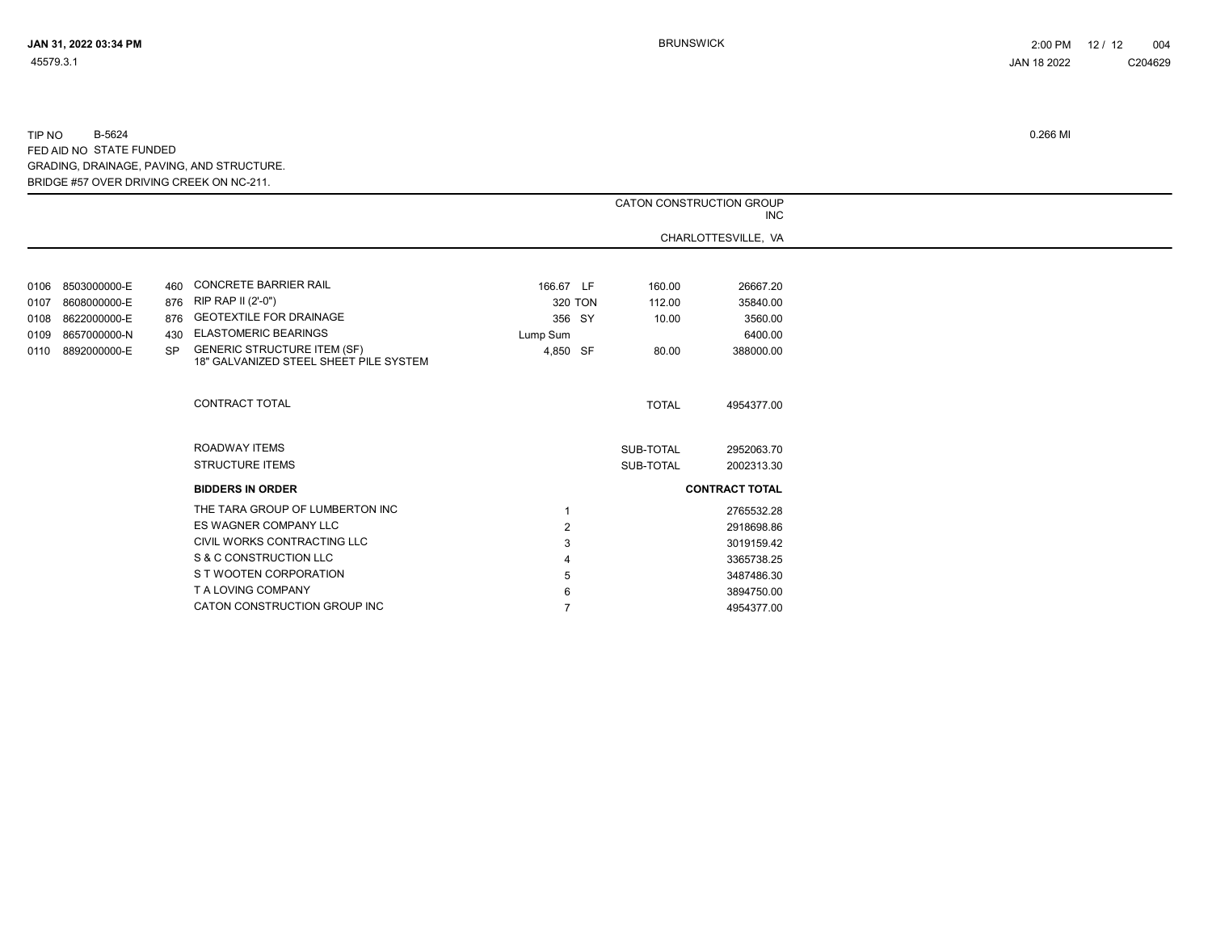|      |              |           |                                                                              |                | CATON CONSTRUCTION GROUP | <b>INC</b>            |  |
|------|--------------|-----------|------------------------------------------------------------------------------|----------------|--------------------------|-----------------------|--|
|      |              |           |                                                                              |                |                          | CHARLOTTESVILLE, VA   |  |
|      |              |           |                                                                              |                |                          |                       |  |
| 0106 | 8503000000-E | 460       | <b>CONCRETE BARRIER RAIL</b>                                                 | 166.67 LF      | 160.00                   | 26667.20              |  |
| 0107 | 8608000000-E | 876       | RIP RAP II (2'-0")                                                           | 320 TON        | 112.00                   | 35840.00              |  |
| 0108 | 8622000000-E | 876       | <b>GEOTEXTILE FOR DRAINAGE</b>                                               | 356 SY         | 10.00                    | 3560.00               |  |
| 0109 | 8657000000-N | 430       | <b>ELASTOMERIC BEARINGS</b>                                                  | Lump Sum       |                          | 6400.00               |  |
| 0110 | 8892000000-E | <b>SP</b> | <b>GENERIC STRUCTURE ITEM (SF)</b><br>18" GALVANIZED STEEL SHEET PILE SYSTEM | 4,850 SF       | 80.00                    | 388000.00             |  |
|      |              |           | <b>CONTRACT TOTAL</b>                                                        |                | <b>TOTAL</b>             | 4954377.00            |  |
|      |              |           | ROADWAY ITEMS                                                                |                | SUB-TOTAL                | 2952063.70            |  |
|      |              |           | <b>STRUCTURE ITEMS</b>                                                       |                | SUB-TOTAL                | 2002313.30            |  |
|      |              |           | <b>BIDDERS IN ORDER</b>                                                      |                |                          | <b>CONTRACT TOTAL</b> |  |
|      |              |           | THE TARA GROUP OF LUMBERTON INC                                              |                |                          | 2765532.28            |  |
|      |              |           | ES WAGNER COMPANY LLC                                                        | $\overline{2}$ |                          | 2918698.86            |  |
|      |              |           | CIVIL WORKS CONTRACTING LLC                                                  |                |                          | 3019159.42            |  |
|      |              |           | S & C CONSTRUCTION LLC                                                       |                |                          | 3365738.25            |  |
|      |              |           | S T WOOTEN CORPORATION                                                       |                |                          | 3487486.30            |  |
|      |              |           | T A LOVING COMPANY                                                           |                |                          | 3894750.00            |  |
|      |              |           | CATON CONSTRUCTION GROUP INC                                                 |                |                          | 4954377.00            |  |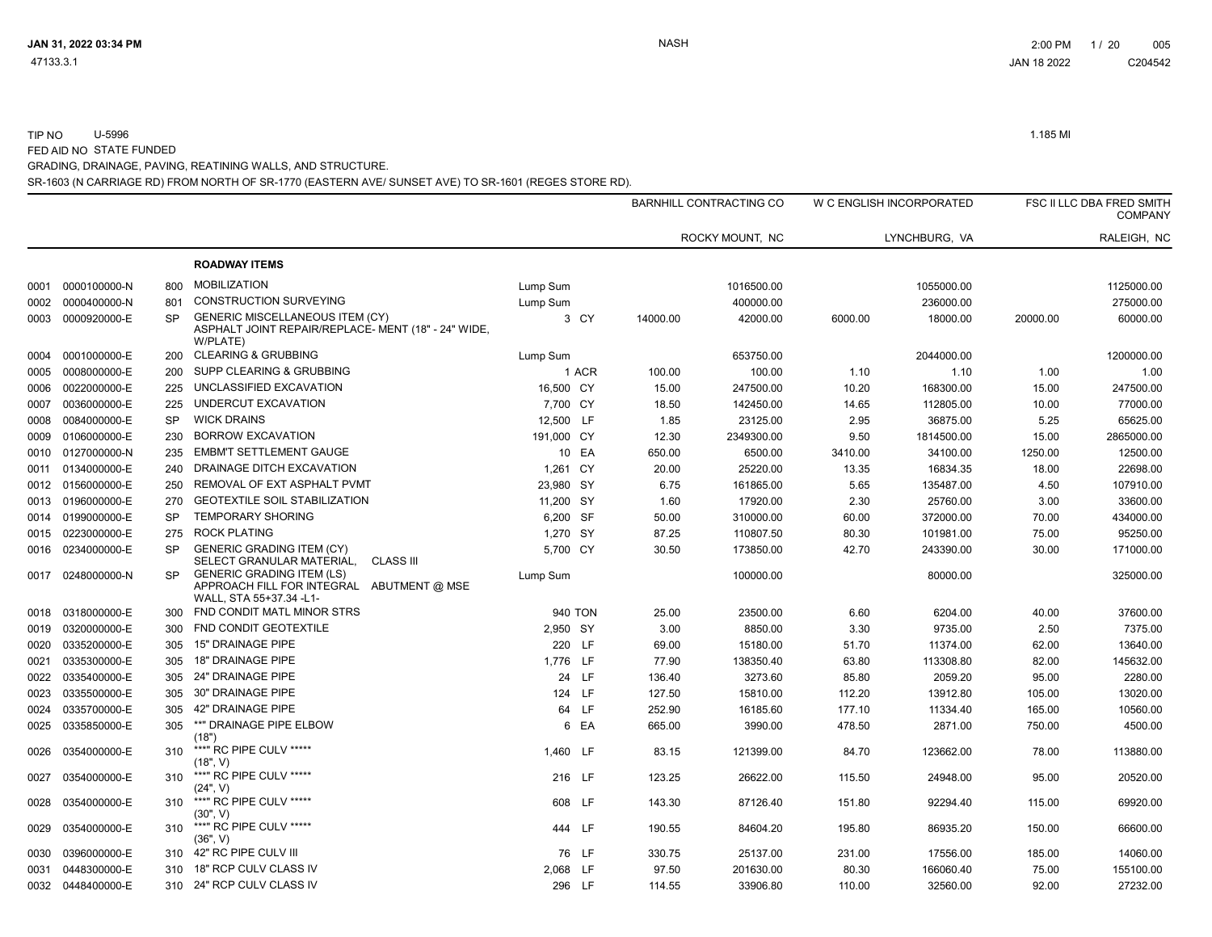TIP NO U-5996 1.185 MI FED AID NO STATE FUNDED

SR-1603 (N CARRIAGE RD) FROM NORTH OF SR-1770 (EASTERN AVE/ SUNSET AVE) TO SR-1601 (REGES STORE RD). GRADING, DRAINAGE, PAVING, REATINING WALLS, AND STRUCTURE.

|      |                   |           |                                                                                                             |            | <b>BARNHILL CONTRACTING CO</b> |                     |         | W C ENGLISH INCORPORATED |          | FSC II LLC DBA FRED SMITH<br><b>COMPANY</b> |  |
|------|-------------------|-----------|-------------------------------------------------------------------------------------------------------------|------------|--------------------------------|---------------------|---------|--------------------------|----------|---------------------------------------------|--|
|      |                   |           |                                                                                                             |            |                                | ROCKY MOUNT, NC     |         | LYNCHBURG, VA            |          | RALEIGH, NC                                 |  |
|      |                   |           | <b>ROADWAY ITEMS</b>                                                                                        |            |                                |                     |         |                          |          |                                             |  |
| 0001 | 0000100000-N      | 800       | <b>MOBILIZATION</b>                                                                                         | Lump Sum   |                                | 1016500.00          |         | 1055000.00               |          | 1125000.00                                  |  |
| 0002 | 0000400000-N      | 801       | <b>CONSTRUCTION SURVEYING</b>                                                                               | Lump Sum   |                                | 400000.00           |         | 236000.00                |          | 275000.00                                   |  |
| 0003 | 0000920000-E      | <b>SP</b> | <b>GENERIC MISCELLANEOUS ITEM (CY)</b><br>ASPHALT JOINT REPAIR/REPLACE- MENT (18" - 24" WIDE,<br>W/PLATE)   | 3 CY       | 14000.00                       | 42000.00            | 6000.00 | 18000.00                 | 20000.00 | 60000.00                                    |  |
| 0004 | 0001000000-E      | 200       | <b>CLEARING &amp; GRUBBING</b>                                                                              | Lump Sum   |                                | 653750.00           |         | 2044000.00               |          | 1200000.00                                  |  |
| 0005 | 0008000000-E      | 200       | SUPP CLEARING & GRUBBING                                                                                    | 1 ACR      | 100.00                         | 100.00              | 1.10    | 1.10                     | 1.00     | 1.00                                        |  |
| 0006 | 0022000000-E      | 225       | UNCLASSIFIED EXCAVATION                                                                                     | 16,500 CY  |                                | 15.00<br>247500.00  | 10.20   | 168300.00                | 15.00    | 247500.00                                   |  |
| 0007 | 0036000000-E      | 225       | UNDERCUT EXCAVATION                                                                                         | 7,700 CY   |                                | 18.50<br>142450.00  | 14.65   | 112805.00                | 10.00    | 77000.00                                    |  |
| 0008 | 0084000000-E      | <b>SP</b> | <b>WICK DRAINS</b>                                                                                          | 12,500 LF  |                                | 23125.00<br>1.85    | 2.95    | 36875.00                 | 5.25     | 65625.00                                    |  |
| 0009 | 0106000000-E      | 230       | <b>BORROW EXCAVATION</b>                                                                                    | 191,000 CY |                                | 12.30<br>2349300.00 | 9.50    | 1814500.00               | 15.00    | 2865000.00                                  |  |
| 0010 | 0127000000-N      | 235       | <b>EMBM'T SETTLEMENT GAUGE</b>                                                                              | 10 EA      | 650.00                         | 6500.00             | 3410.00 | 34100.00                 | 1250.00  | 12500.00                                    |  |
| 0011 | 0134000000-E      | 240       | DRAINAGE DITCH EXCAVATION                                                                                   | 1,261 CY   |                                | 25220.00<br>20.00   | 13.35   | 16834.35                 | 18.00    | 22698.00                                    |  |
| 0012 | 0156000000-E      | 250       | REMOVAL OF EXT ASPHALT PVMT                                                                                 | 23,980 SY  |                                | 161865.00<br>6.75   | 5.65    | 135487.00                | 4.50     | 107910.00                                   |  |
| 0013 | 0196000000-E      | 270       | <b>GEOTEXTILE SOIL STABILIZATION</b>                                                                        | 11,200 SY  |                                | 1.60<br>17920.00    | 2.30    | 25760.00                 | 3.00     | 33600.00                                    |  |
| 0014 | 0199000000-E      | <b>SP</b> | <b>TEMPORARY SHORING</b>                                                                                    | 6,200 SF   |                                | 50.00<br>310000.00  | 60.00   | 372000.00                | 70.00    | 434000.00                                   |  |
| 0015 | 0223000000-E      | 275       | <b>ROCK PLATING</b>                                                                                         | 1,270 SY   |                                | 87.25<br>110807.50  | 80.30   | 101981.00                | 75.00    | 95250.00                                    |  |
| 0016 | 0234000000-E      | <b>SP</b> | <b>GENERIC GRADING ITEM (CY)</b><br>SELECT GRANULAR MATERIAL,<br><b>CLASS III</b>                           | 5,700 CY   |                                | 30.50<br>173850.00  | 42.70   | 243390.00                | 30.00    | 171000.00                                   |  |
| 0017 | 0248000000-N      | <b>SP</b> | <b>GENERIC GRADING ITEM (LS)</b><br>APPROACH FILL FOR INTEGRAL<br>ABUTMENT @ MSE<br>WALL, STA 55+37.34 -L1- | Lump Sum   |                                | 100000.00           |         | 80000.00                 |          | 325000.00                                   |  |
| 0018 | 0318000000-E      | 300       | FND CONDIT MATL MINOR STRS                                                                                  | 940 TON    |                                | 25.00<br>23500.00   | 6.60    | 6204.00                  | 40.00    | 37600.00                                    |  |
| 0019 | 0320000000-E      | 300       | FND CONDIT GEOTEXTILE                                                                                       | 2,950 SY   |                                | 8850.00<br>3.00     | 3.30    | 9735.00                  | 2.50     | 7375.00                                     |  |
| 0020 | 0335200000-E      | 305       | <b>15" DRAINAGE PIPE</b>                                                                                    | 220 LF     |                                | 15180.00<br>69.00   | 51.70   | 11374.00                 | 62.00    | 13640.00                                    |  |
| 0021 | 0335300000-E      | 305       | 18" DRAINAGE PIPE                                                                                           | 1,776 LF   |                                | 77.90<br>138350.40  | 63.80   | 113308.80                | 82.00    | 145632.00                                   |  |
| 0022 | 0335400000-E      | 305       | 24" DRAINAGE PIPE                                                                                           | 24 LF      | 136.40                         | 3273.60             | 85.80   | 2059.20                  | 95.00    | 2280.00                                     |  |
| 0023 | 0335500000-E      | 305       | <b>30" DRAINAGE PIPE</b>                                                                                    | 124 LF     | 127.50                         | 15810.00            | 112.20  | 13912.80                 | 105.00   | 13020.00                                    |  |
| 0024 | 0335700000-E      | 305       | 42" DRAINAGE PIPE                                                                                           | 64 LF      | 252.90                         | 16185.60            | 177.10  | 11334.40                 | 165.00   | 10560.00                                    |  |
| 0025 | 0335850000-E      | 305       | **" DRAINAGE PIPE ELBOW<br>(18")                                                                            | 6          | EA<br>665.00                   | 3990.00             | 478.50  | 2871.00                  | 750.00   | 4500.00                                     |  |
| 0026 | 0354000000-E      | 310       | ***" RC PIPE CULV *****<br>(18", V)                                                                         | 1,460 LF   |                                | 83.15<br>121399.00  | 84.70   | 123662.00                | 78.00    | 113880.00                                   |  |
| 0027 | 0354000000-E      | 310       | ***" RC PIPE CULV *****<br>(24", V)                                                                         | 216 LF     | 123.25                         | 26622.00            | 115.50  | 24948.00                 | 95.00    | 20520.00                                    |  |
| 0028 | 0354000000-E      | 310       | ***" RC PIPE CULV *****<br>(30", V)                                                                         | 608 LF     | 143.30                         | 87126.40            | 151.80  | 92294.40                 | 115.00   | 69920.00                                    |  |
| 0029 | 0354000000-E      | 310       | ***" RC PIPE CULV *****<br>(36", V)                                                                         | 444 LF     | 190.55                         | 84604.20            | 195.80  | 86935.20                 | 150.00   | 66600.00                                    |  |
| 0030 | 0396000000-E      | 310       | 42" RC PIPE CULV III                                                                                        | 76 LF      | 330.75                         | 25137.00            | 231.00  | 17556.00                 | 185.00   | 14060.00                                    |  |
| 0031 | 0448300000-E      | 310       | 18" RCP CULV CLASS IV                                                                                       | 2,068 LF   |                                | 97.50<br>201630.00  | 80.30   | 166060.40                | 75.00    | 155100.00                                   |  |
|      | 0032 0448400000-E | 310       | 24" RCP CULV CLASS IV                                                                                       | 296 LF     | 114.55                         | 33906.80            | 110.00  | 32560.00                 | 92.00    | 27232.00                                    |  |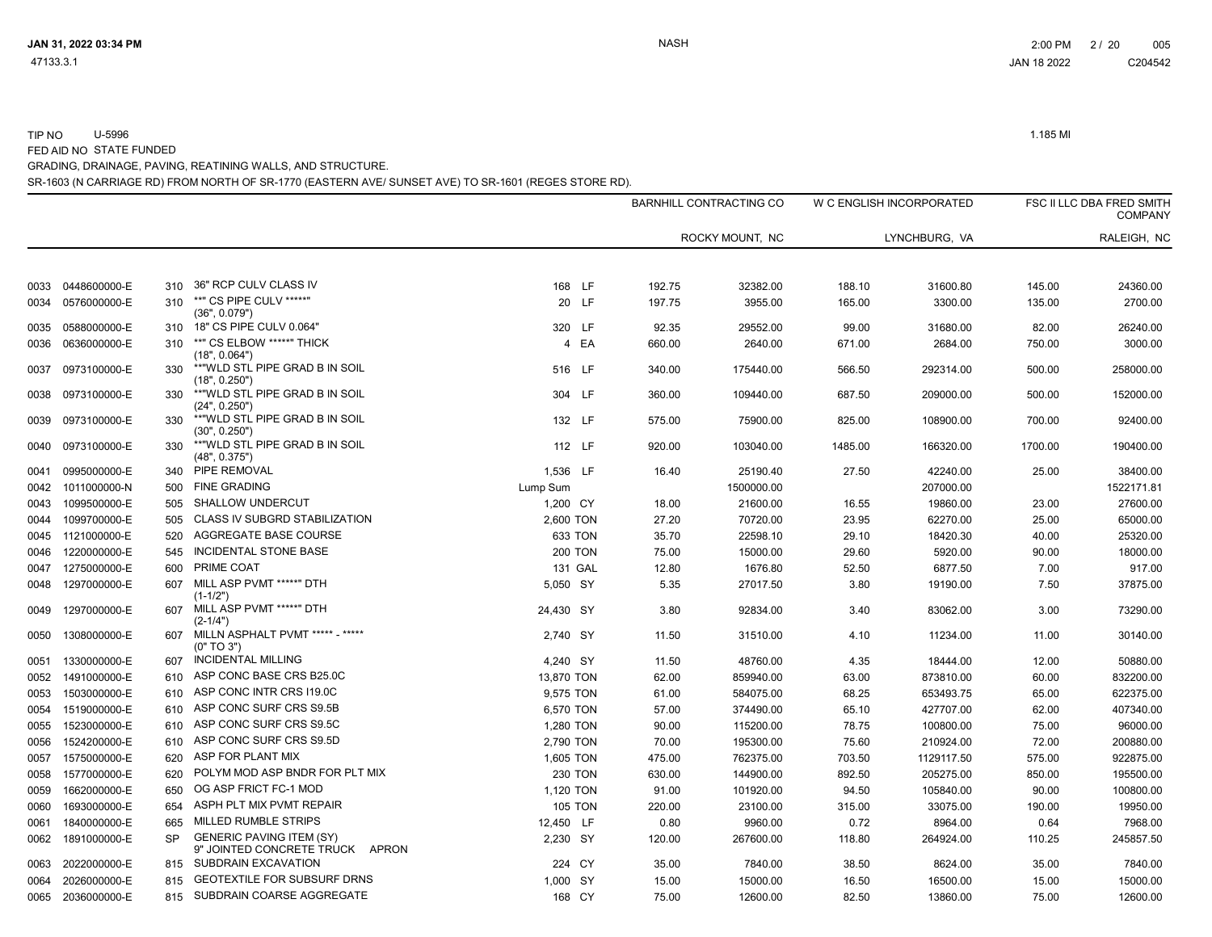|      |              |           |                                                                    |                      |        |                 |         |               |         | <b>COMPANY</b> |
|------|--------------|-----------|--------------------------------------------------------------------|----------------------|--------|-----------------|---------|---------------|---------|----------------|
|      |              |           |                                                                    |                      |        | ROCKY MOUNT, NC |         | LYNCHBURG, VA |         | RALEIGH, NC    |
| 0033 | 0448600000-E | 310       | 36" RCP CULV CLASS IV                                              | 168 LF               | 192.75 | 32382.00        | 188.10  | 31600.80      | 145.00  | 24360.00       |
| 0034 | 0576000000-E | 310       | **" CS PIPE CULV *****"                                            | 20 LF                | 197.75 | 3955.00         | 165.00  | 3300.00       | 135.00  | 2700.00        |
| 0035 | 0588000000-E | 310       | (36", 0.079")<br>18" CS PIPE CULV 0.064"                           | 320 LF               | 92.35  | 29552.00        | 99.00   | 31680.00      | 82.00   | 26240.00       |
| 0036 | 0636000000-E | 310       | **" CS ELBOW *****" THICK<br>(18", 0.064")                         | EA<br>$\overline{4}$ | 660.00 | 2640.00         | 671.00  | 2684.00       | 750.00  | 3000.00        |
| 0037 | 0973100000-E | 330       | ** "WLD STL PIPE GRAD B IN SOIL<br>(18", 0.250")                   | 516 LF               | 340.00 | 175440.00       | 566.50  | 292314.00     | 500.00  | 258000.00      |
| 0038 | 0973100000-E | 330       | **"WLD STL PIPE GRAD B IN SOIL<br>(24", 0.250")                    | 304 LF               | 360.00 | 109440.00       | 687.50  | 209000.00     | 500.00  | 152000.00      |
| 0039 | 0973100000-E | 330       | ** "WLD STL PIPE GRAD B IN SOIL<br>(30", 0.250")                   | 132 LF               | 575.00 | 75900.00        | 825.00  | 108900.00     | 700.00  | 92400.00       |
| 0040 | 0973100000-E | 330       | **"WLD STL PIPE GRAD B IN SOIL<br>(48", 0.375")                    | 112 LF               | 920.00 | 103040.00       | 1485.00 | 166320.00     | 1700.00 | 190400.00      |
| 0041 | 0995000000-E |           | 340 PIPE REMOVAL                                                   | 1,536 LF             | 16.40  | 25190.40        | 27.50   | 42240.00      | 25.00   | 38400.00       |
| 0042 | 1011000000-N | 500       | <b>FINE GRADING</b>                                                | Lump Sum             |        | 1500000.00      |         | 207000.00     |         | 1522171.81     |
| 0043 | 1099500000-E | 505       | SHALLOW UNDERCUT                                                   | 1,200 CY             | 18.00  | 21600.00        | 16.55   | 19860.00      | 23.00   | 27600.00       |
| 0044 | 1099700000-E | 505       | CLASS IV SUBGRD STABILIZATION                                      | 2,600 TON            | 27.20  | 70720.00        | 23.95   | 62270.00      | 25.00   | 65000.00       |
| 0045 | 1121000000-E | 520       | AGGREGATE BASE COURSE                                              | 633 TON              | 35.70  | 22598.10        | 29.10   | 18420.30      | 40.00   | 25320.00       |
| 0046 | 1220000000-E | 545       | INCIDENTAL STONE BASE                                              | <b>200 TON</b>       | 75.00  | 15000.00        | 29.60   | 5920.00       | 90.00   | 18000.00       |
| 0047 | 1275000000-E | 600       | PRIME COAT                                                         | 131 GAL              | 12.80  | 1676.80         | 52.50   | 6877.50       | 7.00    | 917.00         |
| 0048 | 1297000000-E | 607       | MILL ASP PVMT *****" DTH<br>$(1-1/2")$                             | 5,050 SY             | 5.35   | 27017.50        | 3.80    | 19190.00      | 7.50    | 37875.00       |
| 0049 | 1297000000-E | 607       | MILL ASP PVMT *****" DTH<br>$(2-1/4")$                             | 24,430 SY            | 3.80   | 92834.00        | 3.40    | 83062.00      | 3.00    | 73290.00       |
| 0050 | 1308000000-E | 607       | MILLN ASPHALT PVMT ***** - *****<br>(0" TO 3")                     | 2.740 SY             | 11.50  | 31510.00        | 4.10    | 11234.00      | 11.00   | 30140.00       |
| 0051 | 1330000000-E | 607       | <b>INCIDENTAL MILLING</b>                                          | 4,240 SY             | 11.50  | 48760.00        | 4.35    | 18444.00      | 12.00   | 50880.00       |
| 0052 | 1491000000-E | 610       | ASP CONC BASE CRS B25.0C                                           | 13,870 TON           | 62.00  | 859940.00       | 63.00   | 873810.00     | 60.00   | 832200.00      |
| 0053 | 1503000000-E | 610       | ASP CONC INTR CRS I19.0C                                           | 9,575 TON            | 61.00  | 584075.00       | 68.25   | 653493.75     | 65.00   | 622375.00      |
| 0054 | 1519000000-E | 610       | ASP CONC SURF CRS S9.5B                                            | 6,570 TON            | 57.00  | 374490.00       | 65.10   | 427707.00     | 62.00   | 407340.00      |
| 0055 | 1523000000-E | 610       | ASP CONC SURF CRS S9.5C                                            | 1,280 TON            | 90.00  | 115200.00       | 78.75   | 100800.00     | 75.00   | 96000.00       |
| 0056 | 1524200000-E | 610       | ASP CONC SURF CRS S9.5D                                            | 2,790 TON            | 70.00  | 195300.00       | 75.60   | 210924.00     | 72.00   | 200880.00      |
| 0057 | 1575000000-E | 620       | ASP FOR PLANT MIX                                                  | 1,605 TON            | 475.00 | 762375.00       | 703.50  | 1129117.50    | 575.00  | 922875.00      |
| 0058 | 1577000000-E | 620       | POLYM MOD ASP BNDR FOR PLT MIX                                     | <b>230 TON</b>       | 630.00 | 144900.00       | 892.50  | 205275.00     | 850.00  | 195500.00      |
| 0059 | 1662000000-E | 650       | OG ASP FRICT FC-1 MOD                                              | 1,120 TON            | 91.00  | 101920.00       | 94.50   | 105840.00     | 90.00   | 100800.00      |
| 0060 | 1693000000-E | 654       | ASPH PLT MIX PVMT REPAIR                                           | <b>105 TON</b>       | 220.00 | 23100.00        | 315.00  | 33075.00      | 190.00  | 19950.00       |
| 0061 | 1840000000-E | 665       | MILLED RUMBLE STRIPS                                               | 12,450 LF            | 0.80   | 9960.00         | 0.72    | 8964.00       | 0.64    | 7968.00        |
| 0062 | 1891000000-E | <b>SP</b> | <b>GENERIC PAVING ITEM (SY)</b><br>9" JOINTED CONCRETE TRUCK APRON | 2,230 SY             | 120.00 | 267600.00       | 118.80  | 264924.00     | 110.25  | 245857.50      |
| 0063 | 2022000000-E | 815       | SUBDRAIN EXCAVATION                                                | 224 CY               | 35.00  | 7840.00         | 38.50   | 8624.00       | 35.00   | 7840.00        |
| 0064 | 2026000000-E | 815       | <b>GEOTEXTILE FOR SUBSURF DRNS</b>                                 | 1,000 SY             | 15.00  | 15000.00        | 16.50   | 16500.00      | 15.00   | 15000.00       |
| 0065 | 2036000000-E | 815       | SUBDRAIN COARSE AGGREGATE                                          | 168 CY               | 75.00  | 12600.00        | 82.50   | 13860.00      | 75.00   | 12600.00       |

SR-1603 (N CARRIAGE RD) FROM NORTH OF SR-1770 (EASTERN AVE/ SUNSET AVE) TO SR-1601 (REGES STORE RD).

GRADING, DRAINAGE, PAVING, REATINING WALLS, AND STRUCTURE.

FED AID NO STATE FUNDED

TIP NO U-5996 1.185 MI

W C ENGLISH INCORPORATED FSC II LLC DBA FRED SMITH

BARNHILL CONTRACTING CO

JAN 31, 2022 03:34 PM NASH 2:00 PM 2 / 20 005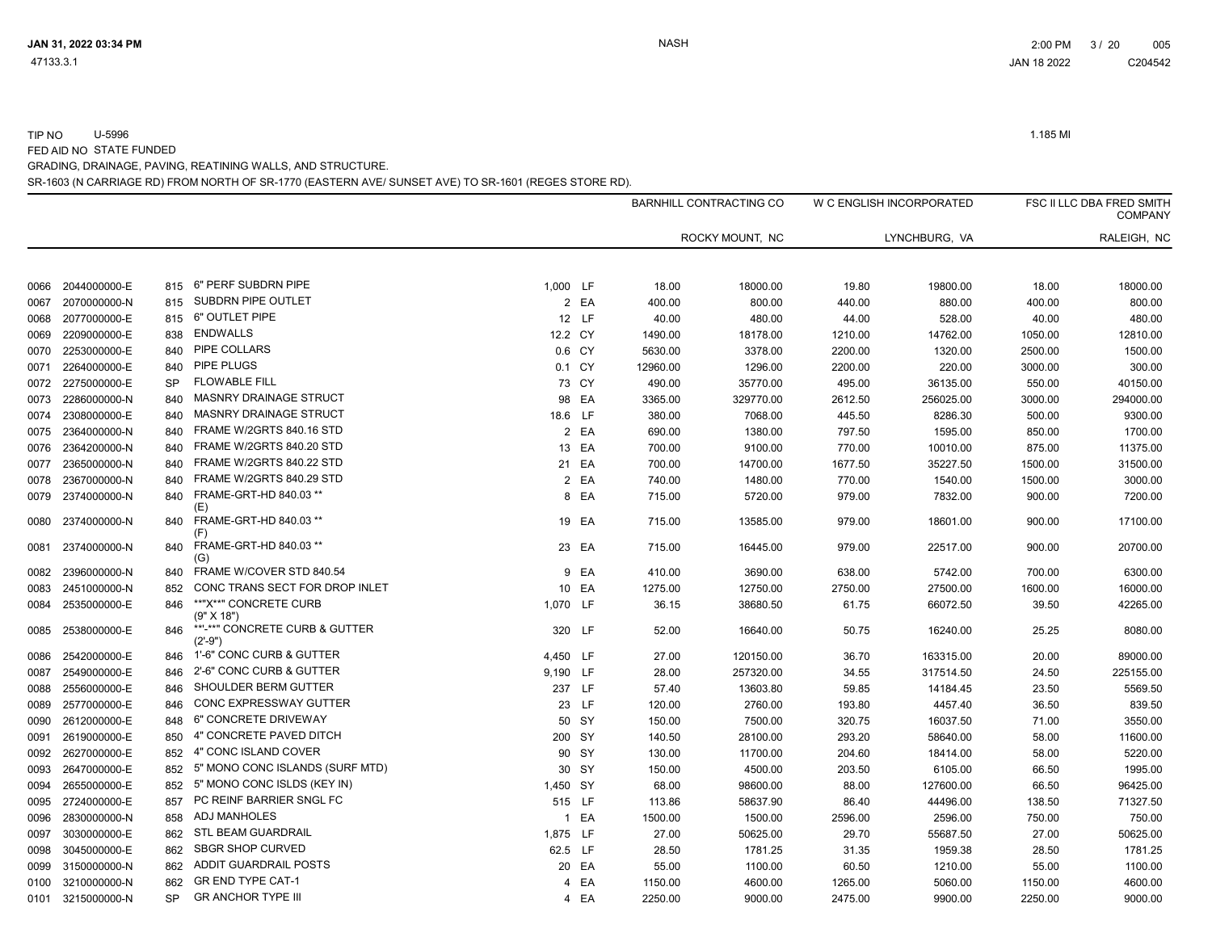TIP NO U-5996 1.185 MI FED AID NO STATE FUNDED

GRADING, DRAINAGE, PAVING, REATINING WALLS, AND STRUCTURE.

| <u>UN DIVUDI UNIVIDE. I AVINO. INEATININO INALEO. ANNO OTINOOTOINE.</u>                              |  |
|------------------------------------------------------------------------------------------------------|--|
| SR-1603 (N CARRIAGE RD) FROM NORTH OF SR-1770 (EASTERN AVE/ SUNSET AVE) TO SR-1601 (REGES STORE RD). |  |

| GRADING. DRAINAGE. PAVING. REATINING WALLS. AND STRUCTURE. |  |
|------------------------------------------------------------|--|
|                                                            |  |

| GRADING. DRAINAGE. PAVING. REATINING WALLS. AND STRUCTURE. |  |
|------------------------------------------------------------|--|
|                                                            |  |

|      |                   |           |                                                                     |          |        |          | BARNHILL CONTRACTING CO | W C ENGLISH INCORPORATED |               |         | FSC II LLC DBA FRED SMITH<br><b>COMPANY</b> |
|------|-------------------|-----------|---------------------------------------------------------------------|----------|--------|----------|-------------------------|--------------------------|---------------|---------|---------------------------------------------|
|      |                   |           |                                                                     |          |        |          | ROCKY MOUNT, NC         |                          | LYNCHBURG, VA |         | RALEIGH, NC                                 |
| 0066 | 2044000000-E      | 815       | 6" PERF SUBDRN PIPE                                                 | 1,000 LF |        | 18.00    | 18000.00                | 19.80                    | 19800.00      | 18.00   | 18000.00                                    |
| 0067 | 2070000000-N      | 815       | SUBDRN PIPE OUTLET                                                  |          | 2 EA   | 400.00   | 800.00                  | 440.00                   | 880.00        | 400.00  | 800.00                                      |
| 0068 | 2077000000-E      | 815       | 6" OUTLET PIPE                                                      |          | 12 LF  | 40.00    | 480.00                  | 44.00                    | 528.00        | 40.00   | 480.00                                      |
| 0069 | 2209000000-E      | 838       | <b>ENDWALLS</b>                                                     | 12.2 CY  |        | 1490.00  | 18178.00                | 1210.00                  | 14762.00      | 1050.00 | 12810.00                                    |
| 0070 | 2253000000-E      | 840       | PIPE COLLARS                                                        |          | 0.6 CY | 5630.00  | 3378.00                 | 2200.00                  | 1320.00       | 2500.00 | 1500.00                                     |
| 0071 | 2264000000-E      | 840       | <b>PIPE PLUGS</b>                                                   |          | 0.1 CY | 12960.00 | 1296.00                 | 2200.00                  | 220.00        | 3000.00 | 300.00                                      |
| 0072 | 2275000000-E      | <b>SP</b> | <b>FLOWABLE FILL</b>                                                |          | 73 CY  | 490.00   | 35770.00                | 495.00                   | 36135.00      | 550.00  | 40150.00                                    |
| 0073 | 2286000000-N      | 840       | MASNRY DRAINAGE STRUCT                                              |          | 98 EA  | 3365.00  | 329770.00               | 2612.50                  | 256025.00     | 3000.00 | 294000.00                                   |
| 0074 | 2308000000-E      | 840       | <b>MASNRY DRAINAGE STRUCT</b>                                       | 18.6 LF  |        | 380.00   | 7068.00                 | 445.50                   | 8286.30       | 500.00  | 9300.00                                     |
| 0075 | 2364000000-N      | 840       | FRAME W/2GRTS 840.16 STD                                            |          | 2 EA   | 690.00   | 1380.00                 | 797.50                   | 1595.00       | 850.00  | 1700.00                                     |
| 0076 | 2364200000-N      | 840       | FRAME W/2GRTS 840.20 STD                                            |          | 13 EA  | 700.00   | 9100.00                 | 770.00                   | 10010.00      | 875.00  | 11375.00                                    |
| 0077 | 2365000000-N      | 840       | FRAME W/2GRTS 840.22 STD                                            |          | 21 EA  | 700.00   | 14700.00                | 1677.50                  | 35227.50      | 1500.00 | 31500.00                                    |
| 0078 | 2367000000-N      |           | FRAME W/2GRTS 840.29 STD                                            |          | 2 EA   | 740.00   | 1480.00                 | 770.00                   | 1540.00       | 1500.00 | 3000.00                                     |
| 0079 | 2374000000-N      | 840       | FRAME-GRT-HD 840.03 **<br>(E)                                       |          | 8 EA   | 715.00   | 5720.00                 | 979.00                   | 7832.00       | 900.00  | 7200.00                                     |
| 0080 | 2374000000-N      | 840       | FRAME-GRT-HD 840.03 **<br>(F)                                       |          | 19 EA  | 715.00   | 13585.00                | 979.00                   | 18601.00      | 900.00  | 17100.00                                    |
| 0081 | 2374000000-N      | 840       | FRAME-GRT-HD 840.03 **<br>(G)                                       |          | 23 EA  | 715.00   | 16445.00                | 979.00                   | 22517.00      | 900.00  | 20700.00                                    |
| 0082 | 2396000000-N      | 840       | FRAME W/COVER STD 840.54                                            |          | 9 EA   | 410.00   | 3690.00                 | 638.00                   | 5742.00       | 700.00  | 6300.00                                     |
| 0083 | 2451000000-N      | 852       | CONC TRANS SECT FOR DROP INLET                                      |          | 10 EA  | 1275.00  | 12750.00                | 2750.00                  | 27500.00      | 1600.00 | 16000.00                                    |
| 0084 | 2535000000-E      | 846       | **"X**" CONCRETE CURB<br>(9" X 18")                                 | 1,070 LF |        | 36.15    | 38680.50                | 61.75                    | 66072.50      | 39.50   | 42265.00                                    |
| 0085 | 2538000000-E      | 846       | **'-**" CONCRETE CURB & GUTTER<br>$(2^{\prime} - 9^{\prime\prime})$ |          | 320 LF | 52.00    | 16640.00                | 50.75                    | 16240.00      | 25.25   | 8080.00                                     |
| 0086 | 2542000000-E      | 846       | 1'-6" CONC CURB & GUTTER                                            | 4,450 LF |        | 27.00    | 120150.00               | 36.70                    | 163315.00     | 20.00   | 89000.00                                    |
| 0087 | 2549000000-E      | 846       | 2'-6" CONC CURB & GUTTER                                            | 9,190 LF |        | 28.00    | 257320.00               | 34.55                    | 317514.50     | 24.50   | 225155.00                                   |
| 0088 | 2556000000-E      | 846       | SHOULDER BERM GUTTER                                                |          | 237 LF | 57.40    | 13603.80                | 59.85                    | 14184.45      | 23.50   | 5569.50                                     |
| 0089 | 2577000000-E      | 846       | <b>CONC EXPRESSWAY GUTTER</b>                                       |          | 23 LF  | 120.00   | 2760.00                 | 193.80                   | 4457.40       | 36.50   | 839.50                                      |
| 0090 | 2612000000-E      | 848       | 6" CONCRETE DRIVEWAY                                                |          | 50 SY  | 150.00   | 7500.00                 | 320.75                   | 16037.50      | 71.00   | 3550.00                                     |
| 0091 | 2619000000-E      | 850       | 4" CONCRETE PAVED DITCH                                             |          | 200 SY | 140.50   | 28100.00                | 293.20                   | 58640.00      | 58.00   | 11600.00                                    |
| 0092 | 2627000000-E      | 852       | 4" CONC ISLAND COVER                                                |          | 90 SY  | 130.00   | 11700.00                | 204.60                   | 18414.00      | 58.00   | 5220.00                                     |
| 0093 | 2647000000-E      | 852       | 5" MONO CONC ISLANDS (SURF MTD)                                     |          | 30 SY  | 150.00   | 4500.00                 | 203.50                   | 6105.00       | 66.50   | 1995.00                                     |
|      | 0094 2655000000-E | 852       | 5" MONO CONC ISLDS (KEY IN)                                         | 1,450 SY |        | 68.00    | 98600.00                | 88.00                    | 127600.00     | 66.50   | 96425.00                                    |

0095 2724000000-E 857 PC REINF BARRIER SNGL FC **CONFERNATION CONSUMER** 515 LF 113.86 58637.90 86.40 44496.00 138.50 71327.50 0096 2830000000-N 858 1 EA 1500.00 1500.00 ADJ MANHOLES 2596.00 2596.00 750.00 750.00 0097 3030000000-E 862 STLBEAM GUARDRAIL 2000 1,875 LF 27.00 50625.00 29.70 55687.50 27.00 50625.00 0098 3045000000-E 862 SBGR SHOP CURVED 30.000 30.5 LE 28.50 31.35 31.35 31.35 31.35 38 30.50 1781.25 0099 3150000000-N 862 ADDIT GUARDRAIL POSTS 60.00 ADDIT ADDIT SON DESCRIPTION DESCRIPTION DESCRIPTION DESCRIPTION 0100 3210000000-N 862 4 EA 1150.00 4600.00 GR END TYPE CAT-1 1265.00 5060.00 1150.00 4600.00 0101 3215000000-N SP 4 EA 2250.00 9000.00 GR ANCHOR TYPE III 2475.00 9900.00 2250.00 9000.00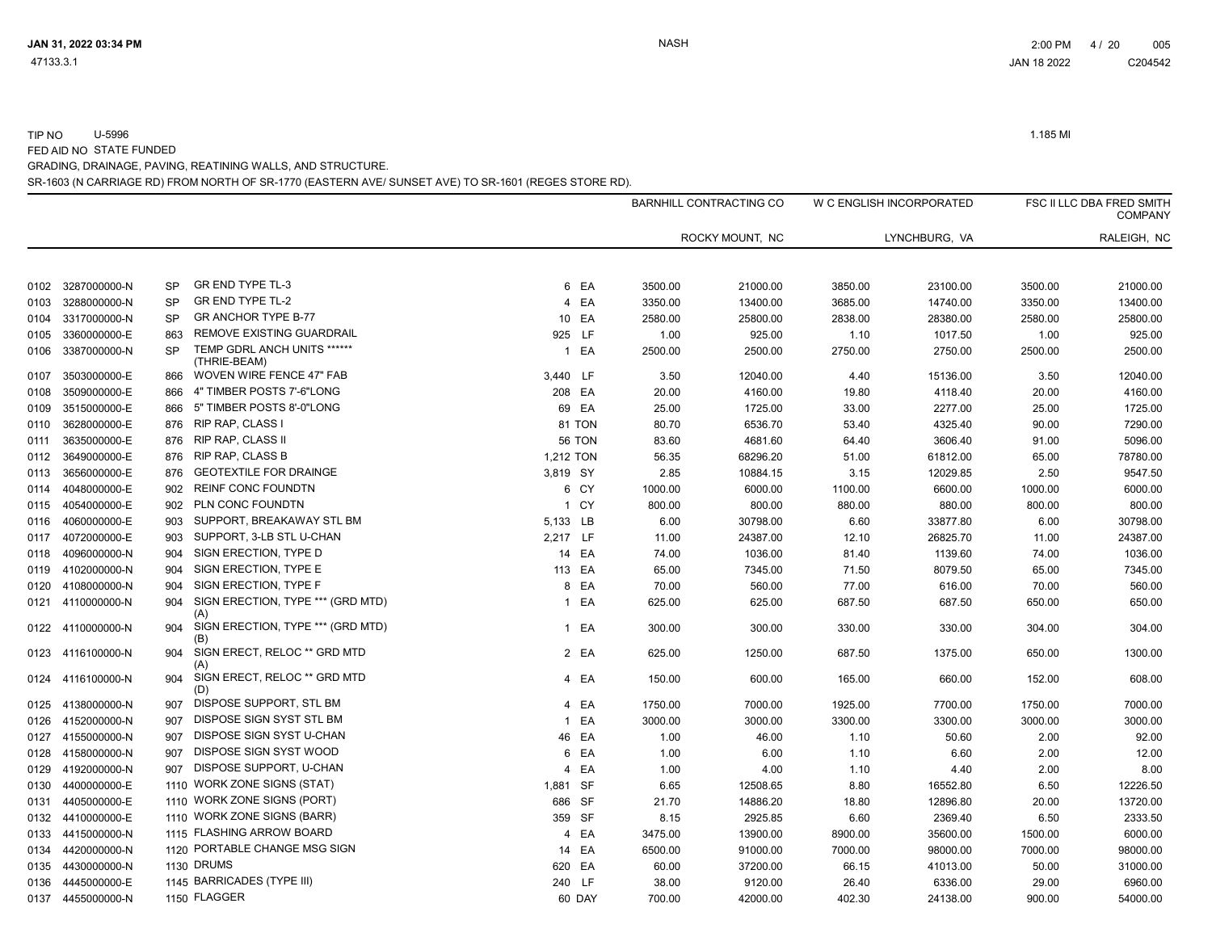TIP NO U-5996 1.185 MI FED AID NO STATE FUNDED

SR-1603 (N CARRIAGE RD) FROM NORTH OF SR-1770 (EASTERN AVE/ SUNSET AVE) TO SR-1601 (REGES STORE RD). GRADING, DRAINAGE, PAVING, REATINING WALLS, AND STRUCTURE.

|      |              |           |                                             |           |               | <b>BARNHILL CONTRACTING CO</b> |                 | W C ENGLISH INCORPORATED |               |         | FSC II LLC DBA FRED SMITH<br><b>COMPANY</b> |  |
|------|--------------|-----------|---------------------------------------------|-----------|---------------|--------------------------------|-----------------|--------------------------|---------------|---------|---------------------------------------------|--|
|      |              |           |                                             |           |               |                                | ROCKY MOUNT, NC |                          | LYNCHBURG, VA |         | RALEIGH, NC                                 |  |
|      |              |           |                                             |           |               |                                |                 |                          |               |         |                                             |  |
| 0102 | 3287000000-N | <b>SP</b> | <b>GR END TYPE TL-3</b>                     |           | 6 EA          | 3500.00                        | 21000.00        | 3850.00                  | 23100.00      | 3500.00 | 21000.00                                    |  |
| 0103 | 3288000000-N | <b>SP</b> | <b>GR END TYPE TL-2</b>                     |           | 4 EA          | 3350.00                        | 13400.00        | 3685.00                  | 14740.00      | 3350.00 | 13400.00                                    |  |
| 0104 | 3317000000-N | <b>SP</b> | <b>GR ANCHOR TYPE B-77</b>                  |           | 10 EA         | 2580.00                        | 25800.00        | 2838.00                  | 28380.00      | 2580.00 | 25800.00                                    |  |
| 0105 | 3360000000-E | 863       | REMOVE EXISTING GUARDRAIL                   | 925 LF    |               | 1.00                           | 925.00          | 1.10                     | 1017.50       | 1.00    | 925.00                                      |  |
| 0106 | 3387000000-N | <b>SP</b> | TEMP GDRL ANCH UNITS ******<br>(THRIE-BEAM) |           | 1 EA          | 2500.00                        | 2500.00         | 2750.00                  | 2750.00       | 2500.00 | 2500.00                                     |  |
| 0107 | 3503000000-E | 866       | WOVEN WIRE FENCE 47" FAB                    | 3,440 LF  |               | 3.50                           | 12040.00        | 4.40                     | 15136.00      | 3.50    | 12040.00                                    |  |
| 0108 | 3509000000-E | 866       | 4" TIMBER POSTS 7'-6"LONG                   | 208 EA    |               | 20.00                          | 4160.00         | 19.80                    | 4118.40       | 20.00   | 4160.00                                     |  |
| 0109 | 3515000000-E | 866       | 5" TIMBER POSTS 8'-0"LONG                   |           | 69 EA         | 25.00                          | 1725.00         | 33.00                    | 2277.00       | 25.00   | 1725.00                                     |  |
| 0110 | 3628000000-E |           | 876 RIP RAP, CLASS I                        |           | 81 TON        | 80.70                          | 6536.70         | 53.40                    | 4325.40       | 90.00   | 7290.00                                     |  |
| 0111 | 3635000000-E | 876       | <b>RIP RAP, CLASS II</b>                    |           | <b>56 TON</b> | 83.60                          | 4681.60         | 64.40                    | 3606.40       | 91.00   | 5096.00                                     |  |
| 0112 | 3649000000-E | 876       | <b>RIP RAP, CLASS B</b>                     | 1,212 TON |               | 56.35                          | 68296.20        | 51.00                    | 61812.00      | 65.00   | 78780.00                                    |  |
| 0113 | 3656000000-E | 876       | <b>GEOTEXTILE FOR DRAINGE</b>               | 3,819 SY  |               | 2.85                           | 10884.15        | 3.15                     | 12029.85      | 2.50    | 9547.50                                     |  |
| 0114 | 4048000000-E | 902       | <b>REINF CONC FOUNDTN</b>                   |           | 6 CY          | 1000.00                        | 6000.00         | 1100.00                  | 6600.00       | 1000.00 | 6000.00                                     |  |
| 0115 | 4054000000-E | 902       | PLN CONC FOUNDTN                            |           | 1 CY          | 800.00                         | 800.00          | 880.00                   | 880.00        | 800.00  | 800.00                                      |  |
| 0116 | 4060000000-E | 903       | SUPPORT, BREAKAWAY STL BM                   | 5,133 LB  |               | 6.00                           | 30798.00        | 6.60                     | 33877.80      | 6.00    | 30798.00                                    |  |
| 0117 | 4072000000-E | 903       | SUPPORT, 3-LB STL U-CHAN                    | 2,217 LF  |               | 11.00                          | 24387.00        | 12.10                    | 26825.70      | 11.00   | 24387.00                                    |  |
| 0118 | 4096000000-N | 904       | SIGN ERECTION, TYPE D                       |           | 14 EA         | 74.00                          | 1036.00         | 81.40                    | 1139.60       | 74.00   | 1036.00                                     |  |
| 0119 | 4102000000-N | 904       | SIGN ERECTION, TYPE E                       | 113 EA    |               | 65.00                          | 7345.00         | 71.50                    | 8079.50       | 65.00   | 7345.00                                     |  |
| 0120 | 4108000000-N | 904       | SIGN ERECTION, TYPE F                       |           | 8 EA          | 70.00                          | 560.00          | 77.00                    | 616.00        | 70.00   | 560.00                                      |  |
| 0121 | 4110000000-N | 904       | SIGN ERECTION, TYPE *** (GRD MTD)<br>(A)    |           | 1 EA          | 625.00                         | 625.00          | 687.50                   | 687.50        | 650.00  | 650.00                                      |  |
| 0122 | 4110000000-N | 904       | SIGN ERECTION, TYPE *** (GRD MTD)<br>(B)    |           | 1 EA          | 300.00                         | 300.00          | 330.00                   | 330.00        | 304.00  | 304.00                                      |  |
| 0123 | 4116100000-N | 904       | SIGN ERECT, RELOC ** GRD MTD<br>(A)         |           | 2 EA          | 625.00                         | 1250.00         | 687.50                   | 1375.00       | 650.00  | 1300.00                                     |  |
| 0124 | 4116100000-N | 904       | SIGN ERECT, RELOC ** GRD MTD<br>(D)         |           | 4 EA          | 150.00                         | 600.00          | 165.00                   | 660.00        | 152.00  | 608.00                                      |  |
| 0125 | 4138000000-N | 907       | DISPOSE SUPPORT, STL BM                     | 4         | EA            | 1750.00                        | 7000.00         | 1925.00                  | 7700.00       | 1750.00 | 7000.00                                     |  |
| 0126 | 4152000000-N | 907       | DISPOSE SIGN SYST STL BM                    |           | 1 EA          | 3000.00                        | 3000.00         | 3300.00                  | 3300.00       | 3000.00 | 3000.00                                     |  |
| 0127 | 4155000000-N | 907       | DISPOSE SIGN SYST U-CHAN                    |           | 46 EA         | 1.00                           | 46.00           | 1.10                     | 50.60         | 2.00    | 92.00                                       |  |
| 0128 | 4158000000-N | 907       | DISPOSE SIGN SYST WOOD                      | 6         | EA            | 1.00                           | 6.00            | 1.10                     | 6.60          | 2.00    | 12.00                                       |  |
| 0129 | 4192000000-N | 907       | DISPOSE SUPPORT, U-CHAN                     | 4         | EA            | 1.00                           | 4.00            | 1.10                     | 4.40          | 2.00    | 8.00                                        |  |
| 0130 | 4400000000-E |           | 1110 WORK ZONE SIGNS (STAT)                 | 1,881 SF  |               | 6.65                           | 12508.65        | 8.80                     | 16552.80      | 6.50    | 12226.50                                    |  |
| 0131 | 4405000000-E |           | 1110 WORK ZONE SIGNS (PORT)                 | 686 SF    |               | 21.70                          | 14886.20        | 18.80                    | 12896.80      | 20.00   | 13720.00                                    |  |
| 0132 | 4410000000-E |           | 1110 WORK ZONE SIGNS (BARR)                 | 359 SF    |               | 8.15                           | 2925.85         | 6.60                     | 2369.40       | 6.50    | 2333.50                                     |  |
| 0133 | 4415000000-N |           | 1115 FLASHING ARROW BOARD                   | 4         | EA            | 3475.00                        | 13900.00        | 8900.00                  | 35600.00      | 1500.00 | 6000.00                                     |  |
| 0134 | 4420000000-N |           | 1120 PORTABLE CHANGE MSG SIGN               |           | 14 EA         | 6500.00                        | 91000.00        | 7000.00                  | 98000.00      | 7000.00 | 98000.00                                    |  |
| 0135 | 4430000000-N |           | 1130 DRUMS                                  | 620 EA    |               | 60.00                          | 37200.00        | 66.15                    | 41013.00      | 50.00   | 31000.00                                    |  |
| 0136 | 4445000000-E |           | 1145 BARRICADES (TYPE III)                  | 240 LF    |               | 38.00                          | 9120.00         | 26.40                    | 6336.00       | 29.00   | 6960.00                                     |  |
| 0137 | 4455000000-N |           | 1150 FLAGGER                                |           | 60 DAY        | 700.00                         | 42000.00        | 402.30                   | 24138.00      | 900.00  | 54000.00                                    |  |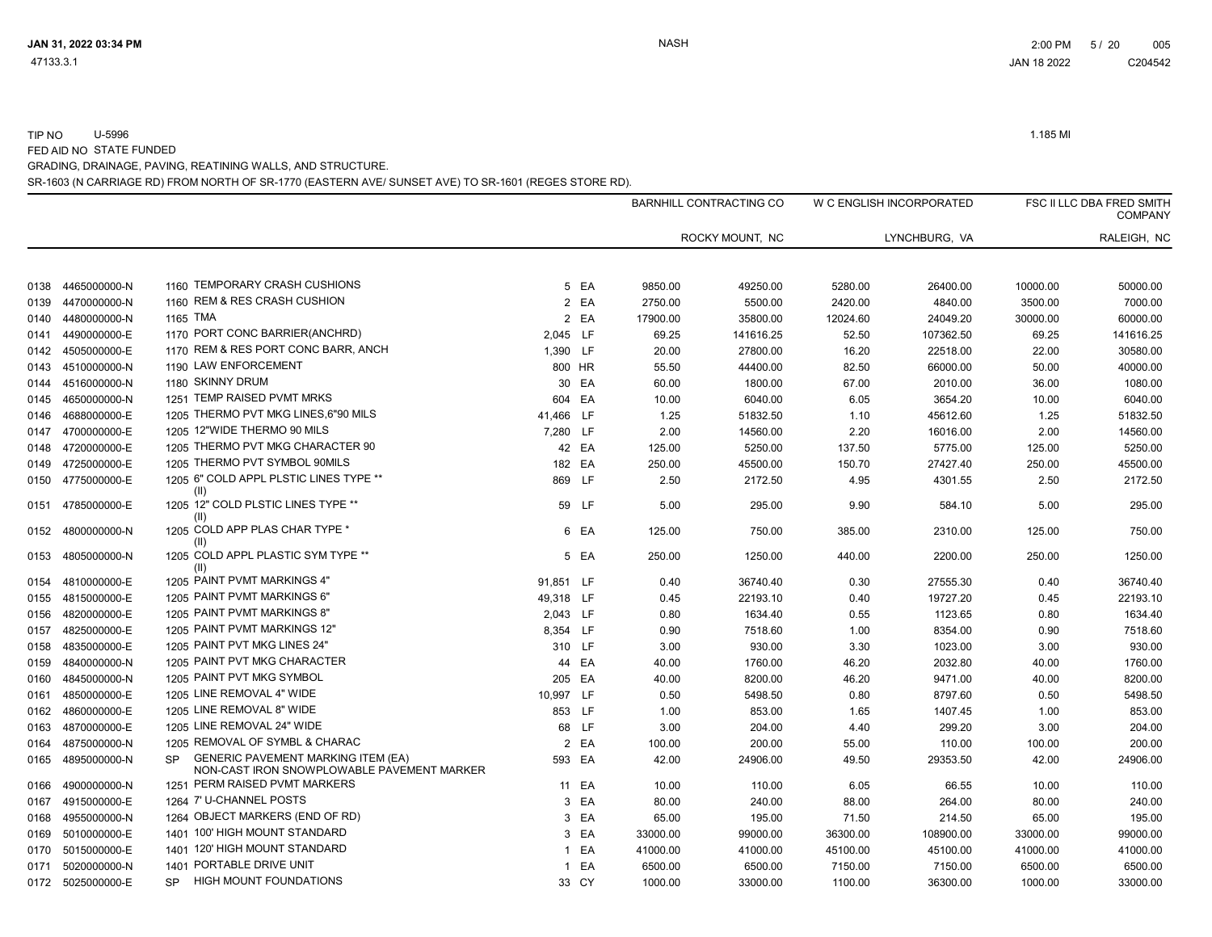TIP NO U-5996 1.185 MI FED AID NO STATE FUNDED

GRADING, DRAINAGE, PAVING, REATINING WALLS, AND STRUCTURE.

SR-1603 (N CARRIAGE RD) FROM NORTH OF SR-1770 (EASTERN AVE/ SUNSET AVE) TO SR-1601 (REGES STORE RD).

|      |              |                                                                                                      |           |        |          | BARNHILL CONTRACTING CO |          | W C ENGLISH INCORPORATED |          | FSC II LLC DBA FRED SMITH<br><b>COMPANY</b> |
|------|--------------|------------------------------------------------------------------------------------------------------|-----------|--------|----------|-------------------------|----------|--------------------------|----------|---------------------------------------------|
|      |              |                                                                                                      |           |        |          | ROCKY MOUNT, NC         |          | LYNCHBURG, VA            |          | RALEIGH, NC                                 |
| 0138 | 4465000000-N | 1160 TEMPORARY CRASH CUSHIONS                                                                        |           | 5 EA   | 9850.00  | 49250.00                | 5280.00  | 26400.00                 | 10000.00 | 50000.00                                    |
| 0139 | 4470000000-N | 1160 REM & RES CRASH CUSHION                                                                         |           | 2 EA   | 2750.00  | 5500.00                 | 2420.00  | 4840.00                  | 3500.00  | 7000.00                                     |
| 0140 | 4480000000-N | 1165 TMA                                                                                             |           | 2 EA   | 17900.00 | 35800.00                | 12024.60 | 24049.20                 | 30000.00 | 60000.00                                    |
| 0141 | 4490000000-E | 1170 PORT CONC BARRIER(ANCHRD)                                                                       | 2,045 LF  |        | 69.25    | 141616.25               | 52.50    | 107362.50                | 69.25    | 141616.25                                   |
| 0142 | 4505000000-E | 1170 REM & RES PORT CONC BARR, ANCH                                                                  | 1,390 LF  |        | 20.00    | 27800.00                | 16.20    | 22518.00                 | 22.00    | 30580.00                                    |
| 0143 | 4510000000-N | 1190 LAW ENFORCEMENT                                                                                 | 800 HR    |        | 55.50    | 44400.00                | 82.50    | 66000.00                 | 50.00    | 40000.00                                    |
| 0144 | 4516000000-N | 1180 SKINNY DRUM                                                                                     |           | 30 EA  | 60.00    | 1800.00                 | 67.00    | 2010.00                  | 36.00    | 1080.00                                     |
| 0145 | 4650000000-N | 1251 TEMP RAISED PVMT MRKS                                                                           | 604 EA    |        | 10.00    | 6040.00                 | 6.05     | 3654.20                  | 10.00    | 6040.00                                     |
| 0146 | 4688000000-E | 1205 THERMO PVT MKG LINES, 6"90 MILS                                                                 | 41,466 LF |        | 1.25     | 51832.50                | 1.10     | 45612.60                 | 1.25     | 51832.50                                    |
| 0147 | 4700000000-E | 1205 12"WIDE THERMO 90 MILS                                                                          | 7,280 LF  |        | 2.00     | 14560.00                | 2.20     | 16016.00                 | 2.00     | 14560.00                                    |
| 0148 | 4720000000-E | 1205 THERMO PVT MKG CHARACTER 90                                                                     |           | 42 EA  | 125.00   | 5250.00                 | 137.50   | 5775.00                  | 125.00   | 5250.00                                     |
| 0149 | 4725000000-E | 1205 THERMO PVT SYMBOL 90MILS                                                                        |           | 182 EA | 250.00   | 45500.00                | 150.70   | 27427.40                 | 250.00   | 45500.00                                    |
| 0150 | 4775000000-E | 1205 6" COLD APPL PLSTIC LINES TYPE **<br>(II)                                                       | 869 LF    |        | 2.50     | 2172.50                 | 4.95     | 4301.55                  | 2.50     | 2172.50                                     |
| 0151 | 4785000000-E | 1205 12" COLD PLSTIC LINES TYPE **<br>(II)                                                           |           | 59 LF  | 5.00     | 295.00                  | 9.90     | 584.10                   | 5.00     | 295.00                                      |
| 0152 | 4800000000-N | 1205 COLD APP PLAS CHAR TYPE *<br>(II)                                                               |           | 6 EA   | 125.00   | 750.00                  | 385.00   | 2310.00                  | 125.00   | 750.00                                      |
| 0153 | 4805000000-N | 1205 COLD APPL PLASTIC SYM TYPE **<br>(II)                                                           |           | 5 EA   | 250.00   | 1250.00                 | 440.00   | 2200.00                  | 250.00   | 1250.00                                     |
| 0154 | 4810000000-E | 1205 PAINT PVMT MARKINGS 4"                                                                          | 91,851 LF |        | 0.40     | 36740.40                | 0.30     | 27555.30                 | 0.40     | 36740.40                                    |
| 0155 | 4815000000-E | 1205 PAINT PVMT MARKINGS 6'                                                                          | 49,318 LF |        | 0.45     | 22193.10                | 0.40     | 19727.20                 | 0.45     | 22193.10                                    |
| 0156 | 4820000000-E | 1205 PAINT PVMT MARKINGS 8"                                                                          | 2,043 LF  |        | 0.80     | 1634.40                 | 0.55     | 1123.65                  | 0.80     | 1634.40                                     |
| 0157 | 4825000000-E | 1205 PAINT PVMT MARKINGS 12"                                                                         | 8,354 LF  |        | 0.90     | 7518.60                 | 1.00     | 8354.00                  | 0.90     | 7518.60                                     |
| 0158 | 4835000000-E | 1205 PAINT PVT MKG LINES 24"                                                                         | 310 LF    |        | 3.00     | 930.00                  | 3.30     | 1023.00                  | 3.00     | 930.00                                      |
| 0159 | 4840000000-N | 1205 PAINT PVT MKG CHARACTER                                                                         |           | 44 EA  | 40.00    | 1760.00                 | 46.20    | 2032.80                  | 40.00    | 1760.00                                     |
| 0160 | 4845000000-N | 1205 PAINT PVT MKG SYMBOL                                                                            | 205 EA    |        | 40.00    | 8200.00                 | 46.20    | 9471.00                  | 40.00    | 8200.00                                     |
| 0161 | 4850000000-E | 1205 LINE REMOVAL 4" WIDE                                                                            | 10,997 LF |        | 0.50     | 5498.50                 | 0.80     | 8797.60                  | 0.50     | 5498.50                                     |
| 0162 | 4860000000-E | 1205 LINE REMOVAL 8" WIDE                                                                            | 853 LF    |        | 1.00     | 853.00                  | 1.65     | 1407.45                  | 1.00     | 853.00                                      |
| 0163 | 4870000000-E | 1205 LINE REMOVAL 24" WIDE                                                                           |           | 68 LF  | 3.00     | 204.00                  | 4.40     | 299.20                   | 3.00     | 204.00                                      |
| 0164 | 4875000000-N | 1205 REMOVAL OF SYMBL & CHARAC                                                                       |           | 2 EA   | 100.00   | 200.00                  | 55.00    | 110.00                   | 100.00   | 200.00                                      |
| 0165 | 4895000000-N | <b>GENERIC PAVEMENT MARKING ITEM (EA)</b><br><b>SP</b><br>NON-CAST IRON SNOWPLOWABLE PAVEMENT MARKER | 593 EA    |        | 42.00    | 24906.00                | 49.50    | 29353.50                 | 42.00    | 24906.00                                    |
| 0166 | 4900000000-N | 1251 PERM RAISED PVMT MARKERS                                                                        |           | 11 EA  | 10.00    | 110.00                  | 6.05     | 66.55                    | 10.00    | 110.00                                      |
| 0167 | 4915000000-E | 1264 7' U-CHANNEL POSTS                                                                              |           | 3 EA   | 80.00    | 240.00                  | 88.00    | 264.00                   | 80.00    | 240.00                                      |
| 0168 | 4955000000-N | 1264 OBJECT MARKERS (END OF RD)                                                                      |           | 3 EA   | 65.00    | 195.00                  | 71.50    | 214.50                   | 65.00    | 195.00                                      |
| 0169 | 5010000000-E | 1401 100' HIGH MOUNT STANDARD                                                                        | 3         | EA     | 33000.00 | 99000.00                | 36300.00 | 108900.00                | 33000.00 | 99000.00                                    |
| 0170 | 5015000000-E | 1401 120' HIGH MOUNT STANDARD                                                                        |           | 1 EA   | 41000.00 | 41000.00                | 45100.00 | 45100.00                 | 41000.00 | 41000.00                                    |
| 0171 | 5020000000-N | 1401 PORTABLE DRIVE UNIT                                                                             | 1         | EA     | 6500.00  | 6500.00                 | 7150.00  | 7150.00                  | 6500.00  | 6500.00                                     |
| 0172 | 5025000000-E | <b>HIGH MOUNT FOUNDATIONS</b><br><b>SP</b>                                                           |           | 33 CY  | 1000.00  | 33000.00                | 1100.00  | 36300.00                 | 1000.00  | 33000.00                                    |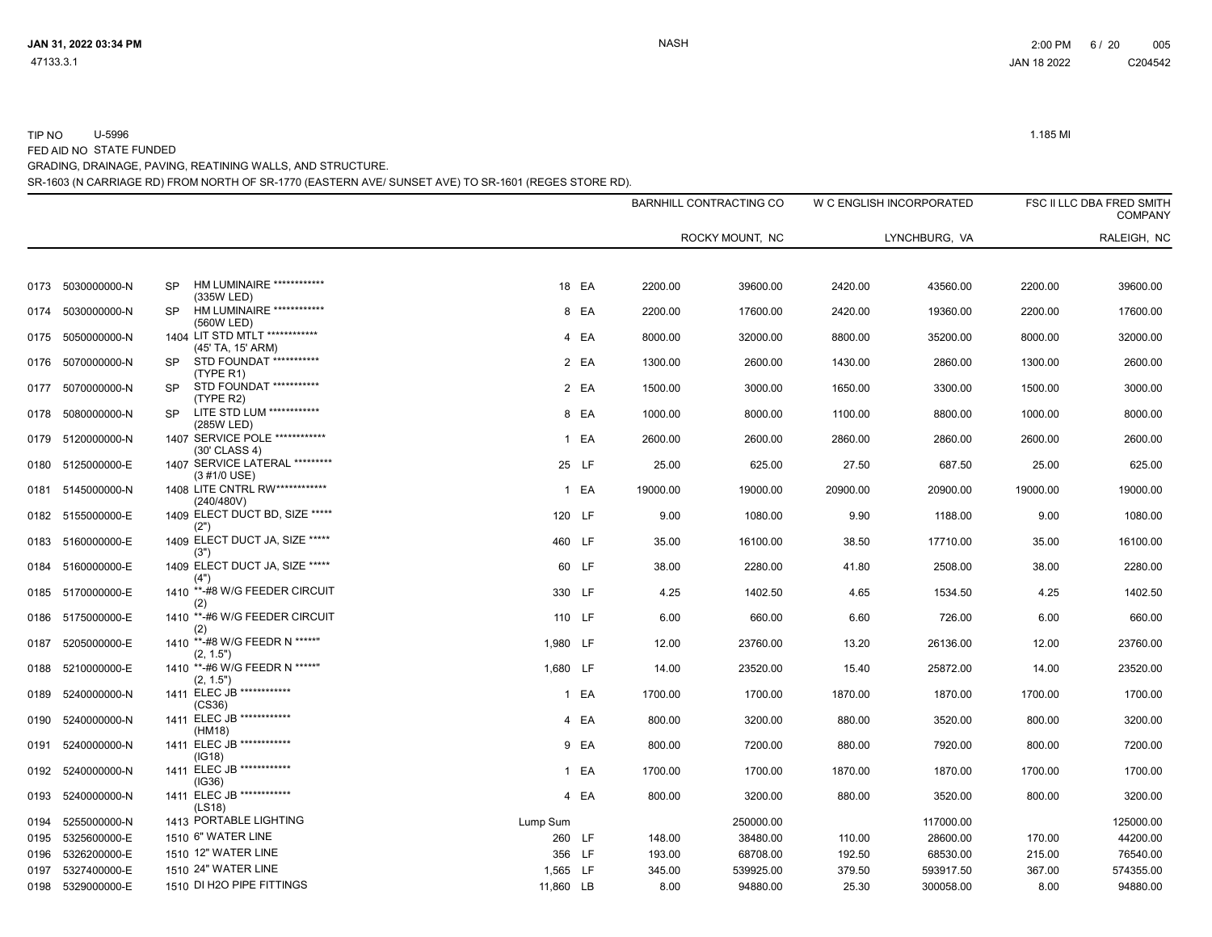| 0173 | 5030000000-N      | HM LUMINAIRE ************<br><b>SP</b><br>(335W LED)       | 18 EA     | 2200.00         | 39600.00  | 2420.00  | 43560.00  | 2200.00  | 39600.00  |
|------|-------------------|------------------------------------------------------------|-----------|-----------------|-----------|----------|-----------|----------|-----------|
| 0174 | 5030000000-N      | HM LUMINAIRE ************<br><b>SP</b><br>(560W LED)       | 8 EA      | 2200.00         | 17600.00  | 2420.00  | 19360.00  | 2200.00  | 17600.00  |
| 0175 | 5050000000-N      | 1404 LIT STD MTLT ************<br>(45' TA, 15' ARM)        | 4 EA      | 8000.00         | 32000.00  | 8800.00  | 35200.00  | 8000.00  | 32000.00  |
| 0176 | 5070000000-N      | STD FOUNDAT ***********<br><b>SP</b><br>(TYPE R1)          |           | 2 EA<br>1300.00 | 2600.00   | 1430.00  | 2860.00   | 1300.00  | 2600.00   |
| 0177 | 5070000000-N      | STD FOUNDAT ***********<br>SP.<br>(TYPE R2)                | 2 EA      | 1500.00         | 3000.00   | 1650.00  | 3300.00   | 1500.00  | 3000.00   |
| 0178 | 5080000000-N      | LITE STD LUM ************<br><b>SP</b><br>(285W LED)       | 8 EA      | 1000.00         | 8000.00   | 1100.00  | 8800.00   | 1000.00  | 8000.00   |
|      | 0179 5120000000-N | 1407 SERVICE POLE ************<br>(30' CLASS 4)            |           | 1 EA<br>2600.00 | 2600.00   | 2860.00  | 2860.00   | 2600.00  | 2600.00   |
| 0180 | 5125000000-E      | 1407 SERVICE LATERAL *********<br>$(3 \# 1/0 \text{ USE})$ | 25 LF     | 25.00           | 625.00    | 27.50    | 687.50    | 25.00    | 625.00    |
| 0181 | 5145000000-N      | 1408 LITE CNTRL RW ************<br>(240/480V)              | 1 EA      | 19000.00        | 19000.00  | 20900.00 | 20900.00  | 19000.00 | 19000.00  |
|      | 0182 5155000000-E | 1409 ELECT DUCT BD, SIZE *****<br>(2")                     | 120 LF    | 9.00            | 1080.00   | 9.90     | 1188.00   | 9.00     | 1080.00   |
| 0183 | 5160000000-E      | 1409 ELECT DUCT JA, SIZE *****<br>(3")                     | 460 LF    | 35.00           | 16100.00  | 38.50    | 17710.00  | 35.00    | 16100.00  |
| 0184 | 5160000000-E      | 1409 ELECT DUCT JA, SIZE *****<br>(4")                     | 60 LF     | 38.00           | 2280.00   | 41.80    | 2508.00   | 38.00    | 2280.00   |
| 0185 | 5170000000-E      | 1410 **- #8 W/G FEEDER CIRCUIT<br>(2)                      | 330 LF    | 4.25            | 1402.50   | 4.65     | 1534.50   | 4.25     | 1402.50   |
| 0186 | 5175000000-E      | 1410 **-#6 W/G FEEDER CIRCUIT<br>(2)                       | 110 LF    | 6.00            | 660.00    | 6.60     | 726.00    | 6.00     | 660.00    |
| 0187 | 5205000000-E      | 1410 **-#8 W/G FEEDR N *****"<br>(2, 1.5")                 | 1,980 LF  | 12.00           | 23760.00  | 13.20    | 26136.00  | 12.00    | 23760.00  |
| 0188 | 5210000000-E      | 1410 **-#6 W/G FEEDR N *****"<br>(2, 1.5")                 | 1,680 LF  | 14.00           | 23520.00  | 15.40    | 25872.00  | 14.00    | 23520.00  |
| 0189 | 5240000000-N      | 1411 ELEC JB ************<br>(CS36)                        | 1 EA      | 1700.00         | 1700.00   | 1870.00  | 1870.00   | 1700.00  | 1700.00   |
| 0190 | 5240000000-N      | 1411 ELEC JB ************<br>(HM18)                        |           | 4 EA<br>800.00  | 3200.00   | 880.00   | 3520.00   | 800.00   | 3200.00   |
| 0191 | 5240000000-N      | 1411 ELEC JB ************<br>(IG18)                        | 9 EA      | 800.00          | 7200.00   | 880.00   | 7920.00   | 800.00   | 7200.00   |
| 0192 | 5240000000-N      | 1411 ELEC JB ************<br>(IG36)                        | 1 EA      | 1700.00         | 1700.00   | 1870.00  | 1870.00   | 1700.00  | 1700.00   |
| 0193 | 5240000000-N      | 1411 ELEC JB ************<br>(LS18)                        | 4 EA      | 800.00          | 3200.00   | 880.00   | 3520.00   | 800.00   | 3200.00   |
| 0194 | 5255000000-N      | 1413 PORTABLE LIGHTING                                     | Lump Sum  |                 | 250000.00 |          | 117000.00 |          | 125000.00 |
| 0195 | 5325600000-E      | 1510 6" WATER LINE                                         | 260 LF    | 148.00          | 38480.00  | 110.00   | 28600.00  | 170.00   | 44200.00  |
| 0196 | 5326200000-E      | 1510 12" WATER LINE                                        | 356 LF    | 193.00          | 68708.00  | 192.50   | 68530.00  | 215.00   | 76540.00  |
| 0197 | 5327400000-E      | 1510 24" WATER LINE                                        | 1,565 LF  | 345.00          | 539925.00 | 379.50   | 593917.50 | 367.00   | 574355.00 |
| 0198 | 5329000000-E      | 1510 DI H2O PIPE FITTINGS                                  | 11,860 LB | 8.00            | 94880.00  | 25.30    | 300058.00 | 8.00     | 94880.00  |

# SR-1603 (N CARRIAGE RD) FROM NORTH OF SR-1770 (EASTERN AVE/ SUNSET AVE) TO SR-1601 (REGES STORE RD).

GRADING, DRAINAGE, PAVING, REATINING WALLS, AND STRUCTURE.

FED AID NO STATE FUNDED

TIP NO U-5996 1.185 MI

W C ENGLISH INCORPORATED FSC II LLC DBA FRED SMITH

LYNCHBURG, VA RALEIGH, NC

47133.3.1 JAN 18 2022 C204542

BARNHILL CONTRACTING CO

ROCKY MOUNT, NC

JAN 31, 2022 03:34 PM NASH 2:00 PM 6 / 20 005

COMPANY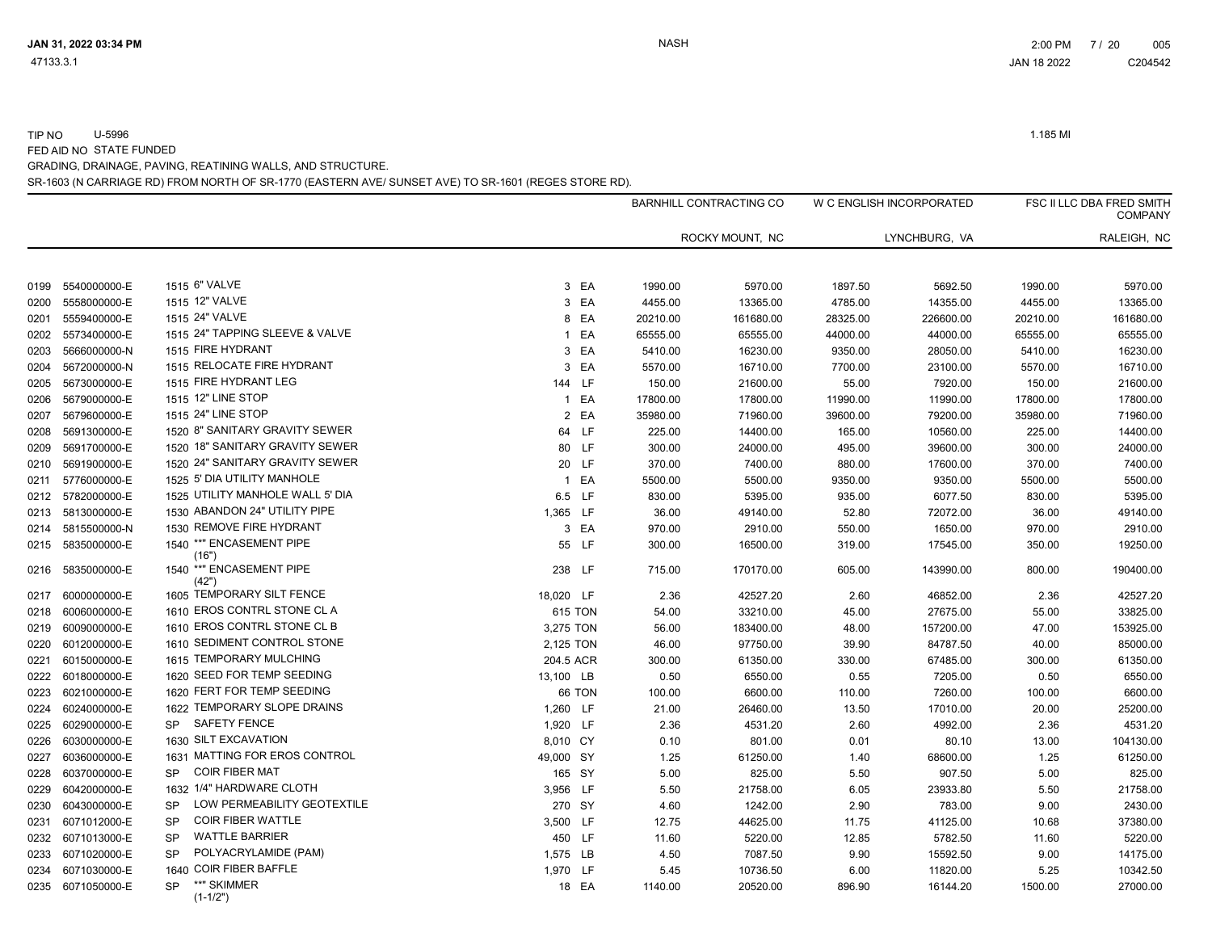TIP NO U-5996 1.185 MI FED AID NO STATE FUNDED

GRADING, DRAINAGE, PAVING, REATINING WALLS, AND STRUCTURE.

SR-1603 (N CARRIAGE RD) FROM NORTH OF SR-1770 (EASTERN AVE/ SUNSET AVE) TO SR-1601 (REGES STORE RD).

|      |              |                                          |                    |          | <b>BARNHILL CONTRACTING CO</b> |          | W C ENGLISH INCORPORATED |          | <b>FSC II LLC DBA FRED SMITH</b><br><b>COMPANY</b> |
|------|--------------|------------------------------------------|--------------------|----------|--------------------------------|----------|--------------------------|----------|----------------------------------------------------|
|      |              |                                          |                    |          | ROCKY MOUNT, NC                |          | LYNCHBURG, VA            |          | RALEIGH, NC                                        |
| 0199 | 5540000000-E | 1515 6" VALVE                            | 3 EA               | 1990.00  | 5970.00                        | 1897.50  | 5692.50                  | 1990.00  | 5970.00                                            |
| 0200 | 5558000000-E | 1515 12" VALVE                           | 3 EA               | 4455.00  | 13365.00                       | 4785.00  | 14355.00                 | 4455.00  | 13365.00                                           |
| 0201 | 5559400000-E | 1515 24" VALVE                           | 8 EA               | 20210.00 | 161680.00                      | 28325.00 | 226600.00                | 20210.00 | 161680.00                                          |
| 0202 | 5573400000-E | 1515 24" TAPPING SLEEVE & VALVE          | EA<br>$\mathbf{1}$ | 65555.00 | 65555.00                       | 44000.00 | 44000.00                 | 65555.00 | 65555.00                                           |
| 0203 | 5666000000-N | 1515 FIRE HYDRANT                        | EA<br>3            | 5410.00  | 16230.00                       | 9350.00  | 28050.00                 | 5410.00  | 16230.00                                           |
| 0204 | 5672000000-N | 1515 RELOCATE FIRE HYDRANT               | 3 EA               | 5570.00  | 16710.00                       | 7700.00  | 23100.00                 | 5570.00  | 16710.00                                           |
| 0205 | 5673000000-E | 1515 FIRE HYDRANT LEG                    | 144 LF             | 150.00   | 21600.00                       | 55.00    | 7920.00                  | 150.00   | 21600.00                                           |
| 0206 | 5679000000-E | 1515 12" LINE STOP                       | EA<br>$\mathbf{1}$ | 17800.00 | 17800.00                       | 11990.00 | 11990.00                 | 17800.00 | 17800.00                                           |
| 0207 | 5679600000-E | 1515 24" LINE STOP                       | 2 EA               | 35980.00 | 71960.00                       | 39600.00 | 79200.00                 | 35980.00 | 71960.00                                           |
| 0208 | 5691300000-E | 1520 8" SANITARY GRAVITY SEWER           | 64 LF              | 225.00   | 14400.00                       | 165.00   | 10560.00                 | 225.00   | 14400.00                                           |
| 0209 | 5691700000-E | 1520 18" SANITARY GRAVITY SEWER          | 80 LF              | 300.00   | 24000.00                       | 495.00   | 39600.00                 | 300.00   | 24000.00                                           |
| 0210 | 5691900000-E | 1520 24" SANITARY GRAVITY SEWER          | 20 LF              | 370.00   | 7400.00                        | 880.00   | 17600.00                 | 370.00   | 7400.00                                            |
| 0211 | 5776000000-E | 1525 5' DIA UTILITY MANHOLE              | 1 EA               | 5500.00  | 5500.00                        | 9350.00  | 9350.00                  | 5500.00  | 5500.00                                            |
| 0212 | 5782000000-E | 1525 UTILITY MANHOLE WALL 5' DIA         | 6.5 LF             | 830.00   | 5395.00                        | 935.00   | 6077.50                  | 830.00   | 5395.00                                            |
| 0213 | 5813000000-E | 1530 ABANDON 24" UTILITY PIPE            | 1,365 LF           | 36.00    | 49140.00                       | 52.80    | 72072.00                 | 36.00    | 49140.00                                           |
| 0214 | 5815500000-N | 1530 REMOVE FIRE HYDRANT                 | 3 EA               | 970.00   | 2910.00                        | 550.00   | 1650.00                  | 970.00   | 2910.00                                            |
| 0215 | 5835000000-E | 1540 ** "ENCASEMENT PIPE<br>(16")        | 55 LF              | 300.00   | 16500.00                       | 319.00   | 17545.00                 | 350.00   | 19250.00                                           |
| 0216 | 5835000000-E | 1540 ** "ENCASEMENT PIPE<br>(42")        | 238 LF             | 715.00   | 170170.00                      | 605.00   | 143990.00                | 800.00   | 190400.00                                          |
| 0217 | 6000000000-E | 1605 TEMPORARY SILT FENCE                | 18,020 LF          | 2.36     | 42527.20                       | 2.60     | 46852.00                 | 2.36     | 42527.20                                           |
| 0218 | 6006000000-E | 1610 EROS CONTRL STONE CL A              | 615 TON            | 54.00    | 33210.00                       | 45.00    | 27675.00                 | 55.00    | 33825.00                                           |
| 0219 | 6009000000-E | 1610 EROS CONTRL STONE CL B              | 3,275 TON          | 56.00    | 183400.00                      | 48.00    | 157200.00                | 47.00    | 153925.00                                          |
| 0220 | 6012000000-E | 1610 SEDIMENT CONTROL STONE              | 2,125 TON          | 46.00    | 97750.00                       | 39.90    | 84787.50                 | 40.00    | 85000.00                                           |
| 0221 | 6015000000-E | 1615 TEMPORARY MULCHING                  | 204.5 ACR          | 300.00   | 61350.00                       | 330.00   | 67485.00                 | 300.00   | 61350.00                                           |
| 0222 | 6018000000-E | 1620 SEED FOR TEMP SEEDING               | 13,100 LB          | 0.50     | 6550.00                        | 0.55     | 7205.00                  | 0.50     | 6550.00                                            |
| 0223 | 6021000000-E | 1620 FERT FOR TEMP SEEDING               | 66 TON             | 100.00   | 6600.00                        | 110.00   | 7260.00                  | 100.00   | 6600.00                                            |
| 0224 | 6024000000-E | 1622 TEMPORARY SLOPE DRAINS              | 1,260 LF           | 21.00    | 26460.00                       | 13.50    | 17010.00                 | 20.00    | 25200.00                                           |
| 0225 | 6029000000-E | <b>SAFETY FENCE</b><br><b>SP</b>         | 1,920 LF           | 2.36     | 4531.20                        | 2.60     | 4992.00                  | 2.36     | 4531.20                                            |
| 0226 | 6030000000-E | 1630 SILT EXCAVATION                     | 8,010 CY           | 0.10     | 801.00                         | 0.01     | 80.10                    | 13.00    | 104130.00                                          |
| 0227 | 6036000000-E | 1631 MATTING FOR EROS CONTROL            | 49,000 SY          | 1.25     | 61250.00                       | 1.40     | 68600.00                 | 1.25     | 61250.00                                           |
| 0228 | 6037000000-E | <b>COIR FIBER MAT</b><br><b>SP</b>       | 165 SY             | 5.00     | 825.00                         | 5.50     | 907.50                   | 5.00     | 825.00                                             |
| 0229 | 6042000000-E | 1632 1/4" HARDWARE CLOTH                 | 3,956 LF           | 5.50     | 21758.00                       | 6.05     | 23933.80                 | 5.50     | 21758.00                                           |
| 0230 | 6043000000-E | LOW PERMEABILITY GEOTEXTILE<br><b>SP</b> | 270 SY             | 4.60     | 1242.00                        | 2.90     | 783.00                   | 9.00     | 2430.00                                            |
| 0231 | 6071012000-E | <b>COIR FIBER WATTLE</b><br><b>SP</b>    | 3,500 LF           | 12.75    | 44625.00                       | 11.75    | 41125.00                 | 10.68    | 37380.00                                           |
| 0232 | 6071013000-E | <b>WATTLE BARRIER</b><br><b>SP</b>       | 450 LF             | 11.60    | 5220.00                        | 12.85    | 5782.50                  | 11.60    | 5220.00                                            |
| 0233 | 6071020000-E | POLYACRYLAMIDE (PAM)<br><b>SP</b>        | 1,575 LB           | 4.50     | 7087.50                        | 9.90     | 15592.50                 | 9.00     | 14175.00                                           |
| 0234 | 6071030000-E | 1640 COIR FIBER BAFFLE                   | 1,970 LF           | 5.45     | 10736.50                       | 6.00     | 11820.00                 | 5.25     | 10342.50                                           |
| 0235 | 6071050000-E | **" SKIMMER<br><b>SP</b><br>$(1-1/2")$   | 18 EA              | 1140.00  | 20520.00                       | 896.90   | 16144.20                 | 1500.00  | 27000.00                                           |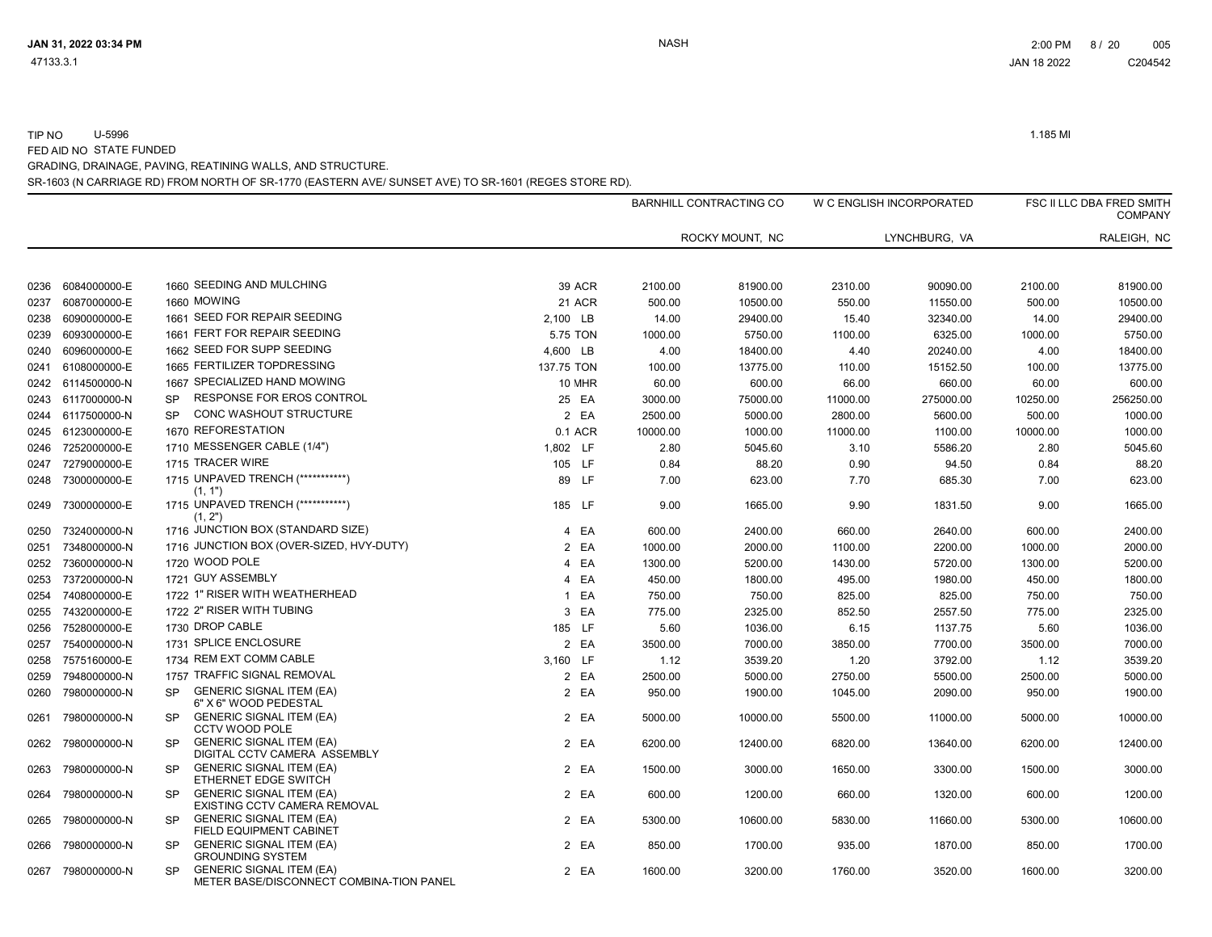FED AID NO STATE FUNDED

COMPANY

TIP NO U-5996 1.185 MI

W C ENGLISH INCORPORATED FSC II LLC DBA FRED SMITH

| GRADING, DRAINAGE, PAVING, REATINING WALLS, AND STRUCTURE.                                           |
|------------------------------------------------------------------------------------------------------|
| SR-1603 (N CARRIAGE RD) FROM NORTH OF SR-1770 (EASTERN AVE/ SUNSET AVE) TO SR-1601 (REGES STORE RD). |
| BARNHILL CONTRACTING CO                                                                              |
| ROCKY MOUNT. NC                                                                                      |

|      |                   |           |                                                                             |              |               |          | ROCKY MOUNT, NC |          | LYNCHBURG, VA |          | RALEIGH, NC |
|------|-------------------|-----------|-----------------------------------------------------------------------------|--------------|---------------|----------|-----------------|----------|---------------|----------|-------------|
|      |                   |           |                                                                             |              |               |          |                 |          |               |          |             |
| 0236 | 6084000000-E      |           | 1660 SEEDING AND MULCHING                                                   |              | <b>39 ACR</b> | 2100.00  | 81900.00        | 2310.00  | 90090.00      | 2100.00  | 81900.00    |
| 0237 | 6087000000-E      |           | 1660 MOWING                                                                 |              | 21 ACR        | 500.00   | 10500.00        | 550.00   | 11550.00      | 500.00   | 10500.00    |
| 0238 | 6090000000-E      |           | 1661 SEED FOR REPAIR SEEDING                                                | 2,100 LB     |               | 14.00    | 29400.00        | 15.40    | 32340.00      | 14.00    | 29400.00    |
| 0239 | 6093000000-E      |           | 1661 FERT FOR REPAIR SEEDING                                                |              | 5.75 TON      | 1000.00  | 5750.00         | 1100.00  | 6325.00       | 1000.00  | 5750.00     |
| 0240 | 6096000000-E      |           | 1662 SEED FOR SUPP SEEDING                                                  | 4,600 LB     |               | 4.00     | 18400.00        | 4.40     | 20240.00      | 4.00     | 18400.00    |
| 0241 | 6108000000-E      |           | 1665 FERTILIZER TOPDRESSING                                                 | 137.75 TON   |               | 100.00   | 13775.00        | 110.00   | 15152.50      | 100.00   | 13775.00    |
|      | 0242 6114500000-N |           | 1667 SPECIALIZED HAND MOWING                                                |              | 10 MHR        | 60.00    | 600.00          | 66.00    | 660.00        | 60.00    | 600.00      |
| 0243 | 6117000000-N      | <b>SP</b> | <b>RESPONSE FOR EROS CONTROL</b>                                            |              | 25 EA         | 3000.00  | 75000.00        | 11000.00 | 275000.00     | 10250.00 | 256250.00   |
|      | 0244 6117500000-N | <b>SP</b> | <b>CONC WASHOUT STRUCTURE</b>                                               |              | 2 EA          | 2500.00  | 5000.00         | 2800.00  | 5600.00       | 500.00   | 1000.00     |
|      | 0245 6123000000-E |           | 1670 REFORESTATION                                                          |              | 0.1 ACR       | 10000.00 | 1000.00         | 11000.00 | 1100.00       | 10000.00 | 1000.00     |
| 0246 | 7252000000-E      |           | 1710 MESSENGER CABLE (1/4")                                                 | 1,802 LF     |               | 2.80     | 5045.60         | 3.10     | 5586.20       | 2.80     | 5045.60     |
| 0247 | 7279000000-E      |           | 1715 TRACER WIRE                                                            |              | 105 LF        | 0.84     | 88.20           | 0.90     | 94.50         | 0.84     | 88.20       |
| 0248 | 7300000000-E      |           | 1715 UNPAVED TRENCH (************)<br>(1, 1")                               |              | 89 LF         | 7.00     | 623.00          | 7.70     | 685.30        | 7.00     | 623.00      |
|      | 0249 7300000000-E |           | 1715 UNPAVED TRENCH (************)<br>(1, 2")                               |              | 185 LF        | 9.00     | 1665.00         | 9.90     | 1831.50       | 9.00     | 1665.00     |
| 0250 | 7324000000-N      |           | 1716 JUNCTION BOX (STANDARD SIZE)                                           | 4            | EA            | 600.00   | 2400.00         | 660.00   | 2640.00       | 600.00   | 2400.00     |
| 0251 | 7348000000-N      |           | 1716 JUNCTION BOX (OVER-SIZED, HVY-DUTY)                                    |              | 2 EA          | 1000.00  | 2000.00         | 1100.00  | 2200.00       | 1000.00  | 2000.00     |
| 0252 | 7360000000-N      |           | 1720 WOOD POLE                                                              | 4            | EA            | 1300.00  | 5200.00         | 1430.00  | 5720.00       | 1300.00  | 5200.00     |
| 0253 | 7372000000-N      |           | 1721 GUY ASSEMBLY                                                           |              | 4 EA          | 450.00   | 1800.00         | 495.00   | 1980.00       | 450.00   | 1800.00     |
| 0254 | 7408000000-E      |           | 1722 1" RISER WITH WEATHERHEAD                                              | $\mathbf{1}$ | EA            | 750.00   | 750.00          | 825.00   | 825.00        | 750.00   | 750.00      |
| 0255 | 7432000000-E      |           | 1722 2" RISER WITH TUBING                                                   |              | 3 EA          | 775.00   | 2325.00         | 852.50   | 2557.50       | 775.00   | 2325.00     |
| 0256 | 7528000000-E      |           | 1730 DROP CABLE                                                             |              | 185 LF        | 5.60     | 1036.00         | 6.15     | 1137.75       | 5.60     | 1036.00     |
| 0257 | 7540000000-N      |           | 1731 SPLICE ENCLOSURE                                                       |              | 2 EA          | 3500.00  | 7000.00         | 3850.00  | 7700.00       | 3500.00  | 7000.00     |
| 0258 | 7575160000-E      |           | 1734 REM EXT COMM CABLE                                                     | 3,160 LF     |               | 1.12     | 3539.20         | 1.20     | 3792.00       | 1.12     | 3539.20     |
| 0259 | 7948000000-N      |           | 1757 TRAFFIC SIGNAL REMOVAL                                                 |              | 2 EA          | 2500.00  | 5000.00         | 2750.00  | 5500.00       | 2500.00  | 5000.00     |
| 0260 | 7980000000-N      | <b>SP</b> | <b>GENERIC SIGNAL ITEM (EA)</b><br>6" X 6" WOOD PEDESTAL                    |              | 2 EA          | 950.00   | 1900.00         | 1045.00  | 2090.00       | 950.00   | 1900.00     |
| 0261 | 7980000000-N      | <b>SP</b> | <b>GENERIC SIGNAL ITEM (EA)</b><br><b>CCTV WOOD POLE</b>                    |              | 2 EA          | 5000.00  | 10000.00        | 5500.00  | 11000.00      | 5000.00  | 10000.00    |
| 0262 | 7980000000-N      | <b>SP</b> | <b>GENERIC SIGNAL ITEM (EA)</b><br>DIGITAL CCTV CAMERA ASSEMBLY             |              | 2 EA          | 6200.00  | 12400.00        | 6820.00  | 13640.00      | 6200.00  | 12400.00    |
| 0263 | 7980000000-N      | SP        | <b>GENERIC SIGNAL ITEM (EA)</b><br>ETHERNET EDGE SWITCH                     |              | 2 EA          | 1500.00  | 3000.00         | 1650.00  | 3300.00       | 1500.00  | 3000.00     |
| 0264 | 7980000000-N      | SP        | <b>GENERIC SIGNAL ITEM (EA)</b><br>EXISTING CCTV CAMERA REMOVAL             |              | 2 EA          | 600.00   | 1200.00         | 660.00   | 1320.00       | 600.00   | 1200.00     |
| 0265 | 7980000000-N      | <b>SP</b> | <b>GENERIC SIGNAL ITEM (EA)</b><br>FIELD EQUIPMENT CABINET                  |              | 2 EA          | 5300.00  | 10600.00        | 5830.00  | 11660.00      | 5300.00  | 10600.00    |
| 0266 | 7980000000-N      | <b>SP</b> | <b>GENERIC SIGNAL ITEM (EA)</b><br><b>GROUNDING SYSTEM</b>                  |              | 2 EA          | 850.00   | 1700.00         | 935.00   | 1870.00       | 850.00   | 1700.00     |
| 0267 | 7980000000-N      | <b>SP</b> | <b>GENERIC SIGNAL ITEM (EA)</b><br>METER BASE/DISCONNECT COMBINA-TION PANEL |              | 2 EA          | 1600.00  | 3200.00         | 1760.00  | 3520.00       | 1600.00  | 3200.00     |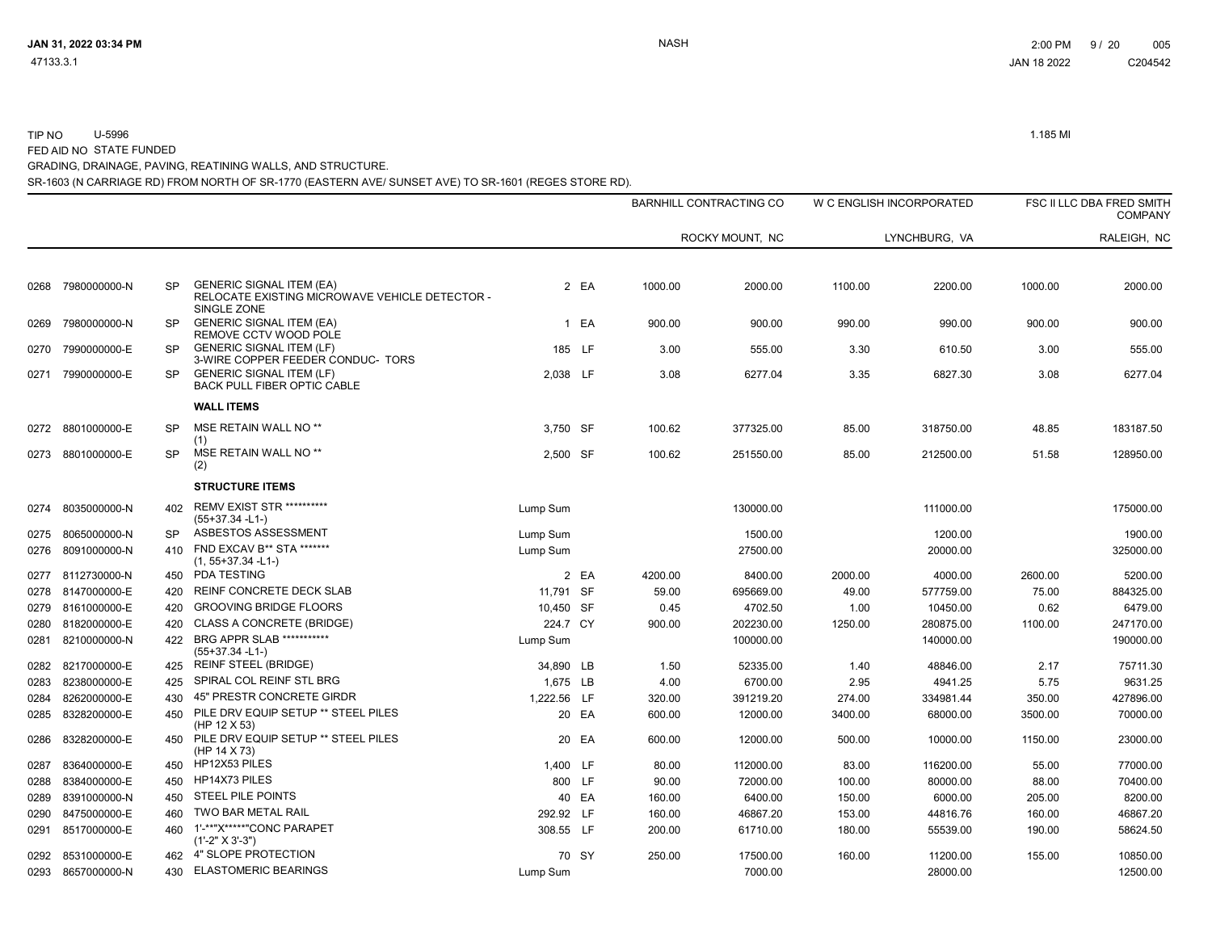TIP NO U-5996 1.185 MI FED AID NO STATE FUNDED

GRADING, DRAINAGE, PAVING, REATINING WALLS, AND STRUCTURE.

SR-1603 (N CARRIAGE RD) FROM NORTH OF SR-1770 (EASTERN AVE/ SUNSET AVE) TO SR-1601 (REGES STORE RD).

|      |              |           |                                                                                   |             |        | BARNHILL CONTRACTING CO |                 | W C ENGLISH INCORPORATED |               |         | FSC II LLC DBA FRED SMITH<br><b>COMPANY</b> |  |
|------|--------------|-----------|-----------------------------------------------------------------------------------|-------------|--------|-------------------------|-----------------|--------------------------|---------------|---------|---------------------------------------------|--|
|      |              |           |                                                                                   |             |        |                         | ROCKY MOUNT, NC |                          | LYNCHBURG, VA |         | RALEIGH, NC                                 |  |
| 0268 | 7980000000-N | <b>SP</b> | <b>GENERIC SIGNAL ITEM (EA)</b><br>RELOCATE EXISTING MICROWAVE VEHICLE DETECTOR - |             | 2 EA   | 1000.00                 | 2000.00         | 1100.00                  | 2200.00       | 1000.00 | 2000.00                                     |  |
| 0269 | 7980000000-N | SP        | SINGLE ZONE<br><b>GENERIC SIGNAL ITEM (EA)</b><br>REMOVE CCTV WOOD POLE           |             | 1 EA   | 900.00                  | 900.00          | 990.00                   | 990.00        | 900.00  | 900.00                                      |  |
| 0270 | 7990000000-E | <b>SP</b> | <b>GENERIC SIGNAL ITEM (LF)</b><br>3-WIRE COPPER FEEDER CONDUC- TORS              |             | 185 LF | 3.00                    | 555.00          | 3.30                     | 610.50        | 3.00    | 555.00                                      |  |
| 0271 | 7990000000-E | <b>SP</b> | <b>GENERIC SIGNAL ITEM (LF)</b><br>BACK PULL FIBER OPTIC CABLE                    | 2,038 LF    |        | 3.08                    | 6277.04         | 3.35                     | 6827.30       | 3.08    | 6277.04                                     |  |
|      |              |           | <b>WALL ITEMS</b>                                                                 |             |        |                         |                 |                          |               |         |                                             |  |
| 0272 | 8801000000-E | <b>SP</b> | MSE RETAIN WALL NO <sup>**</sup><br>(1)                                           | 3.750 SF    |        | 100.62                  | 377325.00       | 85.00                    | 318750.00     | 48.85   | 183187.50                                   |  |
| 0273 | 8801000000-E | <b>SP</b> | MSE RETAIN WALL NO <sup>**</sup><br>(2)                                           | 2,500 SF    |        | 100.62                  | 251550.00       | 85.00                    | 212500.00     | 51.58   | 128950.00                                   |  |
|      |              |           | <b>STRUCTURE ITEMS</b>                                                            |             |        |                         |                 |                          |               |         |                                             |  |
| 0274 | 8035000000-N | 402       | <b>REMV EXIST STR **********</b><br>$(55+37.34 - L1)$                             | Lump Sum    |        |                         | 130000.00       |                          | 111000.00     |         | 175000.00                                   |  |
| 0275 | 8065000000-N | SP        | ASBESTOS ASSESSMENT                                                               | Lump Sum    |        |                         | 1500.00         |                          | 1200.00       |         | 1900.00                                     |  |
| 0276 | 8091000000-N | 410       | FND EXCAV B** STA *******<br>$(1, 55+37.34 - L1)$                                 | Lump Sum    |        |                         | 27500.00        |                          | 20000.00      |         | 325000.00                                   |  |
| 0277 | 8112730000-N | 450       | PDA TESTING                                                                       |             | 2 EA   | 4200.00                 | 8400.00         | 2000.00                  | 4000.00       | 2600.00 | 5200.00                                     |  |
| 0278 | 8147000000-E | 420       | REINF CONCRETE DECK SLAB                                                          | 11.791 SF   |        | 59.00                   | 695669.00       | 49.00                    | 577759.00     | 75.00   | 884325.00                                   |  |
| 0279 | 8161000000-E | 420       | <b>GROOVING BRIDGE FLOORS</b>                                                     | 10,450 SF   |        | 0.45                    | 4702.50         | 1.00                     | 10450.00      | 0.62    | 6479.00                                     |  |
| 0280 | 8182000000-E | 420       | <b>CLASS A CONCRETE (BRIDGE)</b>                                                  | 224.7 CY    |        | 900.00                  | 202230.00       | 1250.00                  | 280875.00     | 1100.00 | 247170.00                                   |  |
| 0281 | 8210000000-N | 422       | <b>BRG APPR SLAB ***********</b><br>$(55+37.34 - L1)$                             | Lump Sum    |        |                         | 100000.00       |                          | 140000.00     |         | 190000.00                                   |  |
| 0282 | 8217000000-E | 425       | <b>REINF STEEL (BRIDGE)</b>                                                       | 34,890 LB   |        | 1.50                    | 52335.00        | 1.40                     | 48846.00      | 2.17    | 75711.30                                    |  |
| 0283 | 8238000000-E | 425       | SPIRAL COL REINF STL BRG                                                          | 1.675 LB    |        | 4.00                    | 6700.00         | 2.95                     | 4941.25       | 5.75    | 9631.25                                     |  |
| 0284 | 8262000000-E | 430       | 45" PRESTR CONCRETE GIRDR                                                         | 1,222.56 LF |        | 320.00                  | 391219.20       | 274.00                   | 334981.44     | 350.00  | 427896.00                                   |  |
| 0285 | 8328200000-E | 450       | PILE DRV EQUIP SETUP ** STEEL PILES<br>(HP 12 X 53)                               |             | 20 EA  | 600.00                  | 12000.00        | 3400.00                  | 68000.00      | 3500.00 | 70000.00                                    |  |
| 0286 | 8328200000-E |           | 450 PILE DRV EQUIP SETUP ** STEEL PILES<br>(HP 14 X 73)                           |             | 20 EA  | 600.00                  | 12000.00        | 500.00                   | 10000.00      | 1150.00 | 23000.00                                    |  |
| 0287 | 8364000000-E |           | 450 HP12X53 PILES                                                                 | 1,400 LF    |        | 80.00                   | 112000.00       | 83.00                    | 116200.00     | 55.00   | 77000.00                                    |  |
| 0288 | 8384000000-E | 450       | HP14X73 PILES                                                                     |             | 800 LF | 90.00                   | 72000.00        | 100.00                   | 80000.00      | 88.00   | 70400.00                                    |  |
| 0289 | 8391000000-N | 450       | <b>STEEL PILE POINTS</b>                                                          |             | 40 EA  | 160.00                  | 6400.00         | 150.00                   | 6000.00       | 205.00  | 8200.00                                     |  |
| 0290 | 8475000000-E | 460       | TWO BAR METAL RAIL                                                                | 292.92 LF   |        | 160.00                  | 46867.20        | 153.00                   | 44816.76      | 160.00  | 46867.20                                    |  |
| 0291 | 8517000000-E | 460       | 1'-**"X*****"CONC PARAPET<br>$(1'-2" X 3'-3")$                                    | 308.55 LF   |        | 200.00                  | 61710.00        | 180.00                   | 55539.00      | 190.00  | 58624.50                                    |  |
| 0292 | 8531000000-E |           | 462 4" SLOPE PROTECTION                                                           |             | 70 SY  | 250.00                  | 17500.00        | 160.00                   | 11200.00      | 155.00  | 10850.00                                    |  |
| 0293 | 8657000000-N | 430       | <b>ELASTOMERIC BEARINGS</b>                                                       | Lump Sum    |        |                         | 7000.00         |                          | 28000.00      |         | 12500.00                                    |  |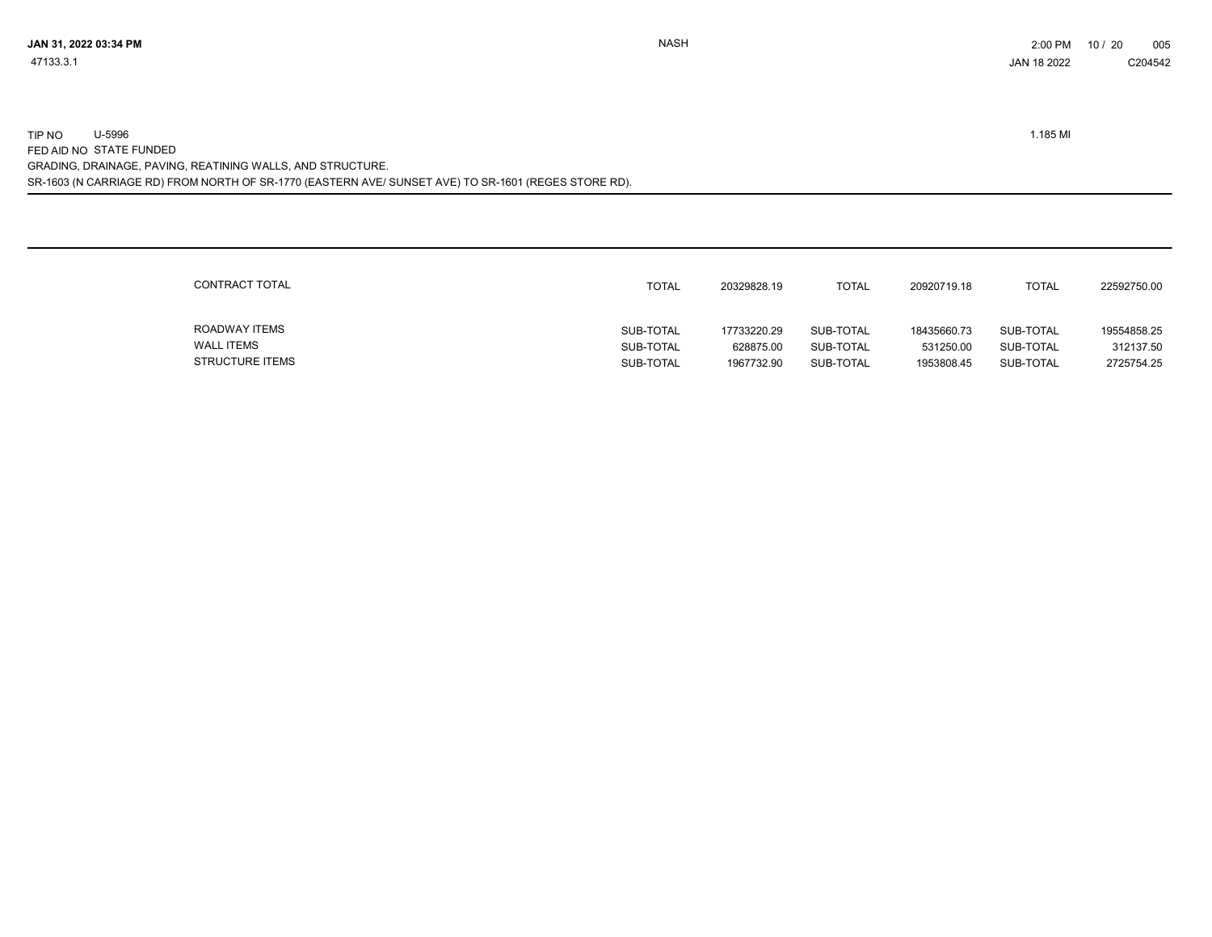SR-1603 (N CARRIAGE RD) FROM NORTH OF SR-1770 (EASTERN AVE/ SUNSET AVE) TO SR-1601 (REGES STORE RD). TIP NO U-5996 1.185 MI FED AID NO STATE FUNDED GRADING, DRAINAGE, PAVING, REATINING WALLS, AND STRUCTURE.

| CONTRACT TOTAL         | TOTAL     | 20329828.19 | <b>TOTAL</b> | 20920719.18 | <b>TOTAL</b> | 22592750.00 |
|------------------------|-----------|-------------|--------------|-------------|--------------|-------------|
| ROADWAY ITEMS          | SUB-TOTAL | 17733220.29 | SUB-TOTAL    | 18435660.73 | SUB-TOTAL    | 19554858.25 |
| <b>WALL ITEMS</b>      | SUB-TOTAL | 628875.00   | SUB-TOTAL    | 531250.00   | SUB-TOTAL    | 312137.50   |
| <b>STRUCTURE ITEMS</b> | SUB-TOTAL | 1967732.90  | SUB-TOTAL    | 1953808.45  | SUB-TOTAL    | 2725754.25  |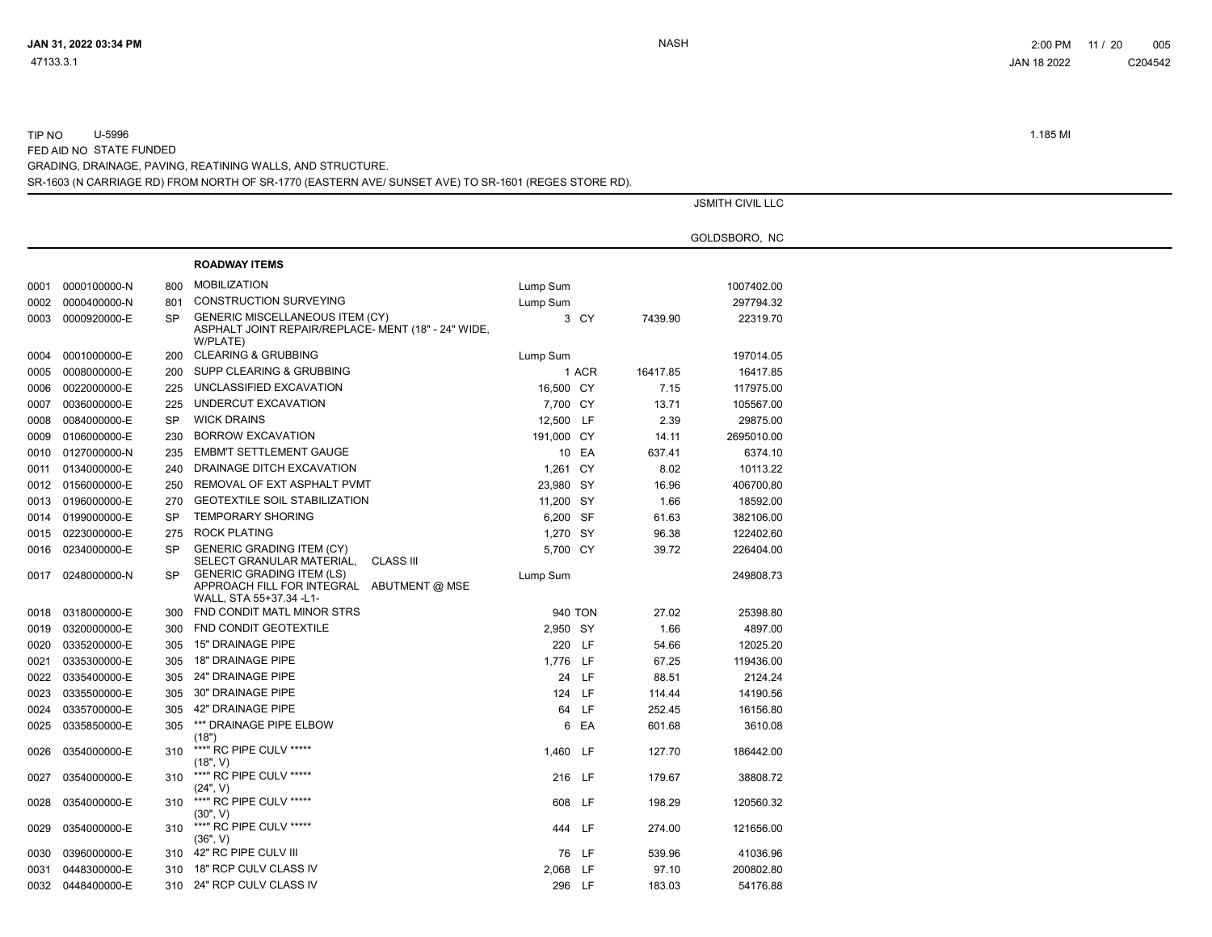TIP NO U-5996 1.185 MI FED AID NO STATE FUNDED

GRADING, DRAINAGE, PAVING, REATINING WALLS, AND STRUCTURE.

SR-1603 (N CARRIAGE RD) FROM NORTH OF SR-1770 (EASTERN AVE/ SUNSET AVE) TO SR-1601 (REGES STORE RD).

|      |              |           |                                                                                                           | <b>JSMITH CIVIL LLC</b> |       |          |               |  |
|------|--------------|-----------|-----------------------------------------------------------------------------------------------------------|-------------------------|-------|----------|---------------|--|
|      |              |           |                                                                                                           |                         |       |          | GOLDSBORO, NC |  |
|      |              |           | <b>ROADWAY ITEMS</b>                                                                                      |                         |       |          |               |  |
| 0001 | 0000100000-N | 800       | <b>MOBILIZATION</b>                                                                                       | Lump Sum                |       |          | 1007402.00    |  |
| 0002 | 0000400000-N | 801       | <b>CONSTRUCTION SURVEYING</b>                                                                             | Lump Sum                |       |          | 297794.32     |  |
| 0003 | 0000920000-E | <b>SP</b> | <b>GENERIC MISCELLANEOUS ITEM (CY)</b><br>ASPHALT JOINT REPAIR/REPLACE- MENT (18" - 24" WIDE,<br>W/PLATE) |                         | 3 CY  | 7439.90  | 22319.70      |  |
| 0004 | 0001000000-E | 200       | <b>CLEARING &amp; GRUBBING</b>                                                                            | Lump Sum                |       |          | 197014.05     |  |
| 0005 | 0008000000-E | 200       | SUPP CLEARING & GRUBBING                                                                                  |                         | 1 ACR | 16417.85 | 16417.85      |  |
| 0006 | 0022000000-E | 225       | UNCLASSIFIED EXCAVATION                                                                                   | 16,500 CY               |       | 7.15     | 117975.00     |  |
| 0007 | 0036000000-E | 225       | UNDERCUT EXCAVATION                                                                                       | 7,700 CY                |       | 13.71    | 105567.00     |  |
| 0008 | 0084000000-E | SP        | <b>WICK DRAINS</b>                                                                                        | 12,500 LF               |       | 2.39     | 29875.00      |  |
| 0009 | 0106000000-E | 230       | <b>BORROW EXCAVATION</b>                                                                                  | 191,000 CY              |       | 14.11    | 2695010.00    |  |
| 0010 | 0127000000-N | 235       | <b>EMBM'T SETTLEMENT GAUGE</b>                                                                            |                         | 10 EA | 637.41   | 6374.10       |  |
| 0011 | 0134000000-E | 240       | DRAINAGE DITCH EXCAVATION                                                                                 | 1,261 CY                |       | 8.02     | 10113.22      |  |
| 0012 | 0156000000-E | 250       | REMOVAL OF EXT ASPHALT PVMT                                                                               | 23,980 SY               |       | 16.96    | 406700.80     |  |
| 0013 | 0196000000-E | 270       | <b>GEOTEXTILE SOIL STABILIZATION</b>                                                                      | 11,200 SY               |       | 1.66     | 18592.00      |  |
| 0014 | 0199000000-E | <b>SP</b> | <b>TEMPORARY SHORING</b>                                                                                  | 6,200 SF                |       | 61.63    | 382106.00     |  |
| 0015 | 0223000000-E | 275       | <b>ROCK PLATING</b>                                                                                       | 1,270 SY                |       | 96.38    | 122402.60     |  |
| 0016 | 0234000000-E | <b>SP</b> | <b>GENERIC GRADING ITEM (CY)</b><br>SELECT GRANULAR MATERIAL,<br>CLASS III                                | 5.700 CY                |       | 39.72    | 226404.00     |  |
| 0017 | 0248000000-N | SP        | <b>GENERIC GRADING ITEM (LS)</b><br>APPROACH FILL FOR INTEGRAL ABUTMENT @ MSE<br>WALL, STA 55+37.34 -L1-  | Lump Sum                |       |          | 249808.73     |  |
| 0018 | 0318000000-E | 300       | FND CONDIT MATL MINOR STRS                                                                                | 940 TON                 |       | 27.02    | 25398.80      |  |
| 0019 | 0320000000-E | 300       | FND CONDIT GEOTEXTILE                                                                                     | 2,950 SY                |       | 1.66     | 4897.00       |  |
| 0020 | 0335200000-E | 305       | <b>15" DRAINAGE PIPE</b>                                                                                  | 220 LF                  |       | 54.66    | 12025.20      |  |
| 0021 | 0335300000-E | 305       | <b>18" DRAINAGE PIPE</b>                                                                                  | 1,776 LF                |       | 67.25    | 119436.00     |  |
| 0022 | 0335400000-E | 305       | 24" DRAINAGE PIPE                                                                                         |                         | 24 LF | 88.51    | 2124.24       |  |
| 0023 | 0335500000-E | 305       | 30" DRAINAGE PIPE                                                                                         | 124 LF                  |       | 114.44   | 14190.56      |  |
| 0024 | 0335700000-E | 305       | 42" DRAINAGE PIPE                                                                                         |                         | 64 LF | 252.45   | 16156.80      |  |
| 0025 | 0335850000-E | 305       | **" DRAINAGE PIPE ELBOW<br>(18")                                                                          |                         | 6 EA  | 601.68   | 3610.08       |  |
| 0026 | 0354000000-E | 310       | ***" RC PIPE CULV *****<br>(18", V)                                                                       | 1.460 LF                |       | 127.70   | 186442.00     |  |
| 0027 | 0354000000-E | 310       | ***" RC PIPE CULV *****<br>(24", V)                                                                       | 216 LF                  |       | 179.67   | 38808.72      |  |
| 0028 | 0354000000-E | 310       | ***" RC PIPE CULV *****<br>(30", V)                                                                       | 608 LF                  |       | 198.29   | 120560.32     |  |
| 0029 | 0354000000-E | 310       | ***" RC PIPE CULV *****<br>(36", V)                                                                       | 444 LF                  |       | 274.00   | 121656.00     |  |
| 0030 | 0396000000-E |           | 310 42" RC PIPE CULV III                                                                                  |                         | 76 LF | 539.96   | 41036.96      |  |
| 0031 | 0448300000-E | 310       | 18" RCP CULV CLASS IV                                                                                     | 2,068 LF                |       | 97.10    | 200802.80     |  |
| 0032 | 0448400000-E |           | 310 24" RCP CULV CLASS IV                                                                                 | 296 LF                  |       | 183.03   | 54176.88      |  |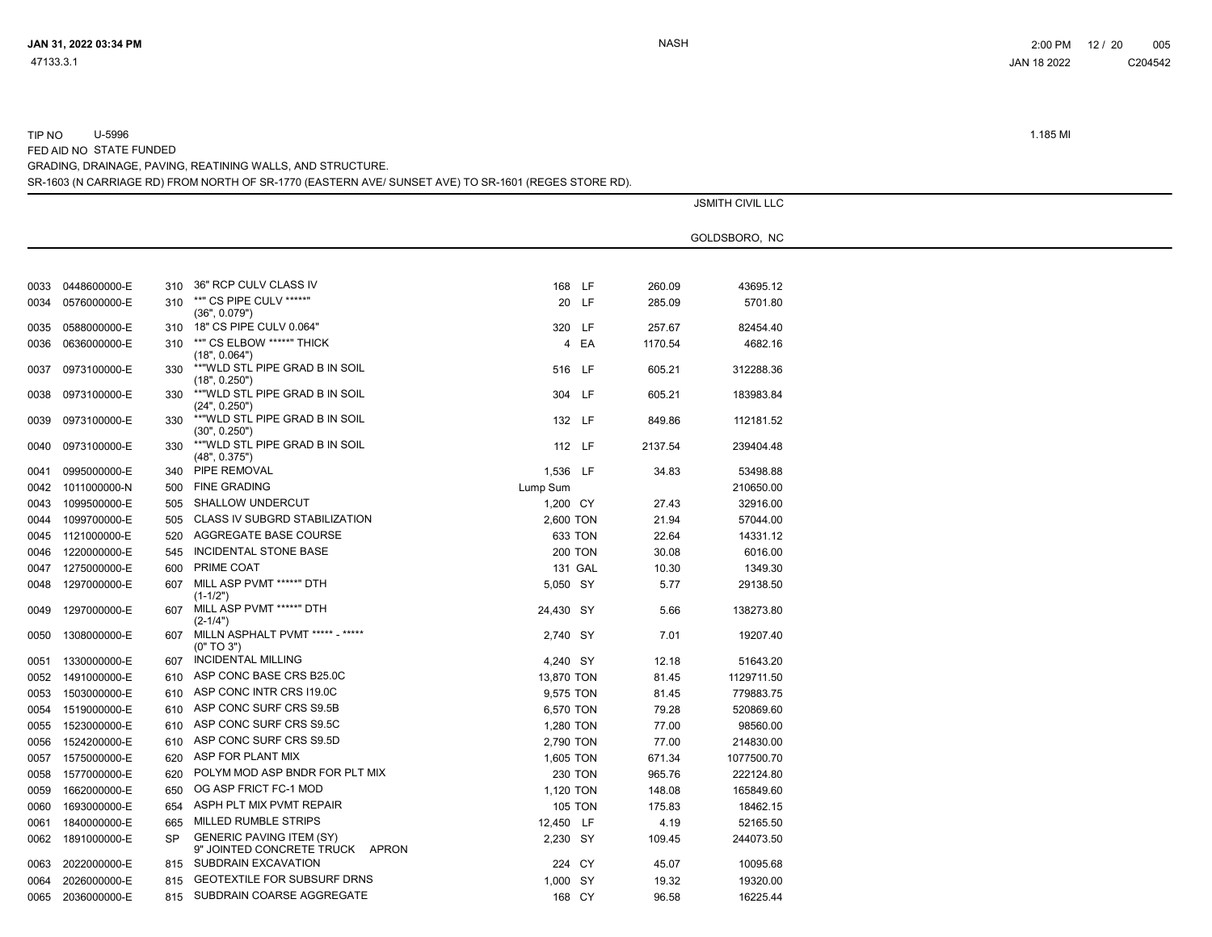| 0033 | 0448600000-E | 310 | 36" RCP CULV CLASS IV                                                        | 168            | <b>LF</b> | 260.09  | 43695.12   |
|------|--------------|-----|------------------------------------------------------------------------------|----------------|-----------|---------|------------|
| 0034 | 0576000000-E | 310 | **" CS PIPE CULV *****"<br>(36", 0.079")                                     | 20             | <b>LF</b> | 285.09  | 5701.80    |
| 0035 | 0588000000-E | 310 | 18" CS PIPE CULV 0.064"                                                      | 320            | <b>LF</b> | 257.67  | 82454.40   |
| 0036 | 0636000000-E | 310 | **" CS ELBOW *****" THICK<br>(18", 0.064")                                   | 4              | EA        | 1170.54 | 4682.16    |
| 0037 | 0973100000-E | 330 | **"WLD STL PIPE GRAD B IN SOIL<br>(18", 0.250")                              | 516            | <b>LF</b> | 605.21  | 312288.36  |
| 0038 | 0973100000-E | 330 | **"WLD STL PIPE GRAD B IN SOIL<br>(24", 0.250")                              | 304            | LF.       | 605.21  | 183983.84  |
| 0039 | 0973100000-E | 330 | **"WLD STL PIPE GRAD B IN SOIL<br>(30", 0.250")                              | 132            | <b>LF</b> | 849.86  | 112181.52  |
| 0040 | 0973100000-E | 330 | **"WLD STL PIPE GRAD B IN SOIL<br>(48", 0.375")                              | 112            | -LF       | 2137.54 | 239404.48  |
| 0041 | 0995000000-E | 340 | PIPE REMOVAL                                                                 | 1.536          | <b>LF</b> | 34.83   | 53498.88   |
| 0042 | 1011000000-N | 500 | <b>FINE GRADING</b>                                                          | Lump Sum       |           |         | 210650.00  |
| 0043 | 1099500000-E | 505 | <b>SHALLOW UNDERCUT</b>                                                      | 1,200 CY       |           | 27.43   | 32916.00   |
| 0044 | 1099700000-E | 505 | <b>CLASS IV SUBGRD STABILIZATION</b>                                         | 2,600 TON      |           | 21.94   | 57044.00   |
| 0045 | 1121000000-E | 520 | AGGREGATE BASE COURSE                                                        | 633 TON        |           | 22.64   | 14331.12   |
| 0046 | 1220000000-E | 545 | INCIDENTAL STONE BASE                                                        | <b>200 TON</b> |           | 30.08   | 6016.00    |
| 0047 | 1275000000-E | 600 | PRIME COAT                                                                   | 131 GAL        |           | 10.30   | 1349.30    |
| 0048 | 1297000000-E | 607 | MILL ASP PVMT *****" DTH<br>$(1-1/2")$                                       | 5.050 SY       |           | 5.77    | 29138.50   |
| 0049 | 1297000000-E | 607 | MILL ASP PVMT *****" DTH<br>$(2-1/4")$                                       | 24,430 SY      |           | 5.66    | 138273.80  |
| 0050 | 1308000000-E | 607 | MILLN ASPHALT PVMT ***** - *****<br>(0" TO 3")                               | 2.740 SY       |           | 7.01    | 19207.40   |
| 0051 | 1330000000-E | 607 | <b>INCIDENTAL MILLING</b>                                                    | 4,240 SY       |           | 12.18   | 51643.20   |
| 0052 | 1491000000-E | 610 | ASP CONC BASE CRS B25.0C                                                     | 13,870 TON     |           | 81.45   | 1129711.50 |
| 0053 | 1503000000-E | 610 | ASP CONC INTR CRS I19.0C                                                     | 9,575 TON      |           | 81.45   | 779883.75  |
| 0054 | 1519000000-E | 610 | ASP CONC SURF CRS S9.5B                                                      | 6,570 TON      |           | 79.28   | 520869.60  |
| 0055 | 1523000000-E | 610 | ASP CONC SURF CRS S9.5C                                                      | 1,280 TON      |           | 77.00   | 98560.00   |
| 0056 | 1524200000-E | 610 | ASP CONC SURF CRS S9.5D                                                      | 2,790 TON      |           | 77.00   | 214830.00  |
| 0057 | 1575000000-E | 620 | ASP FOR PLANT MIX                                                            | 1,605 TON      |           | 671.34  | 1077500.70 |
| 0058 | 1577000000-E | 620 | POLYM MOD ASP BNDR FOR PLT MIX                                               | 230 TON        |           | 965.76  | 222124.80  |
| 0059 | 1662000000-E | 650 | OG ASP FRICT FC-1 MOD                                                        | 1,120 TON      |           | 148.08  | 165849.60  |
| 0060 | 1693000000-E | 654 | ASPH PLT MIX PVMT REPAIR                                                     | <b>105 TON</b> |           | 175.83  | 18462.15   |
| 0061 | 1840000000-E | 665 | <b>MILLED RUMBLE STRIPS</b>                                                  | 12,450 LF      |           | 4.19    | 52165.50   |
| 0062 | 1891000000-E | SP  | <b>GENERIC PAVING ITEM (SY)</b><br>9" JOINTED CONCRETE TRUCK<br><b>APRON</b> | 2,230 SY       |           | 109.45  | 244073.50  |
| 0063 | 2022000000-E | 815 | SUBDRAIN EXCAVATION                                                          | 224            | CY        | 45.07   | 10095.68   |
| 0064 | 2026000000-E | 815 | <b>GEOTEXTILE FOR SUBSURF DRNS</b>                                           | 1,000          | <b>SY</b> | 19.32   | 19320.00   |
| 0065 | 2036000000-E | 815 | SUBDRAIN COARSE AGGREGATE                                                    | 168 CY         |           | 96.58   | 16225.44   |

SR-1603 (N CARRIAGE RD) FROM NORTH OF SR-1770 (EASTERN AVE/ SUNSET AVE) TO SR-1601 (REGES STORE RD).

GRADING, DRAINAGE, PAVING, REATINING WALLS, AND STRUCTURE.

FED AID NO STATE FUNDED

TIP NO U-5996 1.185 MI

JSMITH CIVIL LLC

GOLDSBORO, NC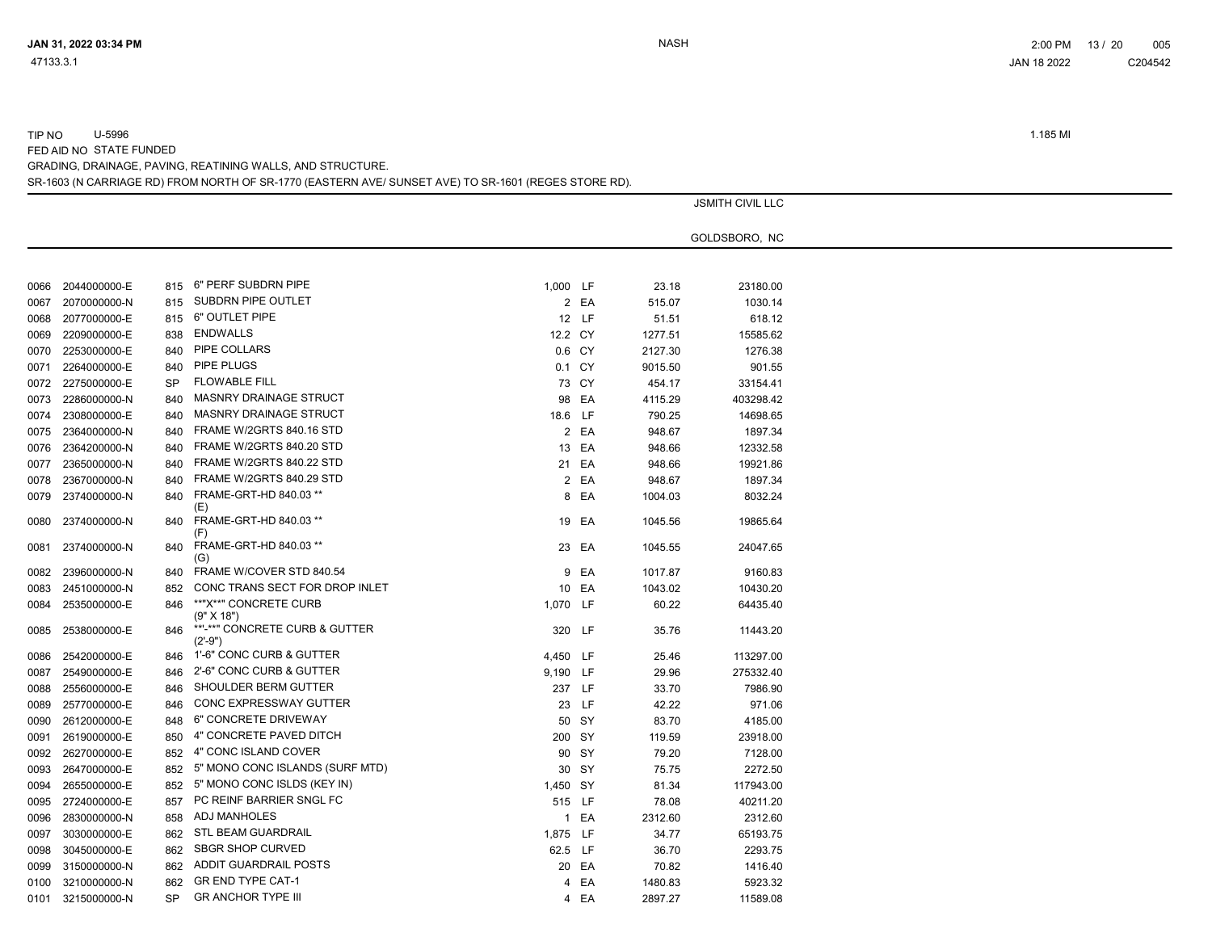TIP NO U-5996 1.185 MI

FED AID NO STATE FUNDED

GRADING, DRAINAGE, PAVING, REATINING WALLS, AND STRUCTURE.

SR-1603 (N CARRIAGE RD) FROM NORTH OF SR-1770 (EASTERN AVE/ SUNSET AVE) TO SR-1601 (REGES STORE RD).

|      |                   |           |                                                                     |          |       |         | <b>JSMITH CIVIL LLC</b> |
|------|-------------------|-----------|---------------------------------------------------------------------|----------|-------|---------|-------------------------|
|      |                   |           |                                                                     |          |       |         |                         |
|      |                   |           |                                                                     |          |       |         | GOLDSBORO, NC           |
|      |                   |           |                                                                     |          |       |         |                         |
|      | 0066 2044000000-E | 815       | 6" PERF SUBDRN PIPE                                                 | 1,000 LF |       | 23.18   | 23180.00                |
| 0067 | 2070000000-N      | 815       | SUBDRN PIPE OUTLET                                                  |          | 2 EA  | 515.07  | 1030.14                 |
| 0068 | 2077000000-E      |           | 815 6" OUTLET PIPE                                                  |          | 12 LF | 51.51   | 618.12                  |
| 0069 | 2209000000-E      | 838       | <b>ENDWALLS</b>                                                     | 12.2 CY  |       | 1277.51 | 15585.62                |
| 0070 | 2253000000-E      | 840       | PIPE COLLARS                                                        | 0.6 CY   |       | 2127.30 | 1276.38                 |
| 0071 | 2264000000-E      | 840       | PIPE PLUGS                                                          | 0.1 CY   |       | 9015.50 | 901.55                  |
| 0072 | 2275000000-E      | <b>SP</b> | <b>FLOWABLE FILL</b>                                                |          | 73 CY | 454.17  | 33154.41                |
| 0073 | 2286000000-N      | 840       | <b>MASNRY DRAINAGE STRUCT</b>                                       |          | 98 EA | 4115.29 | 403298.42               |
| 0074 | 2308000000-E      | 840       | <b>MASNRY DRAINAGE STRUCT</b>                                       | 18.6 LF  |       | 790.25  | 14698.65                |
| 0075 | 2364000000-N      | 840       | FRAME W/2GRTS 840.16 STD                                            |          | 2 EA  | 948.67  | 1897.34                 |
| 0076 | 2364200000-N      | 840       | FRAME W/2GRTS 840.20 STD                                            |          | 13 EA | 948.66  | 12332.58                |
| 0077 | 2365000000-N      | 840       | FRAME W/2GRTS 840.22 STD                                            |          | 21 EA | 948.66  | 19921.86                |
| 0078 | 2367000000-N      | 840       | FRAME W/2GRTS 840.29 STD                                            |          | 2 EA  | 948.67  | 1897.34                 |
| 0079 | 2374000000-N      | 840       | FRAME-GRT-HD 840.03 **                                              |          | 8 EA  | 1004.03 | 8032.24                 |
|      |                   |           | (E)                                                                 |          |       |         |                         |
| 0080 | 2374000000-N      | 840       | FRAME-GRT-HD 840.03 **                                              |          | 19 EA | 1045.56 | 19865.64                |
|      |                   |           | (F)<br>FRAME-GRT-HD 840.03 **                                       |          |       |         |                         |
| 0081 | 2374000000-N      | 840       | (G)                                                                 |          | 23 EA | 1045.55 | 24047.65                |
| 0082 | 2396000000-N      | 840       | FRAME W/COVER STD 840.54                                            |          | 9 EA  | 1017.87 | 9160.83                 |
| 0083 | 2451000000-N      | 852       | CONC TRANS SECT FOR DROP INLET                                      |          | 10 EA | 1043.02 | 10430.20                |
| 0084 | 2535000000-E      | 846       | **"X**" CONCRETE CURB                                               | 1,070 LF |       | 60.22   | 64435.40                |
|      |                   |           | (9" X 18")                                                          |          |       |         |                         |
| 0085 | 2538000000-E      | 846       | **'-**" CONCRETE CURB & GUTTER<br>$(2^{\prime} - 9^{\prime\prime})$ | 320 LF   |       | 35.76   | 11443.20                |
| 0086 | 2542000000-E      | 846       | 1'-6" CONC CURB & GUTTER                                            | 4,450 LF |       | 25.46   | 113297.00               |
| 0087 | 2549000000-E      | 846       | 2'-6" CONC CURB & GUTTER                                            | 9,190 LF |       | 29.96   | 275332.40               |
| 0088 | 2556000000-E      | 846       | SHOULDER BERM GUTTER                                                | 237 LF   |       | 33.70   | 7986.90                 |
| 0089 | 2577000000-E      | 846       | CONC EXPRESSWAY GUTTER                                              |          | 23 LF | 42.22   | 971.06                  |
|      | 2612000000-E      | 848       | 6" CONCRETE DRIVEWAY                                                |          | 50 SY | 83.70   | 4185.00                 |
| 0090 |                   |           | 4" CONCRETE PAVED DITCH                                             |          |       |         |                         |
| 0091 | 2619000000-E      | 850       | 4" CONC ISLAND COVER                                                | 200 SY   |       | 119.59  | 23918.00                |
| 0092 | 2627000000-E      | 852       |                                                                     |          | 90 SY | 79.20   | 7128.00                 |
| 0093 | 2647000000-E      | 852       | 5" MONO CONC ISLANDS (SURF MTD)                                     |          | 30 SY | 75.75   | 2272.50                 |
| 0094 | 2655000000-E      | 852       | 5" MONO CONC ISLDS (KEY IN)                                         | 1,450 SY |       | 81.34   | 117943.00               |
| 0095 | 2724000000-E      | 857       | PC REINF BARRIER SNGL FC                                            | 515 LF   |       | 78.08   | 40211.20                |
| 0096 | 2830000000-N      | 858       | <b>ADJ MANHOLES</b>                                                 |          | 1 EA  | 2312.60 | 2312.60                 |
| 0097 | 3030000000-E      | 862       | <b>STL BEAM GUARDRAIL</b>                                           | 1,875 LF |       | 34.77   | 65193.75                |
| 0098 | 3045000000-E      | 862       | <b>SBGR SHOP CURVED</b>                                             | 62.5 LF  |       | 36.70   | 2293.75                 |
| 0099 | 3150000000-N      | 862       | ADDIT GUARDRAIL POSTS                                               |          | 20 EA | 70.82   | 1416.40                 |
| 0100 | 3210000000-N      | 862       | <b>GR END TYPE CAT-1</b>                                            |          | 4 EA  | 1480.83 | 5923.32                 |
| 0101 | 3215000000-N      | <b>SP</b> | <b>GR ANCHOR TYPE III</b>                                           |          | 4 EA  | 2897.27 | 11589.08                |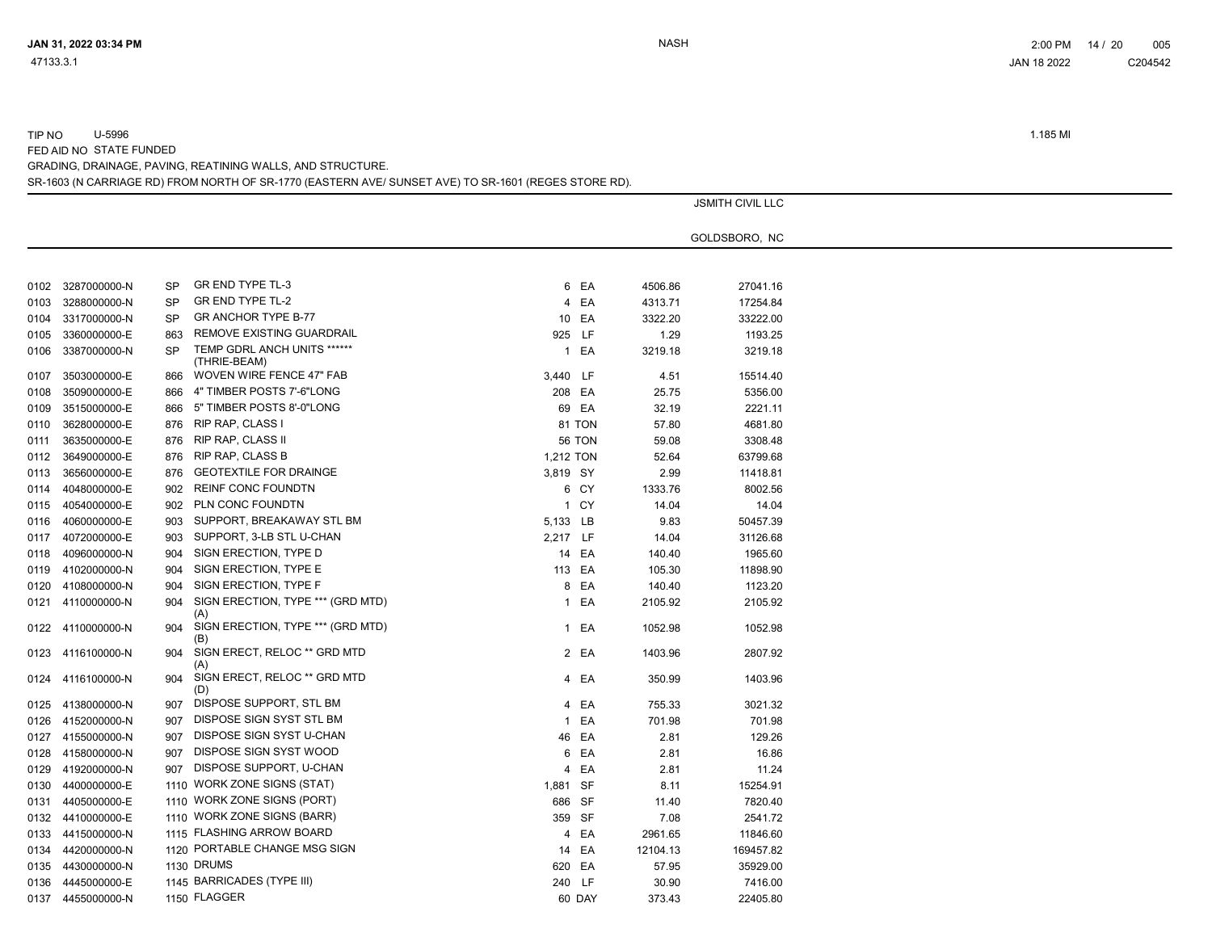# TIP NO U-5996 1.185 MI FED AID NO STATE FUNDED

SR-1603 (N CARRIAGE RD) FROM NORTH OF SR-1770 (EASTERN AVE/ SUNSET AVE) TO SR-1601 (REGES STORE RD). GRADING, DRAINAGE, PAVING, REATINING WALLS, AND STRUCTURE.

|      |                   |           |                                             |           |          | <b>JSMITH CIVIL LLC</b> |
|------|-------------------|-----------|---------------------------------------------|-----------|----------|-------------------------|
|      |                   |           |                                             |           |          | GOLDSBORO, NC           |
|      |                   |           |                                             |           |          |                         |
| 0102 | 3287000000-N      | <b>SP</b> | GR END TYPE TL-3                            | 6 EA      | 4506.86  | 27041.16                |
| 0103 | 3288000000-N      | <b>SP</b> | <b>GR END TYPE TL-2</b>                     | 4 EA      | 4313.71  | 17254.84                |
| 0104 | 3317000000-N      | <b>SP</b> | <b>GR ANCHOR TYPE B-77</b>                  | 10 EA     | 3322.20  | 33222.00                |
| 0105 | 3360000000-E      | 863       | REMOVE EXISTING GUARDRAIL                   | 925 LF    | 1.29     | 1193.25                 |
| 0106 | 3387000000-N      | <b>SP</b> | TEMP GDRL ANCH UNITS ******<br>(THRIE-BEAM) | 1 EA      | 3219.18  | 3219.18                 |
| 0107 | 3503000000-E      | 866       | WOVEN WIRE FENCE 47" FAB                    | 3,440 LF  | 4.51     | 15514.40                |
| 0108 | 3509000000-E      | 866       | 4" TIMBER POSTS 7'-6"LONG                   | 208 EA    | 25.75    | 5356.00                 |
| 0109 | 3515000000-E      | 866       | 5" TIMBER POSTS 8'-0"LONG                   | 69 EA     | 32.19    | 2221.11                 |
| 0110 | 3628000000-E      | 876       | RIP RAP, CLASS I                            | 81 TON    | 57.80    | 4681.80                 |
| 0111 | 3635000000-E      | 876       | RIP RAP, CLASS II                           | 56 TON    | 59.08    | 3308.48                 |
| 0112 | 3649000000-E      | 876       | <b>RIP RAP, CLASS B</b>                     | 1,212 TON | 52.64    | 63799.68                |
| 0113 | 3656000000-E      | 876       | <b>GEOTEXTILE FOR DRAINGE</b>               | 3,819 SY  | 2.99     | 11418.81                |
| 0114 | 4048000000-E      | 902       | <b>REINF CONC FOUNDTN</b>                   | 6 CY      | 1333.76  | 8002.56                 |
| 0115 | 4054000000-E      | 902       | PLN CONC FOUNDTN                            | 1 CY      | 14.04    | 14.04                   |
| 0116 | 4060000000-E      | 903       | SUPPORT, BREAKAWAY STL BM                   | 5,133 LB  | 9.83     | 50457.39                |
| 0117 | 4072000000-E      | 903       | SUPPORT, 3-LB STL U-CHAN                    | 2,217 LF  | 14.04    | 31126.68                |
| 0118 | 4096000000-N      | 904       | SIGN ERECTION, TYPE D                       | 14 EA     | 140.40   | 1965.60                 |
| 0119 | 4102000000-N      | 904       | SIGN ERECTION, TYPE E                       | 113 EA    | 105.30   | 11898.90                |
| 0120 | 4108000000-N      | 904       | SIGN ERECTION, TYPE F                       | 8 EA      | 140.40   | 1123.20                 |
|      | 0121 4110000000-N | 904       | SIGN ERECTION, TYPE *** (GRD MTD)           | 1 EA      | 2105.92  | 2105.92                 |
|      |                   |           | (A)                                         |           |          |                         |
|      | 0122 4110000000-N | 904       | SIGN ERECTION, TYPE *** (GRD MTD)<br>(B)    | 1 EA      | 1052.98  | 1052.98                 |
| 0123 | 4116100000-N      | 904       | SIGN ERECT, RELOC ** GRD MTD<br>(A)         | 2 EA      | 1403.96  | 2807.92                 |
|      | 0124 4116100000-N | 904       | SIGN ERECT, RELOC ** GRD MTD<br>(D)         | 4 EA      | 350.99   | 1403.96                 |
| 0125 | 4138000000-N      | 907       | DISPOSE SUPPORT, STL BM                     | 4 EA      | 755.33   | 3021.32                 |
| 0126 | 4152000000-N      | 907       | DISPOSE SIGN SYST STL BM                    | 1 EA      | 701.98   | 701.98                  |
| 0127 | 4155000000-N      | 907       | DISPOSE SIGN SYST U-CHAN                    | 46 EA     | 2.81     | 129.26                  |
| 0128 | 4158000000-N      | 907       | DISPOSE SIGN SYST WOOD                      | 6 EA      | 2.81     | 16.86                   |
| 0129 | 4192000000-N      | 907       | DISPOSE SUPPORT, U-CHAN                     | 4 EA      | 2.81     | 11.24                   |
| 0130 | 4400000000-E      |           | 1110 WORK ZONE SIGNS (STAT)                 | 1,881 SF  | 8.11     | 15254.91                |
| 0131 | 4405000000-E      |           | 1110 WORK ZONE SIGNS (PORT)                 | 686 SF    | 11.40    | 7820.40                 |
|      | 0132 4410000000-E |           | 1110 WORK ZONE SIGNS (BARR)                 | 359 SF    | 7.08     | 2541.72                 |
| 0133 | 4415000000-N      |           | 1115 FLASHING ARROW BOARD                   | 4 EA      | 2961.65  | 11846.60                |
|      | 0134 4420000000-N |           | 1120 PORTABLE CHANGE MSG SIGN               | 14 EA     | 12104.13 | 169457.82               |
| 0135 | 4430000000-N      |           | 1130 DRUMS                                  | 620 EA    | 57.95    | 35929.00                |
| 0136 | 4445000000-E      |           | 1145 BARRICADES (TYPE III)                  | 240 LF    | 30.90    | 7416.00                 |
|      | 0137 4455000000-N |           | 1150 FLAGGER                                | 60 DAY    | 373.43   | 22405.80                |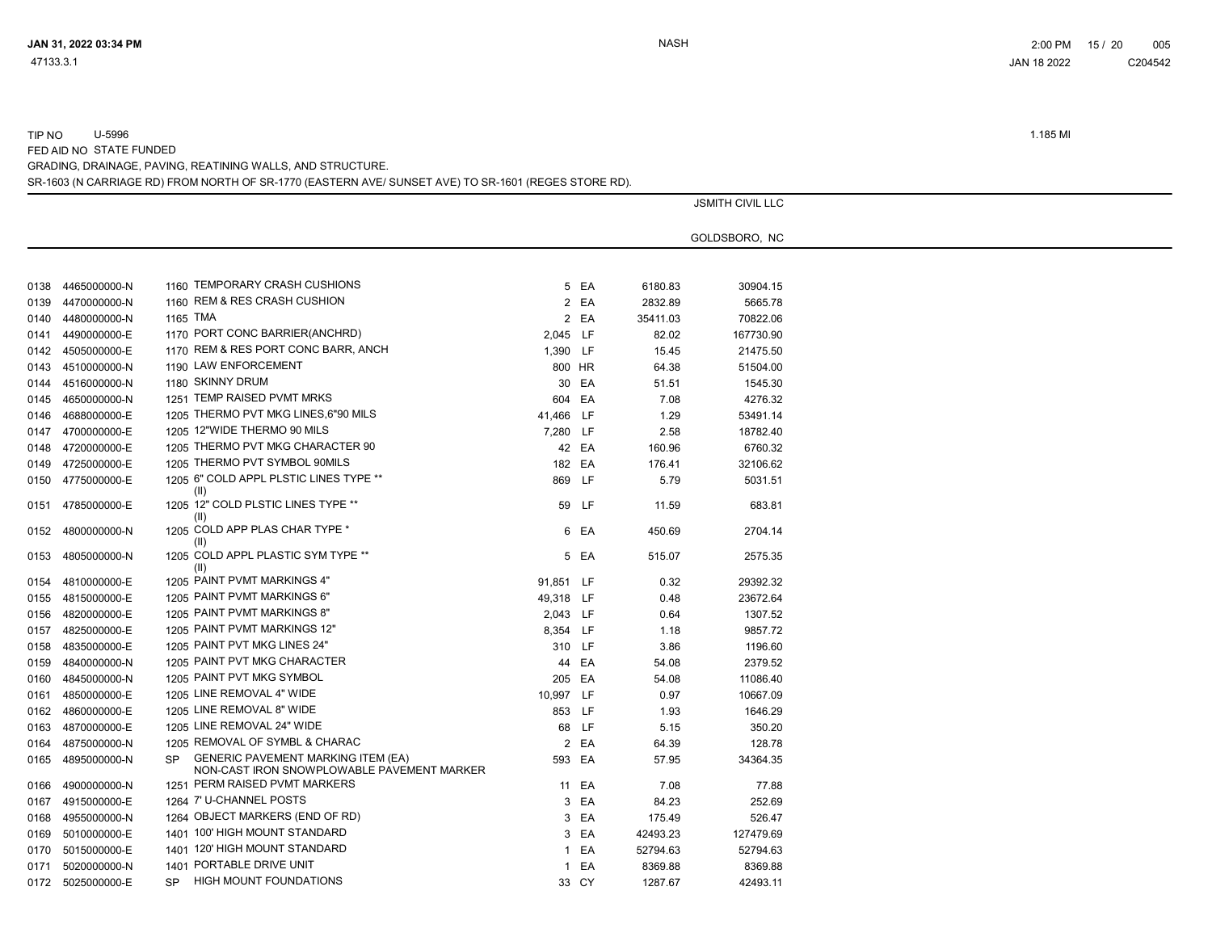# TIP NO U-5996 1.185 MI

FED AID NO STATE FUNDED

SR-1603 (N CARRIAGE RD) FROM NORTH OF SR-1770 (EASTERN AVE/ SUNSET AVE) TO SR-1601 (REGES STORE RD). GRADING, DRAINAGE, PAVING, REATINING WALLS, AND STRUCTURE.

|      |                   |                                                                                                      |           |       |          | <b>JSMITH CIVIL LLC</b> |
|------|-------------------|------------------------------------------------------------------------------------------------------|-----------|-------|----------|-------------------------|
|      |                   |                                                                                                      |           |       |          | GOLDSBORO, NC           |
|      |                   |                                                                                                      |           |       |          |                         |
| 0138 | 4465000000-N      | 1160 TEMPORARY CRASH CUSHIONS                                                                        |           | 5 EA  | 6180.83  | 30904.15                |
| 0139 | 4470000000-N      | 1160 REM & RES CRASH CUSHION                                                                         |           | 2 EA  | 2832.89  | 5665.78                 |
| 0140 | 4480000000-N      | 1165 TMA                                                                                             |           | 2 EA  | 35411.03 | 70822.06                |
| 0141 | 4490000000-E      | 1170 PORT CONC BARRIER(ANCHRD)                                                                       | 2,045 LF  |       | 82.02    | 167730.90               |
| 0142 | 4505000000-E      | 1170 REM & RES PORT CONC BARR, ANCH                                                                  | 1,390 LF  |       | 15.45    | 21475.50                |
| 0143 | 4510000000-N      | 1190 LAW ENFORCEMENT                                                                                 | 800 HR    |       | 64.38    | 51504.00                |
| 0144 | 4516000000-N      | 1180 SKINNY DRUM                                                                                     |           | 30 EA | 51.51    | 1545.30                 |
| 0145 | 4650000000-N      | 1251 TEMP RAISED PVMT MRKS                                                                           | 604 EA    |       | 7.08     | 4276.32                 |
| 0146 | 4688000000-E      | 1205 THERMO PVT MKG LINES, 6"90 MILS                                                                 | 41,466 LF |       | 1.29     | 53491.14                |
| 0147 | 4700000000-E      | 1205 12"WIDE THERMO 90 MILS                                                                          | 7,280 LF  |       | 2.58     | 18782.40                |
| 0148 | 4720000000-E      | 1205 THERMO PVT MKG CHARACTER 90                                                                     |           | 42 EA | 160.96   | 6760.32                 |
| 0149 | 4725000000-E      | 1205 THERMO PVT SYMBOL 90MILS                                                                        | 182 EA    |       | 176.41   | 32106.62                |
| 0150 | 4775000000-E      | 1205 6" COLD APPL PLSTIC LINES TYPE **                                                               | 869 LF    |       | 5.79     | 5031.51                 |
| 0151 | 4785000000-E      | (II)<br>1205 12" COLD PLSTIC LINES TYPE **<br>(II)                                                   |           | 59 LF | 11.59    | 683.81                  |
| 0152 | 4800000000-N      | 1205 COLD APP PLAS CHAR TYPE *<br>(II)                                                               |           | 6 EA  | 450.69   | 2704.14                 |
| 0153 | 4805000000-N      | 1205 COLD APPL PLASTIC SYM TYPE **<br>(II)                                                           |           | 5 EA  | 515.07   | 2575.35                 |
| 0154 | 4810000000-E      | 1205 PAINT PVMT MARKINGS 4"                                                                          | 91,851 LF |       | 0.32     | 29392.32                |
| 0155 | 4815000000-E      | 1205 PAINT PVMT MARKINGS 6"                                                                          | 49,318 LF |       | 0.48     | 23672.64                |
| 0156 | 4820000000-E      | 1205 PAINT PVMT MARKINGS 8"                                                                          | 2,043 LF  |       | 0.64     | 1307.52                 |
| 0157 | 4825000000-E      | 1205 PAINT PVMT MARKINGS 12"                                                                         | 8,354 LF  |       | 1.18     | 9857.72                 |
| 0158 | 4835000000-E      | 1205 PAINT PVT MKG LINES 24"                                                                         | 310 LF    |       | 3.86     | 1196.60                 |
| 0159 | 4840000000-N      | 1205 PAINT PVT MKG CHARACTER                                                                         |           | 44 EA | 54.08    | 2379.52                 |
| 0160 | 4845000000-N      | 1205 PAINT PVT MKG SYMBOL                                                                            | 205 EA    |       | 54.08    | 11086.40                |
| 0161 | 4850000000-E      | 1205 LINE REMOVAL 4" WIDE                                                                            | 10,997 LF |       | 0.97     | 10667.09                |
| 0162 | 4860000000-E      | 1205 LINE REMOVAL 8" WIDE                                                                            | 853 LF    |       | 1.93     | 1646.29                 |
| 0163 | 4870000000-E      | 1205 LINE REMOVAL 24" WIDE                                                                           |           | 68 LF | 5.15     | 350.20                  |
| 0164 | 4875000000-N      | 1205 REMOVAL OF SYMBL & CHARAC                                                                       |           | 2 EA  | 64.39    | 128.78                  |
| 0165 | 4895000000-N      | <b>GENERIC PAVEMENT MARKING ITEM (EA)</b><br><b>SP</b><br>NON-CAST IRON SNOWPLOWABLE PAVEMENT MARKER | 593 EA    |       | 57.95    | 34364.35                |
| 0166 | 4900000000-N      | 1251 PERM RAISED PVMT MARKERS                                                                        |           | 11 EA | 7.08     | 77.88                   |
| 0167 | 4915000000-E      | 1264 7' U-CHANNEL POSTS                                                                              |           | 3 EA  | 84.23    | 252.69                  |
| 0168 | 4955000000-N      | 1264 OBJECT MARKERS (END OF RD)                                                                      |           | 3 EA  | 175.49   | 526.47                  |
| 0169 | 5010000000-E      | 1401 100' HIGH MOUNT STANDARD                                                                        |           | 3 EA  | 42493.23 | 127479.69               |
| 0170 | 5015000000-E      | 1401 120' HIGH MOUNT STANDARD                                                                        |           | 1 EA  | 52794.63 | 52794.63                |
| 0171 | 5020000000-N      | 1401 PORTABLE DRIVE UNIT                                                                             |           | 1 EA  | 8369.88  | 8369.88                 |
|      | 0172 5025000000-E | SP HIGH MOUNT FOUNDATIONS                                                                            |           | 33 CY | 1287.67  | 42493.11                |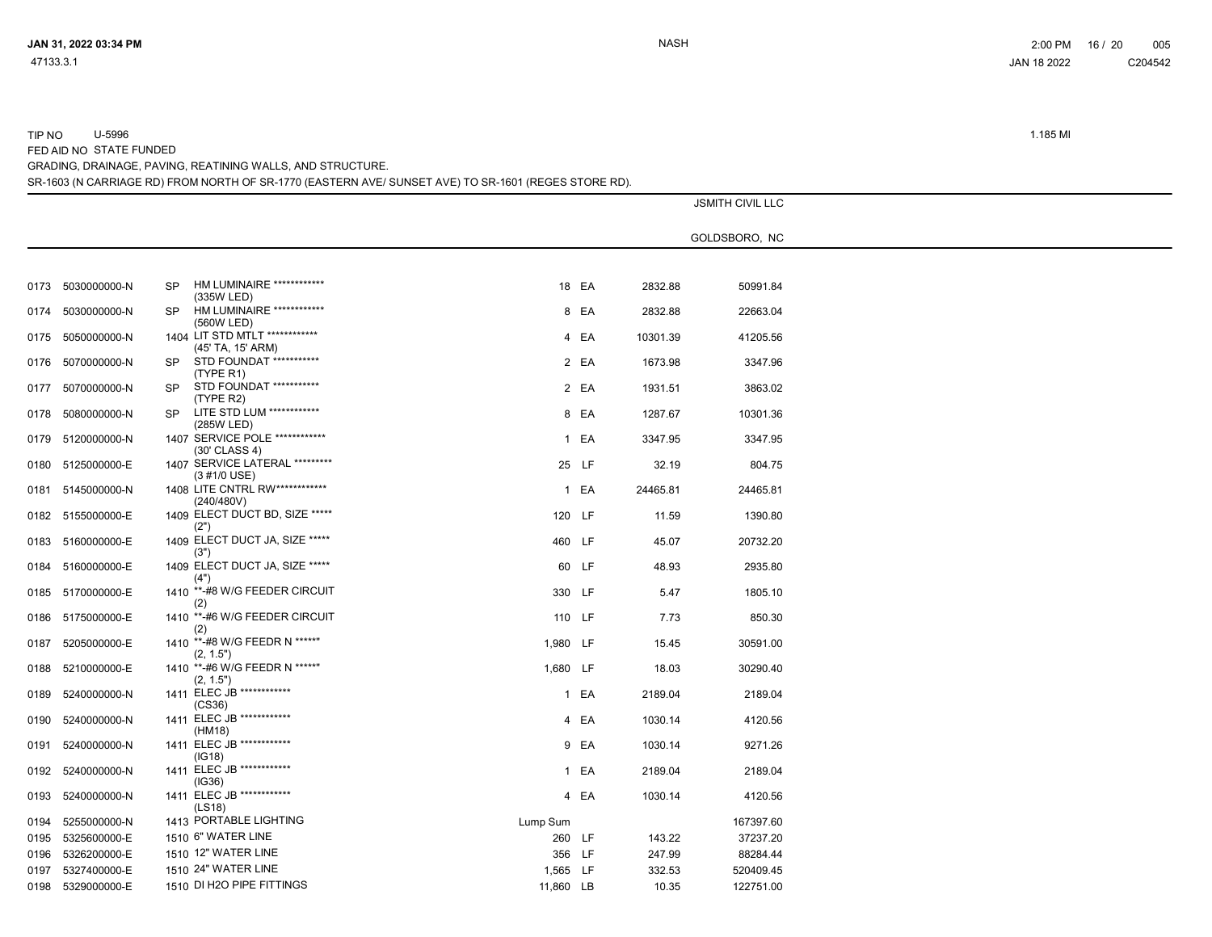| 0173 | 5030000000-N      | <b>SP</b> | HM LUMINAIRE ************<br>(335W LED)             |           | 18 EA | 2832.88  | 50991.84  |
|------|-------------------|-----------|-----------------------------------------------------|-----------|-------|----------|-----------|
| 0174 | 5030000000-N      | <b>SP</b> | HM LUMINAIRE ************<br>(560W LED)             |           | 8 EA  | 2832.88  | 22663.04  |
| 0175 | 5050000000-N      |           | 1404 LIT STD MTLT ************<br>(45' TA, 15' ARM) |           | 4 EA  | 10301.39 | 41205.56  |
| 0176 | 5070000000-N      | SP.       | STD FOUNDAT ***********<br>(TYPE R1)                |           | 2 EA  | 1673.98  | 3347.96   |
| 0177 | 5070000000-N      | SP.       | STD FOUNDAT ***********<br>(TYPE R2)                |           | 2 EA  | 1931.51  | 3863.02   |
| 0178 | 5080000000-N      | SP.       | LITE STD LUM ************<br>(285W LED)             |           | 8 EA  | 1287.67  | 10301.36  |
|      | 0179 5120000000-N |           | 1407 SERVICE POLE ************<br>(30' CLASS 4)     |           | 1 EA  | 3347.95  | 3347.95   |
|      | 0180 5125000000-E |           | 1407 SERVICE LATERAL *********<br>(3 #1/0 USE)      |           | 25 LF | 32.19    | 804.75    |
| 0181 | 5145000000-N      |           | 1408 LITE CNTRL RW ************<br>(240/480V)       |           | 1 EA  | 24465.81 | 24465.81  |
|      | 0182 5155000000-E |           | 1409 ELECT DUCT BD, SIZE *****<br>(2")              | 120 LF    |       | 11.59    | 1390.80   |
| 0183 | 5160000000-E      |           | 1409 ELECT DUCT JA, SIZE *****<br>(3")              | 460 LF    |       | 45.07    | 20732.20  |
| 0184 | 5160000000-E      |           | 1409 ELECT DUCT JA, SIZE *****<br>(4")              |           | 60 LF | 48.93    | 2935.80   |
| 0185 | 5170000000-E      | 1410      | **-#8 W/G FEEDER CIRCUIT<br>(2)                     | 330 LF    |       | 5.47     | 1805.10   |
|      | 0186 5175000000-E |           | 1410 **-#6 W/G FEEDER CIRCUIT<br>(2)                | 110 LF    |       | 7.73     | 850.30    |
| 0187 | 5205000000-E      |           | 1410 **-#8 W/G FEEDR N *****"<br>(2, 1.5")          | 1,980 LF  |       | 15.45    | 30591.00  |
| 0188 | 5210000000-E      |           | 1410 **-#6 W/G FEEDR N *****"<br>(2, 1.5")          | 1,680 LF  |       | 18.03    | 30290.40  |
| 0189 | 5240000000-N      |           | 1411 ELEC JB ************<br>(CS36)                 |           | 1 EA  | 2189.04  | 2189.04   |
| 0190 | 5240000000-N      |           | 1411 ELEC JB ************<br>(HM18)                 |           | 4 EA  | 1030.14  | 4120.56   |
| 0191 | 5240000000-N      |           | 1411 ELEC JB ************<br>(IG18)                 |           | 9 EA  | 1030.14  | 9271.26   |
| 0192 | 5240000000-N      |           | 1411 ELEC JB ************<br>(IG36)                 |           | 1 EA  | 2189.04  | 2189.04   |
| 0193 | 5240000000-N      |           | 1411 ELEC JB ************<br>(LS18)                 |           | 4 EA  | 1030.14  | 4120.56   |
| 0194 | 5255000000-N      |           | 1413 PORTABLE LIGHTING                              | Lump Sum  |       |          | 167397.60 |
| 0195 | 5325600000-E      |           | 1510 6" WATER LINE                                  | 260 LF    |       | 143.22   | 37237.20  |
| 0196 | 5326200000-E      |           | 1510 12" WATER LINE                                 | 356 LF    |       | 247.99   | 88284.44  |
| 0197 | 5327400000-E      |           | 1510 24" WATER LINE                                 | 1,565 LF  |       | 332.53   | 520409.45 |
| 0198 | 5329000000-E      |           | 1510 DI H2O PIPE FITTINGS                           | 11,860 LB |       | 10.35    | 122751.00 |
|      |                   |           |                                                     |           |       |          |           |

# SR-1603 (N CARRIAGE RD) FROM NORTH OF SR-1770 (EASTERN AVE/ SUNSET AVE) TO SR-1601 (REGES STORE RD).

GRADING, DRAINAGE, PAVING, REATINING WALLS, AND STRUCTURE.

FED AID NO STATE FUNDED

TIP NO U-5996 1.185 MI

JSMITH CIVIL LLC

GOLDSBORO, NC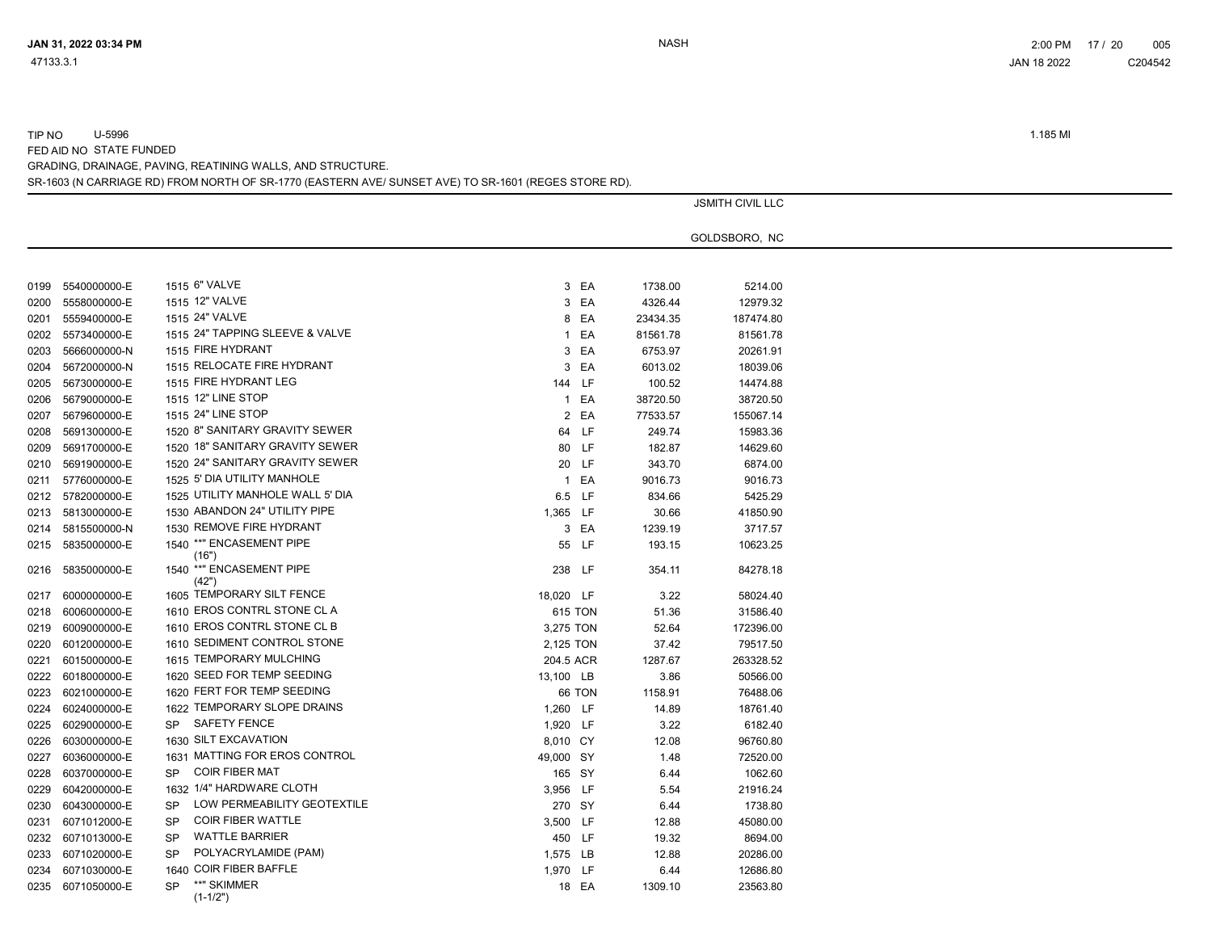TIP NO U-5996 1.185 MI

FED AID NO STATE FUNDED

GRADING, DRAINAGE, PAVING, REATINING WALLS, AND STRUCTURE.

SR-1603 (N CARRIAGE RD) FROM NORTH OF SR-1770 (EASTERN AVE/ SUNSET AVE) TO SR-1601 (REGES STORE RD).

|      |                   |           |                                   |           |           |          | <b>JSMITH CIVIL LLC</b> |  |
|------|-------------------|-----------|-----------------------------------|-----------|-----------|----------|-------------------------|--|
|      |                   |           |                                   |           |           |          | GOLDSBORO, NC           |  |
|      |                   |           |                                   |           |           |          |                         |  |
|      |                   |           |                                   |           |           |          |                         |  |
| 0199 | 5540000000-E      |           | 1515 6" VALVE                     |           | 3 EA      | 1738.00  | 5214.00                 |  |
| 0200 | 5558000000-E      |           | 1515 12" VALVE                    |           | 3 EA      | 4326.44  | 12979.32                |  |
| 0201 | 5559400000-E      |           | 1515 24" VALVE                    |           | 8 EA      | 23434.35 | 187474.80               |  |
| 0202 | 5573400000-E      |           | 1515 24" TAPPING SLEEVE & VALVE   |           | 1 EA      | 81561.78 | 81561.78                |  |
| 0203 | 5666000000-N      |           | 1515 FIRE HYDRANT                 |           | 3 EA      | 6753.97  | 20261.91                |  |
| 0204 | 5672000000-N      |           | 1515 RELOCATE FIRE HYDRANT        |           | 3 EA      | 6013.02  | 18039.06                |  |
| 0205 | 5673000000-E      |           | 1515 FIRE HYDRANT LEG             |           | 144 LF    | 100.52   | 14474.88                |  |
| 0206 | 5679000000-E      |           | 1515 12" LINE STOP                |           | 1 EA      | 38720.50 | 38720.50                |  |
| 0207 | 5679600000-E      |           | 1515 24" LINE STOP                |           | 2 EA      | 77533.57 | 155067.14               |  |
| 0208 | 5691300000-E      |           | 1520 8" SANITARY GRAVITY SEWER    |           | 64 LF     | 249.74   | 15983.36                |  |
| 0209 | 5691700000-E      |           | 1520 18" SANITARY GRAVITY SEWER   |           | 80 LF     | 182.87   | 14629.60                |  |
| 0210 | 5691900000-E      |           | 1520 24" SANITARY GRAVITY SEWER   |           | 20 LF     | 343.70   | 6874.00                 |  |
| 0211 | 5776000000-E      |           | 1525 5' DIA UTILITY MANHOLE       |           | 1 EA      | 9016.73  | 9016.73                 |  |
| 0212 | 5782000000-E      |           | 1525 UTILITY MANHOLE WALL 5' DIA  |           | 6.5 LF    | 834.66   | 5425.29                 |  |
| 0213 | 5813000000-E      |           | 1530 ABANDON 24" UTILITY PIPE     | 1,365 LF  |           | 30.66    | 41850.90                |  |
| 0214 | 5815500000-N      |           | 1530 REMOVE FIRE HYDRANT          |           | 3 EA      | 1239.19  | 3717.57                 |  |
| 0215 | 5835000000-E      |           | 1540 ** "ENCASEMENT PIPE<br>(16") |           | 55 LF     | 193.15   | 10623.25                |  |
| 0216 | 5835000000-E      |           | 1540 ** "ENCASEMENT PIPE<br>(42") |           | 238 LF    | 354.11   | 84278.18                |  |
| 0217 | 6000000000-E      |           | 1605 TEMPORARY SILT FENCE         | 18,020 LF |           | 3.22     | 58024.40                |  |
| 0218 | 6006000000-E      |           | 1610 EROS CONTRL STONE CL A       |           | 615 TON   | 51.36    | 31586.40                |  |
| 0219 | 6009000000-E      |           | 1610 EROS CONTRL STONE CL B       | 3,275 TON |           | 52.64    | 172396.00               |  |
| 0220 | 6012000000-E      |           | 1610 SEDIMENT CONTROL STONE       | 2,125 TON |           | 37.42    | 79517.50                |  |
| 0221 | 6015000000-E      |           | 1615 TEMPORARY MULCHING           |           | 204.5 ACR | 1287.67  | 263328.52               |  |
| 0222 | 6018000000-E      |           | 1620 SEED FOR TEMP SEEDING        | 13,100 LB |           | 3.86     | 50566.00                |  |
| 0223 | 6021000000-E      |           | 1620 FERT FOR TEMP SEEDING        |           | 66 TON    | 1158.91  | 76488.06                |  |
| 0224 | 6024000000-E      |           | 1622 TEMPORARY SLOPE DRAINS       | 1,260 LF  |           | 14.89    | 18761.40                |  |
| 0225 | 6029000000-E      | <b>SP</b> | <b>SAFETY FENCE</b>               | 1,920 LF  |           | 3.22     | 6182.40                 |  |
| 0226 | 6030000000-E      |           | 1630 SILT EXCAVATION              | 8,010 CY  |           | 12.08    | 96760.80                |  |
| 0227 | 6036000000-E      |           | 1631 MATTING FOR EROS CONTROL     | 49,000 SY |           | 1.48     | 72520.00                |  |
| 0228 | 6037000000-E      | <b>SP</b> | <b>COIR FIBER MAT</b>             |           | 165 SY    | 6.44     | 1062.60                 |  |
| 0229 | 6042000000-E      |           | 1632 1/4" HARDWARE CLOTH          | 3,956 LF  |           | 5.54     | 21916.24                |  |
| 0230 | 6043000000-E      | <b>SP</b> | LOW PERMEABILITY GEOTEXTILE       |           | 270 SY    | 6.44     | 1738.80                 |  |
| 0231 | 6071012000-E      | <b>SP</b> | <b>COIR FIBER WATTLE</b>          | 3,500 LF  |           | 12.88    | 45080.00                |  |
| 0232 | 6071013000-E      | <b>SP</b> | <b>WATTLE BARRIER</b>             |           | 450 LF    | 19.32    | 8694.00                 |  |
| 0233 | 6071020000-E      | <b>SP</b> | POLYACRYLAMIDE (PAM)              | 1,575 LB  |           | 12.88    | 20286.00                |  |
| 0234 | 6071030000-E      |           | 1640 COIR FIBER BAFFLE            | 1,970 LF  |           | 6.44     | 12686.80                |  |
|      | 0235 6071050000-E | <b>SP</b> | **" SKIMMER<br>$(1-1/2")$         |           | 18 EA     | 1309.10  | 23563.80                |  |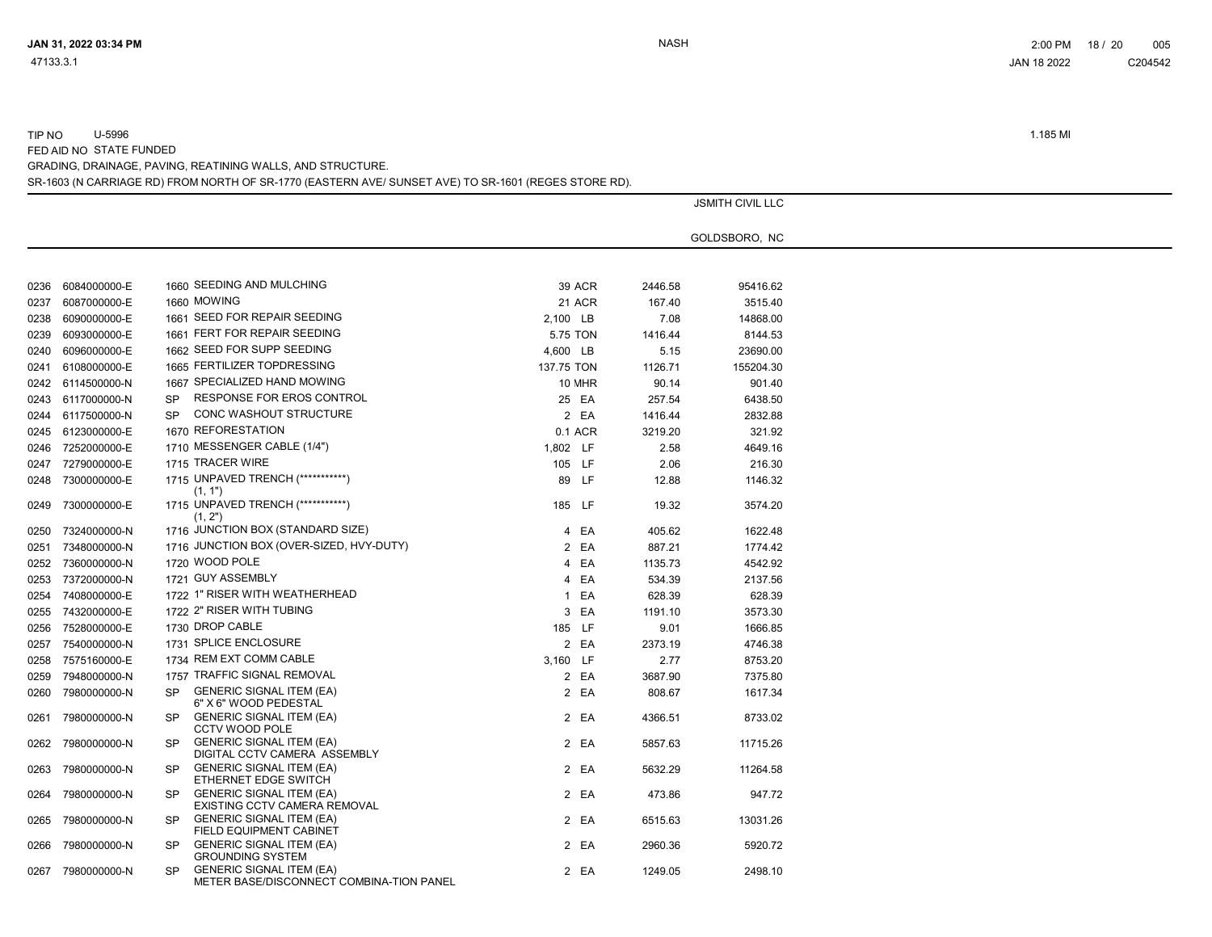|        | U-5996 | 1.185 MI |
|--------|--------|----------|
| TIP NO |        |          |
|        |        |          |

FED AID NO STATE FUNDED GRADING, DRAINAGE, PAVING, REATINING WALLS, AND STRUCTURE.

|  | SR-1603 (N CARRIAGE RD) FROM NORTH OF SR-1770 (EASTERN AVE/ SUNSET AVE) TO SR-1601 (REGES STORE RD). |
|--|------------------------------------------------------------------------------------------------------|
|  |                                                                                                      |
|  |                                                                                                      |

|      |              |           |                                                                             |            |               |         | <b>JSMITH CIVIL LLC</b> |  |
|------|--------------|-----------|-----------------------------------------------------------------------------|------------|---------------|---------|-------------------------|--|
|      |              |           |                                                                             |            |               |         |                         |  |
|      |              |           |                                                                             |            |               |         | GOLDSBORO, NC           |  |
|      |              |           |                                                                             |            |               |         |                         |  |
| 0236 | 6084000000-E |           | 1660 SEEDING AND MULCHING                                                   |            | <b>39 ACR</b> | 2446.58 | 95416.62                |  |
| 0237 | 6087000000-E |           | 1660 MOWING                                                                 |            | <b>21 ACR</b> | 167.40  | 3515.40                 |  |
| 0238 | 6090000000-E |           | 1661 SEED FOR REPAIR SEEDING                                                | 2,100 LB   |               | 7.08    | 14868.00                |  |
| 0239 | 6093000000-E |           | 1661 FERT FOR REPAIR SEEDING                                                | 5.75 TON   |               | 1416.44 | 8144.53                 |  |
| 0240 | 6096000000-E |           | 1662 SEED FOR SUPP SEEDING                                                  | 4,600 LB   |               | 5.15    | 23690.00                |  |
| 0241 | 6108000000-E |           | 1665 FERTILIZER TOPDRESSING                                                 | 137.75 TON |               | 1126.71 | 155204.30               |  |
| 0242 | 6114500000-N |           | 1667 SPECIALIZED HAND MOWING                                                |            | 10 MHR        | 90.14   | 901.40                  |  |
| 0243 | 6117000000-N | <b>SP</b> | RESPONSE FOR EROS CONTROL                                                   |            | 25 EA         | 257.54  | 6438.50                 |  |
| 0244 | 6117500000-N | <b>SP</b> | CONC WASHOUT STRUCTURE                                                      |            | 2 EA          | 1416.44 | 2832.88                 |  |
| 0245 | 6123000000-E |           | 1670 REFORESTATION                                                          |            | 0.1 ACR       | 3219.20 | 321.92                  |  |
| 0246 | 7252000000-E |           | 1710 MESSENGER CABLE (1/4")                                                 | 1,802 LF   |               | 2.58    | 4649.16                 |  |
| 0247 | 7279000000-E |           | 1715 TRACER WIRE                                                            | 105 LF     |               | 2.06    | 216.30                  |  |
| 0248 | 7300000000-E |           | 1715 UNPAVED TRENCH (************)<br>(1, 1")                               |            | 89 LF         | 12.88   | 1146.32                 |  |
| 0249 | 7300000000-E |           | 1715 UNPAVED TRENCH (***********)<br>(1, 2")                                | 185 LF     |               | 19.32   | 3574.20                 |  |
| 0250 | 7324000000-N |           | 1716 JUNCTION BOX (STANDARD SIZE)                                           |            | 4 EA          | 405.62  | 1622.48                 |  |
| 0251 | 7348000000-N |           | 1716 JUNCTION BOX (OVER-SIZED, HVY-DUTY)                                    |            | 2 EA          | 887.21  | 1774.42                 |  |
| 0252 | 7360000000-N |           | 1720 WOOD POLE                                                              |            | 4 EA          | 1135.73 | 4542.92                 |  |
| 0253 | 7372000000-N |           | 1721 GUY ASSEMBLY                                                           |            | 4 EA          | 534.39  | 2137.56                 |  |
| 0254 | 7408000000-E |           | 1722 1" RISER WITH WEATHERHEAD                                              |            | 1 EA          | 628.39  | 628.39                  |  |
| 0255 | 7432000000-E |           | 1722 2" RISER WITH TUBING                                                   |            | 3 EA          | 1191.10 | 3573.30                 |  |
| 0256 | 7528000000-E |           | 1730 DROP CABLE                                                             | 185 LF     |               | 9.01    | 1666.85                 |  |
| 0257 | 7540000000-N |           | 1731 SPLICE ENCLOSURE                                                       |            | 2 EA          | 2373.19 | 4746.38                 |  |
| 0258 | 7575160000-E |           | 1734 REM EXT COMM CABLE                                                     | 3,160 LF   |               | 2.77    | 8753.20                 |  |
| 0259 | 7948000000-N |           | 1757 TRAFFIC SIGNAL REMOVAL                                                 |            | 2 EA          | 3687.90 | 7375.80                 |  |
| 0260 | 7980000000-N | <b>SP</b> | <b>GENERIC SIGNAL ITEM (EA)</b><br>6" X 6" WOOD PEDESTAL                    |            | 2 EA          | 808.67  | 1617.34                 |  |
| 0261 | 7980000000-N | <b>SP</b> | <b>GENERIC SIGNAL ITEM (EA)</b><br><b>CCTV WOOD POLE</b>                    |            | 2 EA          | 4366.51 | 8733.02                 |  |
| 0262 | 7980000000-N | <b>SP</b> | <b>GENERIC SIGNAL ITEM (EA)</b><br>DIGITAL CCTV CAMERA ASSEMBLY             |            | 2 EA          | 5857.63 | 11715.26                |  |
| 0263 | 7980000000-N | <b>SP</b> | <b>GENERIC SIGNAL ITEM (EA)</b><br>ETHERNET EDGE SWITCH                     |            | 2 EA          | 5632.29 | 11264.58                |  |
| 0264 | 7980000000-N | <b>SP</b> | <b>GENERIC SIGNAL ITEM (EA)</b><br>EXISTING CCTV CAMERA REMOVAL             |            | 2 EA          | 473.86  | 947.72                  |  |
| 0265 | 7980000000-N | <b>SP</b> | <b>GENERIC SIGNAL ITEM (EA)</b><br>FIELD EQUIPMENT CABINET                  |            | 2 EA          | 6515.63 | 13031.26                |  |
| 0266 | 7980000000-N | <b>SP</b> | <b>GENERIC SIGNAL ITEM (EA)</b><br><b>GROUNDING SYSTEM</b>                  |            | 2 EA          | 2960.36 | 5920.72                 |  |
| 0267 | 7980000000-N | <b>SP</b> | <b>GENERIC SIGNAL ITEM (EA)</b><br>METER BASE/DISCONNECT COMBINA-TION PANEL |            | 2 EA          | 1249.05 | 2498.10                 |  |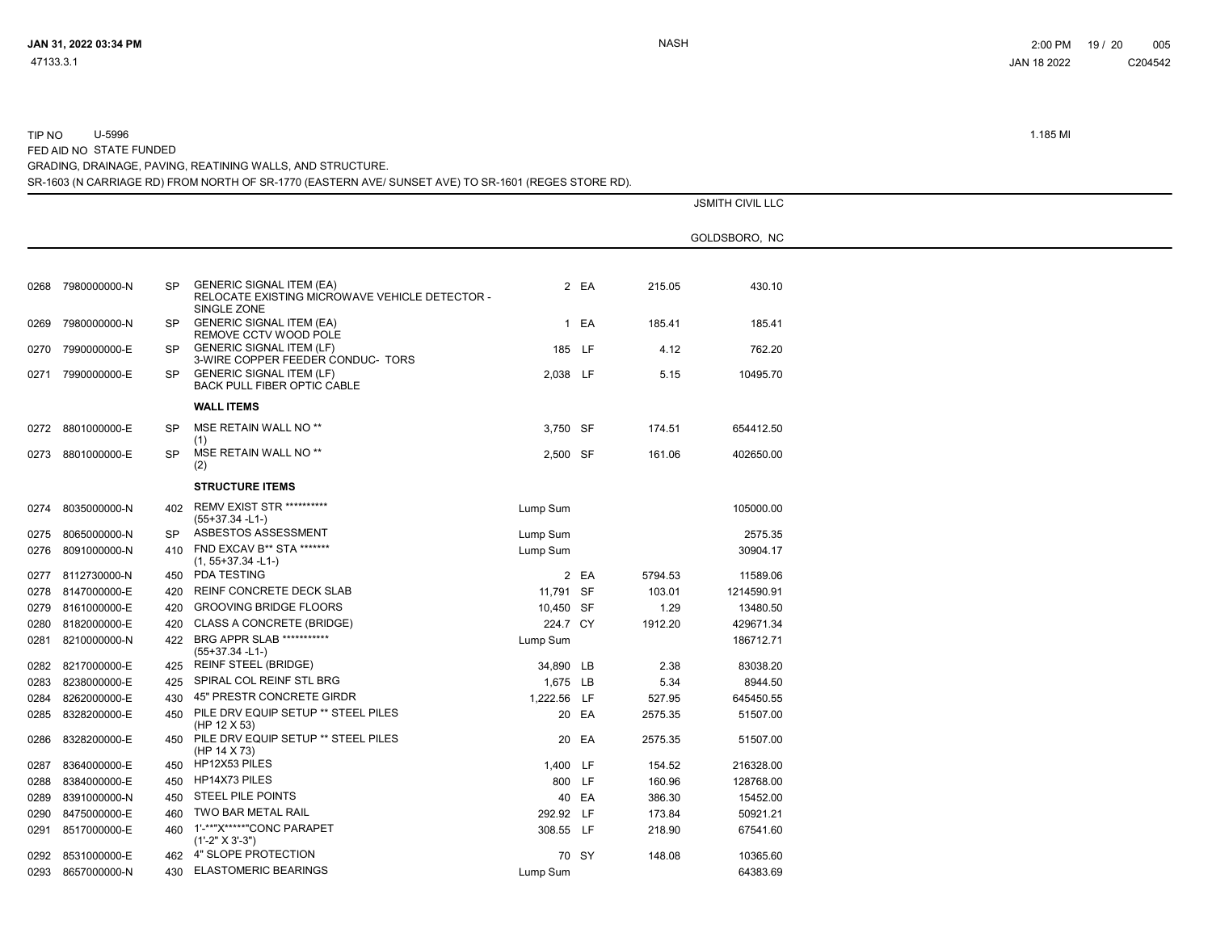| 47133.3.1 | JAN 18 2022 | C204542 |
|-----------|-------------|---------|
|           |             |         |
|           |             |         |

TIP NO U-5996 1.185 MI

FED AID NO STATE FUNDED

GRADING, DRAINAGE, PAVING, REATINING WALLS, AND STRUCTURE.

SR-1603 (N CARRIAGE RD) FROM NORTH OF SR-1770 (EASTERN AVE/ SUNSET AVE) TO SR-1601 (REGES STORE RD).

|      |                   |           |                                                                                                  |             |       |         | <b>JSMITH CIVIL LLC</b> |
|------|-------------------|-----------|--------------------------------------------------------------------------------------------------|-------------|-------|---------|-------------------------|
|      |                   |           |                                                                                                  |             |       |         | GOLDSBORO, NC           |
|      |                   |           |                                                                                                  |             |       |         |                         |
|      | 0268 7980000000-N | <b>SP</b> | <b>GENERIC SIGNAL ITEM (EA)</b><br>RELOCATE EXISTING MICROWAVE VEHICLE DETECTOR -<br>SINGLE ZONE |             | 2 EA  | 215.05  | 430.10                  |
| 0269 | 7980000000-N      | <b>SP</b> | <b>GENERIC SIGNAL ITEM (EA)</b><br>REMOVE CCTV WOOD POLE                                         |             | 1 EA  | 185.41  | 185.41                  |
| 0270 | 7990000000-E      | <b>SP</b> | <b>GENERIC SIGNAL ITEM (LF)</b><br>3-WIRE COPPER FEEDER CONDUC- TORS                             | 185 LF      |       | 4.12    | 762.20                  |
| 0271 | 7990000000-E      | <b>SP</b> | <b>GENERIC SIGNAL ITEM (LF)</b><br>BACK PULL FIBER OPTIC CABLE                                   | 2,038 LF    |       | 5.15    | 10495.70                |
|      |                   |           | <b>WALL ITEMS</b>                                                                                |             |       |         |                         |
|      | 0272 8801000000-E | <b>SP</b> | MSE RETAIN WALL NO <sup>**</sup><br>(1)                                                          | 3.750 SF    |       | 174.51  | 654412.50               |
|      | 0273 8801000000-E | <b>SP</b> | MSE RETAIN WALL NO <sup>**</sup><br>(2)                                                          | 2,500 SF    |       | 161.06  | 402650.00               |
|      |                   |           | <b>STRUCTURE ITEMS</b>                                                                           |             |       |         |                         |
| 0274 | 8035000000-N      | 402       | <b>REMV EXIST STR **********</b><br>(55+37.34 -L1-)                                              | Lump Sum    |       |         | 105000.00               |
| 0275 | 8065000000-N      | <b>SP</b> | ASBESTOS ASSESSMENT                                                                              | Lump Sum    |       |         | 2575.35                 |
| 0276 | 8091000000-N      |           | 410 FND EXCAV B** STA *******<br>$(1, 55+37.34 - L1)$                                            | Lump Sum    |       |         | 30904.17                |
| 0277 | 8112730000-N      | 450       | <b>PDA TESTING</b>                                                                               |             | 2 EA  | 5794.53 | 11589.06                |
|      | 0278 8147000000-E | 420       | REINF CONCRETE DECK SLAB                                                                         | 11,791 SF   |       | 103.01  | 1214590.91              |
| 0279 | 8161000000-E      | 420       | <b>GROOVING BRIDGE FLOORS</b>                                                                    | 10,450 SF   |       | 1.29    | 13480.50                |
| 0280 | 8182000000-E      | 420       | <b>CLASS A CONCRETE (BRIDGE)</b>                                                                 | 224.7 CY    |       | 1912.20 | 429671.34               |
| 0281 | 8210000000-N      | 422       | BRG APPR SLAB ***********<br>(55+37.34 -L1-)                                                     | Lump Sum    |       |         | 186712.71               |
| 0282 | 8217000000-E      | 425       | <b>REINF STEEL (BRIDGE)</b>                                                                      | 34,890 LB   |       | 2.38    | 83038.20                |
| 0283 | 8238000000-E      | 425       | SPIRAL COL REINF STL BRG                                                                         | 1,675 LB    |       | 5.34    | 8944.50                 |
| 0284 | 8262000000-E      | 430       | 45" PRESTR CONCRETE GIRDR                                                                        | 1,222.56 LF |       | 527.95  | 645450.55               |
| 0285 | 8328200000-E      | 450       | PILE DRV EQUIP SETUP ** STEEL PILES<br>(HP 12 $X$ 53)                                            |             | 20 EA | 2575.35 | 51507.00                |
| 0286 | 8328200000-E      | 450       | PILE DRV EQUIP SETUP ** STEEL PILES<br>(HP 14 X 73)                                              |             | 20 EA | 2575.35 | 51507.00                |
| 0287 | 8364000000-E      |           | 450 HP12X53 PILES                                                                                | 1,400 LF    |       | 154.52  | 216328.00               |
| 0288 | 8384000000-E      | 450       | HP14X73 PILES                                                                                    | 800 LF      |       | 160.96  | 128768.00               |
| 0289 | 8391000000-N      | 450       | STEEL PILE POINTS                                                                                |             | 40 EA | 386.30  | 15452.00                |
| 0290 | 8475000000-E      | 460       | TWO BAR METAL RAIL                                                                               | 292.92 LF   |       | 173.84  | 50921.21                |
| 0291 | 8517000000-E      | 460       | 1'-**"X*****"CONC PARAPET<br>$(1'-2" X 3'-3")$                                                   | 308.55 LF   |       | 218.90  | 67541.60                |
| 0292 | 8531000000-E      | 462       | 4" SLOPE PROTECTION                                                                              |             | 70 SY | 148.08  | 10365.60                |
|      | 0293 8657000000-N | 430       | <b>ELASTOMERIC BEARINGS</b>                                                                      | Lump Sum    |       |         | 64383.69                |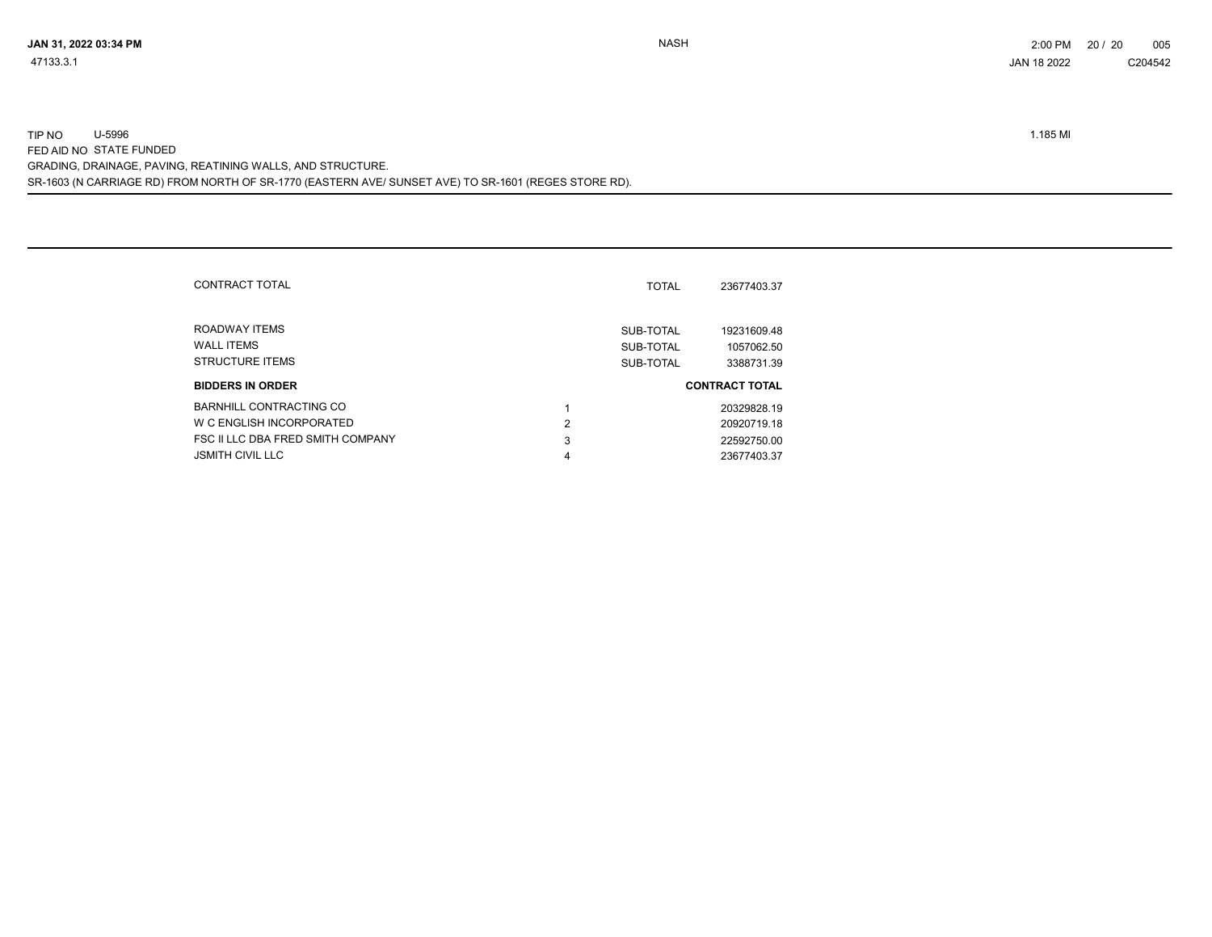SR-1603 (N CARRIAGE RD) FROM NORTH OF SR-1770 (EASTERN AVE/ SUNSET AVE) TO SR-1601 (REGES STORE RD). TIP NO U-5996 1.185 MI FED AID NO STATE FUNDED GRADING, DRAINAGE, PAVING, REATINING WALLS, AND STRUCTURE.

|   | 23677403.37                                         |
|---|-----------------------------------------------------|
|   | 19231609.48<br>1057062.50<br>3388731.39             |
|   | <b>CONTRACT TOTAL</b>                               |
|   | 20329828.19                                         |
| 2 | 20920719.18                                         |
| 3 | 22592750.00                                         |
| 4 | 23677403.37                                         |
|   | <b>TOTAL</b><br>SUB-TOTAL<br>SUB-TOTAL<br>SUB-TOTAL |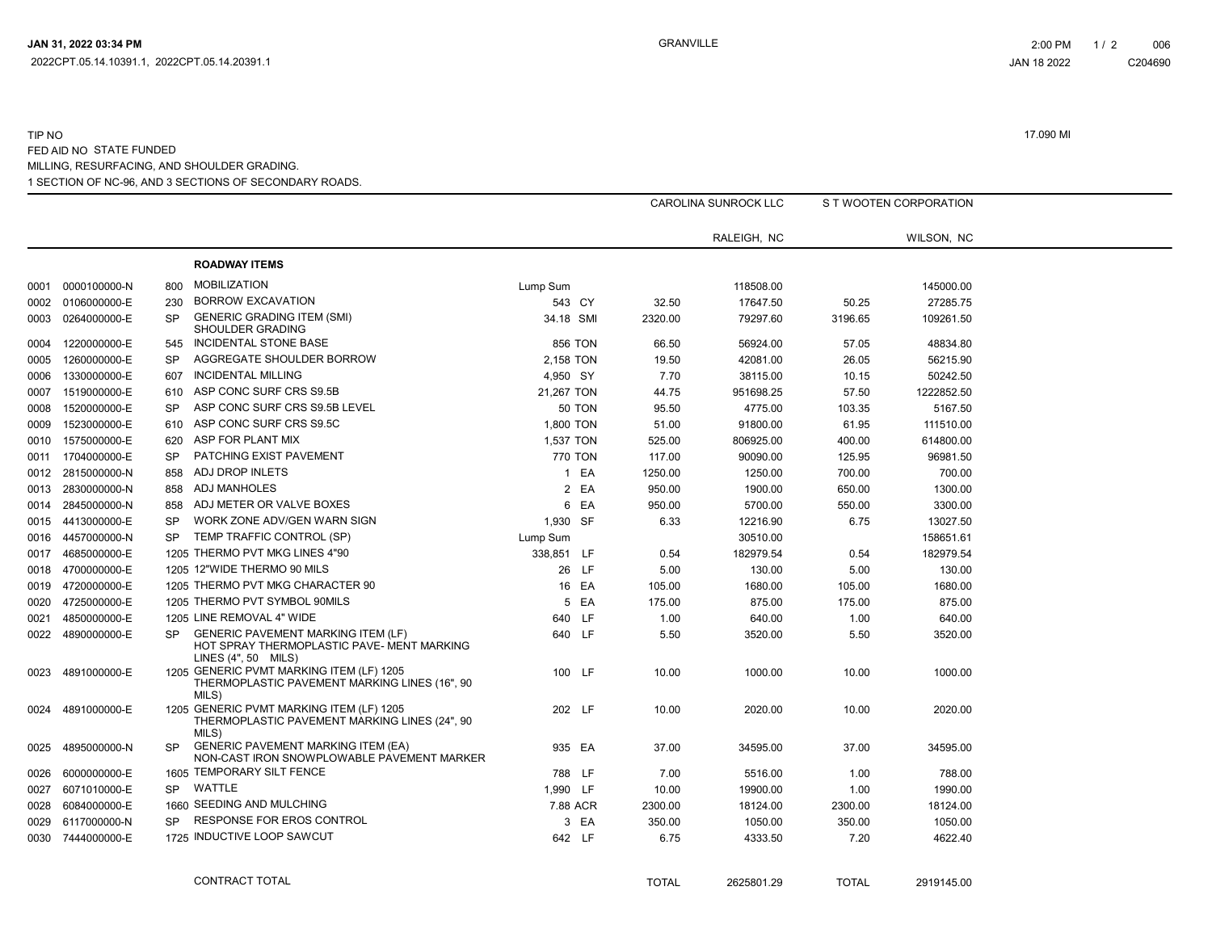#### 1 SECTION OF NC-96, AND 3 SECTIONS OF SECONDARY ROADS. TIP NO 17.090 MI FED AID NO STATE FUNDED MILLING, RESURFACING, AND SHOULDER GRADING.

|      |                   |           |                                                                                                                |                  |         | CAROLINA SUNROCK LLC |         | S T WOOTEN CORPORATION |
|------|-------------------|-----------|----------------------------------------------------------------------------------------------------------------|------------------|---------|----------------------|---------|------------------------|
|      |                   |           |                                                                                                                |                  |         | RALEIGH, NC          |         | WILSON, NC             |
|      |                   |           | <b>ROADWAY ITEMS</b>                                                                                           |                  |         |                      |         |                        |
|      | 0001 0000100000-N | 800       | <b>MOBILIZATION</b>                                                                                            | Lump Sum         |         | 118508.00            |         | 145000.00              |
| 0002 | 0106000000-E      | 230       | <b>BORROW EXCAVATION</b>                                                                                       | 543 CY           | 32.50   | 17647.50             | 50.25   | 27285.75               |
| 0003 | 0264000000-E      | <b>SP</b> | <b>GENERIC GRADING ITEM (SMI)</b><br>SHOULDER GRADING                                                          | 34.18 SMI        | 2320.00 | 79297.60             | 3196.65 | 109261.50              |
| 0004 | 1220000000-E      | 545       | INCIDENTAL STONE BASE                                                                                          | <b>856 TON</b>   | 66.50   | 56924.00             | 57.05   | 48834.80               |
| 0005 | 1260000000-E      | <b>SP</b> | AGGREGATE SHOULDER BORROW                                                                                      | 2,158 TON        | 19.50   | 42081.00             | 26.05   | 56215.90               |
| 0006 | 1330000000-E      | 607       | <b>INCIDENTAL MILLING</b>                                                                                      | 4,950 SY         | 7.70    | 38115.00             | 10.15   | 50242.50               |
| 0007 | 1519000000-E      | 610       | ASP CONC SURF CRS S9.5B                                                                                        | 21,267 TON       | 44.75   | 951698.25            | 57.50   | 1222852.50             |
| 0008 | 1520000000-E      | <b>SP</b> | ASP CONC SURF CRS S9.5B LEVEL                                                                                  | <b>50 TON</b>    | 95.50   | 4775.00              | 103.35  | 5167.50                |
| 0009 | 1523000000-E      | 610       | ASP CONC SURF CRS S9.5C                                                                                        | 1,800 TON        | 51.00   | 91800.00             | 61.95   | 111510.00              |
| 0010 | 1575000000-E      | 620       | ASP FOR PLANT MIX                                                                                              | 1,537 TON        | 525.00  | 806925.00            | 400.00  | 614800.00              |
| 0011 | 1704000000-E      | <b>SP</b> | PATCHING EXIST PAVEMENT                                                                                        | 770 TON          | 117.00  | 90090.00             | 125.95  | 96981.50               |
|      | 0012 2815000000-N | 858       | ADJ DROP INLETS                                                                                                | 1 EA             | 1250.00 | 1250.00              | 700.00  | 700.00                 |
| 0013 | 2830000000-N      | 858       | ADJ MANHOLES                                                                                                   | 2 EA             | 950.00  | 1900.00              | 650.00  | 1300.00                |
| 0014 | 2845000000-N      | 858       | ADJ METER OR VALVE BOXES                                                                                       | 6 EA             | 950.00  | 5700.00              | 550.00  | 3300.00                |
| 0015 | 4413000000-E      | <b>SP</b> | WORK ZONE ADV/GEN WARN SIGN                                                                                    | 1,930 SF         | 6.33    | 12216.90             | 6.75    | 13027.50               |
| 0016 | 4457000000-N      | <b>SP</b> | TEMP TRAFFIC CONTROL (SP)                                                                                      | Lump Sum         |         | 30510.00             |         | 158651.61              |
| 0017 | 4685000000-E      |           | 1205 THERMO PVT MKG LINES 4"90                                                                                 | 338,851 LF       | 0.54    | 182979.54            | 0.54    | 182979.54              |
| 0018 | 4700000000-E      |           | 1205 12"WIDE THERMO 90 MILS                                                                                    | 26 LF            | 5.00    | 130.00               | 5.00    | 130.00                 |
|      | 0019 4720000000-E |           | 1205 THERMO PVT MKG CHARACTER 90                                                                               | 16 EA            | 105.00  | 1680.00              | 105.00  | 1680.00                |
| 0020 | 4725000000-E      |           | 1205 THERMO PVT SYMBOL 90MILS                                                                                  | 5 EA             | 175.00  | 875.00               | 175.00  | 875.00                 |
| 0021 | 4850000000-E      |           | 1205 LINE REMOVAL 4" WIDE                                                                                      | <b>LF</b><br>640 | 1.00    | 640.00               | 1.00    | 640.00                 |
|      | 0022 4890000000-E | <b>SP</b> | <b>GENERIC PAVEMENT MARKING ITEM (LF)</b><br>HOT SPRAY THERMOPLASTIC PAVE- MENT MARKING<br>LINES (4", 50 MILS) | 640 LF           | 5.50    | 3520.00              | 5.50    | 3520.00                |
| 0023 | 4891000000-E      |           | 1205 GENERIC PVMT MARKING ITEM (LF) 1205<br>THERMOPLASTIC PAVEMENT MARKING LINES (16", 90<br>MILS)             | 100 LF           | 10.00   | 1000.00              | 10.00   | 1000.00                |
| 0024 | 4891000000-E      |           | 1205 GENERIC PVMT MARKING ITEM (LF) 1205<br>THERMOPLASTIC PAVEMENT MARKING LINES (24", 90<br>MILS)             | 202 LF           | 10.00   | 2020.00              | 10.00   | 2020.00                |
| 0025 | 4895000000-N      | <b>SP</b> | <b>GENERIC PAVEMENT MARKING ITEM (EA)</b><br>NON-CAST IRON SNOWPLOWABLE PAVEMENT MARKER                        | 935 EA           | 37.00   | 34595.00             | 37.00   | 34595.00               |
| 0026 | 6000000000-E      |           | 1605 TEMPORARY SILT FENCE                                                                                      | 788 LF           | 7.00    | 5516.00              | 1.00    | 788.00                 |
| 0027 | 6071010000-E      | SP.       | WATTLE                                                                                                         | 1.990 LF         | 10.00   | 19900.00             | 1.00    | 1990.00                |
| 0028 | 6084000000-E      |           | 1660 SEEDING AND MULCHING                                                                                      | 7.88 ACR         | 2300.00 | 18124.00             | 2300.00 | 18124.00               |
| 0029 | 6117000000-N      | SP        | RESPONSE FOR EROS CONTROL                                                                                      | 3 EA             | 350.00  | 1050.00              | 350.00  | 1050.00                |
|      | 0030 7444000000-E |           | 1725 INDUCTIVE LOOP SAWCUT                                                                                     | 642 LF           | 6.75    | 4333.50              | 7.20    | 4622.40                |

TOTAL 2625801.29 CONTRACT TOTAL TOTAL 2919145.00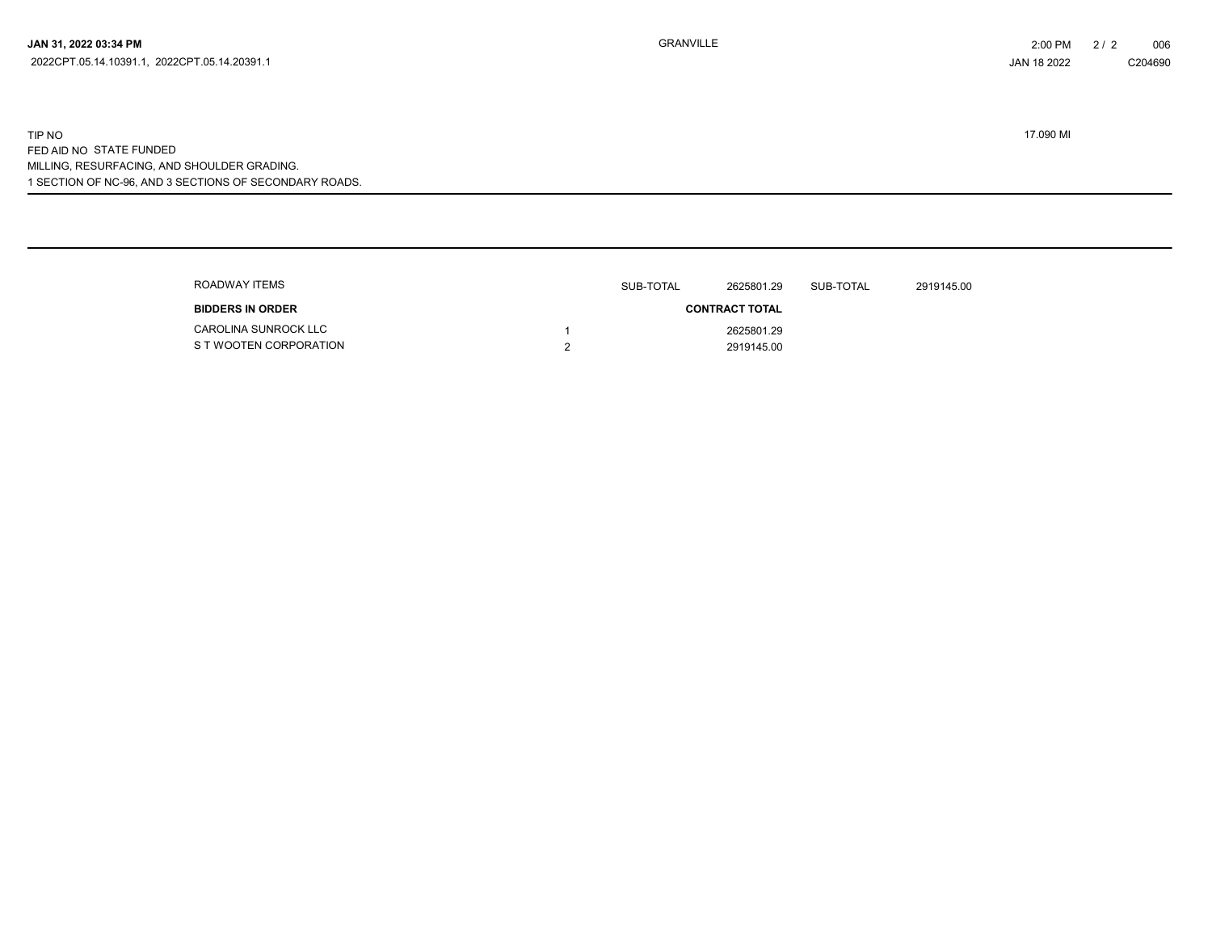1 SECTION OF NC-96, AND 3 SECTIONS OF SECONDARY ROADS. TIP NO 17.090 MI FED AID NO STATE FUNDED MILLING, RESURFACING, AND SHOULDER GRADING.

| ROADWAY ITEMS                                         | SUB-TOTAL | 2625801.29               | SUB-TOTAL | 2919145.00 |
|-------------------------------------------------------|-----------|--------------------------|-----------|------------|
| <b>BIDDERS IN ORDER</b>                               |           | <b>CONTRACT TOTAL</b>    |           |            |
| <b>CAROLINA SUNROCK LLC</b><br>S T WOOTEN CORPORATION |           | 2625801.29<br>2919145.00 |           |            |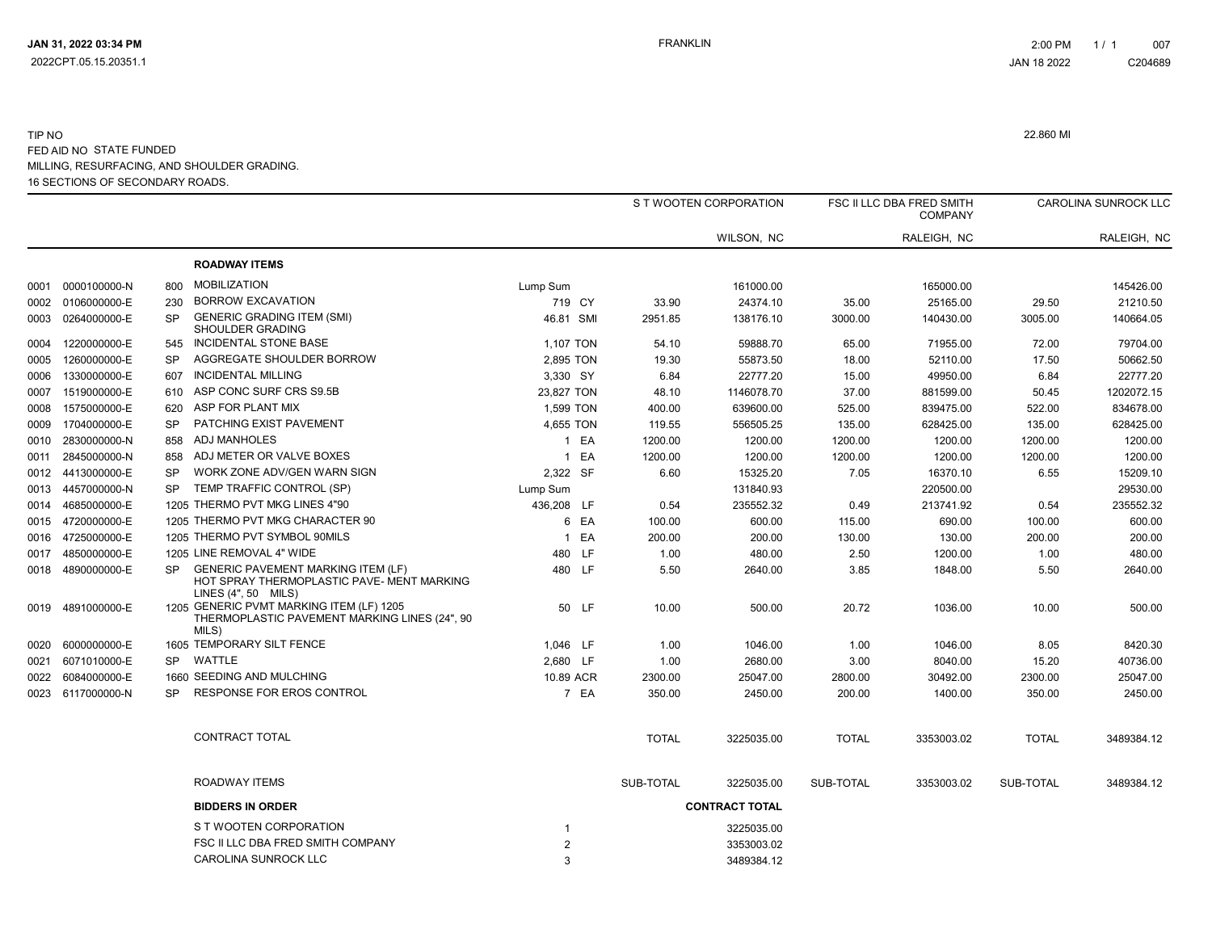#### 16 SECTIONS OF SECONDARY ROADS. TIP NO 22.860 MI FED AID NO STATE FUNDED MILLING, RESURFACING, AND SHOULDER GRADING.

|      |                   |           |                                                                                                                  |                           |              | S T WOOTEN CORPORATION                 |              | FSC II LLC DBA FRED SMITH<br><b>COMPANY</b> |              | CAROLINA SUNROCK LLC |
|------|-------------------|-----------|------------------------------------------------------------------------------------------------------------------|---------------------------|--------------|----------------------------------------|--------------|---------------------------------------------|--------------|----------------------|
|      |                   |           |                                                                                                                  |                           |              | WILSON, NC                             |              | RALEIGH, NC                                 |              | RALEIGH, NC          |
|      |                   |           | <b>ROADWAY ITEMS</b>                                                                                             |                           |              |                                        |              |                                             |              |                      |
|      |                   | 800       | <b>MOBILIZATION</b>                                                                                              | Lump Sum                  |              | 161000.00                              |              | 165000.00                                   |              | 145426.00            |
|      | 0002 0106000000-E | 230       | <b>BORROW EXCAVATION</b>                                                                                         | 719 CY                    | 33.90        | 24374.10                               | 35.00        | 25165.00                                    | 29.50        | 21210.50             |
|      | 0003 0264000000-E | <b>SP</b> | <b>GENERIC GRADING ITEM (SMI)</b><br>SHOULDER GRADING                                                            | 46.81 SMI                 | 2951.85      | 138176.10                              | 3000.00      | 140430.00                                   | 3005.00      | 140664.05            |
| 0004 | 1220000000-E      | 545       | INCIDENTAL STONE BASE                                                                                            | 1,107 TON                 | 54.10        | 59888.70                               | 65.00        | 71955.00                                    | 72.00        | 79704.00             |
| 0005 | 1260000000-E      | <b>SP</b> | AGGREGATE SHOULDER BORROW                                                                                        | 2,895 TON                 | 19.30        | 55873.50                               | 18.00        | 52110.00                                    | 17.50        | 50662.50             |
| 0006 | 1330000000-E      | 607       | <b>INCIDENTAL MILLING</b>                                                                                        | 3,330 SY                  | 6.84         | 22777.20                               | 15.00        | 49950.00                                    | 6.84         | 22777.20             |
| 0007 | 1519000000-E      | 610       | ASP CONC SURF CRS S9.5B                                                                                          | 23,827 TON                | 48.10        | 1146078.70                             | 37.00        | 881599.00                                   | 50.45        | 1202072.15           |
| 0008 | 1575000000-E      | 620       | ASP FOR PLANT MIX                                                                                                | 1,599 TON                 | 400.00       | 639600.00                              | 525.00       | 839475.00                                   | 522.00       | 834678.00            |
|      | 0009 1704000000-E | SP        | PATCHING EXIST PAVEMENT                                                                                          | 4,655 TON                 | 119.55       | 556505.25                              | 135.00       | 628425.00                                   | 135.00       | 628425.00            |
|      | 0010 2830000000-N | 858       | <b>ADJ MANHOLES</b>                                                                                              | 1 EA                      | 1200.00      | 1200.00                                | 1200.00      | 1200.00                                     | 1200.00      | 1200.00              |
| 0011 | 2845000000-N      | 858       | ADJ METER OR VALVE BOXES                                                                                         | 1 EA                      | 1200.00      | 1200.00                                | 1200.00      | 1200.00                                     | 1200.00      | 1200.00              |
|      | 0012 4413000000-E | <b>SP</b> | WORK ZONE ADV/GEN WARN SIGN                                                                                      | 2,322 SF                  | 6.60         | 15325.20                               | 7.05         | 16370.10                                    | 6.55         | 15209.10             |
|      | 0013 4457000000-N | SP        | TEMP TRAFFIC CONTROL (SP)                                                                                        | Lump Sum                  |              | 131840.93                              |              | 220500.00                                   |              | 29530.00             |
|      | 0014 4685000000-E |           | 1205 THERMO PVT MKG LINES 4"90                                                                                   | 436,208 LF                | 0.54         | 235552.32                              | 0.49         | 213741.92                                   | 0.54         | 235552.32            |
|      | 0015 4720000000-E |           | 1205 THERMO PVT MKG CHARACTER 90                                                                                 | 6 EA                      | 100.00       | 600.00                                 | 115.00       | 690.00                                      | 100.00       | 600.00               |
|      | 0016 4725000000-E |           | 1205 THERMO PVT SYMBOL 90MILS                                                                                    | 1 EA                      | 200.00       | 200.00                                 | 130.00       | 130.00                                      | 200.00       | 200.00               |
|      | 0017 4850000000-E |           | 1205 LINE REMOVAL 4" WIDE                                                                                        | 480 LF                    | 1.00         | 480.00                                 | 2.50         | 1200.00                                     | 1.00         | 480.00               |
|      | 0018 4890000000-E | <b>SP</b> | <b>GENERIC PAVEMENT MARKING ITEM (LF)</b><br>HOT SPRAY THERMOPLASTIC PAVE- MENT MARKING<br>LINES $(4", 50$ MILS) | 480 LF                    | 5.50         | 2640.00                                | 3.85         | 1848.00                                     | 5.50         | 2640.00              |
|      | 0019 4891000000-E |           | 1205 GENERIC PVMT MARKING ITEM (LF) 1205<br>THERMOPLASTIC PAVEMENT MARKING LINES (24", 90<br>MILS)               | 50 LF                     | 10.00        | 500.00                                 | 20.72        | 1036.00                                     | 10.00        | 500.00               |
|      | 0020 6000000000-E |           | 1605 TEMPORARY SILT FENCE                                                                                        | 1,046 LF                  | 1.00         | 1046.00                                | 1.00         | 1046.00                                     | 8.05         | 8420.30              |
|      | 0021 6071010000-E | SP        | WATTLE                                                                                                           | 2,680 LF                  | 1.00         | 2680.00                                | 3.00         | 8040.00                                     | 15.20        | 40736.00             |
|      | 0022 6084000000-E |           | 1660 SEEDING AND MULCHING                                                                                        | 10.89 ACR                 | 2300.00      | 25047.00                               | 2800.00      | 30492.00                                    | 2300.00      | 25047.00             |
|      | 0023 6117000000-N | SP        | <b>RESPONSE FOR EROS CONTROL</b>                                                                                 | 7 EA                      | 350.00       | 2450.00                                | 200.00       | 1400.00                                     | 350.00       | 2450.00              |
|      |                   |           | CONTRACT TOTAL                                                                                                   |                           | <b>TOTAL</b> | 3225035.00                             | <b>TOTAL</b> | 3353003.02                                  | <b>TOTAL</b> | 3489384.12           |
|      |                   |           | ROADWAY ITEMS                                                                                                    |                           | SUB-TOTAL    | 3225035.00                             | SUB-TOTAL    | 3353003.02                                  | SUB-TOTAL    | 3489384.12           |
|      |                   |           | <b>BIDDERS IN ORDER</b>                                                                                          |                           |              | <b>CONTRACT TOTAL</b>                  |              |                                             |              |                      |
|      |                   |           | S T WOOTEN CORPORATION<br>FSC II LLC DBA FRED SMITH COMPANY<br>CAROLINA SUNROCK LLC                              | -1<br>$\overline{2}$<br>3 |              | 3225035.00<br>3353003.02<br>3489384.12 |              |                                             |              |                      |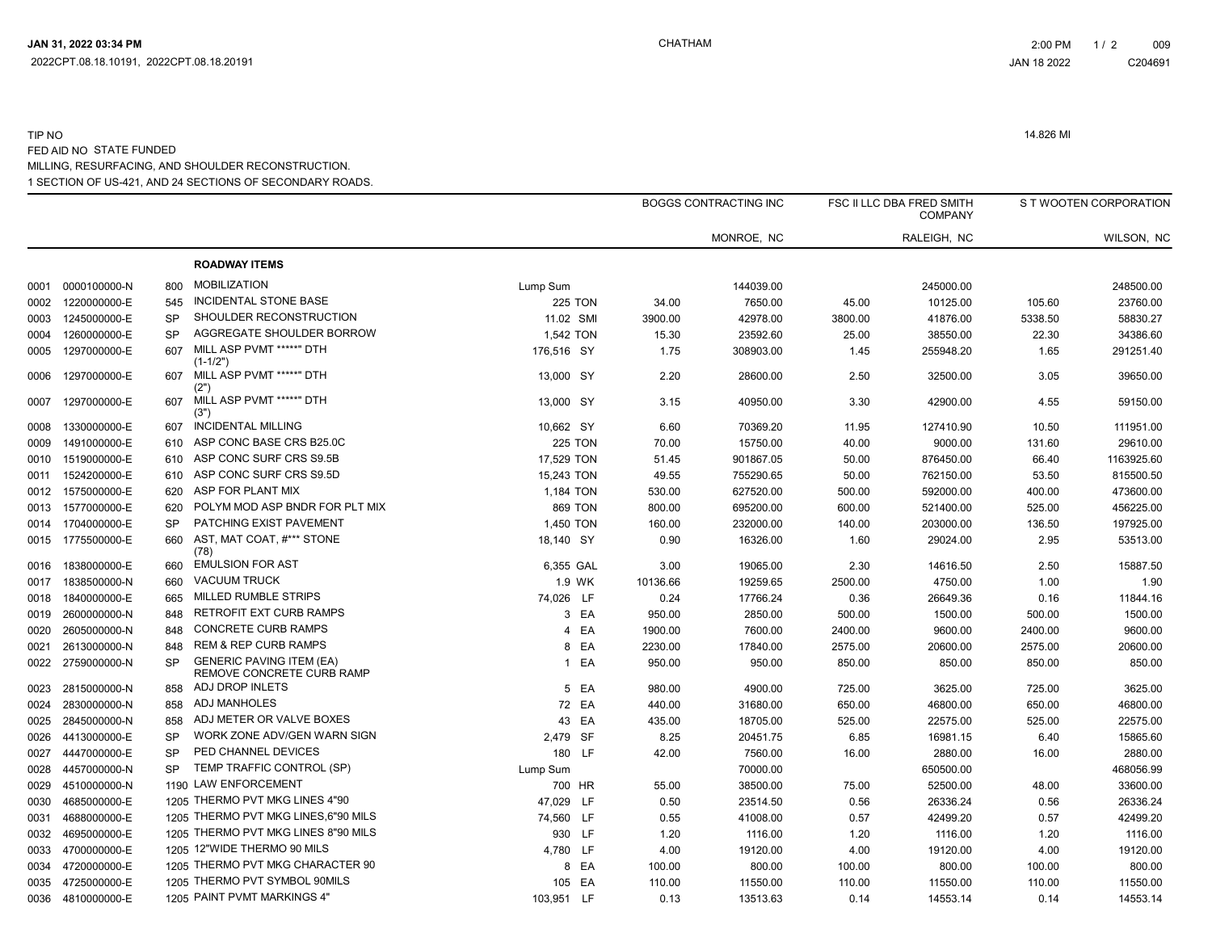#### 1 SECTION OF US-421, AND 24 SECTIONS OF SECONDARY ROADS. TIP NO 14.826 MI FED AID NO STATE FUNDED MILLING, RESURFACING, AND SHOULDER RECONSTRUCTION.

|      |                   |           |                                                              |                |          | <b>BOGGS CONTRACTING INC</b> |         | <b>FSC II LLC DBA FRED SMITH</b><br><b>COMPANY</b> |         | S T WOOTEN CORPORATION |
|------|-------------------|-----------|--------------------------------------------------------------|----------------|----------|------------------------------|---------|----------------------------------------------------|---------|------------------------|
|      |                   |           |                                                              |                |          | MONROE, NC                   |         | RALEIGH, NC                                        |         | WILSON, NC             |
|      |                   |           | <b>ROADWAY ITEMS</b>                                         |                |          |                              |         |                                                    |         |                        |
| 0001 | 0000100000-N      | 800       | <b>MOBILIZATION</b>                                          | Lump Sum       |          | 144039.00                    |         | 245000.00                                          |         | 248500.00              |
| 0002 | 1220000000-E      | 545       | <b>INCIDENTAL STONE BASE</b>                                 | <b>225 TON</b> | 34.00    | 7650.00                      | 45.00   | 10125.00                                           | 105.60  | 23760.00               |
| 0003 | 1245000000-E      | <b>SP</b> | SHOULDER RECONSTRUCTION                                      | 11.02 SMI      | 3900.00  | 42978.00                     | 3800.00 | 41876.00                                           | 5338.50 | 58830.27               |
| 0004 | 1260000000-E      | <b>SP</b> | AGGREGATE SHOULDER BORROW                                    | 1.542 TON      | 15.30    | 23592.60                     | 25.00   | 38550.00                                           | 22.30   | 34386.60               |
| 0005 | 1297000000-E      | 607       | MILL ASP PVMT *****" DTH<br>$(1-1/2")$                       | 176,516 SY     | 1.75     | 308903.00                    | 1.45    | 255948.20                                          | 1.65    | 291251.40              |
| 0006 | 1297000000-E      | 607       | MILL ASP PVMT *****" DTH<br>(2")                             | 13,000 SY      | 2.20     | 28600.00                     | 2.50    | 32500.00                                           | 3.05    | 39650.00               |
| 0007 | 1297000000-E      | 607       | MILL ASP PVMT *****" DTH<br>(3")                             | 13.000 SY      | 3.15     | 40950.00                     | 3.30    | 42900.00                                           | 4.55    | 59150.00               |
| 0008 | 1330000000-E      | 607       | <b>INCIDENTAL MILLING</b>                                    | 10,662 SY      | 6.60     | 70369.20                     | 11.95   | 127410.90                                          | 10.50   | 111951.00              |
| 0009 | 1491000000-E      | 610       | ASP CONC BASE CRS B25.0C                                     | <b>225 TON</b> | 70.00    | 15750.00                     | 40.00   | 9000.00                                            | 131.60  | 29610.00               |
| 0010 | 1519000000-E      | 610       | ASP CONC SURF CRS S9.5B                                      | 17,529 TON     | 51.45    | 901867.05                    | 50.00   | 876450.00                                          | 66.40   | 1163925.60             |
| 0011 | 1524200000-E      | 610       | ASP CONC SURF CRS S9.5D                                      | 15,243 TON     | 49.55    | 755290.65                    | 50.00   | 762150.00                                          | 53.50   | 815500.50              |
| 0012 | 1575000000-E      | 620       | ASP FOR PLANT MIX                                            | 1,184 TON      | 530.00   | 627520.00                    | 500.00  | 592000.00                                          | 400.00  | 473600.00              |
| 0013 | 1577000000-E      | 620       | POLYM MOD ASP BNDR FOR PLT MIX                               | <b>869 TON</b> | 800.00   | 695200.00                    | 600.00  | 521400.00                                          | 525.00  | 456225.00              |
| 0014 | 1704000000-E      | <b>SP</b> | PATCHING EXIST PAVEMENT                                      | 1,450 TON      | 160.00   | 232000.00                    | 140.00  | 203000.00                                          | 136.50  | 197925.00              |
| 0015 | 1775500000-E      | 660       | AST, MAT COAT, #*** STONE<br>(78)                            | 18,140 SY      | 0.90     | 16326.00                     | 1.60    | 29024.00                                           | 2.95    | 53513.00               |
| 0016 | 1838000000-E      | 660       | <b>EMULSION FOR AST</b>                                      | 6,355 GAL      | 3.00     | 19065.00                     | 2.30    | 14616.50                                           | 2.50    | 15887.50               |
| 0017 | 1838500000-N      | 660       | <b>VACUUM TRUCK</b>                                          | 1.9 WK         | 10136.66 | 19259.65                     | 2500.00 | 4750.00                                            | 1.00    | 1.90                   |
| 0018 | 1840000000-E      | 665       | <b>MILLED RUMBLE STRIPS</b>                                  | 74,026 LF      | 0.24     | 17766.24                     | 0.36    | 26649.36                                           | 0.16    | 11844.16               |
| 0019 | 2600000000-N      | 848       | <b>RETROFIT EXT CURB RAMPS</b>                               | 3 EA           | 950.00   | 2850.00                      | 500.00  | 1500.00                                            | 500.00  | 1500.00                |
| 0020 | 2605000000-N      | 848       | <b>CONCRETE CURB RAMPS</b>                                   | 4 EA           | 1900.00  | 7600.00                      | 2400.00 | 9600.00                                            | 2400.00 | 9600.00                |
| 0021 | 2613000000-N      | 848       | <b>REM &amp; REP CURB RAMPS</b>                              | 8 EA           | 2230.00  | 17840.00                     | 2575.00 | 20600.00                                           | 2575.00 | 20600.00               |
|      | 0022 2759000000-N | <b>SP</b> | <b>GENERIC PAVING ITEM (EA)</b><br>REMOVE CONCRETE CURB RAMP | 1 EA           | 950.00   | 950.00                       | 850.00  | 850.00                                             | 850.00  | 850.00                 |
| 0023 | 2815000000-N      | 858       | ADJ DROP INLETS                                              | 5 EA           | 980.00   | 4900.00                      | 725.00  | 3625.00                                            | 725.00  | 3625.00                |
| 0024 | 2830000000-N      | 858       | ADJ MANHOLES                                                 | 72 EA          | 440.00   | 31680.00                     | 650.00  | 46800.00                                           | 650.00  | 46800.00               |
| 0025 | 2845000000-N      | 858       | ADJ METER OR VALVE BOXES                                     | 43 EA          | 435.00   | 18705.00                     | 525.00  | 22575.00                                           | 525.00  | 22575.00               |
| 0026 | 4413000000-E      | <b>SP</b> | WORK ZONE ADV/GEN WARN SIGN                                  | 2,479 SF       | 8.25     | 20451.75                     | 6.85    | 16981.15                                           | 6.40    | 15865.60               |
| 0027 | 4447000000-E      | <b>SP</b> | PED CHANNEL DEVICES                                          | 180 LF         | 42.00    | 7560.00                      | 16.00   | 2880.00                                            | 16.00   | 2880.00                |
| 0028 | 4457000000-N      | <b>SP</b> | TEMP TRAFFIC CONTROL (SP)                                    | Lump Sum       |          | 70000.00                     |         | 650500.00                                          |         | 468056.99              |
| 0029 | 4510000000-N      |           | 1190 LAW ENFORCEMENT                                         | 700 HR         | 55.00    | 38500.00                     | 75.00   | 52500.00                                           | 48.00   | 33600.00               |
| 0030 | 4685000000-E      |           | 1205 THERMO PVT MKG LINES 4"90                               | 47,029 LF      | 0.50     | 23514.50                     | 0.56    | 26336.24                                           | 0.56    | 26336.24               |
| 0031 | 4688000000-E      |           | 1205 THERMO PVT MKG LINES.6"90 MILS                          | 74,560 LF      | 0.55     | 41008.00                     | 0.57    | 42499.20                                           | 0.57    | 42499.20               |
| 0032 | 4695000000-E      |           | 1205 THERMO PVT MKG LINES 8"90 MILS                          | 930 LF         | 1.20     | 1116.00                      | 1.20    | 1116.00                                            | 1.20    | 1116.00                |
| 0033 | 4700000000-E      |           | 1205 12"WIDE THERMO 90 MILS                                  | 4,780 LF       | 4.00     | 19120.00                     | 4.00    | 19120.00                                           | 4.00    | 19120.00               |
| 0034 | 4720000000-E      |           | 1205 THERMO PVT MKG CHARACTER 90                             | 8 EA           | 100.00   | 800.00                       | 100.00  | 800.00                                             | 100.00  | 800.00                 |
| 0035 | 4725000000-E      |           | 1205 THERMO PVT SYMBOL 90MILS                                | 105 EA         | 110.00   | 11550.00                     | 110.00  | 11550.00                                           | 110.00  | 11550.00               |
|      | 0036 4810000000-E |           | 1205 PAINT PVMT MARKINGS 4"                                  | 103.951 LF     | 0.13     | 13513.63                     | 0.14    | 14553.14                                           | 0.14    | 14553.14               |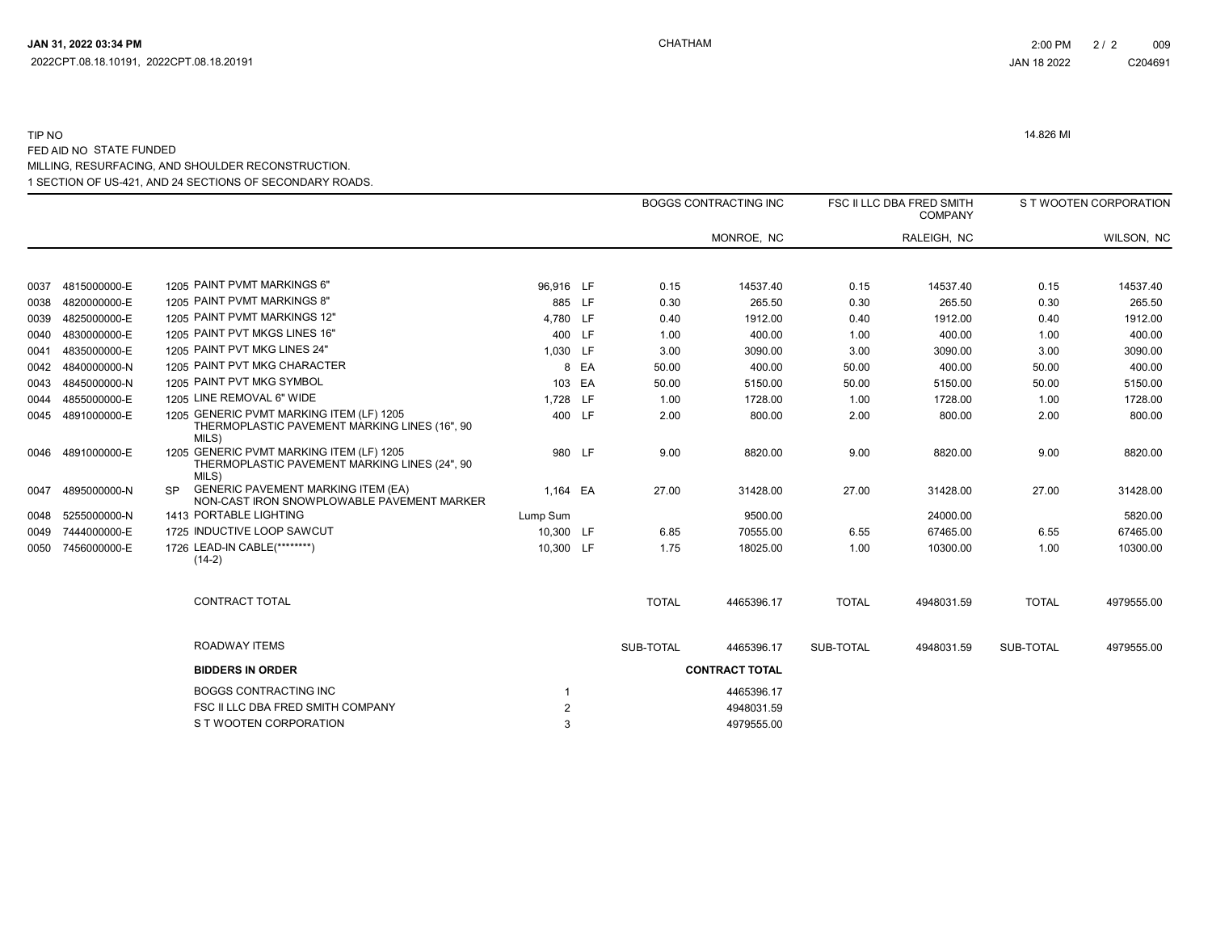$\overline{\phantom{a}}$ 

# 1 SECTION OF US-421, AND 24 SECTIONS OF SECONDARY ROADS. TIP NO 14.826 MI FED AID NO STATE FUNDED MILLING, RESURFACING, AND SHOULDER RECONSTRUCTION.

|      |                   |          |                                                                                           |                |      |              | <b>BOGGS CONTRACTING INC</b> |              | FSC II LLC DBA FRED SMITH<br><b>COMPANY</b> |              | S T WOOTEN CORPORATION |
|------|-------------------|----------|-------------------------------------------------------------------------------------------|----------------|------|--------------|------------------------------|--------------|---------------------------------------------|--------------|------------------------|
|      |                   |          |                                                                                           |                |      |              | MONROE, NC                   |              | RALEIGH, NC                                 |              | WILSON, NC             |
|      |                   |          |                                                                                           |                |      |              |                              |              |                                             |              |                        |
| 0037 | 4815000000-E      |          | 1205 PAINT PVMT MARKINGS 6"                                                               | 96,916 LF      |      | 0.15         | 14537.40                     | 0.15         | 14537.40                                    | 0.15         | 14537.40               |
| 0038 | 4820000000-E      |          | 1205 PAINT PVMT MARKINGS 8"                                                               | 885 LF         |      | 0.30         | 265.50                       | 0.30         | 265.50                                      | 0.30         | 265.50                 |
| 0039 | 4825000000-E      |          | 1205 PAINT PVMT MARKINGS 12"                                                              | 4,780 LF       |      | 0.40         | 1912.00                      | 0.40         | 1912.00                                     | 0.40         | 1912.00                |
| 0040 | 4830000000-E      |          | 1205 PAINT PVT MKGS LINES 16"                                                             | 400 LF         |      | 1.00         | 400.00                       | 1.00         | 400.00                                      | 1.00         | 400.00                 |
| 0041 | 4835000000-E      |          | 1205 PAINT PVT MKG LINES 24"                                                              | 1,030 LF       |      | 3.00         | 3090.00                      | 3.00         | 3090.00                                     | 3.00         | 3090.00                |
|      | 0042 4840000000-N |          | 1205 PAINT PVT MKG CHARACTER                                                              |                | 8 EA | 50.00        | 400.00                       | 50.00        | 400.00                                      | 50.00        | 400.00                 |
| 0043 | 4845000000-N      |          | 1205 PAINT PVT MKG SYMBOL                                                                 | 103 EA         |      | 50.00        | 5150.00                      | 50.00        | 5150.00                                     | 50.00        | 5150.00                |
| 0044 | 4855000000-E      |          | 1205 LINE REMOVAL 6" WIDE                                                                 | 1,728 LF       |      | 1.00         | 1728.00                      | 1.00         | 1728.00                                     | 1.00         | 1728.00                |
|      | 0045 4891000000-E | MILS)    | 1205 GENERIC PVMT MARKING ITEM (LF) 1205<br>THERMOPLASTIC PAVEMENT MARKING LINES (16", 90 | 400 LF         |      | 2.00         | 800.00                       | 2.00         | 800.00                                      | 2.00         | 800.00                 |
|      | 0046 4891000000-E | MILS)    | 1205 GENERIC PVMT MARKING ITEM (LF) 1205<br>THERMOPLASTIC PAVEMENT MARKING LINES (24", 90 | 980 LF         |      | 9.00         | 8820.00                      | 9.00         | 8820.00                                     | 9.00         | 8820.00                |
| 0047 | 4895000000-N      | SP.      | <b>GENERIC PAVEMENT MARKING ITEM (EA)</b><br>NON-CAST IRON SNOWPLOWABLE PAVEMENT MARKER   | 1.164 EA       |      | 27.00        | 31428.00                     | 27.00        | 31428.00                                    | 27.00        | 31428.00               |
|      | 0048 5255000000-N |          | 1413 PORTABLE LIGHTING                                                                    | Lump Sum       |      |              | 9500.00                      |              | 24000.00                                    |              | 5820.00                |
|      | 0049 7444000000-E |          | 1725 INDUCTIVE LOOP SAWCUT                                                                | 10.300 LF      |      | 6.85         | 70555.00                     | 6.55         | 67465.00                                    | 6.55         | 67465.00               |
| 0050 | 7456000000-E      | $(14-2)$ | 1726 LEAD-IN CABLE(********)                                                              | 10,300 LF      |      | 1.75         | 18025.00                     | 1.00         | 10300.00                                    | 1.00         | 10300.00               |
|      |                   |          | <b>CONTRACT TOTAL</b>                                                                     |                |      | <b>TOTAL</b> | 4465396.17                   | <b>TOTAL</b> | 4948031.59                                  | <b>TOTAL</b> | 4979555.00             |
|      |                   |          | ROADWAY ITEMS                                                                             |                |      | SUB-TOTAL    | 4465396.17                   | SUB-TOTAL    | 4948031.59                                  | SUB-TOTAL    | 4979555.00             |
|      |                   |          | <b>BIDDERS IN ORDER</b>                                                                   |                |      |              | <b>CONTRACT TOTAL</b>        |              |                                             |              |                        |
|      |                   |          | <b>BOGGS CONTRACTING INC</b>                                                              |                |      |              | 4465396.17                   |              |                                             |              |                        |
|      |                   |          | FSC II LLC DBA FRED SMITH COMPANY                                                         | $\overline{2}$ |      |              | 4948031.59                   |              |                                             |              |                        |
|      |                   |          | S T WOOTEN CORPORATION                                                                    | 3              |      |              | 4979555.00                   |              |                                             |              |                        |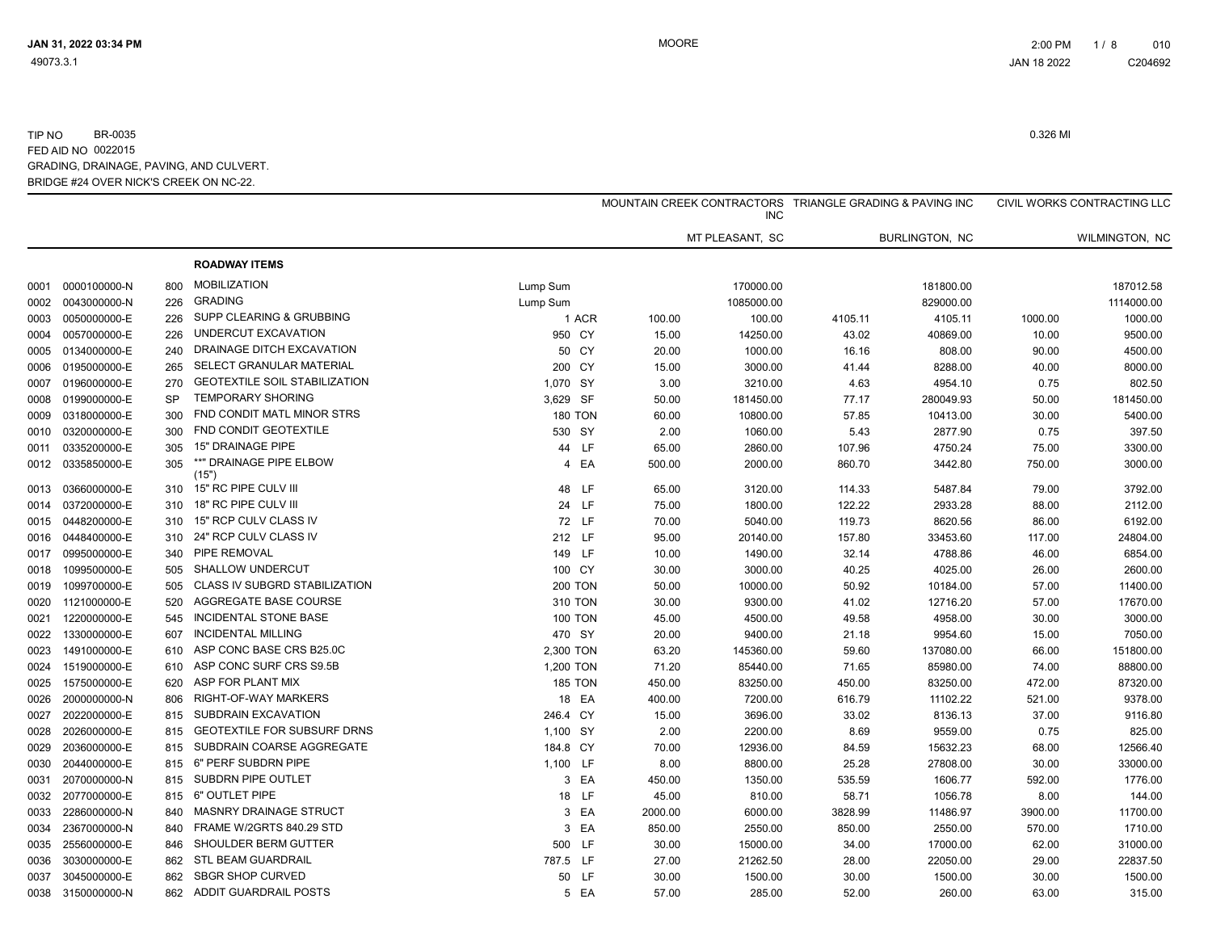|      |                   |           |                                      |                |         | MOUNTAIN CREEK CONTRACTORS TRIANGLE GRADING & PAVING INC<br><b>INC</b> |         |                |         | CIVIL WORKS CONTRACTING LLC |
|------|-------------------|-----------|--------------------------------------|----------------|---------|------------------------------------------------------------------------|---------|----------------|---------|-----------------------------|
|      |                   |           |                                      |                |         | MT PLEASANT, SC                                                        |         | BURLINGTON, NC |         | WILMINGTON, NC              |
|      |                   |           | <b>ROADWAY ITEMS</b>                 |                |         |                                                                        |         |                |         |                             |
| 0001 | 0000100000-N      | 800       | <b>MOBILIZATION</b>                  | Lump Sum       |         | 170000.00                                                              |         | 181800.00      |         | 187012.58                   |
| 0002 | 0043000000-N      | 226       | <b>GRADING</b>                       | Lump Sum       |         | 1085000.00                                                             |         | 829000.00      |         | 1114000.00                  |
| 0003 | 0050000000-E      | 226       | <b>SUPP CLEARING &amp; GRUBBING</b>  | 1 ACR          | 100.00  | 100.00                                                                 | 4105.11 | 4105.11        | 1000.00 | 1000.00                     |
| 0004 | 0057000000-E      | 226       | UNDERCUT EXCAVATION                  | 950 CY         | 15.00   | 14250.00                                                               | 43.02   | 40869.00       | 10.00   | 9500.00                     |
| 0005 | 0134000000-E      | 240       | DRAINAGE DITCH EXCAVATION            | 50 CY          | 20.00   | 1000.00                                                                | 16.16   | 808.00         | 90.00   | 4500.00                     |
| 0006 | 0195000000-E      | 265       | SELECT GRANULAR MATERIAL             | 200 CY         | 15.00   | 3000.00                                                                | 41.44   | 8288.00        | 40.00   | 8000.00                     |
| 0007 | 0196000000-E      | 270       | <b>GEOTEXTILE SOIL STABILIZATION</b> | 1,070 SY       | 3.00    | 3210.00                                                                | 4.63    | 4954.10        | 0.75    | 802.50                      |
| 0008 | 0199000000-E      | <b>SP</b> | <b>TEMPORARY SHORING</b>             | 3,629 SF       | 50.00   | 181450.00                                                              | 77.17   | 280049.93      | 50.00   | 181450.00                   |
| 0009 | 0318000000-E      | 300       | FND CONDIT MATL MINOR STRS           | <b>180 TON</b> | 60.00   | 10800.00                                                               | 57.85   | 10413.00       | 30.00   | 5400.00                     |
| 0010 | 0320000000-E      | 300       | FND CONDIT GEOTEXTILE                | 530 SY         | 2.00    | 1060.00                                                                | 5.43    | 2877.90        | 0.75    | 397.50                      |
| 0011 | 0335200000-E      | 305       | <b>15" DRAINAGE PIPE</b>             | 44 LF          | 65.00   | 2860.00                                                                | 107.96  | 4750.24        | 75.00   | 3300.00                     |
| 0012 | 0335850000-E      | 305       | **" DRAINAGE PIPE ELBOW<br>(15")     | 4 EA           | 500.00  | 2000.00                                                                | 860.70  | 3442.80        | 750.00  | 3000.00                     |
| 0013 | 0366000000-E      | 310       | 15" RC PIPE CULV III                 | 48 LF          | 65.00   | 3120.00                                                                | 114.33  | 5487.84        | 79.00   | 3792.00                     |
| 0014 | 0372000000-E      | 310       | 18" RC PIPE CULV III                 | 24 LF          | 75.00   | 1800.00                                                                | 122.22  | 2933.28        | 88.00   | 2112.00                     |
| 0015 | 0448200000-E      | 310       | 15" RCP CULV CLASS IV                | 72 LF          | 70.00   | 5040.00                                                                | 119.73  | 8620.56        | 86.00   | 6192.00                     |
| 0016 | 0448400000-E      | 310       | 24" RCP CULV CLASS IV                | 212 LF         | 95.00   | 20140.00                                                               | 157.80  | 33453.60       | 117.00  | 24804.00                    |
| 0017 | 0995000000-E      | 340       | PIPE REMOVAL                         | 149 LF         | 10.00   | 1490.00                                                                | 32.14   | 4788.86        | 46.00   | 6854.00                     |
| 0018 | 1099500000-E      | 505       | <b>SHALLOW UNDERCUT</b>              | 100 CY         | 30.00   | 3000.00                                                                | 40.25   | 4025.00        | 26.00   | 2600.00                     |
| 0019 | 1099700000-E      | 505       | CLASS IV SUBGRD STABILIZATION        | <b>200 TON</b> | 50.00   | 10000.00                                                               | 50.92   | 10184.00       | 57.00   | 11400.00                    |
| 0020 | 1121000000-E      | 520       | AGGREGATE BASE COURSE                | 310 TON        | 30.00   | 9300.00                                                                | 41.02   | 12716.20       | 57.00   | 17670.00                    |
| 0021 | 1220000000-E      | 545       | INCIDENTAL STONE BASE                | <b>100 TON</b> | 45.00   | 4500.00                                                                | 49.58   | 4958.00        | 30.00   | 3000.00                     |
| 0022 | 1330000000-E      | 607       | <b>INCIDENTAL MILLING</b>            | 470 SY         | 20.00   | 9400.00                                                                | 21.18   | 9954.60        | 15.00   | 7050.00                     |
| 0023 | 1491000000-E      | 610       | ASP CONC BASE CRS B25.0C             | 2,300 TON      | 63.20   | 145360.00                                                              | 59.60   | 137080.00      | 66.00   | 151800.00                   |
| 0024 | 1519000000-E      | 610       | ASP CONC SURF CRS S9.5B              | 1,200 TON      | 71.20   | 85440.00                                                               | 71.65   | 85980.00       | 74.00   | 88800.00                    |
| 0025 | 1575000000-E      | 620       | ASP FOR PLANT MIX                    | <b>185 TON</b> | 450.00  | 83250.00                                                               | 450.00  | 83250.00       | 472.00  | 87320.00                    |
| 0026 | 2000000000-N      | 806       | RIGHT-OF-WAY MARKERS                 | 18 EA          | 400.00  | 7200.00                                                                | 616.79  | 11102.22       | 521.00  | 9378.00                     |
| 0027 | 2022000000-E      | 815       | SUBDRAIN EXCAVATION                  | 246.4 CY       | 15.00   | 3696.00                                                                | 33.02   | 8136.13        | 37.00   | 9116.80                     |
| 0028 | 2026000000-E      | 815       | <b>GEOTEXTILE FOR SUBSURF DRNS</b>   | 1,100 SY       | 2.00    | 2200.00                                                                | 8.69    | 9559.00        | 0.75    | 825.00                      |
| 0029 | 2036000000-E      | 815       | SUBDRAIN COARSE AGGREGATE            | 184.8 CY       | 70.00   | 12936.00                                                               | 84.59   | 15632.23       | 68.00   | 12566.40                    |
| 0030 | 2044000000-E      | 815       | 6" PERF SUBDRN PIPE                  | 1,100 LF       | 8.00    | 8800.00                                                                | 25.28   | 27808.00       | 30.00   | 33000.00                    |
| 0031 | 2070000000-N      | 815       | SUBDRN PIPE OUTLET                   | 3 EA           | 450.00  | 1350.00                                                                | 535.59  | 1606.77        | 592.00  | 1776.00                     |
| 0032 | 2077000000-E      | 815       | 6" OUTLET PIPE                       | 18 LF          | 45.00   | 810.00                                                                 | 58.71   | 1056.78        | 8.00    | 144.00                      |
| 0033 | 2286000000-N      | 840       | <b>MASNRY DRAINAGE STRUCT</b>        | 3 EA           | 2000.00 | 6000.00                                                                | 3828.99 | 11486.97       | 3900.00 | 11700.00                    |
| 0034 | 2367000000-N      | 840       | FRAME W/2GRTS 840.29 STD             | 3 EA           | 850.00  | 2550.00                                                                | 850.00  | 2550.00        | 570.00  | 1710.00                     |
| 0035 | 2556000000-E      | 846       | SHOULDER BERM GUTTER                 | 500 LF         | 30.00   | 15000.00                                                               | 34.00   | 17000.00       | 62.00   | 31000.00                    |
| 0036 | 3030000000-E      | 862       | <b>STL BEAM GUARDRAIL</b>            | 787.5 LF       | 27.00   | 21262.50                                                               | 28.00   | 22050.00       | 29.00   | 22837.50                    |
| 0037 | 3045000000-E      | 862       | <b>SBGR SHOP CURVED</b>              | 50 LF          | 30.00   | 1500.00                                                                | 30.00   | 1500.00        | 30.00   | 1500.00                     |
|      | 0038 3150000000-N | 862       | <b>ADDIT GUARDRAIL POSTS</b>         | 5 EA           | 57.00   | 285.00                                                                 | 52.00   | 260.00         | 63.00   | 315.00                      |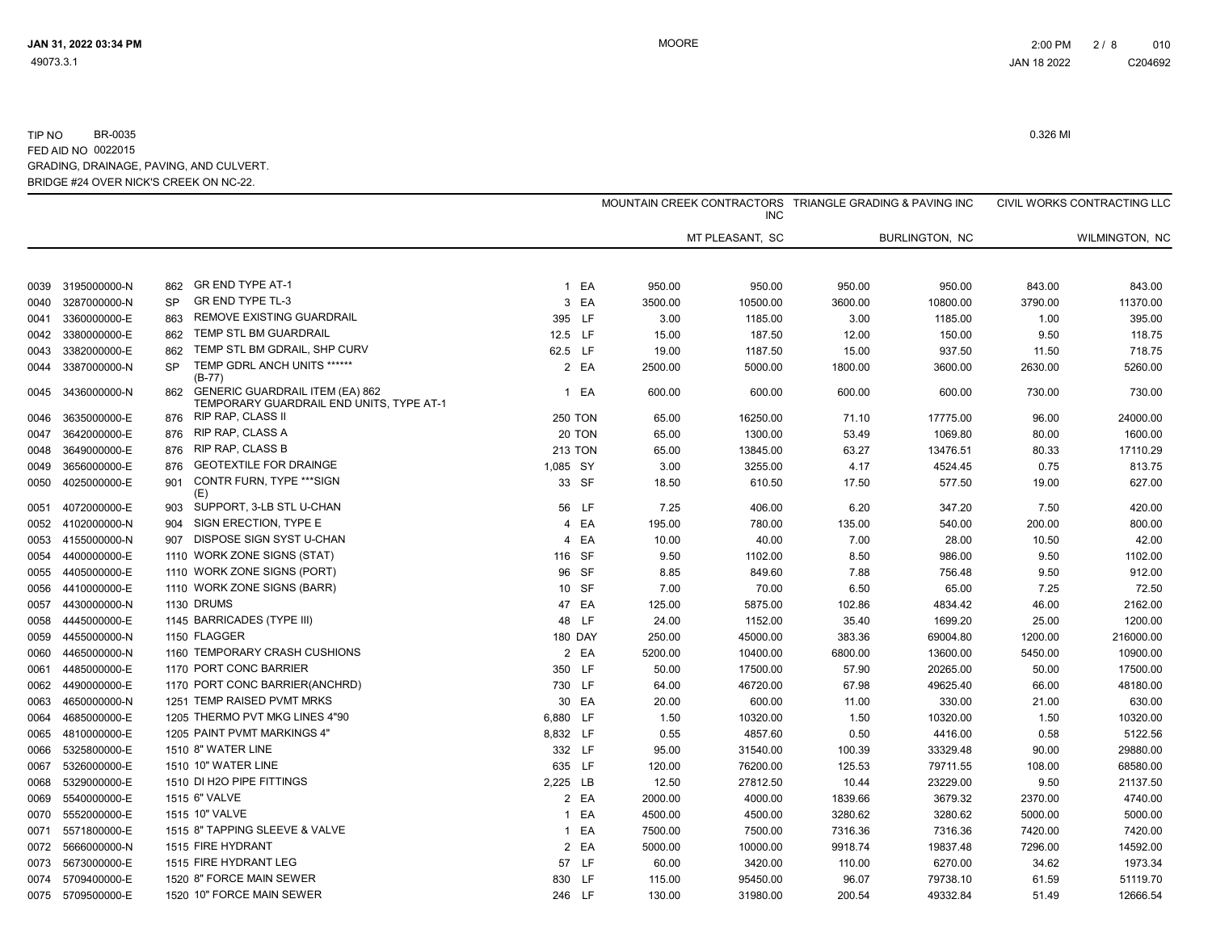|      |                   |           |                                                                                    |                |         | <b>INC</b>      | MOUNTAIN CREEK CONTRACTORS TRIANGLE GRADING & PAVING INC |                       |         | CIVIL WORKS CONTRACTING LLC |
|------|-------------------|-----------|------------------------------------------------------------------------------------|----------------|---------|-----------------|----------------------------------------------------------|-----------------------|---------|-----------------------------|
|      |                   |           |                                                                                    |                |         | MT PLEASANT, SC |                                                          | <b>BURLINGTON, NC</b> |         | WILMINGTON, NC              |
| 0039 | 3195000000-N      | 862       | GR END TYPE AT-1                                                                   | 1 EA           | 950.00  | 950.00          | 950.00                                                   | 950.00                | 843.00  | 843.00                      |
| 0040 | 3287000000-N      | SP        | <b>GR END TYPE TL-3</b>                                                            | 3 EA           | 3500.00 | 10500.00        | 3600.00                                                  | 10800.00              | 3790.00 | 11370.00                    |
| 0041 | 3360000000-E      | 863       | REMOVE EXISTING GUARDRAIL                                                          | 395 LF         | 3.00    | 1185.00         | 3.00                                                     | 1185.00               | 1.00    | 395.00                      |
| 0042 | 3380000000-E      | 862       | TEMP STL BM GUARDRAIL                                                              | 12.5 LF        | 15.00   | 187.50          | 12.00                                                    | 150.00                | 9.50    | 118.75                      |
| 0043 | 3382000000-E      | 862       | TEMP STL BM GDRAIL, SHP CURV                                                       | 62.5 LF        | 19.00   | 1187.50         | 15.00                                                    | 937.50                | 11.50   | 718.75                      |
| 0044 | 3387000000-N      | <b>SP</b> | TEMP GDRL ANCH UNITS ******<br>$(B-77)$                                            | 2 EA           | 2500.00 | 5000.00         | 1800.00                                                  | 3600.00               | 2630.00 | 5260.00                     |
| 0045 | 3436000000-N      | 862       | <b>GENERIC GUARDRAIL ITEM (EA) 862</b><br>TEMPORARY GUARDRAIL END UNITS, TYPE AT-1 | 1 EA           | 600.00  | 600.00          | 600.00                                                   | 600.00                | 730.00  | 730.00                      |
| 0046 | 3635000000-E      | 876       | RIP RAP, CLASS II                                                                  | <b>250 TON</b> | 65.00   | 16250.00        | 71.10                                                    | 17775.00              | 96.00   | 24000.00                    |
| 0047 | 3642000000-E      | 876       | RIP RAP, CLASS A                                                                   | 20 TON         | 65.00   | 1300.00         | 53.49                                                    | 1069.80               | 80.00   | 1600.00                     |
| 0048 | 3649000000-E      | 876       | <b>RIP RAP, CLASS B</b>                                                            | <b>213 TON</b> | 65.00   | 13845.00        | 63.27                                                    | 13476.51              | 80.33   | 17110.29                    |
| 0049 | 3656000000-E      | 876       | <b>GEOTEXTILE FOR DRAINGE</b>                                                      | 1,085 SY       | 3.00    | 3255.00         | 4.17                                                     | 4524.45               | 0.75    | 813.75                      |
| 0050 | 4025000000-E      | 901       | CONTR FURN, TYPE *** SIGN<br>(E)                                                   | 33 SF          | 18.50   | 610.50          | 17.50                                                    | 577.50                | 19.00   | 627.00                      |
| 0051 | 4072000000-E      | 903       | SUPPORT, 3-LB STL U-CHAN                                                           | 56 LF          | 7.25    | 406.00          | 6.20                                                     | 347.20                | 7.50    | 420.00                      |
| 0052 | 4102000000-N      | 904       | SIGN ERECTION, TYPE E                                                              | 4 EA           | 195.00  | 780.00          | 135.00                                                   | 540.00                | 200.00  | 800.00                      |
| 0053 | 4155000000-N      | 907       | DISPOSE SIGN SYST U-CHAN                                                           | 4 EA           | 10.00   | 40.00           | 7.00                                                     | 28.00                 | 10.50   | 42.00                       |
| 0054 | 4400000000-E      |           | 1110 WORK ZONE SIGNS (STAT)                                                        | 116 SF         | 9.50    | 1102.00         | 8.50                                                     | 986.00                | 9.50    | 1102.00                     |
| 0055 | 4405000000-E      |           | 1110 WORK ZONE SIGNS (PORT)                                                        | 96 SF          | 8.85    | 849.60          | 7.88                                                     | 756.48                | 9.50    | 912.00                      |
| 0056 | 4410000000-E      |           | 1110 WORK ZONE SIGNS (BARR)                                                        | 10 SF          | 7.00    | 70.00           | 6.50                                                     | 65.00                 | 7.25    | 72.50                       |
| 0057 | 4430000000-N      |           | 1130 DRUMS                                                                         | 47 EA          | 125.00  | 5875.00         | 102.86                                                   | 4834.42               | 46.00   | 2162.00                     |
| 0058 | 4445000000-E      |           | 1145 BARRICADES (TYPE III)                                                         | 48 LF          | 24.00   | 1152.00         | 35.40                                                    | 1699.20               | 25.00   | 1200.00                     |
| 0059 | 4455000000-N      |           | 1150 FLAGGER                                                                       | <b>180 DAY</b> | 250.00  | 45000.00        | 383.36                                                   | 69004.80              | 1200.00 | 216000.00                   |
| 0060 | 4465000000-N      |           | 1160 TEMPORARY CRASH CUSHIONS                                                      | 2 EA           | 5200.00 | 10400.00        | 6800.00                                                  | 13600.00              | 5450.00 | 10900.00                    |
| 0061 | 4485000000-E      |           | 1170 PORT CONC BARRIER                                                             | 350 LF         | 50.00   | 17500.00        | 57.90                                                    | 20265.00              | 50.00   | 17500.00                    |
| 0062 | 4490000000-E      |           | 1170 PORT CONC BARRIER(ANCHRD)                                                     | 730 LF         | 64.00   | 46720.00        | 67.98                                                    | 49625.40              | 66.00   | 48180.00                    |
| 0063 | 4650000000-N      |           | 1251 TEMP RAISED PVMT MRKS                                                         | 30 EA          | 20.00   | 600.00          | 11.00                                                    | 330.00                | 21.00   | 630.00                      |
| 0064 | 4685000000-E      |           | 1205 THERMO PVT MKG LINES 4"90                                                     | 6,880 LF       | 1.50    | 10320.00        | 1.50                                                     | 10320.00              | 1.50    | 10320.00                    |
| 0065 | 4810000000-E      |           | 1205 PAINT PVMT MARKINGS 4"                                                        | 8,832 LF       | 0.55    | 4857.60         | 0.50                                                     | 4416.00               | 0.58    | 5122.56                     |
| 0066 | 5325800000-E      |           | 1510 8" WATER LINE                                                                 | 332 LF         | 95.00   | 31540.00        | 100.39                                                   | 33329.48              | 90.00   | 29880.00                    |
| 0067 | 5326000000-E      |           | 1510 10" WATER LINE                                                                | 635 LF         | 120.00  | 76200.00        | 125.53                                                   | 79711.55              | 108.00  | 68580.00                    |
| 0068 | 5329000000-E      |           | 1510 DI H2O PIPE FITTINGS                                                          | 2,225 LB       | 12.50   | 27812.50        | 10.44                                                    | 23229.00              | 9.50    | 21137.50                    |
| 0069 | 5540000000-E      |           | 1515 6" VALVE                                                                      | 2 EA           | 2000.00 | 4000.00         | 1839.66                                                  | 3679.32               | 2370.00 | 4740.00                     |
| 0070 | 5552000000-E      |           | 1515 10" VALVE                                                                     | 1 EA           | 4500.00 | 4500.00         | 3280.62                                                  | 3280.62               | 5000.00 | 5000.00                     |
| 0071 | 5571800000-E      |           | 1515 8" TAPPING SLEEVE & VALVE                                                     | 1 EA           | 7500.00 | 7500.00         | 7316.36                                                  | 7316.36               | 7420.00 | 7420.00                     |
| 0072 | 5666000000-N      |           | 1515 FIRE HYDRANT                                                                  | 2 EA           | 5000.00 | 10000.00        | 9918.74                                                  | 19837.48              | 7296.00 | 14592.00                    |
| 0073 | 5673000000-E      |           | 1515 FIRE HYDRANT LEG                                                              | 57 LF          | 60.00   | 3420.00         | 110.00                                                   | 6270.00               | 34.62   | 1973.34                     |
| 0074 | 5709400000-E      |           | 1520 8" FORCE MAIN SEWER                                                           | 830 LF         | 115.00  | 95450.00        | 96.07                                                    | 79738.10              | 61.59   | 51119.70                    |
|      | 0075 5709500000-E |           | 1520 10" FORCE MAIN SEWER                                                          | 246 LF         | 130.00  | 31980.00        | 200.54                                                   | 49332.84              | 51.49   | 12666.54                    |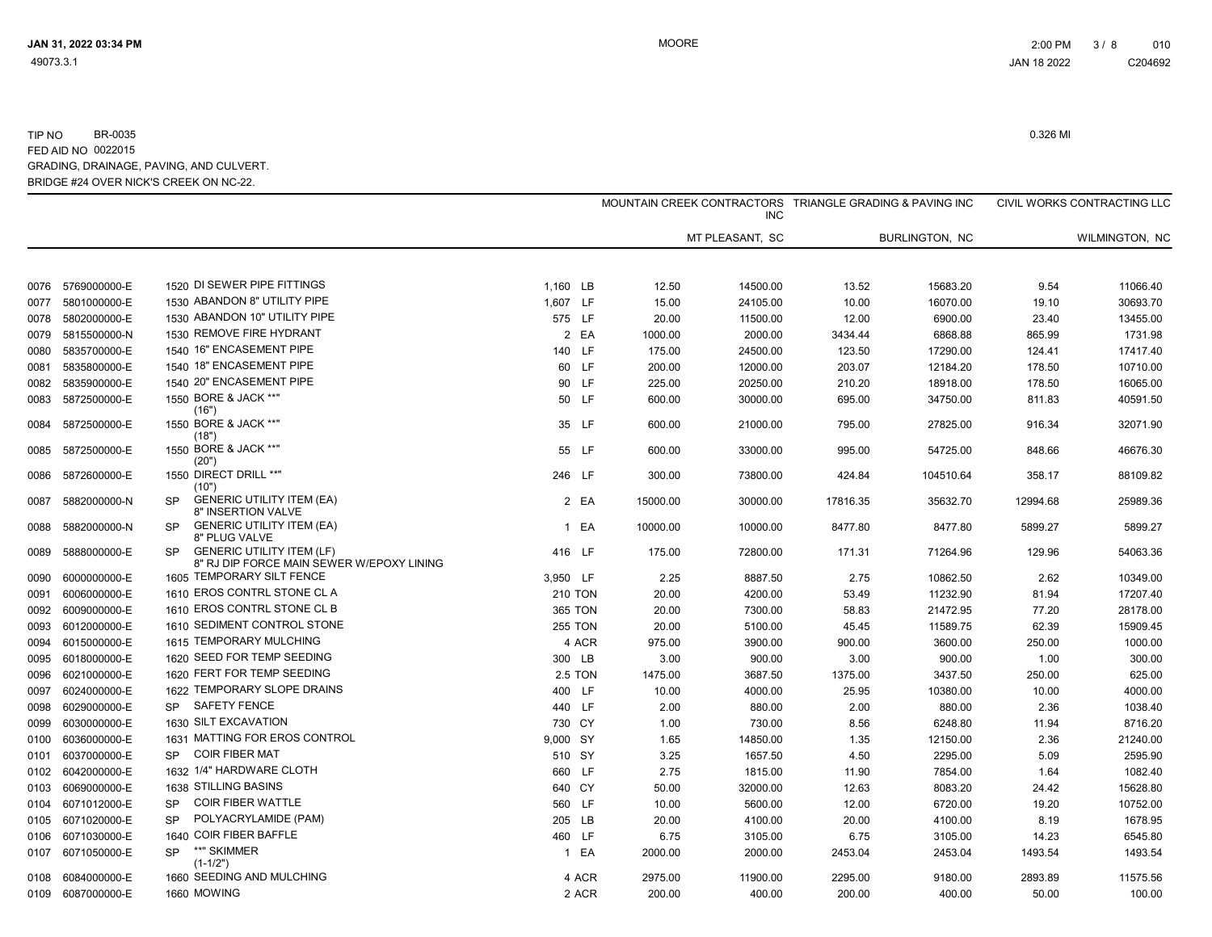|      |                   |           |                                                                               |          |                |          | <b>INC</b>      |          | MOUNTAIN CREEK CONTRACTORS TRIANGLE GRADING & PAVING INC |          | CIVIL WORKS CONTRACTING LLC |
|------|-------------------|-----------|-------------------------------------------------------------------------------|----------|----------------|----------|-----------------|----------|----------------------------------------------------------|----------|-----------------------------|
|      |                   |           |                                                                               |          |                |          | MT PLEASANT, SC |          | <b>BURLINGTON, NC</b>                                    |          | WILMINGTON, NC              |
|      | 0076 5769000000-E |           | 1520 DI SEWER PIPE FITTINGS                                                   | 1,160 LB |                | 12.50    | 14500.00        | 13.52    | 15683.20                                                 | 9.54     | 11066.40                    |
| 0077 | 5801000000-E      |           | 1530 ABANDON 8" UTILITY PIPE                                                  | 1,607 LF |                | 15.00    | 24105.00        | 10.00    | 16070.00                                                 | 19.10    | 30693.70                    |
| 0078 | 5802000000-E      |           | 1530 ABANDON 10" UTILITY PIPE                                                 | 575 LF   |                | 20.00    | 11500.00        | 12.00    | 6900.00                                                  | 23.40    | 13455.00                    |
| 0079 | 5815500000-N      |           | 1530 REMOVE FIRE HYDRANT                                                      |          | 2 EA           | 1000.00  | 2000.00         | 3434.44  | 6868.88                                                  | 865.99   | 1731.98                     |
| 0080 | 5835700000-E      |           | 1540 16" ENCASEMENT PIPE                                                      | 140 LF   |                | 175.00   | 24500.00        | 123.50   | 17290.00                                                 | 124.41   | 17417.40                    |
| 0081 | 5835800000-E      |           | 1540 18" ENCASEMENT PIPE                                                      |          | 60 LF          | 200.00   | 12000.00        | 203.07   | 12184.20                                                 | 178.50   | 10710.00                    |
| 0082 | 5835900000-E      |           | 1540 20" ENCASEMENT PIPE                                                      |          | 90 LF          | 225.00   | 20250.00        | 210.20   | 18918.00                                                 | 178.50   | 16065.00                    |
| 0083 | 5872500000-E      |           | 1550 BORE & JACK **"<br>(16")                                                 |          | 50 LF          | 600.00   | 30000.00        | 695.00   | 34750.00                                                 | 811.83   | 40591.50                    |
| 0084 | 5872500000-E      |           | 1550 BORE & JACK **"<br>(18")                                                 |          | 35 LF          | 600.00   | 21000.00        | 795.00   | 27825.00                                                 | 916.34   | 32071.90                    |
| 0085 | 5872500000-E      |           | 1550 BORE & JACK **"<br>(20")                                                 |          | 55 LF          | 600.00   | 33000.00        | 995.00   | 54725.00                                                 | 848.66   | 46676.30                    |
| 0086 | 5872600000-E      |           | 1550 DIRECT DRILL **"<br>(10")                                                | 246 LF   |                | 300.00   | 73800.00        | 424.84   | 104510.64                                                | 358.17   | 88109.82                    |
| 0087 | 5882000000-N      | SP        | <b>GENERIC UTILITY ITEM (EA)</b><br>8" INSERTION VALVE                        |          | 2 EA           | 15000.00 | 30000.00        | 17816.35 | 35632.70                                                 | 12994.68 | 25989.36                    |
| 0088 | 5882000000-N      | SP        | <b>GENERIC UTILITY ITEM (EA)</b><br>8" PLUG VALVE                             |          | 1 EA           | 10000.00 | 10000.00        | 8477.80  | 8477.80                                                  | 5899.27  | 5899.27                     |
| 0089 | 5888000000-E      | SP.       | <b>GENERIC UTILITY ITEM (LF)</b><br>8" RJ DIP FORCE MAIN SEWER W/EPOXY LINING | 416 LF   |                | 175.00   | 72800.00        | 171.31   | 71264.96                                                 | 129.96   | 54063.36                    |
| 0090 | 6000000000-E      |           | 1605 TEMPORARY SILT FENCE                                                     | 3,950 LF |                | 2.25     | 8887.50         | 2.75     | 10862.50                                                 | 2.62     | 10349.00                    |
| 0091 | 6006000000-E      |           | 1610 EROS CONTRL STONE CL A                                                   |          | <b>210 TON</b> | 20.00    | 4200.00         | 53.49    | 11232.90                                                 | 81.94    | 17207.40                    |
| 0092 | 6009000000-E      |           | 1610 EROS CONTRL STONE CL B                                                   |          | 365 TON        | 20.00    | 7300.00         | 58.83    | 21472.95                                                 | 77.20    | 28178.00                    |
| 0093 | 6012000000-E      |           | 1610 SEDIMENT CONTROL STONE                                                   |          | <b>255 TON</b> | 20.00    | 5100.00         | 45.45    | 11589.75                                                 | 62.39    | 15909.45                    |
| 0094 | 6015000000-E      |           | 1615 TEMPORARY MULCHING                                                       |          | 4 ACR          | 975.00   | 3900.00         | 900.00   | 3600.00                                                  | 250.00   | 1000.00                     |
| 0095 | 6018000000-E      |           | 1620 SEED FOR TEMP SEEDING                                                    | 300 LB   |                | 3.00     | 900.00          | 3.00     | 900.00                                                   | 1.00     | 300.00                      |
| 0096 | 6021000000-E      |           | 1620 FERT FOR TEMP SEEDING                                                    |          | 2.5 TON        | 1475.00  | 3687.50         | 1375.00  | 3437.50                                                  | 250.00   | 625.00                      |
| 0097 | 6024000000-E      |           | 1622 TEMPORARY SLOPE DRAINS                                                   | 400 LF   |                | 10.00    | 4000.00         | 25.95    | 10380.00                                                 | 10.00    | 4000.00                     |
| 0098 | 6029000000-E      | SP.       | <b>SAFETY FENCE</b>                                                           | 440 LF   |                | 2.00     | 880.00          | 2.00     | 880.00                                                   | 2.36     | 1038.40                     |
| 0099 | 6030000000-E      |           | 1630 SILT EXCAVATION                                                          | 730 CY   |                | 1.00     | 730.00          | 8.56     | 6248.80                                                  | 11.94    | 8716.20                     |
| 0100 | 6036000000-E      |           | 1631 MATTING FOR EROS CONTROL                                                 | 9,000 SY |                | 1.65     | 14850.00        | 1.35     | 12150.00                                                 | 2.36     | 21240.00                    |
| 0101 | 6037000000-E      | SP        | <b>COIR FIBER MAT</b>                                                         | 510 SY   |                | 3.25     | 1657.50         | 4.50     | 2295.00                                                  | 5.09     | 2595.90                     |
| 0102 | 6042000000-E      |           | 1632 1/4" HARDWARE CLOTH                                                      | 660 LF   |                | 2.75     | 1815.00         | 11.90    | 7854.00                                                  | 1.64     | 1082.40                     |
| 0103 | 6069000000-E      |           | 1638 STILLING BASINS                                                          | 640 CY   |                | 50.00    | 32000.00        | 12.63    | 8083.20                                                  | 24.42    | 15628.80                    |
| 0104 | 6071012000-E      | <b>SP</b> | <b>COIR FIBER WATTLE</b>                                                      | 560 LF   |                | 10.00    | 5600.00         | 12.00    | 6720.00                                                  | 19.20    | 10752.00                    |
| 0105 | 6071020000-E      | <b>SP</b> | POLYACRYLAMIDE (PAM)                                                          | 205 LB   |                | 20.00    | 4100.00         | 20.00    | 4100.00                                                  | 8.19     | 1678.95                     |
| 0106 | 6071030000-E      |           | 1640 COIR FIBER BAFFLE                                                        | 460 LF   |                | 6.75     | 3105.00         | 6.75     | 3105.00                                                  | 14.23    | 6545.80                     |
| 0107 | 6071050000-E      | <b>SP</b> | **" SKIMMER<br>$(1 - 1/2")$                                                   |          | 1 EA           | 2000.00  | 2000.00         | 2453.04  | 2453.04                                                  | 1493.54  | 1493.54                     |
| 0108 | 6084000000-E      |           | 1660 SEEDING AND MULCHING                                                     |          | 4 ACR          | 2975.00  | 11900.00        | 2295.00  | 9180.00                                                  | 2893.89  | 11575.56                    |
|      | 0109 6087000000-E |           | 1660 MOWING                                                                   |          | 2 ACR          | 200.00   | 400.00          | 200.00   | 400.00                                                   | 50.00    | 100.00                      |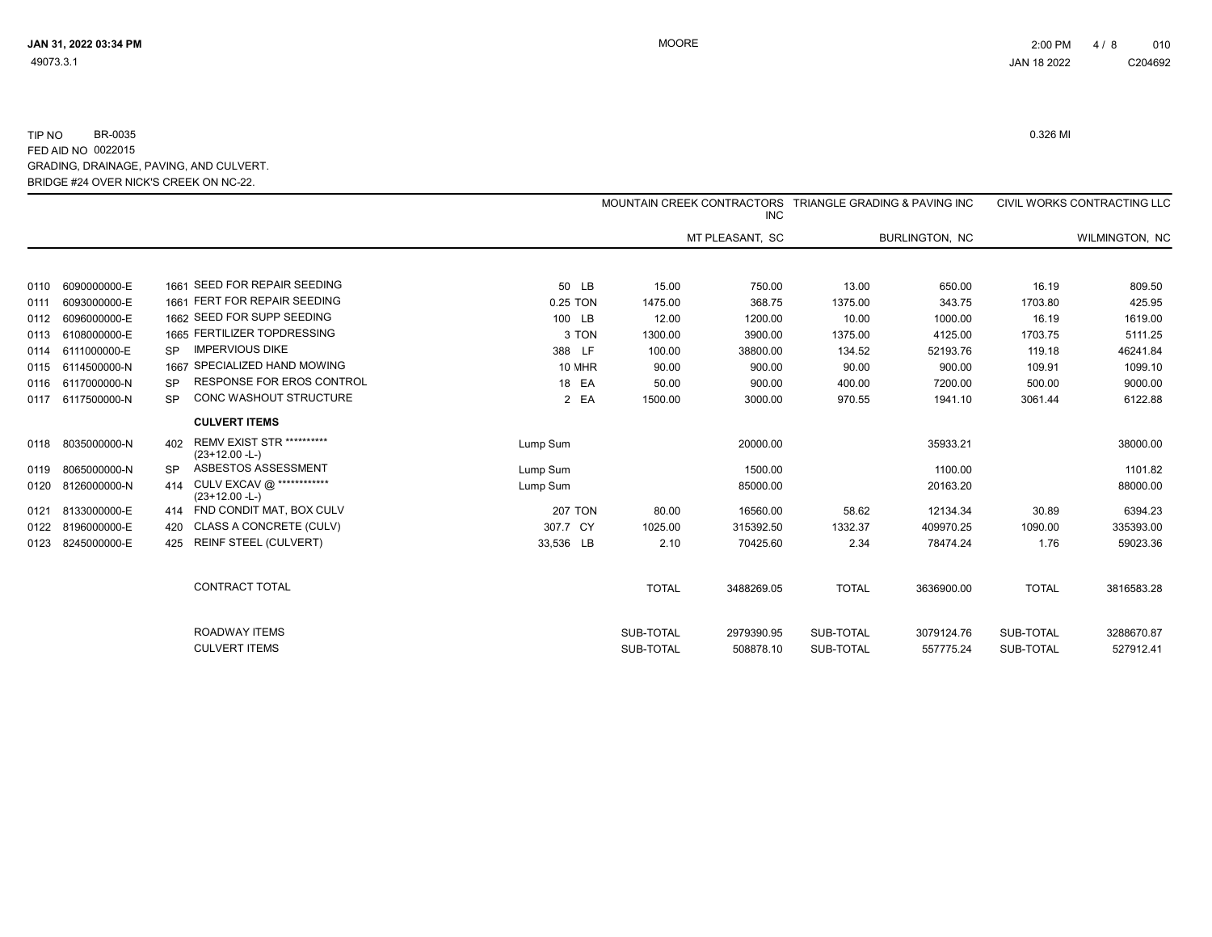|      |                   |           |                                                      |                |              | <b>INC</b>      | MOUNTAIN CREEK CONTRACTORS TRIANGLE GRADING & PAVING INC |                |              | CIVIL WORKS CONTRACTING LLC |
|------|-------------------|-----------|------------------------------------------------------|----------------|--------------|-----------------|----------------------------------------------------------|----------------|--------------|-----------------------------|
|      |                   |           |                                                      |                |              | MT PLEASANT, SC |                                                          | BURLINGTON, NC |              | WILMINGTON, NC              |
|      |                   |           | 1661 SEED FOR REPAIR SEEDING                         |                |              |                 |                                                          |                |              |                             |
| 0110 | 6090000000-E      |           |                                                      | 50 LB          | 15.00        | 750.00          | 13.00                                                    | 650.00         | 16.19        | 809.50                      |
| 0111 | 6093000000-E      |           | 1661 FERT FOR REPAIR SEEDING                         | 0.25 TON       | 1475.00      | 368.75          | 1375.00                                                  | 343.75         | 1703.80      | 425.95                      |
| 0112 | 6096000000-E      |           | 1662 SEED FOR SUPP SEEDING                           | 100 LB         | 12.00        | 1200.00         | 10.00                                                    | 1000.00        | 16.19        | 1619.00                     |
| 0113 | 6108000000-E      |           | 1665 FERTILIZER TOPDRESSING                          | 3 TON          | 1300.00      | 3900.00         | 1375.00                                                  | 4125.00        | 1703.75      | 5111.25                     |
| 0114 | 6111000000-E      | <b>SP</b> | <b>IMPERVIOUS DIKE</b>                               | 388 LF         | 100.00       | 38800.00        | 134.52                                                   | 52193.76       | 119.18       | 46241.84                    |
| 0115 | 6114500000-N      |           | 1667 SPECIALIZED HAND MOWING                         | 10 MHR         | 90.00        | 900.00          | 90.00                                                    | 900.00         | 109.91       | 1099.10                     |
|      | 0116 6117000000-N | <b>SP</b> | <b>RESPONSE FOR EROS CONTROL</b>                     | 18 EA          | 50.00        | 900.00          | 400.00                                                   | 7200.00        | 500.00       | 9000.00                     |
| 0117 | 6117500000-N      | <b>SP</b> | CONC WASHOUT STRUCTURE                               | 2 EA           | 1500.00      | 3000.00         | 970.55                                                   | 1941.10        | 3061.44      | 6122.88                     |
|      |                   |           | <b>CULVERT ITEMS</b>                                 |                |              |                 |                                                          |                |              |                             |
|      | 0118 8035000000-N | 402       | <b>REMV EXIST STR **********</b><br>$(23+12.00 - L)$ | Lump Sum       |              | 20000.00        |                                                          | 35933.21       |              | 38000.00                    |
|      | 0119 8065000000-N |           | ASBESTOS ASSESSMENT                                  | Lump Sum       |              | 1500.00         |                                                          | 1100.00        |              | 1101.82                     |
| 0120 | 8126000000-N      | 414       | CULV EXCAV @ ************<br>$(23+12.00 - L)$        | Lump Sum       |              | 85000.00        |                                                          | 20163.20       |              | 88000.00                    |
|      | 0121 8133000000-E |           | 414 FND CONDIT MAT, BOX CULV                         | <b>207 TON</b> | 80.00        | 16560.00        | 58.62                                                    | 12134.34       | 30.89        | 6394.23                     |
|      | 0122 8196000000-E |           | CLASS A CONCRETE (CULV)                              | 307.7 CY       | 1025.00      | 315392.50       | 1332.37                                                  | 409970.25      | 1090.00      | 335393.00                   |
|      | 0123 8245000000-E | 425       | <b>REINF STEEL (CULVERT)</b>                         | 33,536 LB      | 2.10         | 70425.60        | 2.34                                                     | 78474.24       | 1.76         | 59023.36                    |
|      |                   |           | <b>CONTRACT TOTAL</b>                                |                | <b>TOTAL</b> | 3488269.05      | <b>TOTAL</b>                                             | 3636900.00     | <b>TOTAL</b> | 3816583.28                  |
|      |                   |           | ROADWAY ITEMS                                        |                | SUB-TOTAL    | 2979390.95      | SUB-TOTAL                                                | 3079124.76     | SUB-TOTAL    | 3288670.87                  |
|      |                   |           | <b>CULVERT ITEMS</b>                                 |                | SUB-TOTAL    | 508878.10       | SUB-TOTAL                                                | 557775.24      | SUB-TOTAL    | 527912.41                   |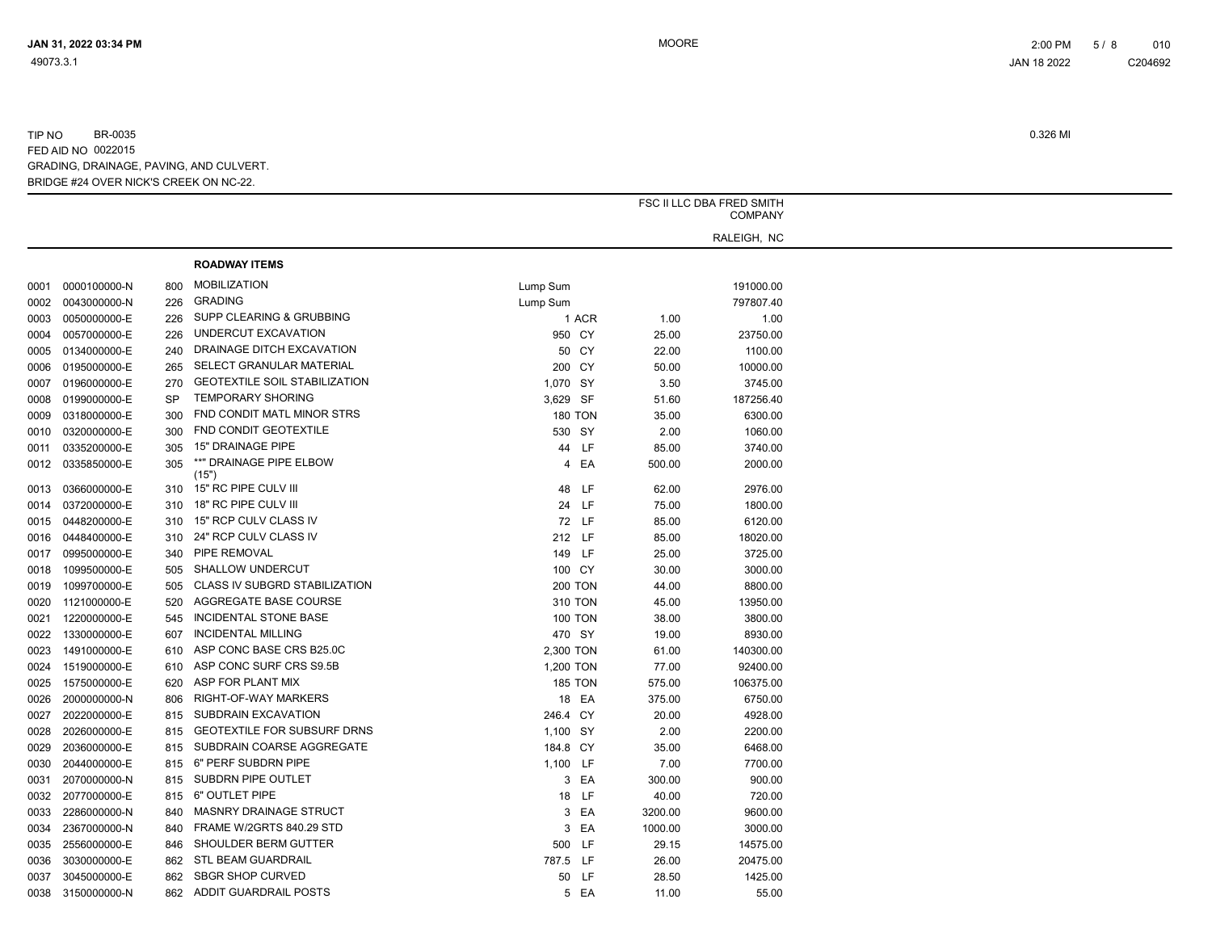|      |                   |           |                                      |                |                |         | FSC II LLC DBA FRED SMITH<br><b>COMPANY</b> |
|------|-------------------|-----------|--------------------------------------|----------------|----------------|---------|---------------------------------------------|
|      |                   |           |                                      |                |                |         | RALEIGH, NC                                 |
|      |                   |           | <b>ROADWAY ITEMS</b>                 |                |                |         |                                             |
|      |                   |           |                                      |                |                |         |                                             |
| 0001 | 0000100000-N      | 800       | <b>MOBILIZATION</b>                  | Lump Sum       |                |         | 191000.00                                   |
| 0002 | 0043000000-N      | 226       | <b>GRADING</b>                       | Lump Sum       |                |         | 797807.40                                   |
| 0003 | 0050000000-E      | 226       | SUPP CLEARING & GRUBBING             |                | 1 ACR          | 1.00    | 1.00                                        |
| 0004 | 0057000000-E      | 226       | UNDERCUT EXCAVATION                  | 950 CY         |                | 25.00   | 23750.00                                    |
| 0005 | 0134000000-E      | 240       | DRAINAGE DITCH EXCAVATION            |                | 50 CY          | 22.00   | 1100.00                                     |
| 0006 | 0195000000-E      | 265       | SELECT GRANULAR MATERIAL             | 200 CY         |                | 50.00   | 10000.00                                    |
| 0007 | 0196000000-E      | 270       | <b>GEOTEXTILE SOIL STABILIZATION</b> | 1,070 SY       |                | 3.50    | 3745.00                                     |
| 0008 | 0199000000-E      | <b>SP</b> | <b>TEMPORARY SHORING</b>             | 3,629 SF       |                | 51.60   | 187256.40                                   |
| 0009 | 0318000000-E      | 300       | FND CONDIT MATL MINOR STRS           | <b>180 TON</b> |                | 35.00   | 6300.00                                     |
| 0010 | 0320000000-E      | 300       | FND CONDIT GEOTEXTILE                | 530 SY         |                | 2.00    | 1060.00                                     |
| 0011 | 0335200000-E      | 305       | 15" DRAINAGE PIPE                    |                | 44 LF          | 85.00   | 3740.00                                     |
| 0012 | 0335850000-E      | 305       | **" DRAINAGE PIPE ELBOW<br>(15")     |                | 4 EA           | 500.00  | 2000.00                                     |
| 0013 | 0366000000-E      | 310       | 15" RC PIPE CULV III                 |                | 48 LF          | 62.00   | 2976.00                                     |
| 0014 | 0372000000-E      | 310       | 18" RC PIPE CULV III                 |                | 24 LF          | 75.00   | 1800.00                                     |
| 0015 | 0448200000-E      | 310       | 15" RCP CULV CLASS IV                |                | 72 LF          | 85.00   | 6120.00                                     |
| 0016 | 0448400000-E      | 310       | 24" RCP CULV CLASS IV                | 212 LF         |                | 85.00   | 18020.00                                    |
| 0017 | 0995000000-E      | 340       | PIPE REMOVAL                         | 149 LF         |                | 25.00   | 3725.00                                     |
| 0018 | 1099500000-E      | 505       | <b>SHALLOW UNDERCUT</b>              | 100 CY         |                | 30.00   | 3000.00                                     |
| 0019 | 1099700000-E      | 505       | CLASS IV SUBGRD STABILIZATION        | <b>200 TON</b> |                | 44.00   | 8800.00                                     |
|      | 1121000000-E      | 520       | AGGREGATE BASE COURSE                | 310 TON        |                |         | 13950.00                                    |
| 0020 |                   |           | <b>INCIDENTAL STONE BASE</b>         |                |                | 45.00   |                                             |
| 0021 | 1220000000-E      | 545       | <b>INCIDENTAL MILLING</b>            | <b>100 TON</b> |                | 38.00   | 3800.00                                     |
| 0022 | 1330000000-E      | 607       | ASP CONC BASE CRS B25.0C             | 470 SY         |                | 19.00   | 8930.00                                     |
| 0023 | 1491000000-E      | 610       |                                      | 2,300 TON      |                | 61.00   | 140300.00                                   |
| 0024 | 1519000000-E      | 610       | ASP CONC SURF CRS S9.5B              | 1,200 TON      |                | 77.00   | 92400.00                                    |
| 0025 | 1575000000-E      | 620       | ASP FOR PLANT MIX                    |                | <b>185 TON</b> | 575.00  | 106375.00                                   |
| 0026 | 2000000000-N      | 806       | RIGHT-OF-WAY MARKERS                 |                | 18 EA          | 375.00  | 6750.00                                     |
| 0027 | 2022000000-E      | 815       | SUBDRAIN EXCAVATION                  | 246.4 CY       |                | 20.00   | 4928.00                                     |
| 0028 | 2026000000-E      | 815       | <b>GEOTEXTILE FOR SUBSURF DRNS</b>   | 1,100 SY       |                | 2.00    | 2200.00                                     |
| 0029 | 2036000000-E      | 815       | SUBDRAIN COARSE AGGREGATE            | 184.8 CY       |                | 35.00   | 6468.00                                     |
| 0030 | 2044000000-E      | 815       | 6" PERF SUBDRN PIPE                  | 1,100 LF       |                | 7.00    | 7700.00                                     |
| 0031 | 2070000000-N      | 815       | SUBDRN PIPE OUTLET                   |                | 3 EA           | 300.00  | 900.00                                      |
| 0032 | 2077000000-E      | 815       | 6" OUTLET PIPE                       |                | 18 LF          | 40.00   | 720.00                                      |
| 0033 | 2286000000-N      | 840       | <b>MASNRY DRAINAGE STRUCT</b>        |                | 3 EA           | 3200.00 | 9600.00                                     |
| 0034 | 2367000000-N      | 840       | FRAME W/2GRTS 840.29 STD             |                | 3 EA           | 1000.00 | 3000.00                                     |
| 0035 | 2556000000-E      | 846       | SHOULDER BERM GUTTER                 | 500 LF         |                | 29.15   | 14575.00                                    |
| 0036 | 3030000000-E      | 862       | STL BEAM GUARDRAIL                   | 787.5 LF       |                | 26.00   | 20475.00                                    |
| 0037 | 3045000000-E      | 862       | <b>SBGR SHOP CURVED</b>              |                | 50 LF          | 28.50   | 1425.00                                     |
|      | 0038 3150000000-N | 862       | <b>ADDIT GUARDRAIL POSTS</b>         |                | 5 EA           | 11.00   | 55.00                                       |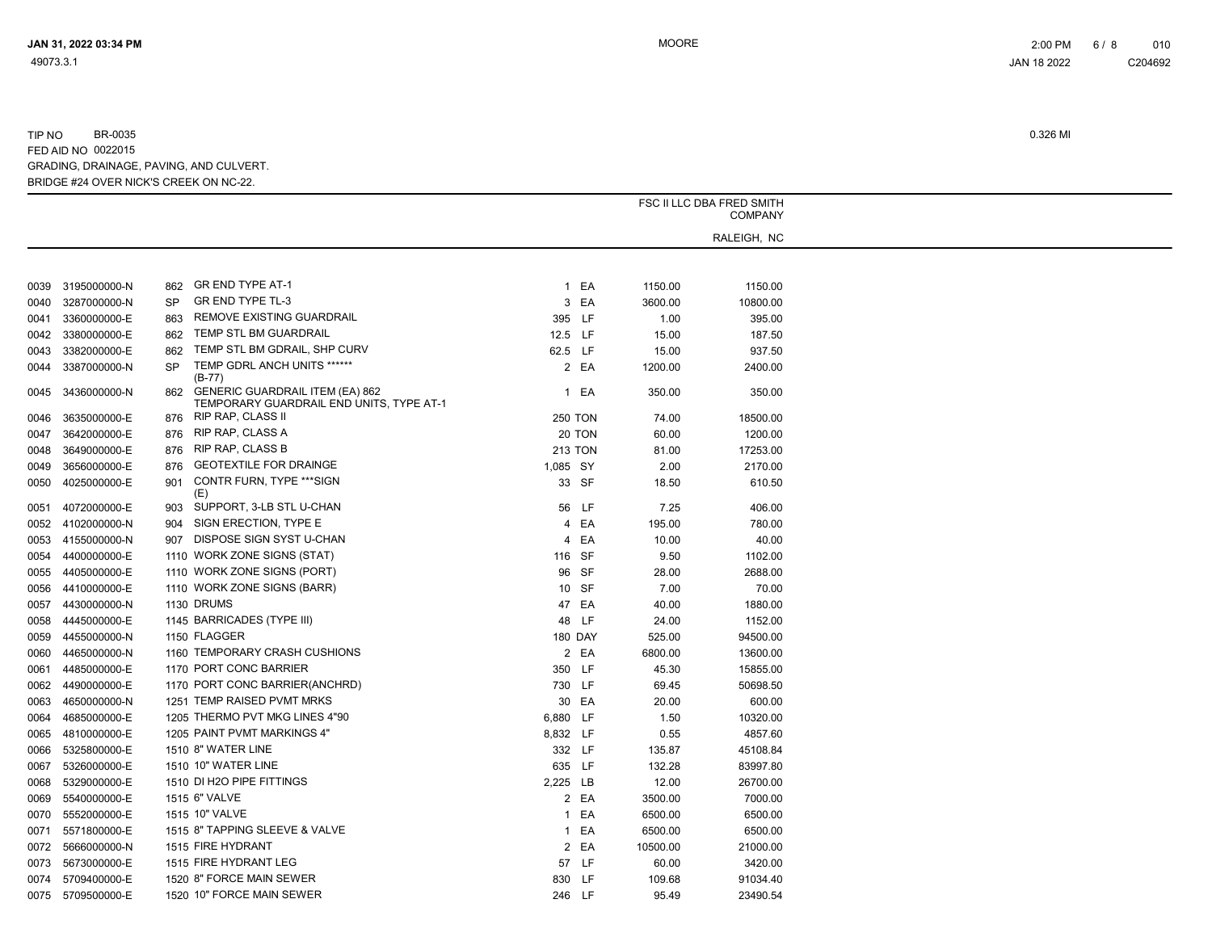|      |                   | FSC II LLC DBA FRED SMITH |                                                                                    |              |                |          |                               |
|------|-------------------|---------------------------|------------------------------------------------------------------------------------|--------------|----------------|----------|-------------------------------|
|      |                   |                           |                                                                                    |              |                |          | <b>COMPANY</b><br>RALEIGH, NC |
|      |                   |                           |                                                                                    |              |                |          |                               |
|      |                   |                           |                                                                                    |              |                |          |                               |
| 0039 | 3195000000-N      | 862                       | <b>GR END TYPE AT-1</b>                                                            |              | 1 EA           | 1150.00  | 1150.00                       |
| 0040 | 3287000000-N      | <b>SP</b>                 | GR END TYPE TL-3                                                                   |              | 3 EA           | 3600.00  | 10800.00                      |
| 0041 | 3360000000-E      | 863                       | REMOVE EXISTING GUARDRAIL                                                          | 395 LF       |                | 1.00     | 395.00                        |
| 0042 | 3380000000-E      | 862                       | TEMP STL BM GUARDRAIL                                                              | 12.5 LF      |                | 15.00    | 187.50                        |
| 0043 | 3382000000-E      | 862                       | TEMP STL BM GDRAIL, SHP CURV                                                       | 62.5 LF      |                | 15.00    | 937.50                        |
| 0044 | 3387000000-N      | <b>SP</b>                 | TEMP GDRL ANCH UNITS ******<br>$(B-77)$                                            |              | 2 EA           | 1200.00  | 2400.00                       |
| 0045 | 3436000000-N      | 862                       | <b>GENERIC GUARDRAIL ITEM (EA) 862</b><br>TEMPORARY GUARDRAIL END UNITS, TYPE AT-1 | $\mathbf{1}$ | EA             | 350.00   | 350.00                        |
| 0046 | 3635000000-E      |                           | 876 RIP RAP, CLASS II                                                              |              | <b>250 TON</b> | 74.00    | 18500.00                      |
| 0047 | 3642000000-E      | 876                       | RIP RAP, CLASS A                                                                   |              | 20 TON         | 60.00    | 1200.00                       |
| 0048 | 3649000000-E      | 876                       | <b>RIP RAP, CLASS B</b>                                                            |              | <b>213 TON</b> | 81.00    | 17253.00                      |
| 0049 | 3656000000-E      | 876                       | <b>GEOTEXTILE FOR DRAINGE</b>                                                      | 1,085 SY     |                | 2.00     | 2170.00                       |
| 0050 | 4025000000-E      | 901                       | CONTR FURN, TYPE *** SIGN<br>(E)                                                   |              | 33 SF          | 18.50    | 610.50                        |
| 0051 | 4072000000-E      | 903                       | SUPPORT, 3-LB STL U-CHAN                                                           |              | 56 LF          | 7.25     | 406.00                        |
| 0052 | 4102000000-N      | 904                       | SIGN ERECTION, TYPE E                                                              |              | 4 EA           | 195.00   | 780.00                        |
| 0053 | 4155000000-N      | 907                       | DISPOSE SIGN SYST U-CHAN                                                           | 4            | EA             | 10.00    | 40.00                         |
| 0054 | 4400000000-E      |                           | 1110 WORK ZONE SIGNS (STAT)                                                        |              | 116 SF         | 9.50     | 1102.00                       |
| 0055 | 4405000000-E      |                           | 1110 WORK ZONE SIGNS (PORT)                                                        |              | 96 SF          | 28.00    | 2688.00                       |
| 0056 | 4410000000-E      |                           | 1110 WORK ZONE SIGNS (BARR)                                                        |              | 10 SF          | 7.00     | 70.00                         |
| 0057 | 4430000000-N      |                           | 1130 DRUMS                                                                         |              | 47 EA          | 40.00    | 1880.00                       |
| 0058 | 4445000000-E      |                           | 1145 BARRICADES (TYPE III)                                                         |              | 48 LF          | 24.00    | 1152.00                       |
| 0059 | 4455000000-N      |                           | 1150 FLAGGER                                                                       |              | <b>180 DAY</b> | 525.00   | 94500.00                      |
| 0060 | 4465000000-N      |                           | 1160 TEMPORARY CRASH CUSHIONS                                                      |              | 2 EA           | 6800.00  | 13600.00                      |
| 0061 | 4485000000-E      |                           | 1170 PORT CONC BARRIER                                                             | 350 LF       |                | 45.30    | 15855.00                      |
| 0062 | 4490000000-E      |                           | 1170 PORT CONC BARRIER(ANCHRD)                                                     | 730 LF       |                | 69.45    | 50698.50                      |
| 0063 | 4650000000-N      |                           | 1251 TEMP RAISED PVMT MRKS                                                         |              | 30 EA          | 20.00    | 600.00                        |
|      | 4685000000-E      |                           | 1205 THERMO PVT MKG LINES 4"90                                                     | 6,880 LF     |                | 1.50     | 10320.00                      |
| 0064 |                   |                           | 1205 PAINT PVMT MARKINGS 4"                                                        | 8,832 LF     |                | 0.55     | 4857.60                       |
| 0065 | 4810000000-E      |                           | 1510 8" WATER LINE                                                                 |              |                |          |                               |
| 0066 | 5325800000-E      |                           |                                                                                    |              | 332 LF         | 135.87   | 45108.84                      |
| 0067 | 5326000000-E      |                           | 1510 10" WATER LINE                                                                | 635 LF       |                | 132.28   | 83997.80                      |
| 0068 | 5329000000-E      |                           | 1510 DI H2O PIPE FITTINGS                                                          | 2,225 LB     |                | 12.00    | 26700.00                      |
| 0069 | 5540000000-E      |                           | 1515 6" VALVE                                                                      |              | 2 EA           | 3500.00  | 7000.00                       |
| 0070 | 5552000000-E      |                           | 1515 10" VALVE                                                                     | $\mathbf{1}$ | EA             | 6500.00  | 6500.00                       |
| 0071 | 5571800000-E      |                           | 1515 8" TAPPING SLEEVE & VALVE                                                     |              | 1 EA           | 6500.00  | 6500.00                       |
| 0072 | 5666000000-N      |                           | 1515 FIRE HYDRANT                                                                  |              | 2 EA           | 10500.00 | 21000.00                      |
| 0073 | 5673000000-E      |                           | 1515 FIRE HYDRANT LEG                                                              |              | 57 LF          | 60.00    | 3420.00                       |
| 0074 | 5709400000-E      |                           | 1520 8" FORCE MAIN SEWER                                                           | 830 LF       |                | 109.68   | 91034.40                      |
|      | 0075 5709500000-E |                           | 1520 10" FORCE MAIN SEWER                                                          | 246 LF       |                | 95.49    | 23490.54                      |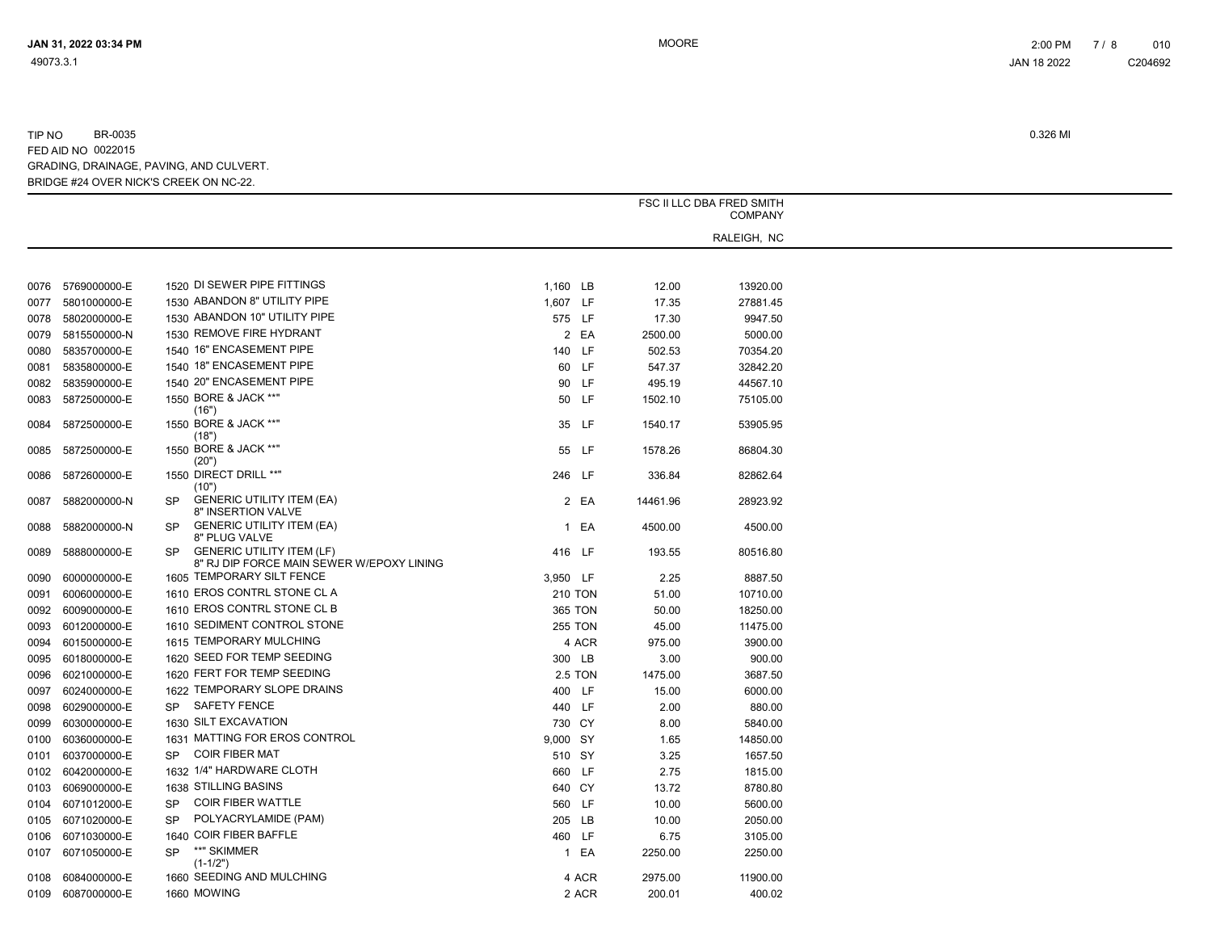|      | FSC II LLC DBA FRED SMITH |                                                                                            |                |       |          |             |  |
|------|---------------------------|--------------------------------------------------------------------------------------------|----------------|-------|----------|-------------|--|
|      | <b>COMPANY</b>            |                                                                                            |                |       |          |             |  |
|      |                           |                                                                                            |                |       |          | RALEIGH, NC |  |
|      |                           |                                                                                            |                |       |          |             |  |
|      |                           |                                                                                            |                |       |          |             |  |
| 0076 | 5769000000-E              | 1520 DI SEWER PIPE FITTINGS                                                                | 1,160 LB       |       | 12.00    | 13920.00    |  |
| 0077 | 5801000000-E              | 1530 ABANDON 8" UTILITY PIPE                                                               | 1,607 LF       |       | 17.35    | 27881.45    |  |
| 0078 | 5802000000-E              | 1530 ABANDON 10" UTILITY PIPE                                                              | 575 LF         |       | 17.30    | 9947.50     |  |
| 0079 | 5815500000-N              | 1530 REMOVE FIRE HYDRANT                                                                   |                | 2 EA  | 2500.00  | 5000.00     |  |
| 0080 | 5835700000-E              | 1540 16" ENCASEMENT PIPE                                                                   | 140            | LF.   | 502.53   | 70354.20    |  |
| 0081 | 5835800000-E              | 1540 18" ENCASEMENT PIPE                                                                   | 60             | LF.   | 547.37   | 32842.20    |  |
| 0082 | 5835900000-E              | 1540 20" ENCASEMENT PIPE                                                                   | 90             | LF.   | 495.19   | 44567.10    |  |
| 0083 | 5872500000-E              | 1550 BORE & JACK **"<br>(16")                                                              | 50 LF          |       | 1502.10  | 75105.00    |  |
| 0084 | 5872500000-E              | 1550 BORE & JACK **"<br>(18")                                                              |                | 35 LF | 1540.17  | 53905.95    |  |
| 0085 | 5872500000-E              | 1550 BORE & JACK **"<br>(20")                                                              |                | 55 LF | 1578.26  | 86804.30    |  |
| 0086 | 5872600000-E              | 1550 DIRECT DRILL **"<br>(10")                                                             | 246 LF         |       | 336.84   | 82862.64    |  |
| 0087 | 5882000000-N              | <b>GENERIC UTILITY ITEM (EA)</b><br><b>SP</b><br>8" INSERTION VALVE                        |                | 2 EA  | 14461.96 | 28923.92    |  |
| 0088 | 5882000000-N              | <b>GENERIC UTILITY ITEM (EA)</b><br><b>SP</b><br>8" PLUG VALVE                             |                | 1 EA  | 4500.00  | 4500.00     |  |
| 0089 | 5888000000-E              | <b>GENERIC UTILITY ITEM (LF)</b><br><b>SP</b><br>8" RJ DIP FORCE MAIN SEWER W/EPOXY LINING | 416 LF         |       | 193.55   | 80516.80    |  |
| 0090 | 6000000000-E              | 1605 TEMPORARY SILT FENCE                                                                  | 3,950 LF       |       | 2.25     | 8887.50     |  |
| 0091 | 6006000000-E              | 1610 EROS CONTRL STONE CL A                                                                | <b>210 TON</b> |       | 51.00    | 10710.00    |  |
| 0092 | 6009000000-E              | 1610 EROS CONTRL STONE CL B                                                                | <b>365 TON</b> |       | 50.00    | 18250.00    |  |
| 0093 | 6012000000-E              | 1610 SEDIMENT CONTROL STONE                                                                | <b>255 TON</b> |       | 45.00    | 11475.00    |  |
| 0094 | 6015000000-E              | 1615 TEMPORARY MULCHING                                                                    |                | 4 ACR | 975.00   | 3900.00     |  |
| 0095 | 6018000000-E              | 1620 SEED FOR TEMP SEEDING                                                                 | 300 LB         |       | 3.00     | 900.00      |  |
| 0096 | 6021000000-E              | 1620 FERT FOR TEMP SEEDING                                                                 | <b>2.5 TON</b> |       | 1475.00  | 3687.50     |  |
| 0097 | 6024000000-E              | 1622 TEMPORARY SLOPE DRAINS                                                                | 400 LF         |       | 15.00    | 6000.00     |  |
| 0098 | 6029000000-E              | SP SAFETY FENCE                                                                            | 440 LF         |       | 2.00     | 880.00      |  |
| 0099 | 6030000000-E              | 1630 SILT EXCAVATION                                                                       | 730 CY         |       | 8.00     | 5840.00     |  |
| 0100 | 6036000000-E              | 1631 MATTING FOR EROS CONTROL                                                              | 9,000 SY       |       | 1.65     | 14850.00    |  |
| 0101 | 6037000000-E              | COIR FIBER MAT<br><b>SP</b>                                                                | 510 SY         |       | 3.25     | 1657.50     |  |
| 0102 | 6042000000-E              | 1632 1/4" HARDWARE CLOTH                                                                   | 660            | LF.   | 2.75     | 1815.00     |  |
| 0103 | 6069000000-E              | 1638 STILLING BASINS                                                                       | 640 CY         |       | 13.72    | 8780.80     |  |
| 0104 | 6071012000-E              | COIR FIBER WATTLE<br><b>SP</b>                                                             | 560 LF         |       | 10.00    | 5600.00     |  |
| 0105 | 6071020000-E              | POLYACRYLAMIDE (PAM)<br><b>SP</b>                                                          | 205            | LB    | 10.00    | 2050.00     |  |
| 0106 | 6071030000-E              | 1640 COIR FIBER BAFFLE                                                                     | 460            | LF.   | 6.75     | 3105.00     |  |
| 0107 | 6071050000-E              | **" SKIMMER<br><b>SP</b><br>$(1-1/2")$                                                     |                | 1 EA  | 2250.00  | 2250.00     |  |
| 0108 | 6084000000-E              | 1660 SEEDING AND MULCHING                                                                  |                | 4 ACR | 2975.00  | 11900.00    |  |
| 0109 | 6087000000-E              | 1660 MOWING                                                                                |                | 2 ACR | 200.01   | 400.02      |  |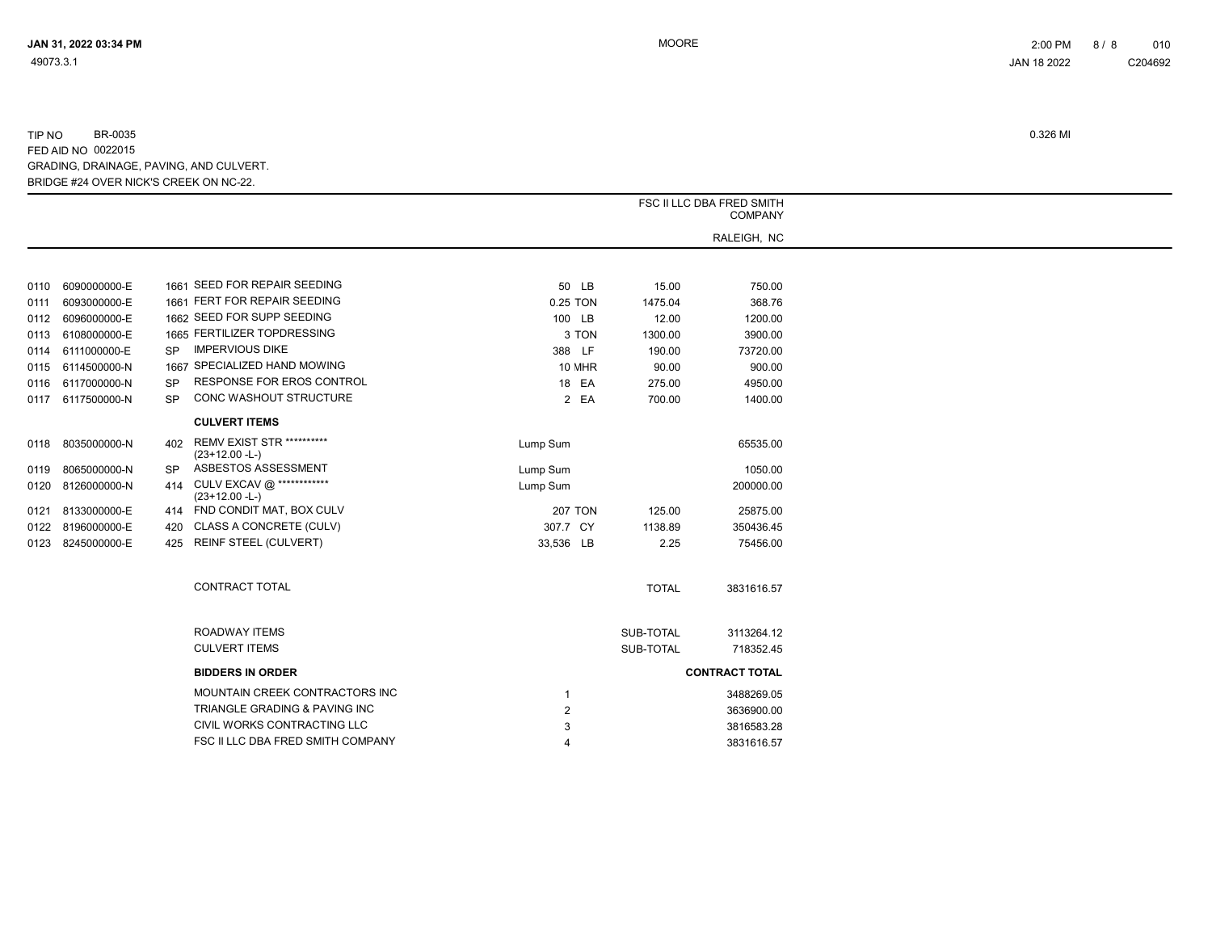|                   |           |                                                      |                | FSC II LLC DBA FRED SMITH<br><b>COMPANY</b> |                       |  |  |  |
|-------------------|-----------|------------------------------------------------------|----------------|---------------------------------------------|-----------------------|--|--|--|
|                   |           |                                                      |                |                                             | RALEIGH, NC           |  |  |  |
|                   |           | 1661 SEED FOR REPAIR SEEDING                         |                |                                             |                       |  |  |  |
| 0110 6090000000-E |           |                                                      | 50 LB          | 15.00                                       | 750.00                |  |  |  |
| 0111 6093000000-E |           | 1661 FERT FOR REPAIR SEEDING                         | 0.25 TON       | 1475.04                                     | 368.76                |  |  |  |
| 0112 6096000000-E |           | 1662 SEED FOR SUPP SEEDING                           | 100 LB         | 12.00                                       | 1200.00               |  |  |  |
| 0113 6108000000-E |           | 1665 FERTILIZER TOPDRESSING                          | 3 TON          | 1300.00                                     | 3900.00               |  |  |  |
| 0114 6111000000-E | SP.       | <b>IMPERVIOUS DIKE</b>                               | 388 LF         | 190.00                                      | 73720.00              |  |  |  |
| 0115 6114500000-N |           | 1667 SPECIALIZED HAND MOWING                         | 10 MHR         | 90.00                                       | 900.00                |  |  |  |
| 0116 6117000000-N | <b>SP</b> | <b>RESPONSE FOR EROS CONTROL</b>                     | 18 EA          | 275.00                                      | 4950.00               |  |  |  |
| 0117 6117500000-N | <b>SP</b> | CONC WASHOUT STRUCTURE                               | 2 EA           | 700.00                                      | 1400.00               |  |  |  |
|                   |           | <b>CULVERT ITEMS</b>                                 |                |                                             |                       |  |  |  |
| 0118 8035000000-N | 402       | <b>REMV EXIST STR **********</b><br>$(23+12.00 - L)$ | Lump Sum       |                                             | 65535.00              |  |  |  |
| 0119 8065000000-N | <b>SP</b> | ASBESTOS ASSESSMENT                                  | Lump Sum       |                                             | 1050.00               |  |  |  |
| 0120 8126000000-N | 414       | CULV EXCAV @ ************<br>$(23+12.00 - L)$        | Lump Sum       |                                             | 200000.00             |  |  |  |
| 0121 8133000000-E |           | 414 FND CONDIT MAT, BOX CULV                         | <b>207 TON</b> | 125.00                                      | 25875.00              |  |  |  |
| 0122 8196000000-E | 420       | CLASS A CONCRETE (CULV)                              | 307.7 CY       | 1138.89                                     | 350436.45             |  |  |  |
| 0123 8245000000-E |           | 425 REINF STEEL (CULVERT)                            | 33,536 LB      | 2.25                                        | 75456.00              |  |  |  |
|                   |           | CONTRACT TOTAL                                       |                | <b>TOTAL</b>                                | 3831616.57            |  |  |  |
|                   |           | ROADWAY ITEMS                                        |                | SUB-TOTAL                                   | 3113264.12            |  |  |  |
|                   |           | <b>CULVERT ITEMS</b>                                 |                | SUB-TOTAL                                   | 718352.45             |  |  |  |
|                   |           |                                                      |                |                                             |                       |  |  |  |
|                   |           | <b>BIDDERS IN ORDER</b>                              |                |                                             | <b>CONTRACT TOTAL</b> |  |  |  |
|                   |           | MOUNTAIN CREEK CONTRACTORS INC                       | 1              |                                             | 3488269.05            |  |  |  |
|                   |           | TRIANGLE GRADING & PAVING INC                        | $\overline{2}$ |                                             | 3636900.00            |  |  |  |
|                   |           | CIVIL WORKS CONTRACTING LLC                          | 3              |                                             | 3816583.28            |  |  |  |
|                   |           | FSC II LLC DBA FRED SMITH COMPANY                    | 4              |                                             | 3831616.57            |  |  |  |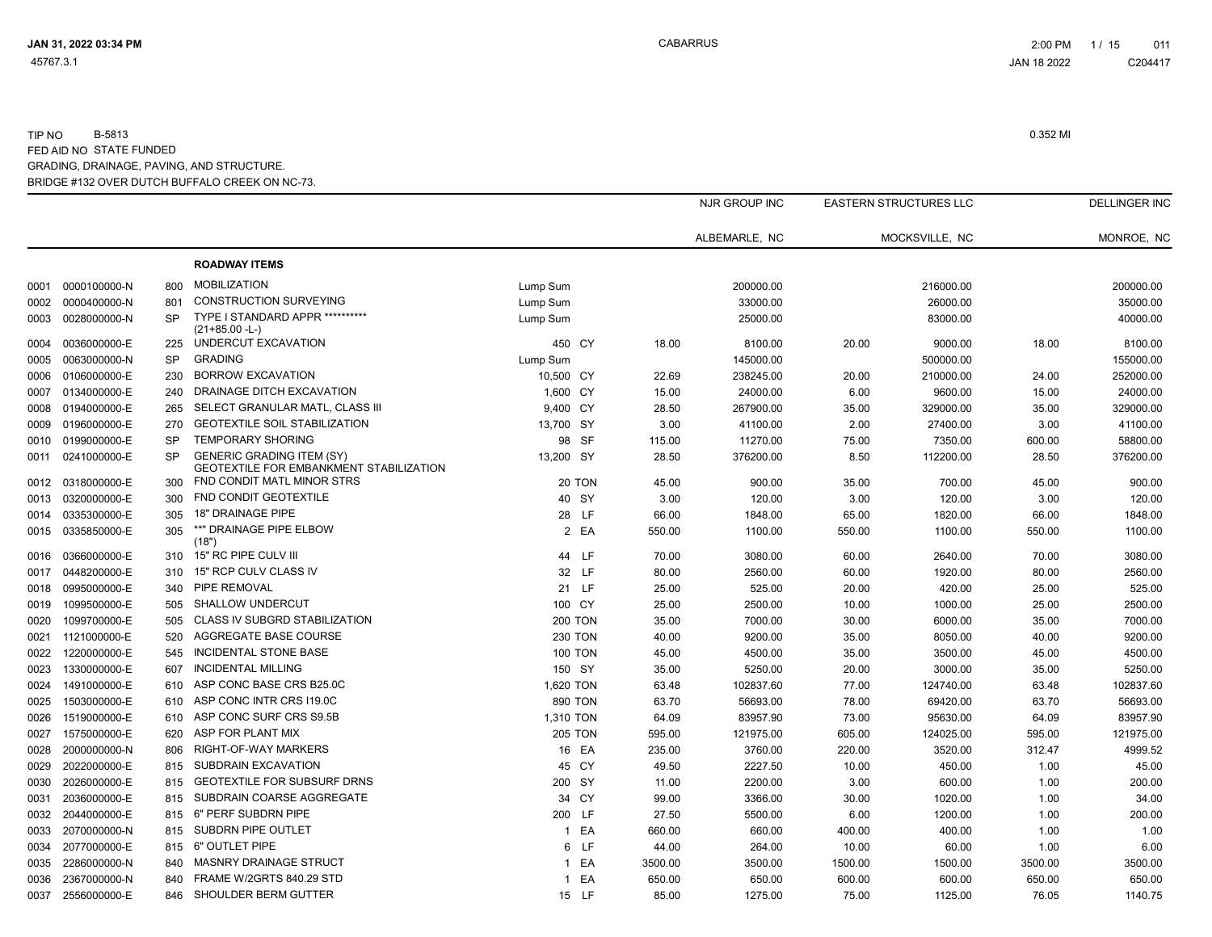|      |                   |           |                                                                             |                |         | NJR GROUP INC |         | EASTERN STRUCTURES LLC |         | <b>DELLINGER INC</b> |
|------|-------------------|-----------|-----------------------------------------------------------------------------|----------------|---------|---------------|---------|------------------------|---------|----------------------|
|      |                   |           |                                                                             |                |         | ALBEMARLE, NC |         | MOCKSVILLE, NC         |         | MONROE, NC           |
|      |                   |           | <b>ROADWAY ITEMS</b>                                                        |                |         |               |         |                        |         |                      |
|      | 0001 0000100000-N | 800       | <b>MOBILIZATION</b>                                                         | Lump Sum       |         | 200000.00     |         | 216000.00              |         | 200000.00            |
| 0002 | 0000400000-N      | 801       | <b>CONSTRUCTION SURVEYING</b>                                               | Lump Sum       |         | 33000.00      |         | 26000.00               |         | 35000.00             |
| 0003 | 0028000000-N      | <b>SP</b> | TYPE I STANDARD APPR ***********                                            | Lump Sum       |         | 25000.00      |         | 83000.00               |         | 40000.00             |
|      |                   |           | $(21+85.00 - L)$<br>UNDERCUT EXCAVATION                                     |                |         |               |         |                        |         |                      |
| 0004 | 0036000000-E      | 225       | <b>GRADING</b>                                                              | 450 CY         | 18.00   | 8100.00       | 20.00   | 9000.00                | 18.00   | 8100.00              |
| 0005 | 0063000000-N      | <b>SP</b> |                                                                             | Lump Sum       |         | 145000.00     |         | 500000.00              |         | 155000.00            |
| 0006 | 0106000000-E      | 230       | <b>BORROW EXCAVATION</b>                                                    | 10,500 CY      | 22.69   | 238245.00     | 20.00   | 210000.00              | 24.00   | 252000.00            |
| 0007 | 0134000000-E      | 240       | DRAINAGE DITCH EXCAVATION                                                   | 1,600 CY       | 15.00   | 24000.00      | 6.00    | 9600.00                | 15.00   | 24000.00             |
| 0008 | 0194000000-E      | 265       | SELECT GRANULAR MATL, CLASS III                                             | 9,400 CY       | 28.50   | 267900.00     | 35.00   | 329000.00              | 35.00   | 329000.00            |
| 0009 | 0196000000-E      | 270       | <b>GEOTEXTILE SOIL STABILIZATION</b>                                        | 13,700 SY      | 3.00    | 41100.00      | 2.00    | 27400.00               | 3.00    | 41100.00             |
| 0010 | 0199000000-E      | <b>SP</b> | <b>TEMPORARY SHORING</b>                                                    | 98 SF          | 115.00  | 11270.00      | 75.00   | 7350.00                | 600.00  | 58800.00             |
| 0011 | 0241000000-E      | <b>SP</b> | <b>GENERIC GRADING ITEM (SY)</b><br>GEOTEXTILE FOR EMBANKMENT STABILIZATION | 13,200 SY      | 28.50   | 376200.00     | 8.50    | 112200.00              | 28.50   | 376200.00            |
| 0012 | 0318000000-E      | 300       | FND CONDIT MATL MINOR STRS                                                  | 20 TON         | 45.00   | 900.00        | 35.00   | 700.00                 | 45.00   | 900.00               |
| 0013 | 0320000000-E      | 300       | FND CONDIT GEOTEXTILE                                                       | 40 SY          | 3.00    | 120.00        | 3.00    | 120.00                 | 3.00    | 120.00               |
| 0014 | 0335300000-E      | 305       | <b>18" DRAINAGE PIPE</b>                                                    | 28 LF          | 66.00   | 1848.00       | 65.00   | 1820.00                | 66.00   | 1848.00              |
| 0015 | 0335850000-E      | 305       | **" DRAINAGE PIPE ELBOW<br>(18")                                            | 2 EA           | 550.00  | 1100.00       | 550.00  | 1100.00                | 550.00  | 1100.00              |
| 0016 | 0366000000-E      | 310       | 15" RC PIPE CULV III                                                        | 44 LF          | 70.00   | 3080.00       | 60.00   | 2640.00                | 70.00   | 3080.00              |
| 0017 | 0448200000-E      | 310       | 15" RCP CULV CLASS IV                                                       | 32 LF          | 80.00   | 2560.00       | 60.00   | 1920.00                | 80.00   | 2560.00              |
| 0018 | 0995000000-E      | 340       | PIPE REMOVAL                                                                | 21 LF          | 25.00   | 525.00        | 20.00   | 420.00                 | 25.00   | 525.00               |
| 0019 | 1099500000-E      | 505       | SHALLOW UNDERCUT                                                            | 100 CY         | 25.00   | 2500.00       | 10.00   | 1000.00                | 25.00   | 2500.00              |
| 0020 | 1099700000-E      | 505       | CLASS IV SUBGRD STABILIZATION                                               | <b>200 TON</b> | 35.00   | 7000.00       | 30.00   | 6000.00                | 35.00   | 7000.00              |
| 0021 | 1121000000-E      | 520       | AGGREGATE BASE COURSE                                                       | <b>230 TON</b> | 40.00   | 9200.00       | 35.00   | 8050.00                | 40.00   | 9200.00              |
| 0022 | 1220000000-E      | 545       | <b>INCIDENTAL STONE BASE</b>                                                | <b>100 TON</b> | 45.00   | 4500.00       | 35.00   | 3500.00                | 45.00   | 4500.00              |
| 0023 | 1330000000-E      | 607       | <b>INCIDENTAL MILLING</b>                                                   | 150 SY         | 35.00   | 5250.00       | 20.00   | 3000.00                | 35.00   | 5250.00              |
| 0024 | 1491000000-E      | 610       | ASP CONC BASE CRS B25.0C                                                    | 1,620 TON      | 63.48   | 102837.60     | 77.00   | 124740.00              | 63.48   | 102837.60            |
| 0025 | 1503000000-E      | 610       | ASP CONC INTR CRS I19.0C                                                    | 890 TON        | 63.70   | 56693.00      | 78.00   | 69420.00               | 63.70   | 56693.00             |
| 0026 | 1519000000-E      | 610       | ASP CONC SURF CRS S9.5B                                                     | 1,310 TON      | 64.09   | 83957.90      | 73.00   | 95630.00               | 64.09   | 83957.90             |
| 0027 | 1575000000-E      | 620       | ASP FOR PLANT MIX                                                           | <b>205 TON</b> | 595.00  | 121975.00     | 605.00  | 124025.00              | 595.00  | 121975.00            |
| 0028 | 2000000000-N      | 806       | RIGHT-OF-WAY MARKERS                                                        | 16 EA          | 235.00  | 3760.00       | 220.00  | 3520.00                | 312.47  | 4999.52              |
| 0029 | 2022000000-E      | 815       | SUBDRAIN EXCAVATION                                                         | 45 CY          | 49.50   | 2227.50       | 10.00   | 450.00                 | 1.00    | 45.00                |
|      | 2026000000-E      | 815       | <b>GEOTEXTILE FOR SUBSURF DRNS</b>                                          | 200 SY         |         | 2200.00       |         |                        |         | 200.00               |
| 0030 |                   |           | SUBDRAIN COARSE AGGREGATE                                                   |                | 11.00   |               | 3.00    | 600.00                 | 1.00    |                      |
| 0031 | 2036000000-E      | 815       |                                                                             | 34 CY          | 99.00   | 3366.00       | 30.00   | 1020.00                | 1.00    | 34.00                |
| 0032 | 2044000000-E      | 815       | 6" PERF SUBDRN PIPE                                                         | 200 LF         | 27.50   | 5500.00       | 6.00    | 1200.00                | 1.00    | 200.00               |
| 0033 | 2070000000-N      | 815       | SUBDRN PIPE OUTLET                                                          | 1 EA           | 660.00  | 660.00        | 400.00  | 400.00                 | 1.00    | 1.00                 |
| 0034 | 2077000000-E      | 815       | 6" OUTLET PIPE                                                              | 6 LF           | 44.00   | 264.00        | 10.00   | 60.00                  | 1.00    | 6.00                 |
| 0035 | 2286000000-N      | 840       | <b>MASNRY DRAINAGE STRUCT</b>                                               | 1 EA           | 3500.00 | 3500.00       | 1500.00 | 1500.00                | 3500.00 | 3500.00              |
| 0036 | 2367000000-N      | 840       | FRAME W/2GRTS 840.29 STD                                                    | 1 EA           | 650.00  | 650.00        | 600.00  | 600.00                 | 650.00  | 650.00               |
| 0037 | 2556000000-E      | 846       | SHOULDER BERM GUTTER                                                        | 15 LF          | 85.00   | 1275.00       | 75.00   | 1125.00                | 76.05   | 1140.75              |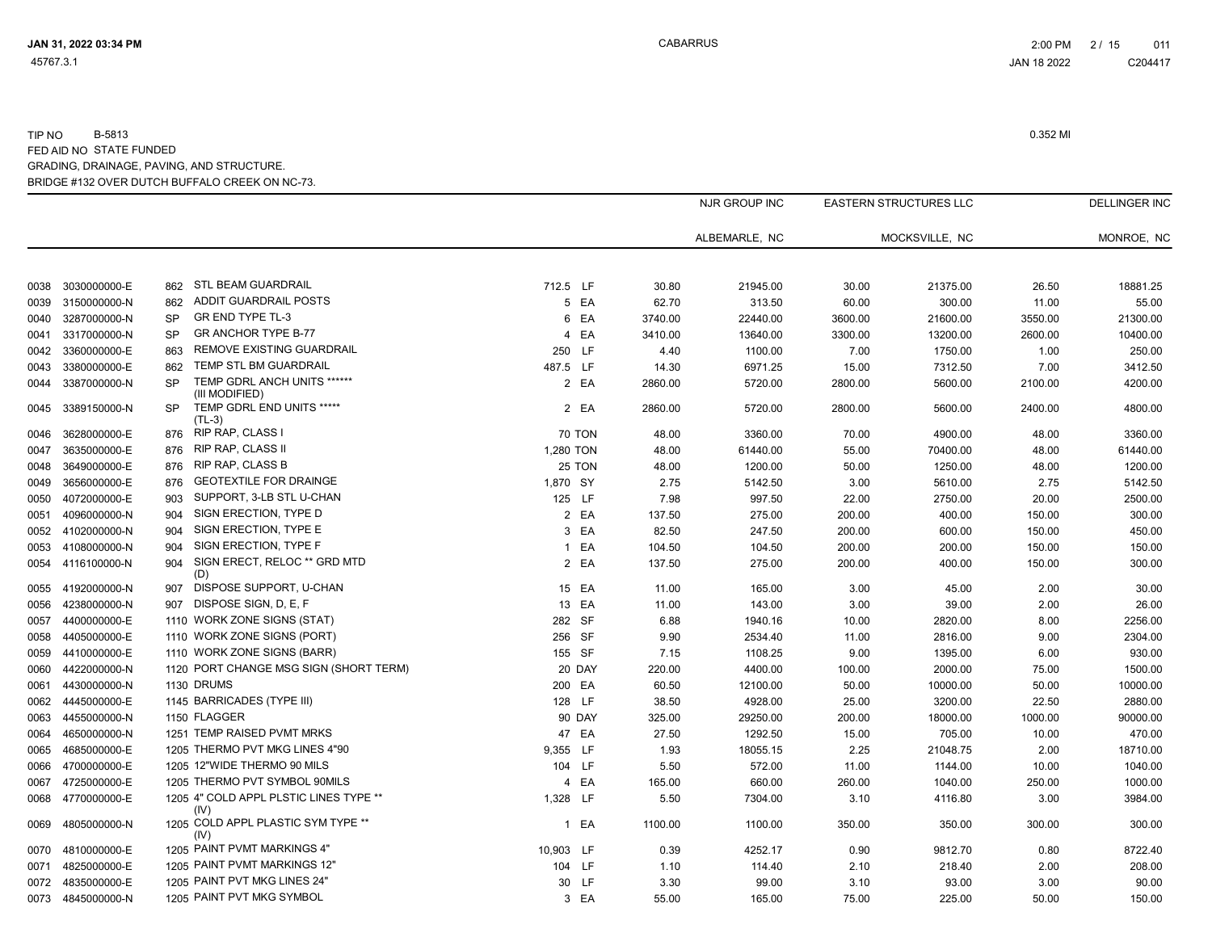|      |                   |           |                                                |              |               |         | NJR GROUP INC | <b>EASTERN STRUCTURES LLC</b> |          |         | <b>DELLINGER INC</b> |
|------|-------------------|-----------|------------------------------------------------|--------------|---------------|---------|---------------|-------------------------------|----------|---------|----------------------|
|      |                   |           |                                                |              |               |         | ALBEMARLE, NC | MOCKSVILLE, NC                |          |         | MONROE, NC           |
| 0038 | 3030000000-E      | 862       | STL BEAM GUARDRAIL                             | 712.5 LF     |               | 30.80   | 21945.00      | 30.00                         | 21375.00 | 26.50   | 18881.25             |
| 0039 | 3150000000-N      | 862       | ADDIT GUARDRAIL POSTS                          |              | 5 EA          | 62.70   | 313.50        | 60.00                         | 300.00   | 11.00   | 55.00                |
| 0040 | 3287000000-N      | <b>SP</b> | GR END TYPE TL-3                               |              | 6 EA          | 3740.00 | 22440.00      | 3600.00                       | 21600.00 | 3550.00 | 21300.00             |
| 0041 | 3317000000-N      | <b>SP</b> | <b>GR ANCHOR TYPE B-77</b>                     |              | 4 EA          | 3410.00 | 13640.00      | 3300.00                       | 13200.00 | 2600.00 | 10400.00             |
| 0042 | 3360000000-E      | 863       | <b>REMOVE EXISTING GUARDRAIL</b>               | 250 LF       |               | 4.40    | 1100.00       | 7.00                          | 1750.00  | 1.00    | 250.00               |
| 0043 | 3380000000-E      | 862       | <b>TEMP STL BM GUARDRAIL</b>                   | 487.5 LF     |               | 14.30   | 6971.25       | 15.00                         | 7312.50  | 7.00    | 3412.50              |
| 0044 | 3387000000-N      | <b>SP</b> | TEMP GDRL ANCH UNITS ******<br>(III MODIFIED)  |              | 2 EA          | 2860.00 | 5720.00       | 2800.00                       | 5600.00  | 2100.00 | 4200.00              |
| 0045 | 3389150000-N      | <b>SP</b> | TEMP GDRL END UNITS *****<br>$(TL-3)$          |              | 2 EA          | 2860.00 | 5720.00       | 2800.00                       | 5600.00  | 2400.00 | 4800.00              |
| 0046 | 3628000000-E      | 876       | RIP RAP, CLASS I                               |              | <b>70 TON</b> | 48.00   | 3360.00       | 70.00                         | 4900.00  | 48.00   | 3360.00              |
| 0047 | 3635000000-E      | 876       | <b>RIP RAP, CLASS II</b>                       | 1,280 TON    |               | 48.00   | 61440.00      | 55.00                         | 70400.00 | 48.00   | 61440.00             |
| 0048 | 3649000000-E      | 876       | <b>RIP RAP, CLASS B</b>                        |              | 25 TON        | 48.00   | 1200.00       | 50.00                         | 1250.00  | 48.00   | 1200.00              |
| 0049 | 3656000000-E      | 876       | <b>GEOTEXTILE FOR DRAINGE</b>                  | 1,870 SY     |               | 2.75    | 5142.50       | 3.00                          | 5610.00  | 2.75    | 5142.50              |
| 0050 | 4072000000-E      | 903       | SUPPORT, 3-LB STL U-CHAN                       | 125 LF       |               | 7.98    | 997.50        | 22.00                         | 2750.00  | 20.00   | 2500.00              |
| 0051 | 4096000000-N      | 904       | SIGN ERECTION, TYPE D                          |              | 2 EA          | 137.50  | 275.00        | 200.00                        | 400.00   | 150.00  | 300.00               |
| 0052 | 4102000000-N      | 904       | SIGN ERECTION, TYPE E                          |              | 3 EA          | 82.50   | 247.50        | 200.00                        | 600.00   | 150.00  | 450.00               |
| 0053 | 4108000000-N      | 904       | SIGN ERECTION, TYPE F                          | $\mathbf{1}$ | EA            | 104.50  | 104.50        | 200.00                        | 200.00   | 150.00  | 150.00               |
| 0054 | 4116100000-N      | 904       | SIGN ERECT, RELOC ** GRD MTD<br>(D)            |              | 2 EA          | 137.50  | 275.00        | 200.00                        | 400.00   | 150.00  | 300.00               |
| 0055 | 4192000000-N      | 907       | DISPOSE SUPPORT, U-CHAN                        |              | 15 EA         | 11.00   | 165.00        | 3.00                          | 45.00    | 2.00    | 30.00                |
| 0056 | 4238000000-N      | 907       | DISPOSE SIGN, D, E, F                          | 13 EA        |               | 11.00   | 143.00        | 3.00                          | 39.00    | 2.00    | 26.00                |
| 0057 | 4400000000-E      |           | 1110 WORK ZONE SIGNS (STAT)                    | 282 SF       |               | 6.88    | 1940.16       | 10.00                         | 2820.00  | 8.00    | 2256.00              |
| 0058 | 4405000000-E      |           | 1110 WORK ZONE SIGNS (PORT)                    | 256 SF       |               | 9.90    | 2534.40       | 11.00                         | 2816.00  | 9.00    | 2304.00              |
| 0059 | 4410000000-E      |           | 1110 WORK ZONE SIGNS (BARR)                    | 155 SF       |               | 7.15    | 1108.25       | 9.00                          | 1395.00  | 6.00    | 930.00               |
| 0060 | 4422000000-N      |           | 1120 PORT CHANGE MSG SIGN (SHORT TERM)         |              | 20 DAY        | 220.00  | 4400.00       | 100.00                        | 2000.00  | 75.00   | 1500.00              |
| 0061 | 4430000000-N      |           | 1130 DRUMS                                     | 200 EA       |               | 60.50   | 12100.00      | 50.00                         | 10000.00 | 50.00   | 10000.00             |
| 0062 | 4445000000-E      |           | 1145 BARRICADES (TYPE III)                     | 128 LF       |               | 38.50   | 4928.00       | 25.00                         | 3200.00  | 22.50   | 2880.00              |
| 0063 | 4455000000-N      |           | 1150 FLAGGER                                   |              | 90 DAY        | 325.00  | 29250.00      | 200.00                        | 18000.00 | 1000.00 | 90000.00             |
| 0064 | 4650000000-N      |           | 1251 TEMP RAISED PVMT MRKS                     | 47 EA        |               | 27.50   | 1292.50       | 15.00                         | 705.00   | 10.00   | 470.00               |
| 0065 | 4685000000-E      |           | 1205 THERMO PVT MKG LINES 4"90                 | 9,355 LF     |               | 1.93    | 18055.15      | 2.25                          | 21048.75 | 2.00    | 18710.00             |
| 0066 | 4700000000-E      |           | 1205 12"WIDE THERMO 90 MILS                    | 104 LF       |               | 5.50    | 572.00        | 11.00                         | 1144.00  | 10.00   | 1040.00              |
| 0067 | 4725000000-E      |           | 1205 THERMO PVT SYMBOL 90MILS                  |              | 4 EA          | 165.00  | 660.00        | 260.00                        | 1040.00  | 250.00  | 1000.00              |
| 0068 | 4770000000-E      |           | 1205 4" COLD APPL PLSTIC LINES TYPE **<br>(IV) | 1,328 LF     |               | 5.50    | 7304.00       | 3.10                          | 4116.80  | 3.00    | 3984.00              |
| 0069 | 4805000000-N      |           | 1205 COLD APPL PLASTIC SYM TYPE **<br>(IV)     |              | 1 EA          | 1100.00 | 1100.00       | 350.00                        | 350.00   | 300.00  | 300.00               |
| 0070 | 4810000000-E      |           | 1205 PAINT PVMT MARKINGS 4"                    | 10,903 LF    |               | 0.39    | 4252.17       | 0.90                          | 9812.70  | 0.80    | 8722.40              |
| 0071 | 4825000000-E      |           | 1205 PAINT PVMT MARKINGS 12"                   | 104 LF       |               | 1.10    | 114.40        | 2.10                          | 218.40   | 2.00    | 208.00               |
| 0072 | 4835000000-E      |           | 1205 PAINT PVT MKG LINES 24"                   |              | 30 LF         | 3.30    | 99.00         | 3.10                          | 93.00    | 3.00    | 90.00                |
|      | 0073 4845000000-N |           | 1205 PAINT PVT MKG SYMBOL                      |              | 3 EA          | 55.00   | 165.00        | 75.00                         | 225.00   | 50.00   | 150.00               |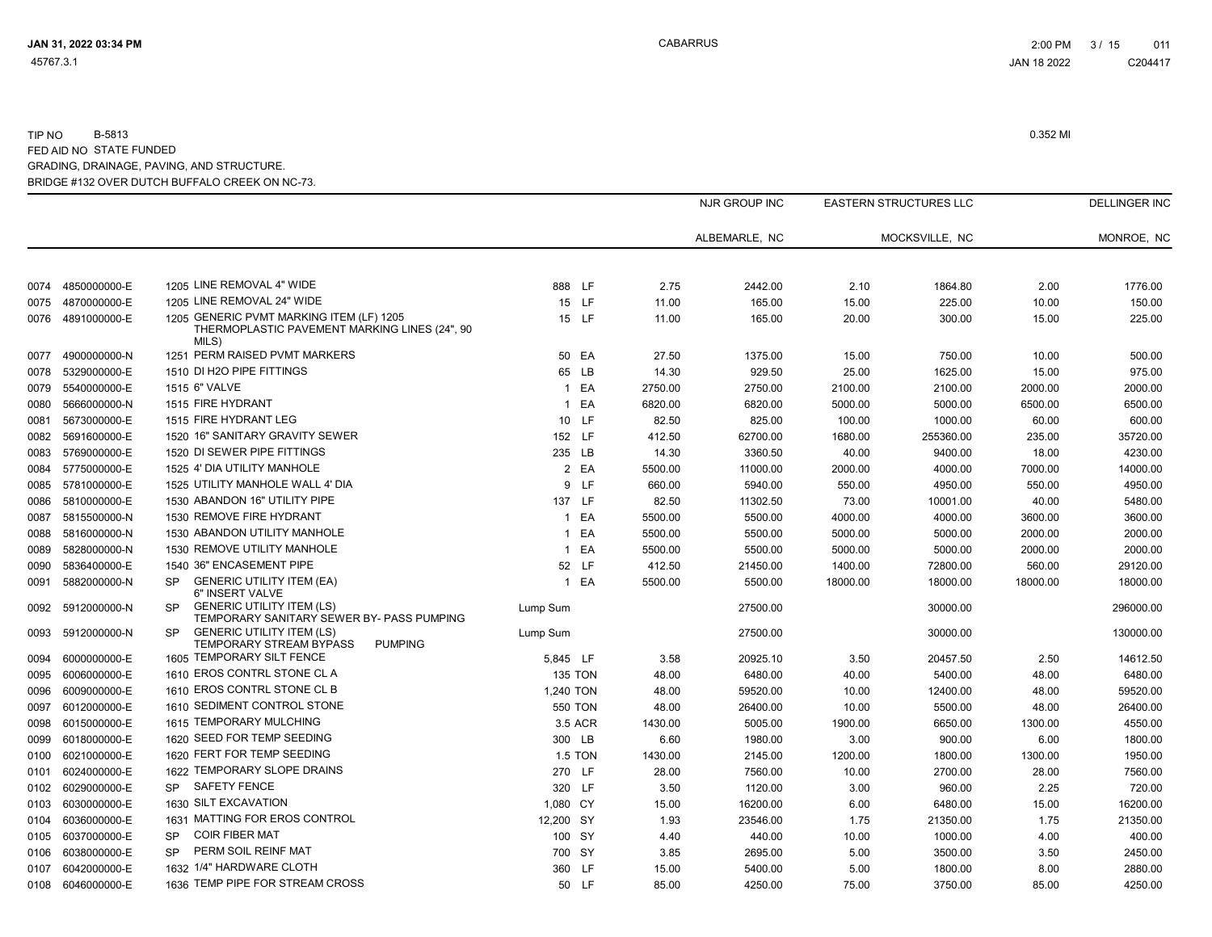|      |                   |                                                                                                    |                |         |               |          | EASTERN STRUCTURES LLC |          | <b>DELLINGER INC</b> |
|------|-------------------|----------------------------------------------------------------------------------------------------|----------------|---------|---------------|----------|------------------------|----------|----------------------|
|      |                   |                                                                                                    |                |         | ALBEMARLE, NC |          | MOCKSVILLE, NC         |          | MONROE, NC           |
| 0074 | 4850000000-E      | 1205 LINE REMOVAL 4" WIDE                                                                          | 888 LF         | 2.75    | 2442.00       | 2.10     | 1864.80                | 2.00     | 1776.00              |
| 0075 | 4870000000-E      | 1205 LINE REMOVAL 24" WIDE                                                                         | 15 LF          | 11.00   | 165.00        | 15.00    | 225.00                 | 10.00    | 150.00               |
| 0076 | 4891000000-E      | 1205 GENERIC PVMT MARKING ITEM (LF) 1205<br>THERMOPLASTIC PAVEMENT MARKING LINES (24", 90<br>MILS) | 15 LF          | 11.00   | 165.00        | 20.00    | 300.00                 | 15.00    | 225.00               |
| 0077 | 4900000000-N      | 1251 PERM RAISED PVMT MARKERS                                                                      | 50 EA          | 27.50   | 1375.00       | 15.00    | 750.00                 | 10.00    | 500.00               |
| 0078 | 5329000000-E      | 1510 DI H2O PIPE FITTINGS                                                                          | 65 LB          | 14.30   | 929.50        | 25.00    | 1625.00                | 15.00    | 975.00               |
| 0079 | 5540000000-E      | 1515 6" VALVE                                                                                      | 1 EA           | 2750.00 | 2750.00       | 2100.00  | 2100.00                | 2000.00  | 2000.00              |
| 0080 | 5666000000-N      | 1515 FIRE HYDRANT                                                                                  | 1 EA           | 6820.00 | 6820.00       | 5000.00  | 5000.00                | 6500.00  | 6500.00              |
| 0081 | 5673000000-E      | 1515 FIRE HYDRANT LEG                                                                              | 10 LF          | 82.50   | 825.00        | 100.00   | 1000.00                | 60.00    | 600.00               |
| 0082 | 5691600000-E      | 1520 16" SANITARY GRAVITY SEWER                                                                    | 152 LF         | 412.50  | 62700.00      | 1680.00  | 255360.00              | 235.00   | 35720.00             |
| 0083 | 5769000000-E      | 1520 DI SEWER PIPE FITTINGS                                                                        | 235 LB         | 14.30   | 3360.50       | 40.00    | 9400.00                | 18.00    | 4230.00              |
| 0084 | 5775000000-E      | 1525 4' DIA UTILITY MANHOLE                                                                        | 2 EA           | 5500.00 | 11000.00      | 2000.00  | 4000.00                | 7000.00  | 14000.00             |
| 0085 | 5781000000-E      | 1525 UTILITY MANHOLE WALL 4' DIA                                                                   | 9 LF           | 660.00  | 5940.00       | 550.00   | 4950.00                | 550.00   | 4950.00              |
| 0086 | 5810000000-E      | 1530 ABANDON 16" UTILITY PIPE                                                                      | 137 LF         | 82.50   | 11302.50      | 73.00    | 10001.00               | 40.00    | 5480.00              |
| 0087 | 5815500000-N      | 1530 REMOVE FIRE HYDRANT                                                                           | 1 EA           | 5500.00 | 5500.00       | 4000.00  | 4000.00                | 3600.00  | 3600.00              |
| 0088 | 5816000000-N      | 1530 ABANDON UTILITY MANHOLE                                                                       | 1 EA           | 5500.00 | 5500.00       | 5000.00  | 5000.00                | 2000.00  | 2000.00              |
| 0089 | 5828000000-N      | 1530 REMOVE UTILITY MANHOLE                                                                        | 1 EA           | 5500.00 | 5500.00       | 5000.00  | 5000.00                | 2000.00  | 2000.00              |
| 0090 | 5836400000-E      | 1540 36" ENCASEMENT PIPE                                                                           | 52 LF          | 412.50  | 21450.00      | 1400.00  | 72800.00               | 560.00   | 29120.00             |
| 0091 | 5882000000-N      | <b>GENERIC UTILITY ITEM (EA)</b><br>SP<br>6" INSERT VALVE                                          | 1 EA           | 5500.00 | 5500.00       | 18000.00 | 18000.00               | 18000.00 | 18000.00             |
| 0092 | 5912000000-N      | <b>GENERIC UTILITY ITEM (LS)</b><br><b>SP</b><br>TEMPORARY SANITARY SEWER BY- PASS PUMPING         | Lump Sum       |         | 27500.00      |          | 30000.00               |          | 296000.00            |
| 0093 | 5912000000-N      | <b>GENERIC UTILITY ITEM (LS)</b><br><b>SP</b><br><b>TEMPORARY STREAM BYPASS</b><br><b>PUMPING</b>  | Lump Sum       |         | 27500.00      |          | 30000.00               |          | 130000.00            |
| 0094 | 6000000000-E      | 1605 TEMPORARY SILT FENCE                                                                          | 5,845 LF       | 3.58    | 20925.10      | 3.50     | 20457.50               | 2.50     | 14612.50             |
| 0095 | 6006000000-E      | 1610 EROS CONTRL STONE CL A                                                                        | <b>135 TON</b> | 48.00   | 6480.00       | 40.00    | 5400.00                | 48.00    | 6480.00              |
| 0096 | 6009000000-E      | 1610 EROS CONTRL STONE CL B                                                                        | 1,240 TON      | 48.00   | 59520.00      | 10.00    | 12400.00               | 48.00    | 59520.00             |
| 0097 | 6012000000-E      | 1610 SEDIMENT CONTROL STONE                                                                        | 550 TON        | 48.00   | 26400.00      | 10.00    | 5500.00                | 48.00    | 26400.00             |
| 0098 | 6015000000-E      | 1615 TEMPORARY MULCHING                                                                            | 3.5 ACR        | 1430.00 | 5005.00       | 1900.00  | 6650.00                | 1300.00  | 4550.00              |
| 0099 | 6018000000-E      | 1620 SEED FOR TEMP SEEDING                                                                         | 300 LB         | 6.60    | 1980.00       | 3.00     | 900.00                 | 6.00     | 1800.00              |
| 0100 | 6021000000-E      | 1620 FERT FOR TEMP SEEDING                                                                         | <b>1.5 TON</b> | 1430.00 | 2145.00       | 1200.00  | 1800.00                | 1300.00  | 1950.00              |
| 0101 | 6024000000-E      | 1622 TEMPORARY SLOPE DRAINS                                                                        | 270 LF         | 28.00   | 7560.00       | 10.00    | 2700.00                | 28.00    | 7560.00              |
| 0102 | 6029000000-E      | <b>SAFETY FENCE</b><br><b>SP</b>                                                                   | 320 LF         | 3.50    | 1120.00       | 3.00     | 960.00                 | 2.25     | 720.00               |
| 0103 | 6030000000-E      | 1630 SILT EXCAVATION                                                                               | 1,080 CY       | 15.00   | 16200.00      | 6.00     | 6480.00                | 15.00    | 16200.00             |
| 0104 | 6036000000-E      | 1631 MATTING FOR EROS CONTROL                                                                      | 12,200 SY      | 1.93    | 23546.00      | 1.75     | 21350.00               | 1.75     | 21350.00             |
| 0105 | 6037000000-E      | <b>COIR FIBER MAT</b><br><b>SP</b>                                                                 | 100 SY         | 4.40    | 440.00        | 10.00    | 1000.00                | 4.00     | 400.00               |
| 0106 | 6038000000-E      | PERM SOIL REINF MAT<br>SP                                                                          | 700 SY         | 3.85    | 2695.00       | 5.00     | 3500.00                | 3.50     | 2450.00              |
| 0107 | 6042000000-E      | 1632 1/4" HARDWARE CLOTH                                                                           | 360 LF         | 15.00   | 5400.00       | 5.00     | 1800.00                | 8.00     | 2880.00              |
|      | 0108 6046000000-E | 1636 TEMP PIPE FOR STREAM CROSS                                                                    | 50 LF          | 85.00   | 4250.00       | 75.00    | 3750.00                | 85.00    | 4250.00              |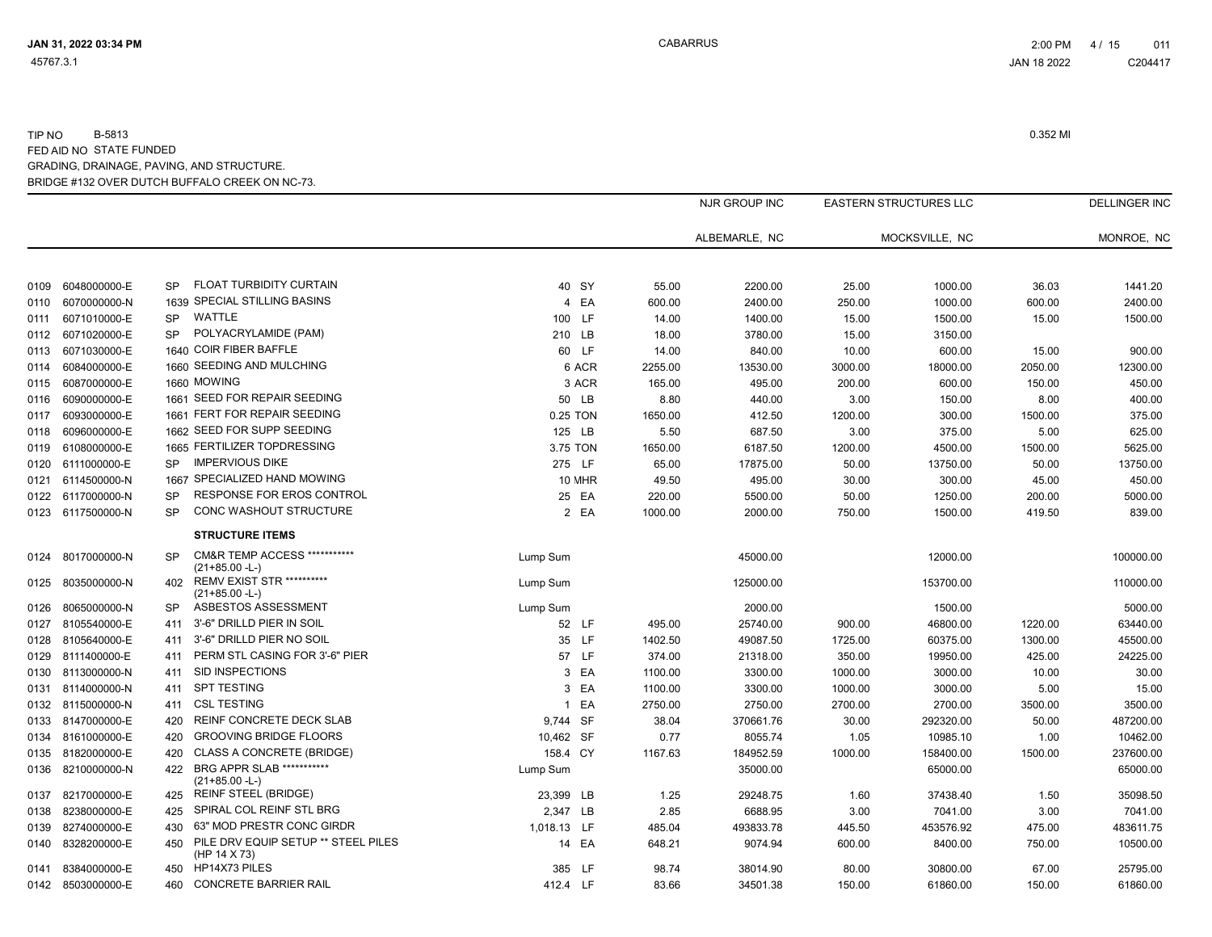|      |                   |           |                                                             |             |               |         | NJR GROUP INC |         | <b>EASTERN STRUCTURES LLC</b> |         | <b>DELLINGER INC</b> |
|------|-------------------|-----------|-------------------------------------------------------------|-------------|---------------|---------|---------------|---------|-------------------------------|---------|----------------------|
|      |                   |           |                                                             |             |               |         | ALBEMARLE, NC |         | MOCKSVILLE, NC                |         | MONROE, NC           |
|      |                   |           |                                                             |             |               |         |               |         |                               |         |                      |
| 0109 | 6048000000-E      | SP        | FLOAT TURBIDITY CURTAIN                                     |             | 40 SY         | 55.00   | 2200.00       | 25.00   | 1000.00                       | 36.03   | 1441.20              |
| 0110 | 6070000000-N      |           | 1639 SPECIAL STILLING BASINS                                |             | 4 EA          | 600.00  | 2400.00       | 250.00  | 1000.00                       | 600.00  | 2400.00              |
| 0111 | 6071010000-E      | SP        | WATTLE                                                      | 100 LF      |               | 14.00   | 1400.00       | 15.00   | 1500.00                       | 15.00   | 1500.00              |
| 0112 | 6071020000-E      | <b>SP</b> | POLYACRYLAMIDE (PAM)                                        | 210 LB      |               | 18.00   | 3780.00       | 15.00   | 3150.00                       |         |                      |
| 0113 | 6071030000-E      |           | 1640 COIR FIBER BAFFLE                                      |             | 60 LF         | 14.00   | 840.00        | 10.00   | 600.00                        | 15.00   | 900.00               |
| 0114 | 6084000000-E      |           | 1660 SEEDING AND MULCHING                                   |             | 6 ACR         | 2255.00 | 13530.00      | 3000.00 | 18000.00                      | 2050.00 | 12300.00             |
| 0115 | 6087000000-E      |           | 1660 MOWING                                                 |             | 3 ACR         | 165.00  | 495.00        | 200.00  | 600.00                        | 150.00  | 450.00               |
| 0116 | 6090000000-E      |           | 1661 SEED FOR REPAIR SEEDING                                |             | 50 LB         | 8.80    | 440.00        | 3.00    | 150.00                        | 8.00    | 400.00               |
| 0117 | 6093000000-E      |           | 1661 FERT FOR REPAIR SEEDING                                | 0.25 TON    |               | 1650.00 | 412.50        | 1200.00 | 300.00                        | 1500.00 | 375.00               |
| 0118 | 6096000000-E      |           | 1662 SEED FOR SUPP SEEDING                                  | 125 LB      |               | 5.50    | 687.50        | 3.00    | 375.00                        | 5.00    | 625.00               |
| 0119 | 6108000000-E      |           | 1665 FERTILIZER TOPDRESSING                                 | 3.75 TON    |               | 1650.00 | 6187.50       | 1200.00 | 4500.00                       | 1500.00 | 5625.00              |
| 0120 | 6111000000-E      | <b>SP</b> | <b>IMPERVIOUS DIKE</b>                                      | 275 LF      |               | 65.00   | 17875.00      | 50.00   | 13750.00                      | 50.00   | 13750.00             |
| 0121 | 6114500000-N      |           | 1667 SPECIALIZED HAND MOWING                                |             | <b>10 MHR</b> | 49.50   | 495.00        | 30.00   | 300.00                        | 45.00   | 450.00               |
| 0122 | 6117000000-N      | SP        | RESPONSE FOR EROS CONTROL                                   |             | 25 EA         | 220.00  | 5500.00       | 50.00   | 1250.00                       | 200.00  | 5000.00              |
|      | 0123 6117500000-N | <b>SP</b> | <b>CONC WASHOUT STRUCTURE</b>                               |             | 2 EA          | 1000.00 | 2000.00       | 750.00  | 1500.00                       | 419.50  | 839.00               |
|      |                   |           | <b>STRUCTURE ITEMS</b>                                      |             |               |         |               |         |                               |         |                      |
| 0124 | 8017000000-N      | <b>SP</b> | <b>CM&amp;R TEMP ACCESS ***********</b><br>$(21+85.00 - L)$ | Lump Sum    |               |         | 45000.00      |         | 12000.00                      |         | 100000.00            |
| 0125 | 8035000000-N      | 402       | <b>REMV EXIST STR **********</b><br>$(21+85.00 - L)$        | Lump Sum    |               |         | 125000.00     |         | 153700.00                     |         | 110000.00            |
| 0126 | 8065000000-N      | SP        | ASBESTOS ASSESSMENT                                         | Lump Sum    |               |         | 2000.00       |         | 1500.00                       |         | 5000.00              |
| 0127 | 8105540000-E      | 411       | 3'-6" DRILLD PIER IN SOIL                                   |             | 52 LF         | 495.00  | 25740.00      | 900.00  | 46800.00                      | 1220.00 | 63440.00             |
| 0128 | 8105640000-E      | 411       | 3'-6" DRILLD PIER NO SOIL                                   |             | 35 LF         | 1402.50 | 49087.50      | 1725.00 | 60375.00                      | 1300.00 | 45500.00             |
| 0129 | 8111400000-E      | 411       | PERM STL CASING FOR 3'-6" PIER                              |             | 57 LF         | 374.00  | 21318.00      | 350.00  | 19950.00                      | 425.00  | 24225.00             |
| 0130 | 8113000000-N      | 411       | SID INSPECTIONS                                             |             | 3 EA          | 1100.00 | 3300.00       | 1000.00 | 3000.00                       | 10.00   | 30.00                |
| 0131 | 8114000000-N      | 411       | <b>SPT TESTING</b>                                          |             | 3 EA          | 1100.00 | 3300.00       | 1000.00 | 3000.00                       | 5.00    | 15.00                |
|      | 0132 8115000000-N | 411       | <b>CSL TESTING</b>                                          |             | 1 EA          | 2750.00 | 2750.00       | 2700.00 | 2700.00                       | 3500.00 | 3500.00              |
| 0133 | 8147000000-E      | 420       | REINF CONCRETE DECK SLAB                                    | 9,744 SF    |               | 38.04   | 370661.76     | 30.00   | 292320.00                     | 50.00   | 487200.00            |
|      | 0134 8161000000-E | 420       | <b>GROOVING BRIDGE FLOORS</b>                               | 10,462 SF   |               | 0.77    | 8055.74       | 1.05    | 10985.10                      | 1.00    | 10462.00             |
|      | 0135 8182000000-E | 420       | CLASS A CONCRETE (BRIDGE)                                   | 158.4 CY    |               | 1167.63 | 184952.59     | 1000.00 | 158400.00                     | 1500.00 | 237600.00            |
| 0136 | 8210000000-N      | 422       | BRG APPR SLAB ***********<br>$(21+85.00 - L)$               | Lump Sum    |               |         | 35000.00      |         | 65000.00                      |         | 65000.00             |
| 0137 | 8217000000-E      | 425       | <b>REINF STEEL (BRIDGE)</b>                                 | 23,399 LB   |               | 1.25    | 29248.75      | 1.60    | 37438.40                      | 1.50    | 35098.50             |
| 0138 | 8238000000-E      | 425       | SPIRAL COL REINF STL BRG                                    | 2,347 LB    |               | 2.85    | 6688.95       | 3.00    | 7041.00                       | 3.00    | 7041.00              |
| 0139 | 8274000000-E      | 430       | 63" MOD PRESTR CONC GIRDR                                   | 1,018.13 LF |               | 485.04  | 493833.78     | 445.50  | 453576.92                     | 475.00  | 483611.75            |
| 0140 | 8328200000-E      | 450       | PILE DRV EQUIP SETUP ** STEEL PILES<br>(HP 14 X 73)         |             | 14 EA         | 648.21  | 9074.94       | 600.00  | 8400.00                       | 750.00  | 10500.00             |
| 0141 | 8384000000-E      | 450       | HP14X73 PILES                                               | 385 LF      |               | 98.74   | 38014.90      | 80.00   | 30800.00                      | 67.00   | 25795.00             |
|      | 0142 8503000000-E | 460       | <b>CONCRETE BARRIER RAIL</b>                                | 412.4 LF    |               | 83.66   | 34501.38      | 150.00  | 61860.00                      | 150.00  | 61860.00             |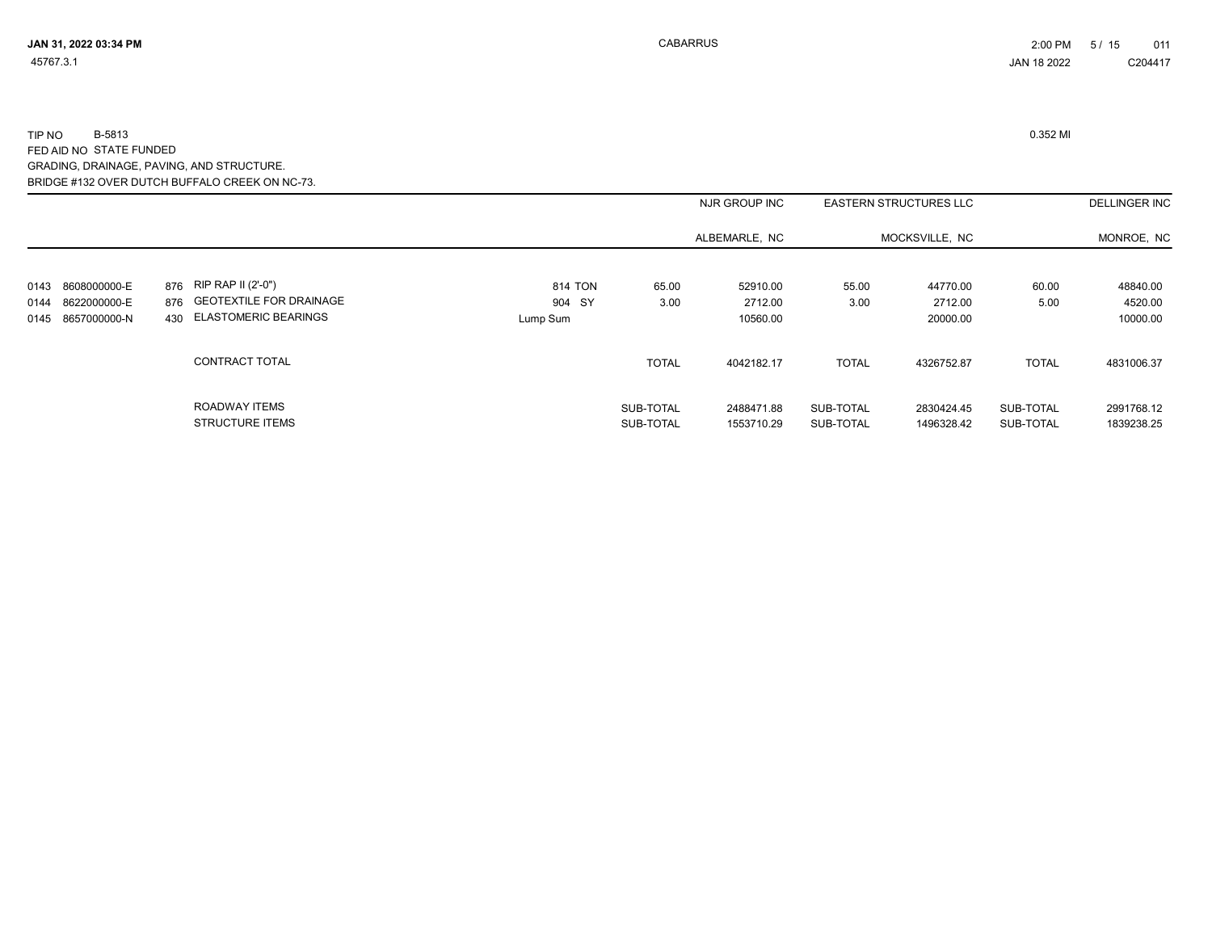|              |                              |                                                       |                   |                        | NJR GROUP INC            |                        | <b>EASTERN STRUCTURES LLC</b> |                        | <b>DELLINGER INC</b>     |
|--------------|------------------------------|-------------------------------------------------------|-------------------|------------------------|--------------------------|------------------------|-------------------------------|------------------------|--------------------------|
|              |                              |                                                       |                   |                        | ALBEMARLE, NC            |                        | MOCKSVILLE, NC                |                        | MONROE, NC               |
| 0143<br>0144 | 8608000000-E<br>8622000000-E | 876 RIP RAP II (2'-0")<br>876 GEOTEXTILE FOR DRAINAGE | 814 TON<br>904 SY | 65.00<br>3.00          | 52910.00<br>2712.00      | 55.00<br>3.00          | 44770.00<br>2712.00           | 60.00<br>5.00          | 48840.00<br>4520.00      |
| 0145         | 8657000000-N                 | 430 ELASTOMERIC BEARINGS                              | Lump Sum          |                        | 10560.00                 |                        | 20000.00                      |                        | 10000.00                 |
|              |                              | CONTRACT TOTAL                                        |                   | <b>TOTAL</b>           | 4042182.17               | <b>TOTAL</b>           | 4326752.87                    | <b>TOTAL</b>           | 4831006.37               |
|              |                              | ROADWAY ITEMS<br><b>STRUCTURE ITEMS</b>               |                   | SUB-TOTAL<br>SUB-TOTAL | 2488471.88<br>1553710.29 | SUB-TOTAL<br>SUB-TOTAL | 2830424.45<br>1496328.42      | SUB-TOTAL<br>SUB-TOTAL | 2991768.12<br>1839238.25 |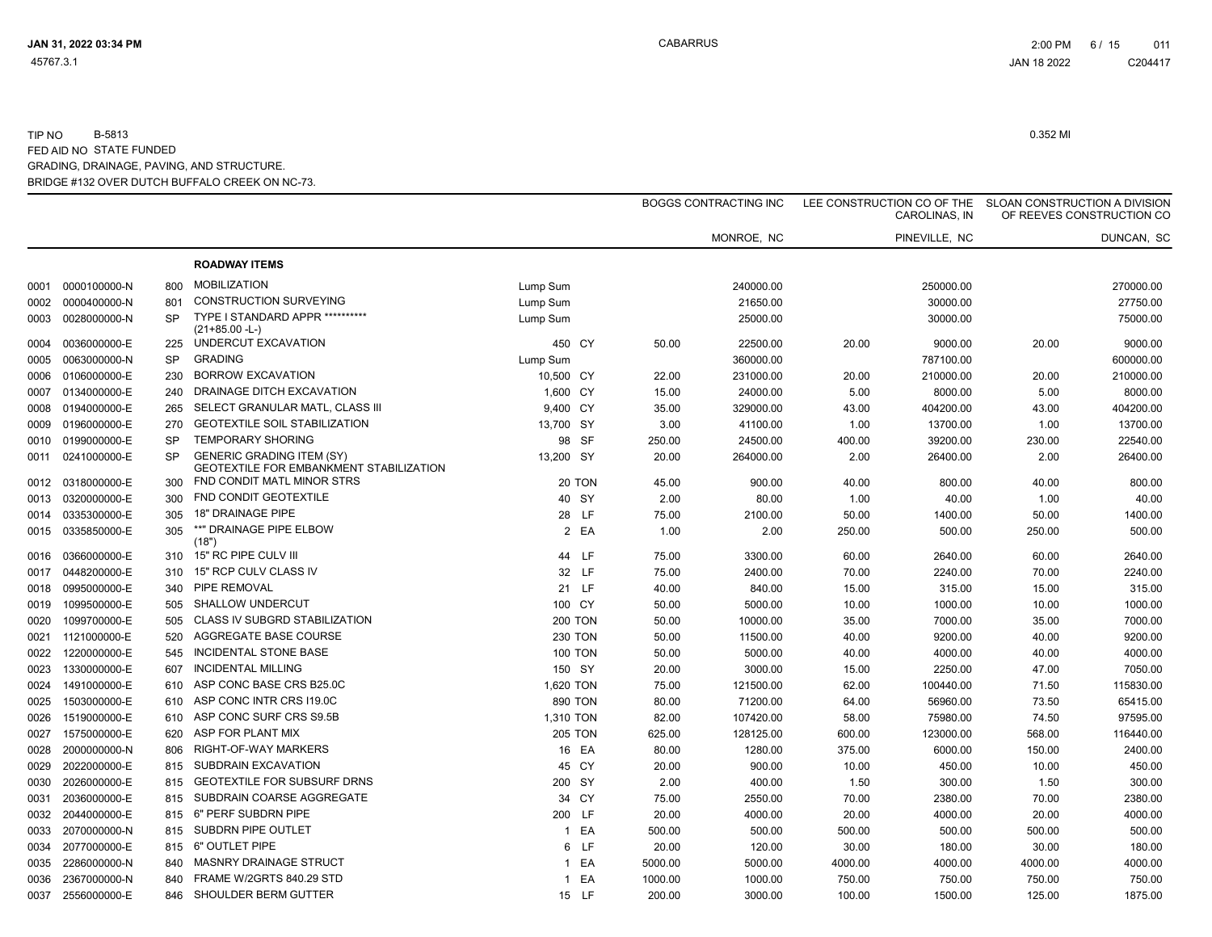|      |                   |           |                                                                                    |                    |         | <b>BOGGS CONTRACTING INC</b> |         | LEE CONSTRUCTION CO OF THE<br>CAROLINAS, IN |         | SLOAN CONSTRUCTION A DIVISION<br>OF REEVES CONSTRUCTION CO |
|------|-------------------|-----------|------------------------------------------------------------------------------------|--------------------|---------|------------------------------|---------|---------------------------------------------|---------|------------------------------------------------------------|
|      |                   |           |                                                                                    |                    |         | MONROE, NC                   |         | PINEVILLE, NC                               |         | DUNCAN, SC                                                 |
|      |                   |           | <b>ROADWAY ITEMS</b>                                                               |                    |         |                              |         |                                             |         |                                                            |
| 0001 | 0000100000-N      | 800       | <b>MOBILIZATION</b>                                                                | Lump Sum           |         | 240000.00                    |         | 250000.00                                   |         | 270000.00                                                  |
| 0002 | 0000400000-N      | 801       | CONSTRUCTION SURVEYING                                                             | Lump Sum           |         | 21650.00                     |         | 30000.00                                    |         | 27750.00                                                   |
| 0003 | 0028000000-N      | <b>SP</b> | TYPE I STANDARD APPR ***********                                                   | Lump Sum           |         | 25000.00                     |         | 30000.00                                    |         | 75000.00                                                   |
|      |                   |           | $(21+85.00 - L)$                                                                   |                    |         |                              |         |                                             |         |                                                            |
| 0004 | 0036000000-E      | 225       | UNDERCUT EXCAVATION                                                                | 450 CY             | 50.00   | 22500.00                     | 20.00   | 9000.00                                     | 20.00   | 9000.00                                                    |
| 0005 | 0063000000-N      | <b>SP</b> | <b>GRADING</b>                                                                     | Lump Sum           |         | 360000.00                    |         | 787100.00                                   |         | 600000.00                                                  |
| 0006 | 0106000000-E      | 230       | <b>BORROW EXCAVATION</b>                                                           | 10,500 CY          | 22.00   | 231000.00                    | 20.00   | 210000.00                                   | 20.00   | 210000.00                                                  |
| 0007 | 0134000000-E      | 240       | DRAINAGE DITCH EXCAVATION                                                          | 1,600 CY           | 15.00   | 24000.00                     | 5.00    | 8000.00                                     | 5.00    | 8000.00                                                    |
| 0008 | 0194000000-E      | 265       | SELECT GRANULAR MATL, CLASS III                                                    | 9,400 CY           | 35.00   | 329000.00                    | 43.00   | 404200.00                                   | 43.00   | 404200.00                                                  |
| 0009 | 0196000000-E      | 270       | <b>GEOTEXTILE SOIL STABILIZATION</b>                                               | 13,700 SY          | 3.00    | 41100.00                     | 1.00    | 13700.00                                    | 1.00    | 13700.00                                                   |
| 0010 | 0199000000-E      | <b>SP</b> | <b>TEMPORARY SHORING</b>                                                           | 98 SF              | 250.00  | 24500.00                     | 400.00  | 39200.00                                    | 230.00  | 22540.00                                                   |
| 0011 | 0241000000-E      | <b>SP</b> | <b>GENERIC GRADING ITEM (SY)</b><br><b>GEOTEXTILE FOR EMBANKMENT STABILIZATION</b> | 13,200 SY          | 20.00   | 264000.00                    | 2.00    | 26400.00                                    | 2.00    | 26400.00                                                   |
| 0012 | 0318000000-E      | 300       | FND CONDIT MATL MINOR STRS                                                         | 20 TON             | 45.00   | 900.00                       | 40.00   | 800.00                                      | 40.00   | 800.00                                                     |
| 0013 | 0320000000-E      | 300       | FND CONDIT GEOTEXTILE                                                              | 40 SY              | 2.00    | 80.00                        | 1.00    | 40.00                                       | 1.00    | 40.00                                                      |
| 0014 | 0335300000-E      | 305       | 18" DRAINAGE PIPE                                                                  | 28 LF              | 75.00   | 2100.00                      | 50.00   | 1400.00                                     | 50.00   | 1400.00                                                    |
| 0015 | 0335850000-E      | 305       | **" DRAINAGE PIPE ELBOW<br>(18")                                                   | 2 EA               | 1.00    | 2.00                         | 250.00  | 500.00                                      | 250.00  | 500.00                                                     |
| 0016 | 0366000000-E      | 310       | 15" RC PIPE CULV III                                                               | 44 LF              | 75.00   | 3300.00                      | 60.00   | 2640.00                                     | 60.00   | 2640.00                                                    |
| 0017 | 0448200000-E      | 310       | 15" RCP CULV CLASS IV                                                              | 32 LF              | 75.00   | 2400.00                      | 70.00   | 2240.00                                     | 70.00   | 2240.00                                                    |
| 0018 | 0995000000-E      | 340       | PIPE REMOVAL                                                                       | 21 LF              | 40.00   | 840.00                       | 15.00   | 315.00                                      | 15.00   | 315.00                                                     |
| 0019 | 1099500000-E      | 505       | SHALLOW UNDERCUT                                                                   | 100 CY             | 50.00   | 5000.00                      | 10.00   | 1000.00                                     | 10.00   | 1000.00                                                    |
| 0020 | 1099700000-E      | 505       | CLASS IV SUBGRD STABILIZATION                                                      | <b>200 TON</b>     | 50.00   | 10000.00                     | 35.00   | 7000.00                                     | 35.00   | 7000.00                                                    |
| 0021 | 1121000000-E      | 520       | AGGREGATE BASE COURSE                                                              | <b>230 TON</b>     | 50.00   | 11500.00                     | 40.00   | 9200.00                                     | 40.00   | 9200.00                                                    |
| 0022 | 1220000000-E      | 545       | INCIDENTAL STONE BASE                                                              | <b>100 TON</b>     | 50.00   | 5000.00                      | 40.00   | 4000.00                                     | 40.00   | 4000.00                                                    |
| 0023 | 1330000000-E      | 607       | <b>INCIDENTAL MILLING</b>                                                          | 150 SY             | 20.00   | 3000.00                      | 15.00   | 2250.00                                     | 47.00   | 7050.00                                                    |
| 0024 | 1491000000-E      | 610       | ASP CONC BASE CRS B25.0C                                                           | 1,620 TON          | 75.00   | 121500.00                    | 62.00   | 100440.00                                   | 71.50   | 115830.00                                                  |
| 0025 | 1503000000-E      | 610       | ASP CONC INTR CRS I19.0C                                                           | 890 TON            | 80.00   | 71200.00                     | 64.00   | 56960.00                                    | 73.50   | 65415.00                                                   |
| 0026 | 1519000000-E      | 610       | ASP CONC SURF CRS S9.5B                                                            | 1,310 TON          | 82.00   | 107420.00                    | 58.00   | 75980.00                                    | 74.50   | 97595.00                                                   |
| 0027 | 1575000000-E      | 620       | ASP FOR PLANT MIX                                                                  | <b>205 TON</b>     | 625.00  | 128125.00                    | 600.00  | 123000.00                                   | 568.00  | 116440.00                                                  |
| 0028 | 2000000000-N      | 806       | RIGHT-OF-WAY MARKERS                                                               | 16 EA              | 80.00   | 1280.00                      | 375.00  | 6000.00                                     | 150.00  | 2400.00                                                    |
| 0029 | 2022000000-E      | 815       | SUBDRAIN EXCAVATION                                                                | 45 CY              | 20.00   | 900.00                       | 10.00   | 450.00                                      | 10.00   | 450.00                                                     |
| 0030 | 2026000000-E      | 815       | <b>GEOTEXTILE FOR SUBSURF DRNS</b>                                                 | 200 SY             | 2.00    | 400.00                       | 1.50    | 300.00                                      | 1.50    | 300.00                                                     |
| 0031 | 2036000000-E      | 815       | SUBDRAIN COARSE AGGREGATE                                                          | 34 CY              | 75.00   | 2550.00                      | 70.00   | 2380.00                                     | 70.00   | 2380.00                                                    |
| 0032 | 2044000000-E      | 815       | 6" PERF SUBDRN PIPE                                                                | 200 LF             | 20.00   | 4000.00                      | 20.00   | 4000.00                                     | 20.00   | 4000.00                                                    |
|      |                   | 815       | SUBDRN PIPE OUTLET                                                                 | 1 EA               |         | 500.00                       |         |                                             |         |                                                            |
| 0033 | 2070000000-N      |           | 6" OUTLET PIPE                                                                     |                    | 500.00  |                              | 500.00  | 500.00                                      | 500.00  | 500.00                                                     |
| 0034 | 2077000000-E      | 815       | MASNRY DRAINAGE STRUCT                                                             | 6 LF               | 20.00   | 120.00                       | 30.00   | 180.00                                      | 30.00   | 180.00                                                     |
| 0035 | 2286000000-N      | 840       |                                                                                    | EA<br>$\mathbf{1}$ | 5000.00 | 5000.00                      | 4000.00 | 4000.00                                     | 4000.00 | 4000.00                                                    |
| 0036 | 2367000000-N      | 840       | FRAME W/2GRTS 840.29 STD                                                           | 1 EA               | 1000.00 | 1000.00                      | 750.00  | 750.00                                      | 750.00  | 750.00                                                     |
|      | 0037 2556000000-E | 846       | SHOULDER BERM GUTTER                                                               | 15 LF              | 200.00  | 3000.00                      | 100.00  | 1500.00                                     | 125.00  | 1875.00                                                    |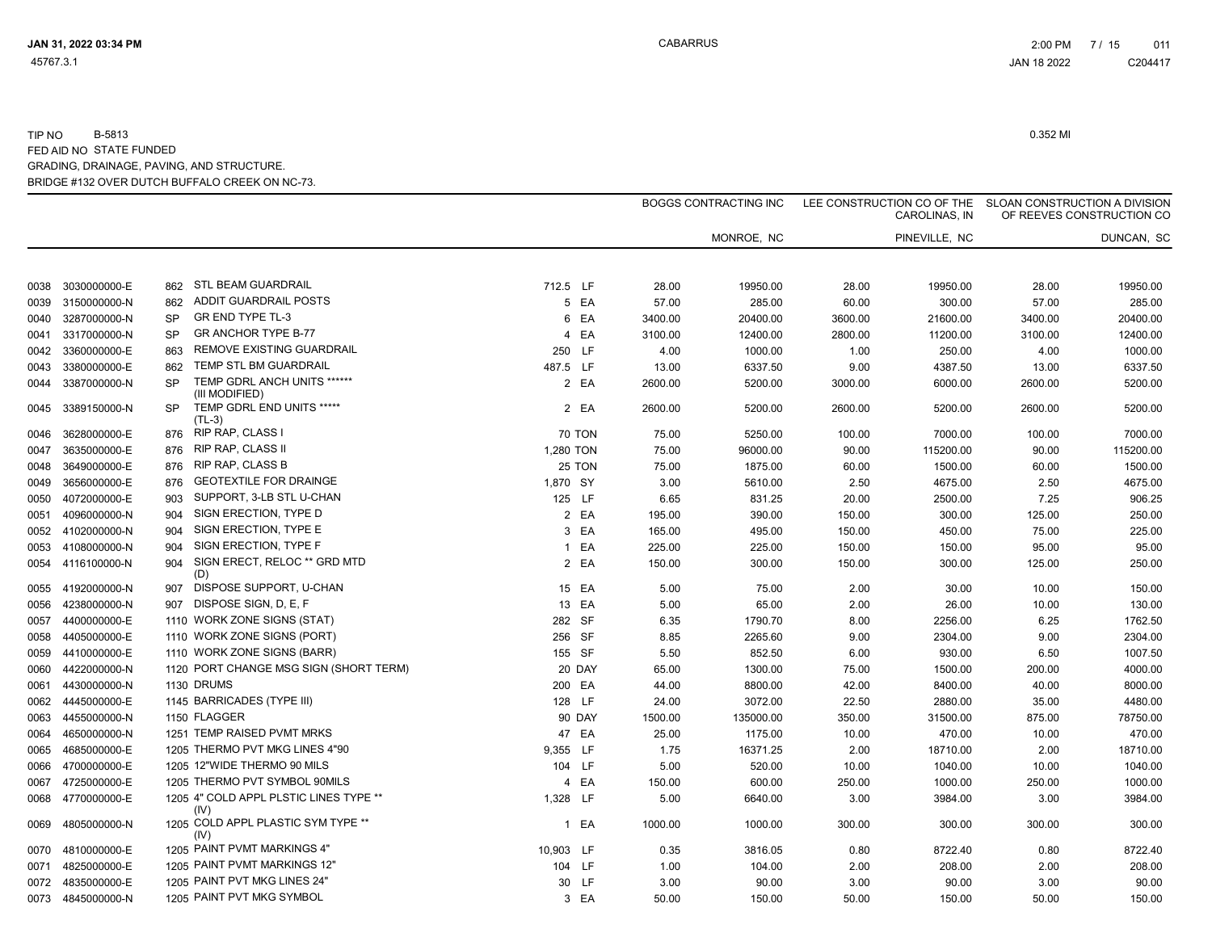|      |                   |           |                                                |           |        |         | <b>BOGGS CONTRACTING INC</b> |         | LEE CONSTRUCTION CO OF THE<br>CAROLINAS, IN |         | SLOAN CONSTRUCTION A DIVISION<br>OF REEVES CONSTRUCTION CO |
|------|-------------------|-----------|------------------------------------------------|-----------|--------|---------|------------------------------|---------|---------------------------------------------|---------|------------------------------------------------------------|
|      |                   |           |                                                |           |        |         | MONROE, NC                   |         | PINEVILLE, NC                               |         | DUNCAN, SC                                                 |
| 0038 | 3030000000-E      | 862       | STL BEAM GUARDRAIL                             | 712.5 LF  |        | 28.00   | 19950.00                     | 28.00   | 19950.00                                    | 28.00   | 19950.00                                                   |
| 0039 | 3150000000-N      | 862       | <b>ADDIT GUARDRAIL POSTS</b>                   |           | 5 EA   | 57.00   | 285.00                       | 60.00   | 300.00                                      | 57.00   | 285.00                                                     |
| 0040 | 3287000000-N      | <b>SP</b> | GR END TYPE TL-3                               |           | 6 EA   | 3400.00 | 20400.00                     | 3600.00 | 21600.00                                    | 3400.00 | 20400.00                                                   |
| 0041 | 3317000000-N      | <b>SP</b> | <b>GR ANCHOR TYPE B-77</b>                     |           | 4 EA   | 3100.00 | 12400.00                     | 2800.00 | 11200.00                                    | 3100.00 | 12400.00                                                   |
| 0042 | 3360000000-E      | 863       | REMOVE EXISTING GUARDRAIL                      |           | 250 LF | 4.00    | 1000.00                      | 1.00    | 250.00                                      | 4.00    | 1000.00                                                    |
| 0043 | 3380000000-E      | 862       | TEMP STL BM GUARDRAIL                          | 487.5 LF  |        | 13.00   | 6337.50                      | 9.00    | 4387.50                                     | 13.00   | 6337.50                                                    |
| 0044 | 3387000000-N      | <b>SP</b> | TEMP GDRL ANCH UNITS ******<br>(III MODIFIED)  |           | 2 EA   | 2600.00 | 5200.00                      | 3000.00 | 6000.00                                     | 2600.00 | 5200.00                                                    |
| 0045 | 3389150000-N      | <b>SP</b> | TEMP GDRL END UNITS *****<br>$(TL-3)$          |           | 2 EA   | 2600.00 | 5200.00                      | 2600.00 | 5200.00                                     | 2600.00 | 5200.00                                                    |
| 0046 | 3628000000-E      | 876       | <b>RIP RAP, CLASS I</b>                        |           | 70 TON | 75.00   | 5250.00                      | 100.00  | 7000.00                                     | 100.00  | 7000.00                                                    |
| 0047 | 3635000000-E      | 876       | <b>RIP RAP, CLASS II</b>                       | 1,280 TON |        | 75.00   | 96000.00                     | 90.00   | 115200.00                                   | 90.00   | 115200.00                                                  |
| 0048 | 3649000000-E      | 876       | <b>RIP RAP, CLASS B</b>                        |           | 25 TON | 75.00   | 1875.00                      | 60.00   | 1500.00                                     | 60.00   | 1500.00                                                    |
| 0049 | 3656000000-E      | 876       | <b>GEOTEXTILE FOR DRAINGE</b>                  | 1,870 SY  |        | 3.00    | 5610.00                      | 2.50    | 4675.00                                     | 2.50    | 4675.00                                                    |
| 0050 | 4072000000-E      | 903       | SUPPORT, 3-LB STL U-CHAN                       |           | 125 LF | 6.65    | 831.25                       | 20.00   | 2500.00                                     | 7.25    | 906.25                                                     |
| 0051 | 4096000000-N      | 904       | SIGN ERECTION, TYPE D                          |           | 2 EA   | 195.00  | 390.00                       | 150.00  | 300.00                                      | 125.00  | 250.00                                                     |
|      | 0052 4102000000-N | 904       | SIGN ERECTION, TYPE E                          |           | 3 EA   | 165.00  | 495.00                       | 150.00  | 450.00                                      | 75.00   | 225.00                                                     |
|      | 0053 4108000000-N | 904       | SIGN ERECTION. TYPE F                          |           | 1 EA   | 225.00  | 225.00                       | 150.00  | 150.00                                      | 95.00   | 95.00                                                      |
|      | 0054 4116100000-N | 904       | SIGN ERECT, RELOC ** GRD MTD<br>(D)            |           | 2 EA   | 150.00  | 300.00                       | 150.00  | 300.00                                      | 125.00  | 250.00                                                     |
| 0055 | 4192000000-N      | 907       | DISPOSE SUPPORT, U-CHAN                        |           | 15 EA  | 5.00    | 75.00                        | 2.00    | 30.00                                       | 10.00   | 150.00                                                     |
| 0056 | 4238000000-N      | 907       | DISPOSE SIGN, D, E, F                          |           | 13 EA  | 5.00    | 65.00                        | 2.00    | 26.00                                       | 10.00   | 130.00                                                     |
| 0057 | 4400000000-E      |           | 1110 WORK ZONE SIGNS (STAT)                    |           | 282 SF | 6.35    | 1790.70                      | 8.00    | 2256.00                                     | 6.25    | 1762.50                                                    |
| 0058 | 4405000000-E      |           | 1110 WORK ZONE SIGNS (PORT)                    |           | 256 SF | 8.85    | 2265.60                      | 9.00    | 2304.00                                     | 9.00    | 2304.00                                                    |
| 0059 | 4410000000-E      |           | 1110 WORK ZONE SIGNS (BARR)                    |           | 155 SF | 5.50    | 852.50                       | 6.00    | 930.00                                      | 6.50    | 1007.50                                                    |
| 0060 | 4422000000-N      |           | 1120 PORT CHANGE MSG SIGN (SHORT TERM)         |           | 20 DAY | 65.00   | 1300.00                      | 75.00   | 1500.00                                     | 200.00  | 4000.00                                                    |
| 0061 | 4430000000-N      |           | 1130 DRUMS                                     |           | 200 EA | 44.00   | 8800.00                      | 42.00   | 8400.00                                     | 40.00   | 8000.00                                                    |
| 0062 | 4445000000-E      |           | 1145 BARRICADES (TYPE III)                     |           | 128 LF | 24.00   | 3072.00                      | 22.50   | 2880.00                                     | 35.00   | 4480.00                                                    |
| 0063 | 4455000000-N      |           | 1150 FLAGGER                                   |           | 90 DAY | 1500.00 | 135000.00                    | 350.00  | 31500.00                                    | 875.00  | 78750.00                                                   |
| 0064 | 4650000000-N      |           | 1251 TEMP RAISED PVMT MRKS                     |           | 47 EA  | 25.00   | 1175.00                      | 10.00   | 470.00                                      | 10.00   | 470.00                                                     |
| 0065 | 4685000000-E      |           | 1205 THERMO PVT MKG LINES 4"90                 | 9,355 LF  |        | 1.75    | 16371.25                     | 2.00    | 18710.00                                    | 2.00    | 18710.00                                                   |
| 0066 | 4700000000-E      |           | 1205 12"WIDE THERMO 90 MILS                    |           | 104 LF | 5.00    | 520.00                       | 10.00   | 1040.00                                     | 10.00   | 1040.00                                                    |
| 0067 | 4725000000-E      |           | 1205 THERMO PVT SYMBOL 90MILS                  |           | 4 EA   | 150.00  | 600.00                       | 250.00  | 1000.00                                     | 250.00  | 1000.00                                                    |
| 0068 | 4770000000-E      |           | 1205 4" COLD APPL PLSTIC LINES TYPE **<br>(IV) | 1,328 LF  |        | 5.00    | 6640.00                      | 3.00    | 3984.00                                     | 3.00    | 3984.00                                                    |
| 0069 | 4805000000-N      |           | 1205 COLD APPL PLASTIC SYM TYPE **<br>(IV)     |           | 1 EA   | 1000.00 | 1000.00                      | 300.00  | 300.00                                      | 300.00  | 300.00                                                     |
| 0070 | 4810000000-E      |           | 1205 PAINT PVMT MARKINGS 4"                    | 10,903 LF |        | 0.35    | 3816.05                      | 0.80    | 8722.40                                     | 0.80    | 8722.40                                                    |
| 0071 | 4825000000-E      |           | 1205 PAINT PVMT MARKINGS 12"                   |           | 104 LF | 1.00    | 104.00                       | 2.00    | 208.00                                      | 2.00    | 208.00                                                     |
| 0072 | 4835000000-E      |           | 1205 PAINT PVT MKG LINES 24"                   |           | 30 LF  | 3.00    | 90.00                        | 3.00    | 90.00                                       | 3.00    | 90.00                                                      |
|      | 0073 4845000000-N |           | 1205 PAINT PVT MKG SYMBOL                      |           | 3 EA   | 50.00   | 150.00                       | 50.00   | 150.00                                      | 50.00   | 150.00                                                     |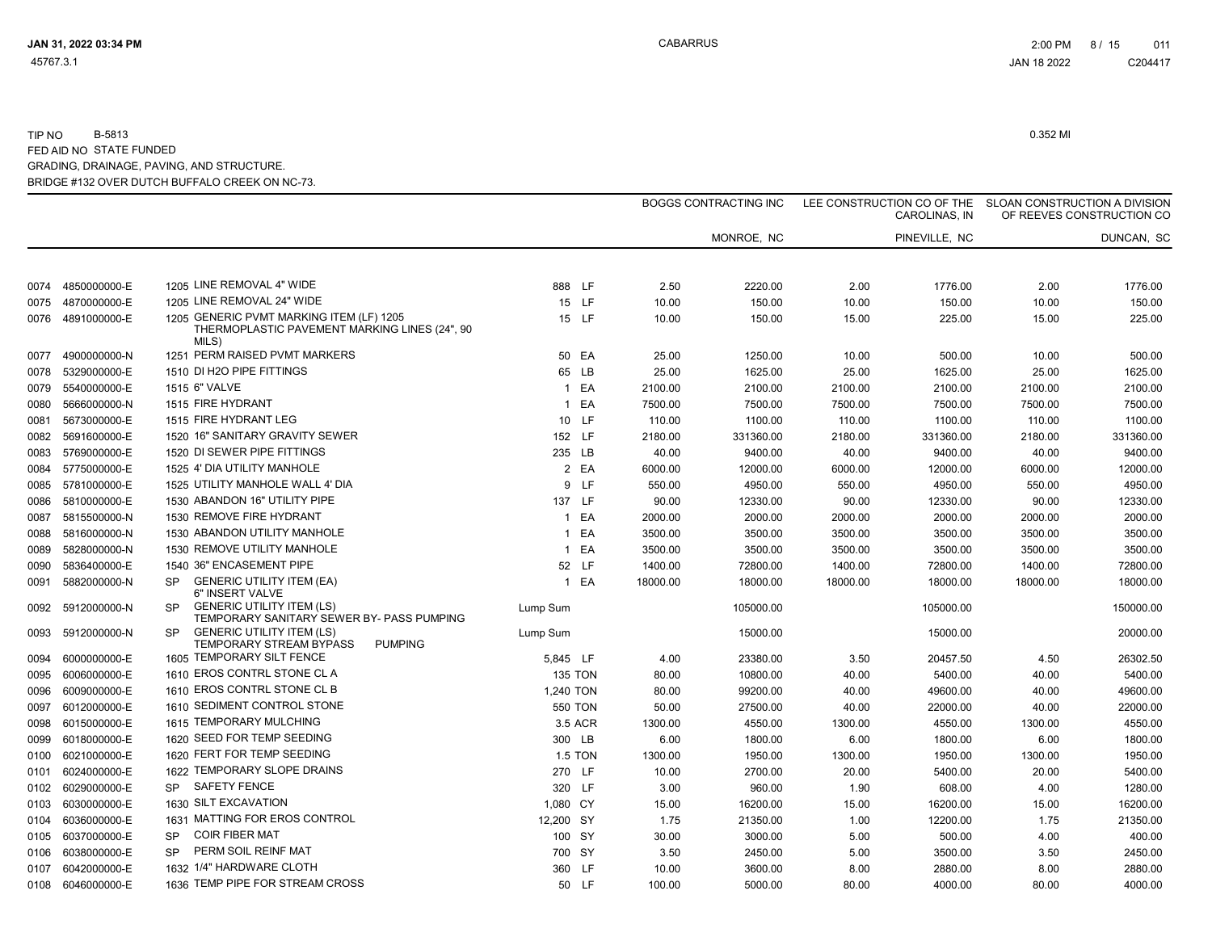|      |              |           |                                                                                                    |              |                |          | <b>BOGGS CONTRACTING INC</b> |          | LEE CONSTRUCTION CO OF THE SLOAN CONSTRUCTION A DIVISION<br>CAROLINAS, IN |          | OF REEVES CONSTRUCTION CO |
|------|--------------|-----------|----------------------------------------------------------------------------------------------------|--------------|----------------|----------|------------------------------|----------|---------------------------------------------------------------------------|----------|---------------------------|
|      |              |           |                                                                                                    |              |                |          | MONROE, NC                   |          | PINEVILLE, NC                                                             |          | DUNCAN, SC                |
| 0074 | 4850000000-E |           | 1205 LINE REMOVAL 4" WIDE                                                                          |              | 888 LF         | 2.50     | 2220.00                      | 2.00     | 1776.00                                                                   | 2.00     | 1776.00                   |
| 0075 | 4870000000-E |           | 1205 LINE REMOVAL 24" WIDE                                                                         |              | 15 LF          | 10.00    | 150.00                       | 10.00    | 150.00                                                                    | 10.00    | 150.00                    |
| 0076 | 4891000000-E |           | 1205 GENERIC PVMT MARKING ITEM (LF) 1205<br>THERMOPLASTIC PAVEMENT MARKING LINES (24", 90<br>MILS) |              | 15 LF          | 10.00    | 150.00                       | 15.00    | 225.00                                                                    | 15.00    | 225.00                    |
| 0077 | 4900000000-N |           | 1251 PERM RAISED PVMT MARKERS                                                                      |              | 50 EA          | 25.00    | 1250.00                      | 10.00    | 500.00                                                                    | 10.00    | 500.00                    |
| 0078 | 5329000000-E |           | 1510 DI H2O PIPE FITTINGS                                                                          |              | 65 LB          | 25.00    | 1625.00                      | 25.00    | 1625.00                                                                   | 25.00    | 1625.00                   |
| 0079 | 5540000000-E |           | 1515 6" VALVE                                                                                      |              | 1 EA           | 2100.00  | 2100.00                      | 2100.00  | 2100.00                                                                   | 2100.00  | 2100.00                   |
| 0080 | 5666000000-N |           | 1515 FIRE HYDRANT                                                                                  |              | 1 EA           | 7500.00  | 7500.00                      | 7500.00  | 7500.00                                                                   | 7500.00  | 7500.00                   |
| 0081 | 5673000000-E |           | 1515 FIRE HYDRANT LEG                                                                              |              | 10 LF          | 110.00   | 1100.00                      | 110.00   | 1100.00                                                                   | 110.00   | 1100.00                   |
| 0082 | 5691600000-E |           | 1520 16" SANITARY GRAVITY SEWER                                                                    |              | 152 LF         | 2180.00  | 331360.00                    | 2180.00  | 331360.00                                                                 | 2180.00  | 331360.00                 |
| 0083 | 5769000000-E |           | 1520 DI SEWER PIPE FITTINGS                                                                        |              | 235 LB         | 40.00    | 9400.00                      | 40.00    | 9400.00                                                                   | 40.00    | 9400.00                   |
| 0084 | 5775000000-E |           | 1525 4' DIA UTILITY MANHOLE                                                                        |              | 2 EA           | 6000.00  | 12000.00                     | 6000.00  | 12000.00                                                                  | 6000.00  | 12000.00                  |
| 0085 | 5781000000-E |           | 1525 UTILITY MANHOLE WALL 4' DIA                                                                   |              | 9 LF           | 550.00   | 4950.00                      | 550.00   | 4950.00                                                                   | 550.00   | 4950.00                   |
| 0086 | 5810000000-E |           | 1530 ABANDON 16" UTILITY PIPE                                                                      |              | 137 LF         | 90.00    | 12330.00                     | 90.00    | 12330.00                                                                  | 90.00    | 12330.00                  |
| 0087 | 5815500000-N |           | 1530 REMOVE FIRE HYDRANT                                                                           |              | 1 EA           | 2000.00  | 2000.00                      | 2000.00  | 2000.00                                                                   | 2000.00  | 2000.00                   |
| 0088 | 5816000000-N |           | 1530 ABANDON UTILITY MANHOLE                                                                       | $\mathbf{1}$ | EA             | 3500.00  | 3500.00                      | 3500.00  | 3500.00                                                                   | 3500.00  | 3500.00                   |
| 0089 | 5828000000-N |           | 1530 REMOVE UTILITY MANHOLE                                                                        |              | 1 EA           | 3500.00  | 3500.00                      | 3500.00  | 3500.00                                                                   | 3500.00  | 3500.00                   |
| 0090 | 5836400000-E |           | 1540 36" ENCASEMENT PIPE                                                                           |              | 52 LF          | 1400.00  | 72800.00                     | 1400.00  | 72800.00                                                                  | 1400.00  | 72800.00                  |
| 0091 | 5882000000-N | <b>SP</b> | <b>GENERIC UTILITY ITEM (EA)</b><br>6" INSERT VALVE                                                |              | 1 EA           | 18000.00 | 18000.00                     | 18000.00 | 18000.00                                                                  | 18000.00 | 18000.00                  |
| 0092 | 5912000000-N | <b>SP</b> | <b>GENERIC UTILITY ITEM (LS)</b><br>TEMPORARY SANITARY SEWER BY- PASS PUMPING                      | Lump Sum     |                |          | 105000.00                    |          | 105000.00                                                                 |          | 150000.00                 |
| 0093 | 5912000000-N | <b>SP</b> | <b>GENERIC UTILITY ITEM (LS)</b><br><b>TEMPORARY STREAM BYPASS</b><br><b>PUMPING</b>               | Lump Sum     |                |          | 15000.00                     |          | 15000.00                                                                  |          | 20000.00                  |
| 0094 | 6000000000-E |           | 1605 TEMPORARY SILT FENCE                                                                          | 5,845 LF     |                | 4.00     | 23380.00                     | 3.50     | 20457.50                                                                  | 4.50     | 26302.50                  |
| 0095 | 6006000000-E |           | 1610 EROS CONTRL STONE CL A                                                                        |              | <b>135 TON</b> | 80.00    | 10800.00                     | 40.00    | 5400.00                                                                   | 40.00    | 5400.00                   |
| 0096 | 6009000000-E |           | 1610 EROS CONTRL STONE CL B                                                                        | 1,240 TON    |                | 80.00    | 99200.00                     | 40.00    | 49600.00                                                                  | 40.00    | 49600.00                  |
| 0097 | 6012000000-E |           | 1610 SEDIMENT CONTROL STONE                                                                        |              | 550 TON        | 50.00    | 27500.00                     | 40.00    | 22000.00                                                                  | 40.00    | 22000.00                  |
| 0098 | 6015000000-E |           | 1615 TEMPORARY MULCHING                                                                            |              | 3.5 ACR        | 1300.00  | 4550.00                      | 1300.00  | 4550.00                                                                   | 1300.00  | 4550.00                   |
| 0099 | 6018000000-E |           | 1620 SEED FOR TEMP SEEDING                                                                         |              | 300 LB         | 6.00     | 1800.00                      | 6.00     | 1800.00                                                                   | 6.00     | 1800.00                   |
| 0100 | 6021000000-E |           | 1620 FERT FOR TEMP SEEDING                                                                         |              | <b>1.5 TON</b> | 1300.00  | 1950.00                      | 1300.00  | 1950.00                                                                   | 1300.00  | 1950.00                   |
| 0101 | 6024000000-E |           | 1622 TEMPORARY SLOPE DRAINS                                                                        |              | 270 LF         | 10.00    | 2700.00                      | 20.00    | 5400.00                                                                   | 20.00    | 5400.00                   |
| 0102 | 6029000000-E | <b>SP</b> | <b>SAFETY FENCE</b>                                                                                |              | 320 LF         | 3.00     | 960.00                       | 1.90     | 608.00                                                                    | 4.00     | 1280.00                   |
| 0103 | 6030000000-E |           | 1630 SILT EXCAVATION                                                                               | 1,080 CY     |                | 15.00    | 16200.00                     | 15.00    | 16200.00                                                                  | 15.00    | 16200.00                  |
| 0104 | 6036000000-E |           | 1631 MATTING FOR EROS CONTROL                                                                      | 12,200 SY    |                | 1.75     | 21350.00                     | 1.00     | 12200.00                                                                  | 1.75     | 21350.00                  |
| 0105 | 6037000000-E | <b>SP</b> | <b>COIR FIBER MAT</b>                                                                              |              | 100 SY         | 30.00    | 3000.00                      | 5.00     | 500.00                                                                    | 4.00     | 400.00                    |
| 0106 | 6038000000-E | SP.       | PERM SOIL REINF MAT                                                                                |              | 700 SY         | 3.50     | 2450.00                      | 5.00     | 3500.00                                                                   | 3.50     | 2450.00                   |
| 0107 | 6042000000-E |           | 1632 1/4" HARDWARE CLOTH                                                                           |              | 360 LF         | 10.00    | 3600.00                      | 8.00     | 2880.00                                                                   | 8.00     | 2880.00                   |
| 0108 | 6046000000-E |           | 1636 TEMP PIPE FOR STREAM CROSS                                                                    |              | 50 LF          | 100.00   | 5000.00                      | 80.00    | 4000.00                                                                   | 80.00    | 4000.00                   |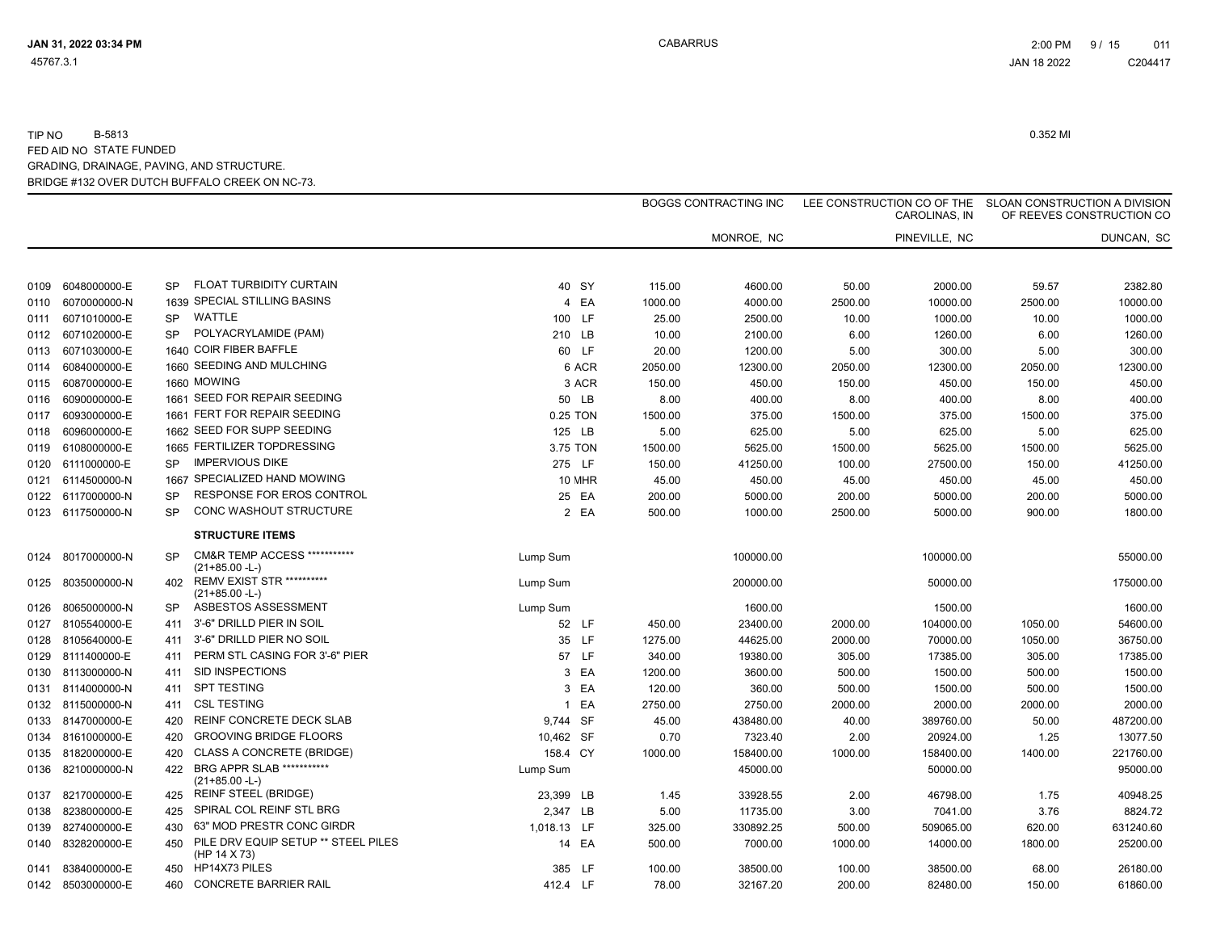|      |                   |           |                                                             |             |        |         | <b>BOGGS CONTRACTING INC</b> |         | LEE CONSTRUCTION CO OF THE<br>CAROLINAS, IN |         | SLOAN CONSTRUCTION A DIVISION<br>OF REEVES CONSTRUCTION CO |
|------|-------------------|-----------|-------------------------------------------------------------|-------------|--------|---------|------------------------------|---------|---------------------------------------------|---------|------------------------------------------------------------|
|      |                   |           |                                                             |             |        |         | MONROE, NC                   |         | PINEVILLE, NC                               |         | DUNCAN, SC                                                 |
| 0109 | 6048000000-E      | <b>SP</b> | FLOAT TURBIDITY CURTAIN                                     |             | 40 SY  | 115.00  | 4600.00                      | 50.00   | 2000.00                                     | 59.57   | 2382.80                                                    |
| 0110 | 6070000000-N      |           | 1639 SPECIAL STILLING BASINS                                |             | 4 EA   | 1000.00 | 4000.00                      | 2500.00 | 10000.00                                    | 2500.00 | 10000.00                                                   |
| 0111 | 6071010000-E      | <b>SP</b> | <b>WATTLE</b>                                               | 100 LF      |        | 25.00   | 2500.00                      | 10.00   | 1000.00                                     | 10.00   | 1000.00                                                    |
| 0112 | 6071020000-E      | <b>SP</b> | POLYACRYLAMIDE (PAM)                                        | 210 LB      |        | 10.00   | 2100.00                      | 6.00    | 1260.00                                     | 6.00    | 1260.00                                                    |
| 0113 | 6071030000-E      |           | 1640 COIR FIBER BAFFLE                                      |             | 60 LF  | 20.00   | 1200.00                      | 5.00    | 300.00                                      | 5.00    | 300.00                                                     |
| 0114 | 6084000000-E      |           | 1660 SEEDING AND MULCHING                                   |             | 6 ACR  | 2050.00 | 12300.00                     | 2050.00 | 12300.00                                    | 2050.00 | 12300.00                                                   |
| 0115 | 6087000000-E      |           | 1660 MOWING                                                 |             | 3 ACR  | 150.00  | 450.00                       | 150.00  | 450.00                                      | 150.00  | 450.00                                                     |
| 0116 | 6090000000-E      |           | 1661 SEED FOR REPAIR SEEDING                                |             | 50 LB  | 8.00    | 400.00                       | 8.00    | 400.00                                      | 8.00    | 400.00                                                     |
| 0117 | 6093000000-E      |           | 1661 FERT FOR REPAIR SEEDING                                | 0.25 TON    |        | 1500.00 | 375.00                       | 1500.00 | 375.00                                      | 1500.00 | 375.00                                                     |
| 0118 | 6096000000-E      |           | 1662 SEED FOR SUPP SEEDING                                  | 125 LB      |        | 5.00    | 625.00                       | 5.00    | 625.00                                      | 5.00    | 625.00                                                     |
| 0119 | 6108000000-E      |           | 1665 FERTILIZER TOPDRESSING                                 | 3.75 TON    |        | 1500.00 | 5625.00                      | 1500.00 | 5625.00                                     | 1500.00 | 5625.00                                                    |
| 0120 | 6111000000-E      | <b>SP</b> | <b>IMPERVIOUS DIKE</b>                                      | 275 LF      |        | 150.00  | 41250.00                     | 100.00  | 27500.00                                    | 150.00  | 41250.00                                                   |
| 0121 | 6114500000-N      | 1667      | SPECIALIZED HAND MOWING                                     |             | 10 MHR | 45.00   | 450.00                       | 45.00   | 450.00                                      | 45.00   | 450.00                                                     |
|      | 0122 6117000000-N | <b>SP</b> | RESPONSE FOR EROS CONTROL                                   |             | 25 EA  | 200.00  | 5000.00                      | 200.00  | 5000.00                                     | 200.00  | 5000.00                                                    |
|      | 0123 6117500000-N | <b>SP</b> | <b>CONC WASHOUT STRUCTURE</b>                               |             | 2 EA   | 500.00  | 1000.00                      | 2500.00 | 5000.00                                     | 900.00  | 1800.00                                                    |
|      |                   |           | <b>STRUCTURE ITEMS</b>                                      |             |        |         |                              |         |                                             |         |                                                            |
| 0124 | 8017000000-N      | <b>SP</b> | <b>CM&amp;R TEMP ACCESS ***********</b><br>$(21+85.00 - L)$ | Lump Sum    |        |         | 100000.00                    |         | 100000.00                                   |         | 55000.00                                                   |
| 0125 | 8035000000-N      | 402       | <b>REMV EXIST STR **********</b><br>$(21+85.00 - L)$        | Lump Sum    |        |         | 200000.00                    |         | 50000.00                                    |         | 175000.00                                                  |
| 0126 | 8065000000-N      | <b>SP</b> | ASBESTOS ASSESSMENT                                         | Lump Sum    |        |         | 1600.00                      |         | 1500.00                                     |         | 1600.00                                                    |
| 0127 | 8105540000-E      | 411       | 3'-6" DRILLD PIER IN SOIL                                   |             | 52 LF  | 450.00  | 23400.00                     | 2000.00 | 104000.00                                   | 1050.00 | 54600.00                                                   |
| 0128 | 8105640000-E      | 411       | 3'-6" DRILLD PIER NO SOIL                                   |             | 35 LF  | 1275.00 | 44625.00                     | 2000.00 | 70000.00                                    | 1050.00 | 36750.00                                                   |
| 0129 | 8111400000-E      | 411       | PERM STL CASING FOR 3'-6" PIER                              |             | 57 LF  | 340.00  | 19380.00                     | 305.00  | 17385.00                                    | 305.00  | 17385.00                                                   |
| 0130 | 8113000000-N      | 411       | SID INSPECTIONS                                             |             | 3 EA   | 1200.00 | 3600.00                      | 500.00  | 1500.00                                     | 500.00  | 1500.00                                                    |
| 0131 | 8114000000-N      | 411       | <b>SPT TESTING</b>                                          |             | 3 EA   | 120.00  | 360.00                       | 500.00  | 1500.00                                     | 500.00  | 1500.00                                                    |
|      | 0132 8115000000-N | 411       | <b>CSL TESTING</b>                                          |             | 1 EA   | 2750.00 | 2750.00                      | 2000.00 | 2000.00                                     | 2000.00 | 2000.00                                                    |
| 0133 | 8147000000-E      | 420       | REINF CONCRETE DECK SLAB                                    | 9,744 SF    |        | 45.00   | 438480.00                    | 40.00   | 389760.00                                   | 50.00   | 487200.00                                                  |
| 0134 | 8161000000-E      | 420       | <b>GROOVING BRIDGE FLOORS</b>                               | 10,462 SF   |        | 0.70    | 7323.40                      | 2.00    | 20924.00                                    | 1.25    | 13077.50                                                   |
| 0135 | 8182000000-E      | 420       | <b>CLASS A CONCRETE (BRIDGE)</b>                            | 158.4 CY    |        | 1000.00 | 158400.00                    | 1000.00 | 158400.00                                   | 1400.00 | 221760.00                                                  |
| 0136 | 8210000000-N      | 422       | BRG APPR SLAB ***********<br>$(21+85.00 - L)$               | Lump Sum    |        |         | 45000.00                     |         | 50000.00                                    |         | 95000.00                                                   |
| 0137 | 8217000000-E      | 425       | <b>REINF STEEL (BRIDGE)</b>                                 | 23,399 LB   |        | 1.45    | 33928.55                     | 2.00    | 46798.00                                    | 1.75    | 40948.25                                                   |
| 0138 | 8238000000-E      | 425       | SPIRAL COL REINF STL BRG                                    | 2,347 LB    |        | 5.00    | 11735.00                     | 3.00    | 7041.00                                     | 3.76    | 8824.72                                                    |
| 0139 | 8274000000-E      | 430       | 63" MOD PRESTR CONC GIRDR                                   | 1,018.13 LF |        | 325.00  | 330892.25                    | 500.00  | 509065.00                                   | 620.00  | 631240.60                                                  |
| 0140 | 8328200000-E      | 450       | PILE DRV EQUIP SETUP ** STEEL PILES<br>(HP 14 X 73)         |             | 14 EA  | 500.00  | 7000.00                      | 1000.00 | 14000.00                                    | 1800.00 | 25200.00                                                   |
| 0141 | 8384000000-E      | 450       | HP14X73 PILES                                               | 385 LF      |        | 100.00  | 38500.00                     | 100.00  | 38500.00                                    | 68.00   | 26180.00                                                   |
|      | 0142 8503000000-E | 460       | <b>CONCRETE BARRIER RAIL</b>                                | 412.4 LF    |        | 78.00   | 32167.20                     | 200.00  | 82480.00                                    | 150.00  | 61860.00                                                   |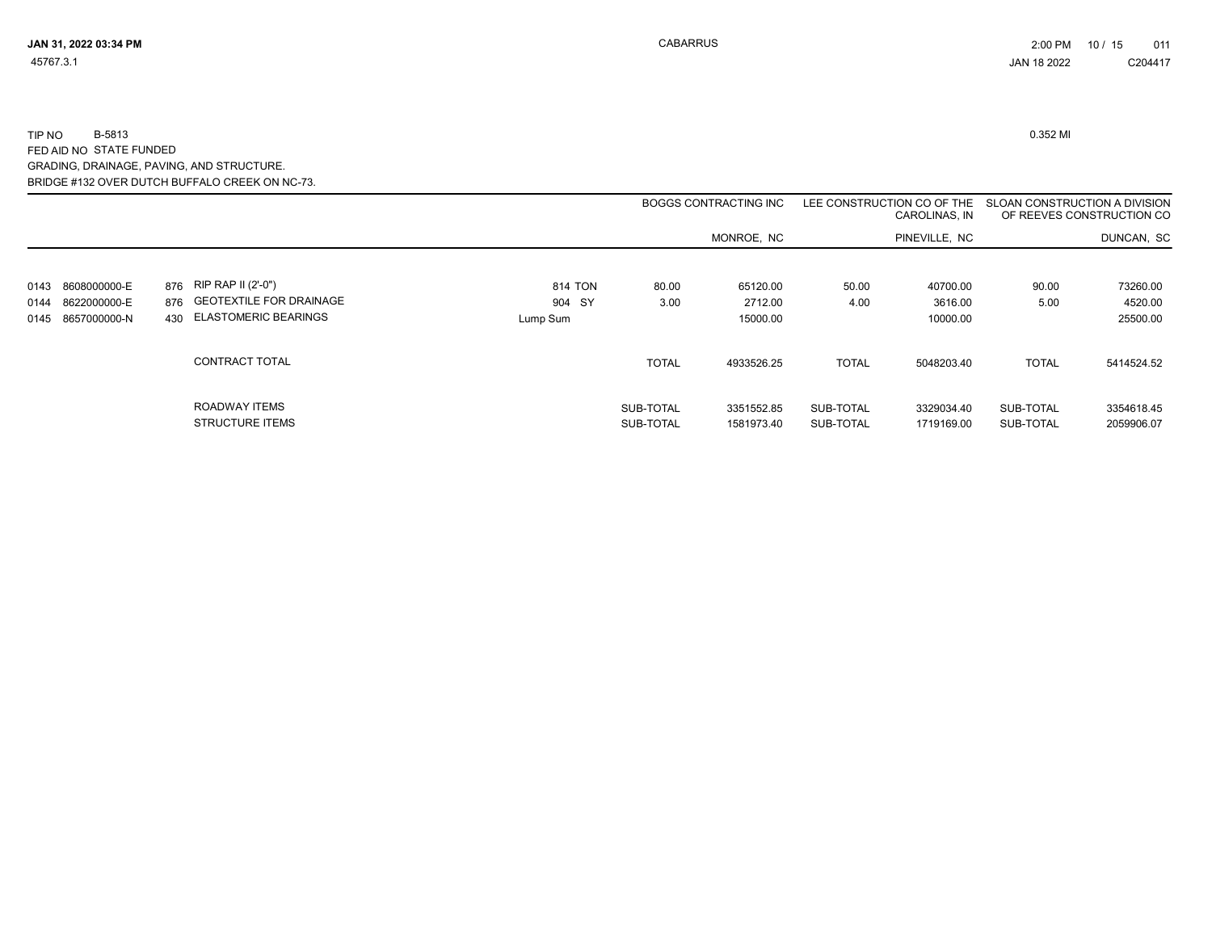|      |              |                                         |          |                        | <b>BOGGS CONTRACTING INC</b> |                        | LEE CONSTRUCTION CO OF THE<br>CAROLINAS, IN | SLOAN CONSTRUCTION A DIVISION | OF REEVES CONSTRUCTION CO |
|------|--------------|-----------------------------------------|----------|------------------------|------------------------------|------------------------|---------------------------------------------|-------------------------------|---------------------------|
|      |              |                                         |          |                        | MONROE, NC                   |                        | PINEVILLE, NC                               |                               | DUNCAN, SC                |
| 0143 | 8608000000-E | 876 RIP RAP II (2'-0")                  | 814 TON  | 80.00                  | 65120.00                     | 50.00                  | 40700.00                                    | 90.00                         | 73260.00                  |
| 0144 | 8622000000-E | 876 GEOTEXTILE FOR DRAINAGE             | 904 SY   | 3.00                   | 2712.00                      | 4.00                   | 3616.00                                     | 5.00                          | 4520.00                   |
| 0145 | 8657000000-N | 430 ELASTOMERIC BEARINGS                | Lump Sum |                        | 15000.00                     |                        | 10000.00                                    |                               | 25500.00                  |
|      |              | CONTRACT TOTAL                          |          | <b>TOTAL</b>           | 4933526.25                   | <b>TOTAL</b>           | 5048203.40                                  | <b>TOTAL</b>                  | 5414524.52                |
|      |              | ROADWAY ITEMS<br><b>STRUCTURE ITEMS</b> |          | SUB-TOTAL<br>SUB-TOTAL | 3351552.85<br>1581973.40     | SUB-TOTAL<br>SUB-TOTAL | 3329034.40<br>1719169.00                    | SUB-TOTAL<br>SUB-TOTAL        | 3354618.45<br>2059906.07  |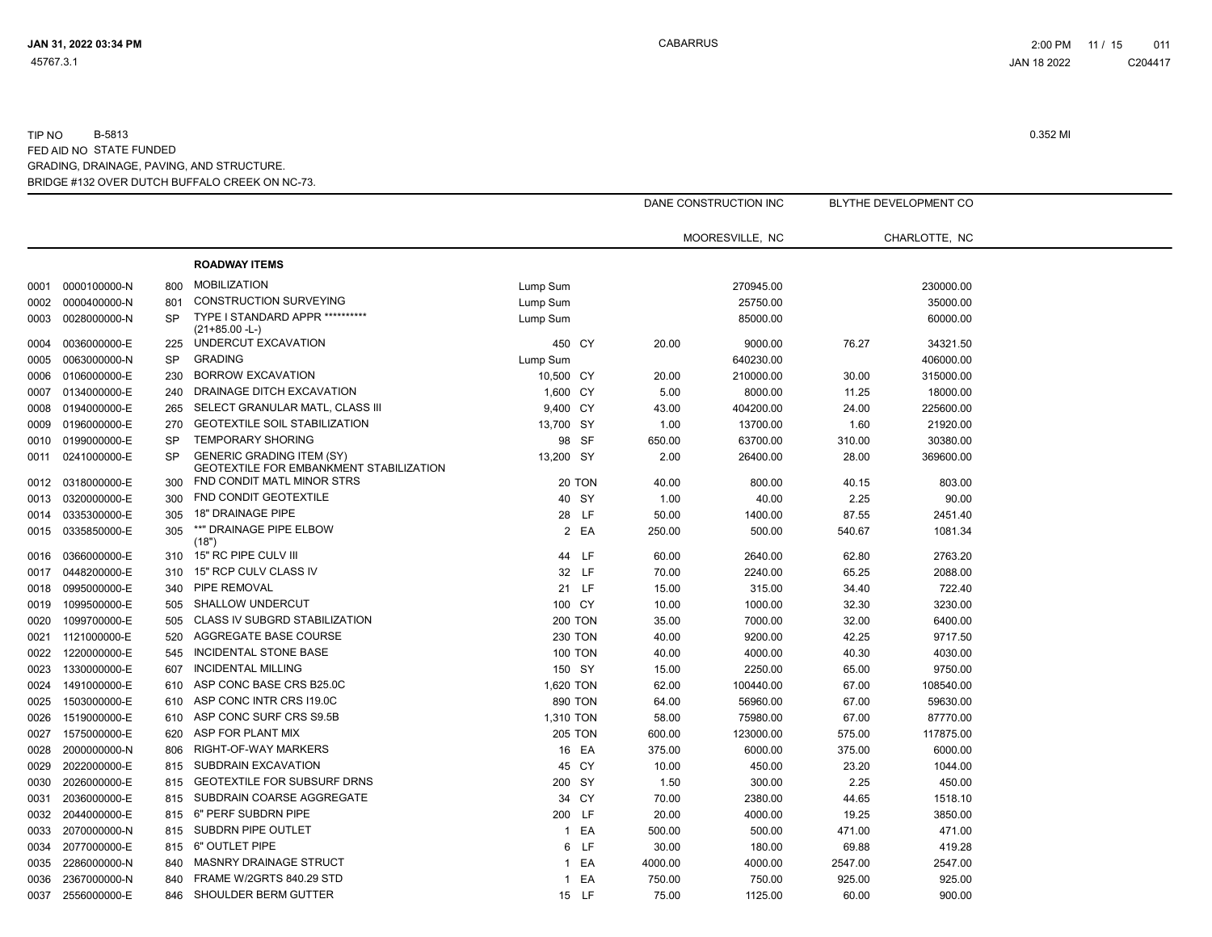|      |              |           |                                                                                    |                |         | DANE CONSTRUCTION INC |         | BLYTHE DEVELOPMENT CO |  |
|------|--------------|-----------|------------------------------------------------------------------------------------|----------------|---------|-----------------------|---------|-----------------------|--|
|      |              |           |                                                                                    |                |         | MOORESVILLE, NC       |         | CHARLOTTE, NC         |  |
|      |              |           | <b>ROADWAY ITEMS</b>                                                               |                |         |                       |         |                       |  |
| 0001 | 0000100000-N | 800       | <b>MOBILIZATION</b>                                                                | Lump Sum       |         | 270945.00             |         | 230000.00             |  |
| 0002 | 0000400000-N | 801       | <b>CONSTRUCTION SURVEYING</b>                                                      | Lump Sum       |         | 25750.00              |         | 35000.00              |  |
| 0003 | 0028000000-N | <b>SP</b> | TYPE I STANDARD APPR **********                                                    | Lump Sum       |         | 85000.00              |         | 60000.00              |  |
|      |              |           | $(21+85.00 - L)$                                                                   |                |         |                       |         |                       |  |
| 0004 | 0036000000-E | 225       | UNDERCUT EXCAVATION                                                                | 450 CY         | 20.00   | 9000.00               | 76.27   | 34321.50              |  |
| 0005 | 0063000000-N | <b>SP</b> | <b>GRADING</b>                                                                     | Lump Sum       |         | 640230.00             |         | 406000.00             |  |
| 0006 | 0106000000-E | 230       | <b>BORROW EXCAVATION</b>                                                           | 10,500 CY      | 20.00   | 210000.00             | 30.00   | 315000.00             |  |
| 0007 | 0134000000-E | 240       | DRAINAGE DITCH EXCAVATION                                                          | 1,600 CY       | 5.00    | 8000.00               | 11.25   | 18000.00              |  |
| 0008 | 0194000000-E | 265       | SELECT GRANULAR MATL, CLASS III                                                    | 9,400 CY       | 43.00   | 404200.00             | 24.00   | 225600.00             |  |
| 0009 | 0196000000-E | 270       | <b>GEOTEXTILE SOIL STABILIZATION</b>                                               | 13,700 SY      | 1.00    | 13700.00              | 1.60    | 21920.00              |  |
| 0010 | 0199000000-E | <b>SP</b> | <b>TEMPORARY SHORING</b>                                                           | 98 SF          | 650.00  | 63700.00              | 310.00  | 30380.00              |  |
| 0011 | 0241000000-E | <b>SP</b> | <b>GENERIC GRADING ITEM (SY)</b><br><b>GEOTEXTILE FOR EMBANKMENT STABILIZATION</b> | 13,200 SY      | 2.00    | 26400.00              | 28.00   | 369600.00             |  |
| 0012 | 0318000000-E | 300       | FND CONDIT MATL MINOR STRS                                                         | 20 TON         | 40.00   | 800.00                | 40.15   | 803.00                |  |
| 0013 | 0320000000-E | 300       | <b>FND CONDIT GEOTEXTILE</b>                                                       | 40 SY          | 1.00    | 40.00                 | 2.25    | 90.00                 |  |
| 0014 | 0335300000-E | 305       | <b>18" DRAINAGE PIPE</b>                                                           | 28 LF          | 50.00   | 1400.00               | 87.55   | 2451.40               |  |
| 0015 | 0335850000-E | 305       | **" DRAINAGE PIPE ELBOW<br>(18")                                                   | 2 EA           | 250.00  | 500.00                | 540.67  | 1081.34               |  |
| 0016 | 0366000000-E | 310       | 15" RC PIPE CULV III                                                               | 44 LF          | 60.00   | 2640.00               | 62.80   | 2763.20               |  |
| 0017 | 0448200000-E | 310       | 15" RCP CULV CLASS IV                                                              | 32 LF          | 70.00   | 2240.00               | 65.25   | 2088.00               |  |
| 0018 | 0995000000-E | 340       | PIPE REMOVAL                                                                       | 21 LF          | 15.00   | 315.00                | 34.40   | 722.40                |  |
| 0019 | 1099500000-E | 505       | <b>SHALLOW UNDERCUT</b>                                                            | 100 CY         | 10.00   | 1000.00               | 32.30   | 3230.00               |  |
| 0020 | 1099700000-E | 505       | CLASS IV SUBGRD STABILIZATION                                                      | <b>200 TON</b> | 35.00   | 7000.00               | 32.00   | 6400.00               |  |
| 0021 | 1121000000-E | 520       | AGGREGATE BASE COURSE                                                              | <b>230 TON</b> | 40.00   | 9200.00               | 42.25   | 9717.50               |  |
| 0022 | 1220000000-E | 545       | <b>INCIDENTAL STONE BASE</b>                                                       | <b>100 TON</b> | 40.00   | 4000.00               | 40.30   | 4030.00               |  |
| 0023 | 1330000000-E | 607       | <b>INCIDENTAL MILLING</b>                                                          | 150 SY         | 15.00   | 2250.00               | 65.00   | 9750.00               |  |
| 0024 | 1491000000-E | 610       | ASP CONC BASE CRS B25.0C                                                           | 1,620 TON      | 62.00   | 100440.00             | 67.00   | 108540.00             |  |
| 0025 | 1503000000-E | 610       | ASP CONC INTR CRS 119.0C                                                           | 890 TON        | 64.00   | 56960.00              | 67.00   | 59630.00              |  |
| 0026 | 1519000000-E | 610       | ASP CONC SURF CRS S9.5B                                                            | 1,310 TON      | 58.00   | 75980.00              | 67.00   | 87770.00              |  |
| 0027 | 1575000000-E | 620       | ASP FOR PLANT MIX                                                                  | <b>205 TON</b> | 600.00  | 123000.00             | 575.00  | 117875.00             |  |
| 0028 | 2000000000-N | 806       | RIGHT-OF-WAY MARKERS                                                               | 16 EA          | 375.00  | 6000.00               | 375.00  | 6000.00               |  |
| 0029 | 2022000000-E | 815       | SUBDRAIN EXCAVATION                                                                | 45 CY          | 10.00   | 450.00                | 23.20   | 1044.00               |  |
| 0030 | 2026000000-E | 815       | <b>GEOTEXTILE FOR SUBSURF DRNS</b>                                                 | 200 SY         | 1.50    | 300.00                | 2.25    | 450.00                |  |
| 0031 | 2036000000-E | 815       | SUBDRAIN COARSE AGGREGATE                                                          | 34 CY          | 70.00   | 2380.00               | 44.65   | 1518.10               |  |
| 0032 | 2044000000-E | 815       | 6" PERF SUBDRN PIPE                                                                | 200 LF         | 20.00   | 4000.00               | 19.25   | 3850.00               |  |
|      |              | 815       | SUBDRN PIPE OUTLET                                                                 |                |         |                       |         | 471.00                |  |
| 0033 | 2070000000-N |           | 6" OUTLET PIPE                                                                     | 1 EA           | 500.00  | 500.00                | 471.00  |                       |  |
| 0034 | 2077000000-E | 815       |                                                                                    | 6 LF           | 30.00   | 180.00                | 69.88   | 419.28                |  |
| 0035 | 2286000000-N | 840       | MASNRY DRAINAGE STRUCT<br>FRAME W/2GRTS 840.29 STD                                 | 1 EA           | 4000.00 | 4000.00               | 2547.00 | 2547.00               |  |
| 0036 | 2367000000-N | 840       |                                                                                    | 1 EA           | 750.00  | 750.00                | 925.00  | 925.00                |  |
| 0037 | 2556000000-E | 846       | SHOULDER BERM GUTTER                                                               | 15 LF          | 75.00   | 1125.00               | 60.00   | 900.00                |  |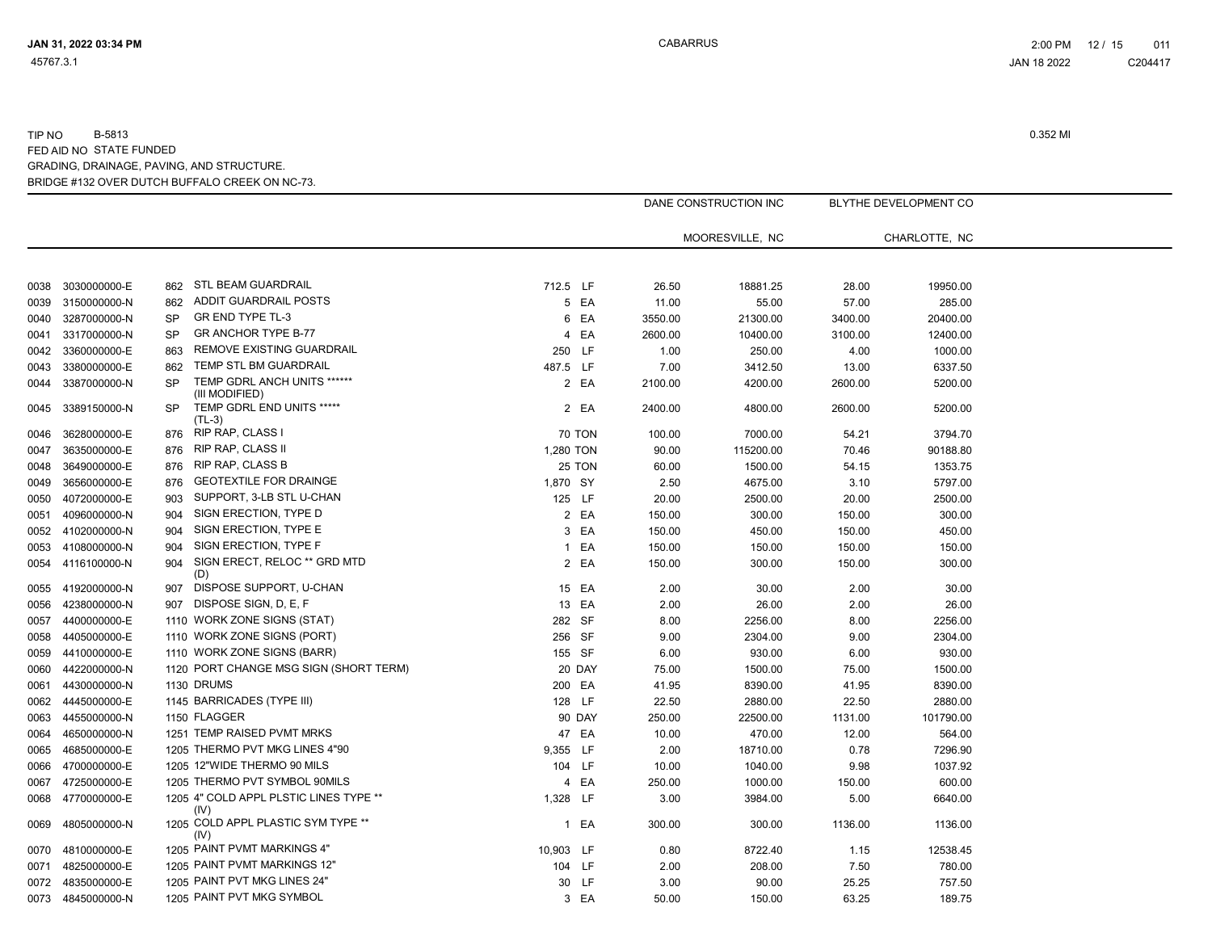|      |                   |           |                                                |                |               |         | DANE CONSTRUCTION INC |         | BLYTHE DEVELOPMENT CO |  |
|------|-------------------|-----------|------------------------------------------------|----------------|---------------|---------|-----------------------|---------|-----------------------|--|
|      |                   |           |                                                |                |               |         | MOORESVILLE, NC       |         | CHARLOTTE, NC         |  |
|      |                   |           |                                                |                |               |         |                       |         |                       |  |
| 0038 | 3030000000-E      | 862       | STL BEAM GUARDRAIL                             | 712.5 LF       |               | 26.50   | 18881.25              | 28.00   | 19950.00              |  |
| 0039 | 3150000000-N      | 862       | ADDIT GUARDRAIL POSTS                          |                | 5 EA          | 11.00   | 55.00                 | 57.00   | 285.00                |  |
| 0040 | 3287000000-N      | <b>SP</b> | GR END TYPE TL-3                               |                | 6 EA          | 3550.00 | 21300.00              | 3400.00 | 20400.00              |  |
| 0041 | 3317000000-N      | SP        | <b>GR ANCHOR TYPE B-77</b>                     | $\overline{4}$ | EA            | 2600.00 | 10400.00              | 3100.00 | 12400.00              |  |
| 0042 | 3360000000-E      | 863       | <b>REMOVE EXISTING GUARDRAIL</b>               | 250 LF         |               | 1.00    | 250.00                | 4.00    | 1000.00               |  |
| 0043 | 3380000000-E      | 862       | TEMP STL BM GUARDRAIL                          | 487.5 LF       |               | 7.00    | 3412.50               | 13.00   | 6337.50               |  |
| 0044 | 3387000000-N      | <b>SP</b> | TEMP GDRL ANCH UNITS ******<br>(III MODIFIED)  |                | 2 EA          | 2100.00 | 4200.00               | 2600.00 | 5200.00               |  |
| 0045 | 3389150000-N      | SP        | TEMP GDRL END UNITS *****<br>$(TL-3)$          |                | 2 EA          | 2400.00 | 4800.00               | 2600.00 | 5200.00               |  |
| 0046 | 3628000000-E      | 876       | RIP RAP, CLASS I                               |                | <b>70 TON</b> | 100.00  | 7000.00               | 54.21   | 3794.70               |  |
| 0047 | 3635000000-E      | 876       | <b>RIP RAP, CLASS II</b>                       | 1,280 TON      |               | 90.00   | 115200.00             | 70.46   | 90188.80              |  |
| 0048 | 3649000000-E      | 876       | <b>RIP RAP, CLASS B</b>                        |                | 25 TON        | 60.00   | 1500.00               | 54.15   | 1353.75               |  |
| 0049 | 3656000000-E      | 876       | <b>GEOTEXTILE FOR DRAINGE</b>                  | 1,870 SY       |               | 2.50    | 4675.00               | 3.10    | 5797.00               |  |
| 0050 | 4072000000-E      | 903       | SUPPORT, 3-LB STL U-CHAN                       | 125 LF         |               | 20.00   | 2500.00               | 20.00   | 2500.00               |  |
| 0051 | 4096000000-N      | 904       | SIGN ERECTION, TYPE D                          |                | 2 EA          | 150.00  | 300.00                | 150.00  | 300.00                |  |
| 0052 | 4102000000-N      | 904       | SIGN ERECTION, TYPE E                          |                | 3 EA          | 150.00  | 450.00                | 150.00  | 450.00                |  |
| 0053 | 4108000000-N      | 904       | SIGN ERECTION, TYPE F                          |                | 1 EA          | 150.00  | 150.00                | 150.00  | 150.00                |  |
| 0054 | 4116100000-N      | 904       | SIGN ERECT, RELOC ** GRD MTD<br>(D)            |                | 2 EA          | 150.00  | 300.00                | 150.00  | 300.00                |  |
| 0055 | 4192000000-N      | 907       | DISPOSE SUPPORT, U-CHAN                        |                | 15 EA         | 2.00    | 30.00                 | 2.00    | 30.00                 |  |
| 0056 | 4238000000-N      | 907       | DISPOSE SIGN, D, E, F                          |                | 13 EA         | 2.00    | 26.00                 | 2.00    | 26.00                 |  |
| 0057 | 4400000000-E      |           | 1110 WORK ZONE SIGNS (STAT)                    | 282 SF         |               | 8.00    | 2256.00               | 8.00    | 2256.00               |  |
| 0058 | 4405000000-E      |           | 1110 WORK ZONE SIGNS (PORT)                    | 256 SF         |               | 9.00    | 2304.00               | 9.00    | 2304.00               |  |
| 0059 | 4410000000-E      |           | 1110 WORK ZONE SIGNS (BARR)                    | 155 SF         |               | 6.00    | 930.00                | 6.00    | 930.00                |  |
| 0060 | 4422000000-N      |           | 1120 PORT CHANGE MSG SIGN (SHORT TERM)         |                | 20 DAY        | 75.00   | 1500.00               | 75.00   | 1500.00               |  |
| 0061 | 4430000000-N      |           | 1130 DRUMS                                     | 200 EA         |               | 41.95   | 8390.00               | 41.95   | 8390.00               |  |
| 0062 | 4445000000-E      |           | 1145 BARRICADES (TYPE III)                     | 128 LF         |               | 22.50   | 2880.00               | 22.50   | 2880.00               |  |
| 0063 | 4455000000-N      |           | 1150 FLAGGER                                   |                | 90 DAY        | 250.00  | 22500.00              | 1131.00 | 101790.00             |  |
| 0064 | 4650000000-N      |           | 1251 TEMP RAISED PVMT MRKS                     |                | 47 EA         | 10.00   | 470.00                | 12.00   | 564.00                |  |
| 0065 | 4685000000-E      |           | 1205 THERMO PVT MKG LINES 4"90                 | 9,355 LF       |               | 2.00    | 18710.00              | 0.78    | 7296.90               |  |
| 0066 | 4700000000-E      |           | 1205 12"WIDE THERMO 90 MILS                    | 104 LF         |               | 10.00   | 1040.00               | 9.98    | 1037.92               |  |
| 0067 | 4725000000-E      |           | 1205 THERMO PVT SYMBOL 90MILS                  | $\overline{4}$ | EA            | 250.00  | 1000.00               | 150.00  | 600.00                |  |
| 0068 | 4770000000-E      |           | 1205 4" COLD APPL PLSTIC LINES TYPE **<br>(IV) | 1,328 LF       |               | 3.00    | 3984.00               | 5.00    | 6640.00               |  |
| 0069 | 4805000000-N      |           | 1205 COLD APPL PLASTIC SYM TYPE **<br>(IV)     |                | 1 EA          | 300.00  | 300.00                | 1136.00 | 1136.00               |  |
| 0070 | 4810000000-E      |           | 1205 PAINT PVMT MARKINGS 4"                    | 10,903 LF      |               | 0.80    | 8722.40               | 1.15    | 12538.45              |  |
| 0071 | 4825000000-E      |           | 1205 PAINT PVMT MARKINGS 12"                   | 104 LF         |               | 2.00    | 208.00                | 7.50    | 780.00                |  |
| 0072 | 4835000000-E      |           | 1205 PAINT PVT MKG LINES 24"                   |                | 30 LF         | 3.00    | 90.00                 | 25.25   | 757.50                |  |
|      | 0073 4845000000-N |           | 1205 PAINT PVT MKG SYMBOL                      |                | 3 EA          | 50.00   | 150.00                | 63.25   | 189.75                |  |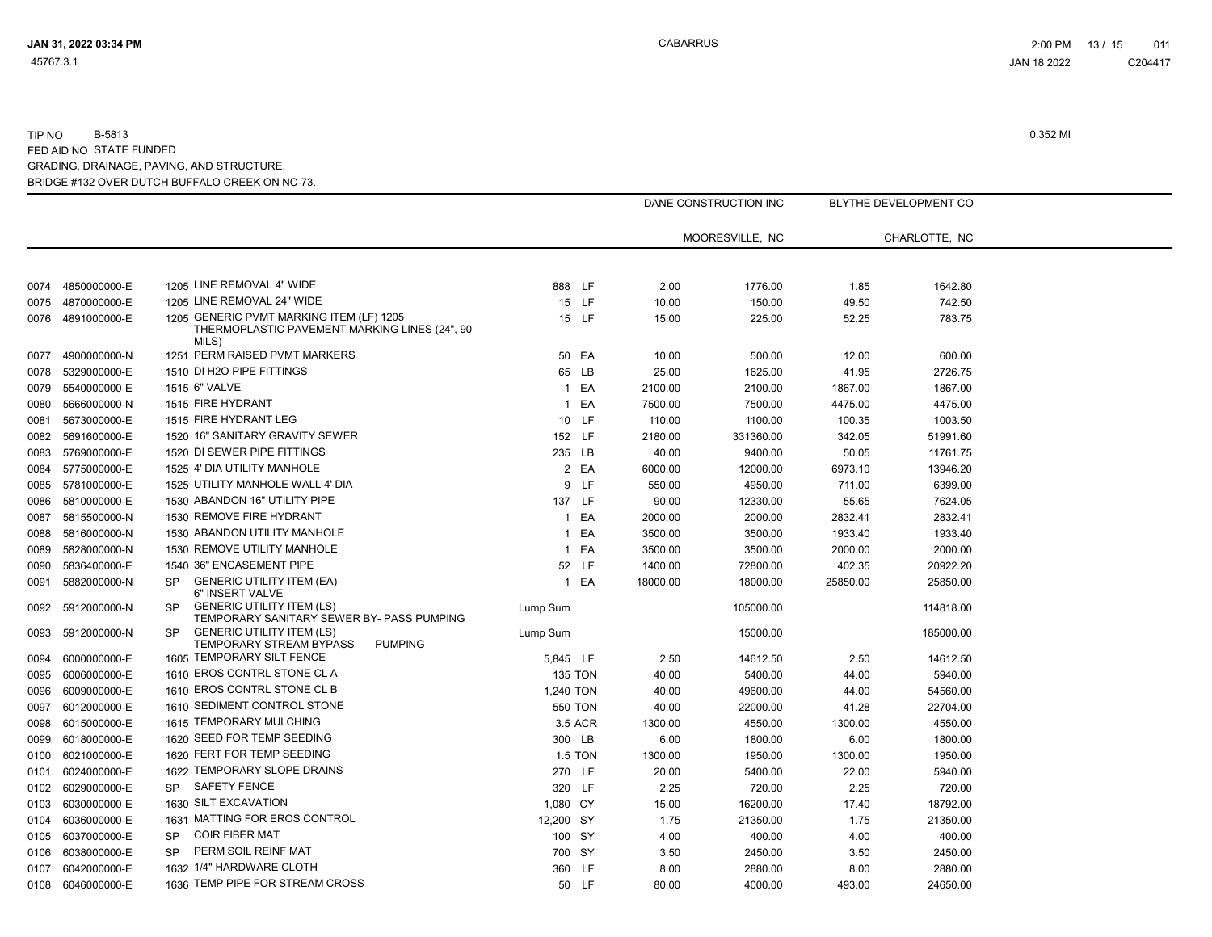|      |                   |           |                                                                                                    |                |         |          | DANE CONSTRUCTION INC |          | <b>BLYTHE DEVELOPMENT CO</b> |
|------|-------------------|-----------|----------------------------------------------------------------------------------------------------|----------------|---------|----------|-----------------------|----------|------------------------------|
|      |                   |           |                                                                                                    |                |         |          | MOORESVILLE, NC       |          | CHARLOTTE, NC                |
|      |                   |           |                                                                                                    |                |         |          |                       |          |                              |
|      | 0074 4850000000-E |           | 1205 LINE REMOVAL 4" WIDE                                                                          | 888 LF         |         | 2.00     | 1776.00               | 1.85     | 1642.80                      |
| 0075 | 4870000000-E      |           | 1205 LINE REMOVAL 24" WIDE                                                                         | 15 LF          |         | 10.00    | 150.00                | 49.50    | 742.50                       |
|      | 0076 4891000000-E |           | 1205 GENERIC PVMT MARKING ITEM (LF) 1205<br>THERMOPLASTIC PAVEMENT MARKING LINES (24", 90<br>MILS) |                | 15 LF   | 15.00    | 225.00                | 52.25    | 783.75                       |
| 0077 | 4900000000-N      |           | 1251 PERM RAISED PVMT MARKERS                                                                      |                | 50 EA   | 10.00    | 500.00                | 12.00    | 600.00                       |
| 0078 | 5329000000-E      |           | 1510 DI H2O PIPE FITTINGS                                                                          |                | 65 LB   | 25.00    | 1625.00               | 41.95    | 2726.75                      |
| 0079 | 5540000000-E      |           | 1515 6" VALVE                                                                                      |                | 1 EA    | 2100.00  | 2100.00               | 1867.00  | 1867.00                      |
| 0080 | 5666000000-N      |           | 1515 FIRE HYDRANT                                                                                  |                | 1 EA    | 7500.00  | 7500.00               | 4475.00  | 4475.00                      |
| 0081 | 5673000000-E      |           | 1515 FIRE HYDRANT LEG                                                                              | 10 LF          |         | 110.00   | 1100.00               | 100.35   | 1003.50                      |
| 0082 | 5691600000-E      |           | 1520 16" SANITARY GRAVITY SEWER                                                                    | 152 LF         |         | 2180.00  | 331360.00             | 342.05   | 51991.60                     |
| 0083 | 5769000000-E      |           | 1520 DI SEWER PIPE FITTINGS                                                                        | 235 LB         |         | 40.00    | 9400.00               | 50.05    | 11761.75                     |
| 0084 | 5775000000-E      |           | 1525 4' DIA UTILITY MANHOLE                                                                        |                | 2 EA    | 6000.00  | 12000.00              | 6973.10  | 13946.20                     |
| 0085 | 5781000000-E      |           | 1525 UTILITY MANHOLE WALL 4' DIA                                                                   |                | 9 LF    | 550.00   | 4950.00               | 711.00   | 6399.00                      |
| 0086 | 5810000000-E      |           | 1530 ABANDON 16" UTILITY PIPE                                                                      | 137 LF         |         | 90.00    | 12330.00              | 55.65    | 7624.05                      |
| 0087 | 5815500000-N      |           | 1530 REMOVE FIRE HYDRANT                                                                           |                | 1 EA    | 2000.00  | 2000.00               | 2832.41  | 2832.41                      |
| 0088 | 5816000000-N      |           | 1530 ABANDON UTILITY MANHOLE                                                                       |                | 1 EA    | 3500.00  | 3500.00               | 1933.40  | 1933.40                      |
| 0089 | 5828000000-N      |           | 1530 REMOVE UTILITY MANHOLE                                                                        |                | 1 EA    | 3500.00  | 3500.00               | 2000.00  | 2000.00                      |
| 0090 | 5836400000-E      |           | 1540 36" ENCASEMENT PIPE                                                                           |                | 52 LF   | 1400.00  | 72800.00              | 402.35   | 20922.20                     |
| 0091 | 5882000000-N      | SP        | <b>GENERIC UTILITY ITEM (EA)</b><br>6" INSERT VALVE                                                |                | 1 EA    | 18000.00 | 18000.00              | 25850.00 | 25850.00                     |
| 0092 | 5912000000-N      | <b>SP</b> | <b>GENERIC UTILITY ITEM (LS)</b><br>TEMPORARY SANITARY SEWER BY- PASS PUMPING                      | Lump Sum       |         |          | 105000.00             |          | 114818.00                    |
| 0093 | 5912000000-N      | <b>SP</b> | <b>GENERIC UTILITY ITEM (LS)</b><br>TEMPORARY STREAM BYPASS<br><b>PUMPING</b>                      | Lump Sum       |         |          | 15000.00              |          | 185000.00                    |
| 0094 | 6000000000-E      |           | 1605 TEMPORARY SILT FENCE                                                                          | 5,845 LF       |         | 2.50     | 14612.50              | 2.50     | 14612.50                     |
| 0095 | 6006000000-E      |           | 1610 EROS CONTRL STONE CL A                                                                        | <b>135 TON</b> |         | 40.00    | 5400.00               | 44.00    | 5940.00                      |
| 0096 | 6009000000-E      |           | 1610 EROS CONTRL STONE CL B                                                                        | 1,240 TON      |         | 40.00    | 49600.00              | 44.00    | 54560.00                     |
| 0097 | 6012000000-E      |           | 1610 SEDIMENT CONTROL STONE                                                                        | <b>550 TON</b> |         | 40.00    | 22000.00              | 41.28    | 22704.00                     |
| 0098 | 6015000000-E      |           | 1615 TEMPORARY MULCHING                                                                            |                | 3.5 ACR | 1300.00  | 4550.00               | 1300.00  | 4550.00                      |
| 0099 | 6018000000-E      |           | 1620 SEED FOR TEMP SEEDING                                                                         | 300 LB         |         | 6.00     | 1800.00               | 6.00     | 1800.00                      |
| 0100 | 6021000000-E      |           | 1620 FERT FOR TEMP SEEDING                                                                         | <b>1.5 TON</b> |         | 1300.00  | 1950.00               | 1300.00  | 1950.00                      |
| 0101 | 6024000000-E      |           | 1622 TEMPORARY SLOPE DRAINS                                                                        | 270 LF         |         | 20.00    | 5400.00               | 22.00    | 5940.00                      |
| 0102 | 6029000000-E      | SP        | <b>SAFETY FENCE</b>                                                                                | 320 LF         |         | 2.25     | 720.00                | 2.25     | 720.00                       |
| 0103 | 6030000000-E      |           | 1630 SILT EXCAVATION                                                                               | 1,080 CY       |         | 15.00    | 16200.00              | 17.40    | 18792.00                     |
| 0104 | 6036000000-E      |           | 1631 MATTING FOR EROS CONTROL                                                                      | 12,200 SY      |         | 1.75     | 21350.00              | 1.75     | 21350.00                     |
| 0105 | 6037000000-E      | SP        | <b>COIR FIBER MAT</b>                                                                              | 100 SY         |         | 4.00     | 400.00                | 4.00     | 400.00                       |
| 0106 | 6038000000-E      | SP        | PERM SOIL REINF MAT                                                                                | 700 SY         |         | 3.50     | 2450.00               | 3.50     | 2450.00                      |
| 0107 | 6042000000-E      |           | 1632 1/4" HARDWARE CLOTH                                                                           | 360 LF         |         | 8.00     | 2880.00               | 8.00     | 2880.00                      |
| 0108 | 6046000000-E      |           | 1636 TEMP PIPE FOR STREAM CROSS                                                                    | 50 LF          |         | 80.00    | 4000.00               | 493.00   | 24650.00                     |
|      |                   |           |                                                                                                    |                |         |          |                       |          |                              |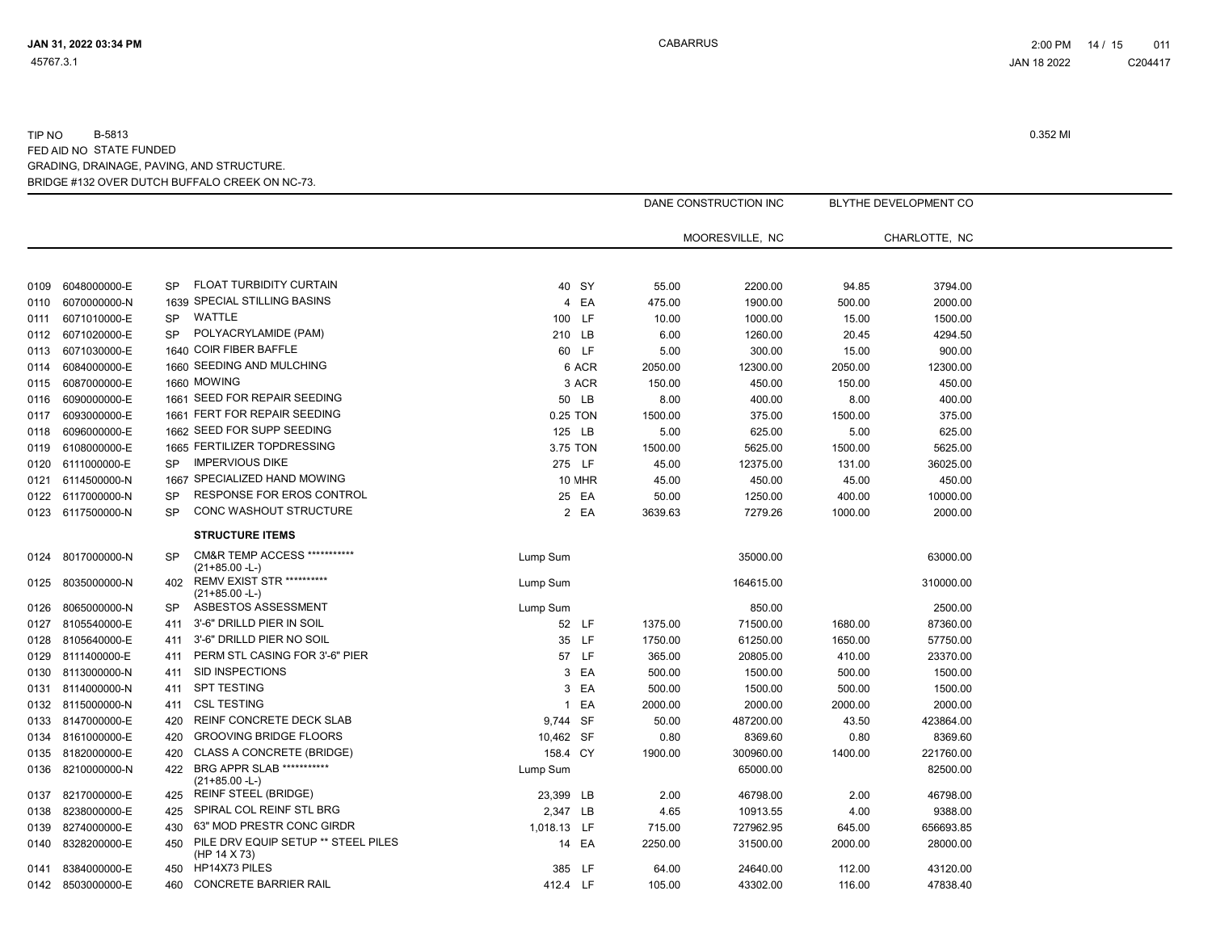|      |                   |           |                                                             |                |        |         | DANE CONSTRUCTION INC |         | BLYTHE DEVELOPMENT CO |  |
|------|-------------------|-----------|-------------------------------------------------------------|----------------|--------|---------|-----------------------|---------|-----------------------|--|
|      |                   |           |                                                             |                |        |         | MOORESVILLE, NC       |         | CHARLOTTE. NC         |  |
|      |                   |           |                                                             |                |        |         |                       |         |                       |  |
| 0109 | 6048000000-E      | SP        | FLOAT TURBIDITY CURTAIN                                     |                | 40 SY  | 55.00   | 2200.00               | 94.85   | 3794.00               |  |
| 0110 | 6070000000-N      |           | 1639 SPECIAL STILLING BASINS                                | $\overline{4}$ | EA     | 475.00  | 1900.00               | 500.00  | 2000.00               |  |
| 0111 | 6071010000-E      | SP        | WATTLE                                                      | 100 LF         |        | 10.00   | 1000.00               | 15.00   | 1500.00               |  |
| 0112 | 6071020000-E      | SP        | POLYACRYLAMIDE (PAM)                                        | 210 LB         |        | 6.00    | 1260.00               | 20.45   | 4294.50               |  |
| 0113 | 6071030000-E      |           | 1640 COIR FIBER BAFFLE                                      |                | 60 LF  | 5.00    | 300.00                | 15.00   | 900.00                |  |
| 0114 | 6084000000-E      |           | 1660 SEEDING AND MULCHING                                   |                | 6 ACR  | 2050.00 | 12300.00              | 2050.00 | 12300.00              |  |
| 0115 | 6087000000-E      |           | 1660 MOWING                                                 |                | 3 ACR  | 150.00  | 450.00                | 150.00  | 450.00                |  |
| 0116 | 6090000000-E      |           | 1661 SEED FOR REPAIR SEEDING                                |                | 50 LB  | 8.00    | 400.00                | 8.00    | 400.00                |  |
| 0117 | 6093000000-E      |           | 1661 FERT FOR REPAIR SEEDING                                | 0.25 TON       |        | 1500.00 | 375.00                | 1500.00 | 375.00                |  |
| 0118 | 6096000000-E      |           | 1662 SEED FOR SUPP SEEDING                                  | 125 LB         |        | 5.00    | 625.00                | 5.00    | 625.00                |  |
| 0119 | 6108000000-E      |           | 1665 FERTILIZER TOPDRESSING                                 | 3.75 TON       |        | 1500.00 | 5625.00               | 1500.00 | 5625.00               |  |
| 0120 | 6111000000-E      | <b>SP</b> | <b>IMPERVIOUS DIKE</b>                                      | 275 LF         |        | 45.00   | 12375.00              | 131.00  | 36025.00              |  |
| 0121 | 6114500000-N      |           | 1667 SPECIALIZED HAND MOWING                                |                | 10 MHR | 45.00   | 450.00                | 45.00   | 450.00                |  |
| 0122 | 6117000000-N      | SP        | RESPONSE FOR EROS CONTROL                                   |                | 25 EA  | 50.00   | 1250.00               | 400.00  | 10000.00              |  |
|      | 0123 6117500000-N | <b>SP</b> | CONC WASHOUT STRUCTURE                                      |                | 2 EA   | 3639.63 | 7279.26               | 1000.00 | 2000.00               |  |
|      |                   |           | <b>STRUCTURE ITEMS</b>                                      |                |        |         |                       |         |                       |  |
| 0124 | 8017000000-N      | <b>SP</b> | <b>CM&amp;R TEMP ACCESS ***********</b><br>$(21+85.00 - L)$ | Lump Sum       |        |         | 35000.00              |         | 63000.00              |  |
| 0125 | 8035000000-N      | 402       | <b>REMV EXIST STR **********</b><br>$(21+85.00 - L)$        | Lump Sum       |        |         | 164615.00             |         | 310000.00             |  |
| 0126 | 8065000000-N      | <b>SP</b> | ASBESTOS ASSESSMENT                                         | Lump Sum       |        |         | 850.00                |         | 2500.00               |  |
| 0127 | 8105540000-E      | 411       | 3'-6" DRILLD PIER IN SOIL                                   |                | 52 LF  | 1375.00 | 71500.00              | 1680.00 | 87360.00              |  |
| 0128 | 8105640000-E      | 411       | 3'-6" DRILLD PIER NO SOIL                                   |                | 35 LF  | 1750.00 | 61250.00              | 1650.00 | 57750.00              |  |
| 0129 | 8111400000-E      | 411       | PERM STL CASING FOR 3'-6" PIER                              |                | 57 LF  | 365.00  | 20805.00              | 410.00  | 23370.00              |  |
| 0130 | 8113000000-N      | 411       | SID INSPECTIONS                                             |                | 3 EA   | 500.00  | 1500.00               | 500.00  | 1500.00               |  |
| 0131 | 8114000000-N      | 411       | <b>SPT TESTING</b>                                          |                | 3 EA   | 500.00  | 1500.00               | 500.00  | 1500.00               |  |
|      | 0132 8115000000-N | 411       | <b>CSL TESTING</b>                                          |                | 1 EA   | 2000.00 | 2000.00               | 2000.00 | 2000.00               |  |
| 0133 | 8147000000-E      | 420       | <b>REINF CONCRETE DECK SLAB</b>                             | 9,744 SF       |        | 50.00   | 487200.00             | 43.50   | 423864.00             |  |
| 0134 | 8161000000-E      | 420       | <b>GROOVING BRIDGE FLOORS</b>                               | 10,462 SF      |        | 0.80    | 8369.60               | 0.80    | 8369.60               |  |
| 0135 | 8182000000-E      | 420       | CLASS A CONCRETE (BRIDGE)                                   | 158.4 CY       |        | 1900.00 | 300960.00             | 1400.00 | 221760.00             |  |
| 0136 | 8210000000-N      | 422       | BRG APPR SLAB ***********<br>$(21+85.00 - L)$               | Lump Sum       |        |         | 65000.00              |         | 82500.00              |  |
| 0137 | 8217000000-E      | 425       | <b>REINF STEEL (BRIDGE)</b>                                 | 23,399 LB      |        | 2.00    | 46798.00              | 2.00    | 46798.00              |  |
| 0138 | 8238000000-E      | 425       | SPIRAL COL REINF STL BRG                                    | 2,347 LB       |        | 4.65    | 10913.55              | 4.00    | 9388.00               |  |
| 0139 | 8274000000-E      | 430       | 63" MOD PRESTR CONC GIRDR                                   | 1,018.13 LF    |        | 715.00  | 727962.95             | 645.00  | 656693.85             |  |
| 0140 | 8328200000-E      | 450       | PILE DRV EQUIP SETUP ** STEEL PILES<br>(HP 14 X 73)         |                | 14 EA  | 2250.00 | 31500.00              | 2000.00 | 28000.00              |  |
| 0141 | 8384000000-E      | 450       | HP14X73 PILES                                               | 385 LF         |        | 64.00   | 24640.00              | 112.00  | 43120.00              |  |
|      | 0142 8503000000-E | 460       | <b>CONCRETE BARRIER RAIL</b>                                | 412.4 LF       |        | 105.00  | 43302.00              | 116.00  | 47838.40              |  |